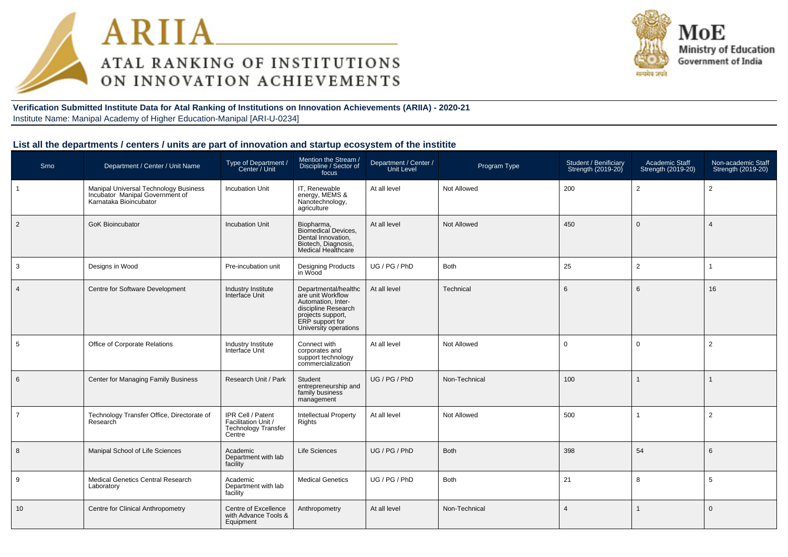



**Verification Submitted Institute Data for Atal Ranking of Institutions on Innovation Achievements (ARIIA) - 2020-21**Institute Name: Manipal Academy of Higher Education-Manipal [ARI-U-0234]

| Srno           | Department / Center / Unit Name                                                                    | Type of Department /<br>Center / Unit                                            | Mention the Stream /<br>Discipline / Sector of<br>focus                                                                                                 | Department / Center /<br><b>Unit Level</b> | Program Type       | Student / Benificiary<br>Strength (2019-20) | Academic Staff<br>Strength (2019-20) | Non-academic Staff<br>Strength (2019-20) |
|----------------|----------------------------------------------------------------------------------------------------|----------------------------------------------------------------------------------|---------------------------------------------------------------------------------------------------------------------------------------------------------|--------------------------------------------|--------------------|---------------------------------------------|--------------------------------------|------------------------------------------|
|                | Manipal Universal Technology Business<br>Incubator Manipal Government of<br>Karnataka Bioincubator | <b>Incubation Unit</b>                                                           | IT, Renewable<br>energy, MEMS &<br>Nanotechnology,<br>agriculture                                                                                       | At all level                               | Not Allowed        | 200                                         | $\overline{2}$                       | 2                                        |
| $\overline{2}$ | <b>GoK Bioincubator</b>                                                                            | <b>Incubation Unit</b>                                                           | Biopharma,<br>Biomedical Devices.<br>Dental Innovation,<br>Biotech, Diagnosis,<br>Medical Healthcare                                                    | At all level                               | Not Allowed        | 450                                         | $\Omega$                             | $\overline{4}$                           |
| 3              | Designs in Wood                                                                                    | Pre-incubation unit                                                              | <b>Designing Products</b><br>in Wood                                                                                                                    | UG/PG/PhD                                  | <b>Both</b>        | 25                                          | $\overline{2}$                       |                                          |
| $\overline{4}$ | Centre for Software Development                                                                    | Industry Institute<br>Interface Unit                                             | Departmental/healthc<br>are unit Workflow<br>Automation, Inter-<br>discipline Research<br>projects support,<br>ERP support for<br>University operations | At all level                               | Technical          | 6                                           | 6                                    | 16                                       |
| 5              | Office of Corporate Relations                                                                      | Industry Institute<br>Interface Unit                                             | Connect with<br>corporates and<br>support technology<br>commercialization                                                                               | At all level                               | Not Allowed        | 0                                           | $\Omega$                             | 2                                        |
| 6              | Center for Managing Family Business                                                                | Research Unit / Park                                                             | Student<br>entrepreneurship and<br>family business<br>management                                                                                        | UG / PG / PhD                              | Non-Technical      | 100                                         |                                      |                                          |
| $\overline{7}$ | Technology Transfer Office, Directorate of<br>Research                                             | IPR Cell / Patent<br>Facilitation Unit /<br><b>Technology Transfer</b><br>Centre | <b>Intellectual Property</b><br>Rights                                                                                                                  | At all level                               | <b>Not Allowed</b> | 500                                         |                                      | 2                                        |
| 8              | Manipal School of Life Sciences                                                                    | Academic<br>Department with lab<br>facility                                      | <b>Life Sciences</b>                                                                                                                                    | UG / PG / PhD                              | <b>Both</b>        | 398                                         | 54                                   | 6                                        |
| 9              | Medical Genetics Central Research<br>Laboratory                                                    | Academic<br>Department with lab<br>facility                                      | <b>Medical Genetics</b>                                                                                                                                 | UG / PG / PhD                              | Both               | 21                                          | 8                                    | 5                                        |
| 10             | Centre for Clinical Anthropometry                                                                  | Centre of Excellence<br>with Advance Tools &<br>Equipment                        | Anthropometry                                                                                                                                           | At all level                               | Non-Technical      | $\overline{4}$                              |                                      | $\mathbf{0}$                             |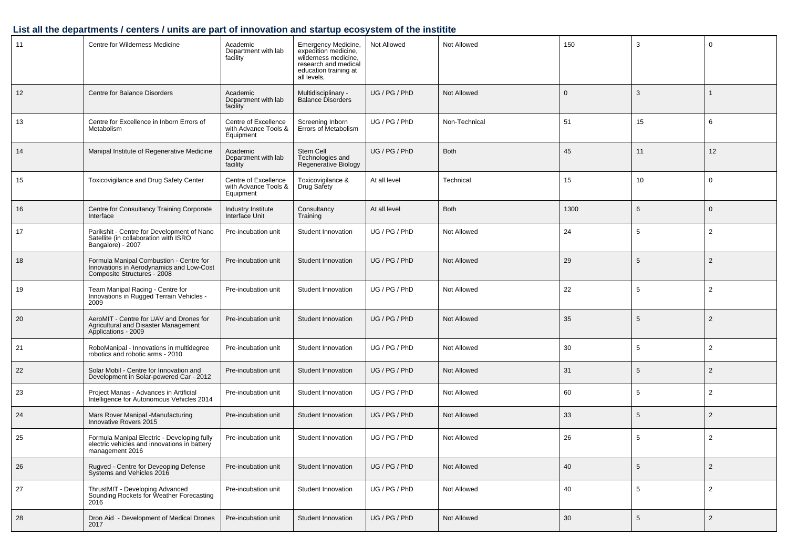| 11 | Centre for Wilderness Medicine                                                                                     | Academic<br>Department with lab<br>facility               | Emergency Medicine,<br>expedition medicine,<br>wilderness medicine.<br>research and medical<br>education training at<br>all levels, | Not Allowed                    | Not Allowed | 150          | 3  | $\Omega$       |
|----|--------------------------------------------------------------------------------------------------------------------|-----------------------------------------------------------|-------------------------------------------------------------------------------------------------------------------------------------|--------------------------------|-------------|--------------|----|----------------|
| 12 | Centre for Balance Disorders                                                                                       | Academic<br>Department with lab<br>facility               | Multidisciplinary -<br><b>Balance Disorders</b>                                                                                     | UG / PG / PhD                  | Not Allowed | $\mathbf{0}$ | 3  |                |
| 13 | Centre for Excellence in Inborn Errors of<br>Metabolism                                                            | Centre of Excellence<br>with Advance Tools &<br>Equipment | Screening Inborn<br>Errors of Metabolism                                                                                            | UG / PG / PhD<br>Non-Technical |             | 51           | 15 | 6              |
| 14 | Manipal Institute of Regenerative Medicine                                                                         | Academic<br>Department with lab<br>facility               | Stem Cell<br>Technologies and<br>Regenerative Biology                                                                               | UG / PG / PhD                  | <b>Both</b> | 45           | 11 | 12             |
| 15 | Toxicovigilance and Drug Safety Center                                                                             | Centre of Excellence<br>with Advance Tools &<br>Equipment | Toxicovigilance &<br>Drug Safety                                                                                                    | At all level                   | Technical   | 15           | 10 | $\mathbf 0$    |
| 16 | Centre for Consultancy Training Corporate<br>Interface                                                             | Industry Institute<br>Interface Unit                      | Consultancy<br>Training                                                                                                             | At all level                   | <b>Both</b> | 1300         | 6  | $\Omega$       |
| 17 | Parikshit - Centre for Development of Nano<br>Satellite (in collaboration with ISRO<br>Bangalore) - 2007           | Pre-incubation unit                                       | Student Innovation                                                                                                                  | UG / PG / PhD                  | Not Allowed | 24           | 5  | $\overline{2}$ |
| 18 | Formula Manipal Combustion - Centre for<br>Innovations in Aerodynamics and Low-Cost<br>Composite Structures - 2008 | Pre-incubation unit                                       | Student Innovation                                                                                                                  | UG / PG / PhD                  | Not Allowed | 29           | 5  | $\overline{2}$ |
| 19 | Team Manipal Racing - Centre for<br>Innovations in Rugged Terrain Vehicles -<br>2009                               | Pre-incubation unit                                       | Student Innovation                                                                                                                  | UG / PG / PhD                  | Not Allowed | 22           | 5  | $\overline{2}$ |
| 20 | AeroMIT - Centre for UAV and Drones for<br>Agricultural and Disaster Management<br>Applications - 2009             | Pre-incubation unit                                       | Student Innovation                                                                                                                  | UG / PG / PhD                  | Not Allowed | 35           | 5  | 2              |
| 21 | RoboManipal - Innovations in multidegree<br>robotics and robotic arms - 2010                                       | Pre-incubation unit                                       | Student Innovation                                                                                                                  | UG / PG / PhD                  | Not Allowed | 30           | 5  | 2              |
| 22 | Solar Mobil - Centre for Innovation and<br>Development in Solar-powered Car - 2012                                 | Pre-incubation unit                                       | Student Innovation                                                                                                                  | UG / PG / PhD                  | Not Allowed | 31           | 5  | 2              |
| 23 | Project Manas - Advances in Artificial<br>Intelligence for Autonomous Vehicles 2014                                | Pre-incubation unit                                       | Student Innovation                                                                                                                  | UG / PG / PhD                  | Not Allowed | 60           | 5  | 2              |
| 24 | Mars Rover Manipal -Manufacturing<br>Innovative Rovers 2015                                                        | Pre-incubation unit                                       | Student Innovation                                                                                                                  | UG / PG / PhD                  | Not Allowed | 33           | 5  | 2              |
| 25 | Formula Manipal Electric - Developing fully<br>electric vehicles and innovations in battery<br>management 2016     | Pre-incubation unit                                       | Student Innovation                                                                                                                  | UG / PG / PhD                  | Not Allowed | 26           | 5  | 2              |
| 26 | Rugved - Centre for Deveoping Defense<br>Systems and Vehicles 2016                                                 | Pre-incubation unit                                       | Student Innovation                                                                                                                  | UG / PG / PhD                  | Not Allowed | 40           | 5  | $\overline{2}$ |
| 27 | ThrustMIT - Developing Advanced<br>Sounding Rockets for Weather Forecasting<br>2016                                | Pre-incubation unit                                       | Student Innovation                                                                                                                  | UG / PG / PhD                  | Not Allowed | 40           | 5  | $\overline{2}$ |
| 28 | Dron Aid - Development of Medical Drones<br>2017                                                                   | Pre-incubation unit                                       | Student Innovation                                                                                                                  | UG / PG / PhD                  | Not Allowed | 30           | 5  | $\overline{2}$ |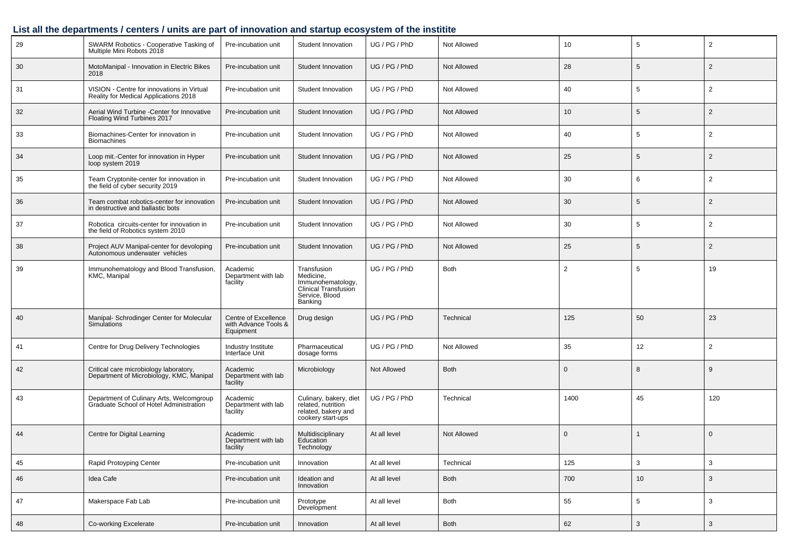| 29 | SWARM Robotics - Cooperative Tasking of<br>Multiple Mini Robots 2018                | Pre-incubation unit                                       | Student Innovation                                                                                 | UG / PG / PhD              | Not Allowed | 10           | 5            | $\overline{2}$ |
|----|-------------------------------------------------------------------------------------|-----------------------------------------------------------|----------------------------------------------------------------------------------------------------|----------------------------|-------------|--------------|--------------|----------------|
| 30 | MotoManipal - Innovation in Electric Bikes<br>2018                                  | Pre-incubation unit                                       | Student Innovation                                                                                 | UG / PG / PhD              | Not Allowed | 28           | 5            | 2              |
| 31 | VISION - Centre for innovations in Virtual<br>Reality for Medical Applications 2018 | Pre-incubation unit                                       | Student Innovation                                                                                 | UG / PG / PhD              | Not Allowed | 40           | 5            | 2              |
| 32 | Aerial Wind Turbine -Center for Innovative<br>Floating Wind Turbines 2017           | Pre-incubation unit                                       | Student Innovation                                                                                 | UG / PG / PhD              | Not Allowed | 10           | 5            | 2              |
| 33 | Biomachines-Center for innovation in<br><b>Biomachines</b>                          | Pre-incubation unit                                       | Student Innovation                                                                                 | UG / PG / PhD              | Not Allowed | 40           | 5            | 2              |
| 34 | Loop mit.-Center for innovation in Hyper<br>loop system 2019                        | Pre-incubation unit                                       | Student Innovation                                                                                 | UG / PG / PhD              | Not Allowed | 25           | 5            | 2              |
| 35 | Team Cryptonite-center for innovation in<br>the field of cyber security 2019        | Pre-incubation unit                                       | Student Innovation                                                                                 | UG / PG / PhD              | Not Allowed | 30           | 6            | 2              |
| 36 | Team combat robotics-center for innovation<br>in destructive and ballastic bots     | Pre-incubation unit                                       | Student Innovation                                                                                 | UG / PG / PhD              | Not Allowed | 30           | 5            | 2              |
| 37 | Robotica circuits-center for innovation in<br>the field of Robotics system 2010     | Pre-incubation unit                                       | Student Innovation                                                                                 | UG / PG / PhD              | Not Allowed | 30           | 5            | 2              |
| 38 | Project AUV Manipal-center for devoloping<br>Autonomous underwater vehicles         | Pre-incubation unit                                       | Student Innovation                                                                                 | UG / PG / PhD              | Not Allowed | 25           | 5            | 2              |
| 39 | Immunohematology and Blood Transfusion,<br>KMC, Manipal                             | Academic<br>Department with lab<br>facility               | Transfusion<br>Medicine,<br>Immunohematology,<br>Clinical Transfusion<br>Service, Blood<br>Banking | UG / PG / PhD              | <b>Both</b> |              | 5            | 19             |
| 40 | Manipal- Schrodinger Center for Molecular<br><b>Simulations</b>                     | Centre of Excellence<br>with Advance Tools &<br>Equipment | Drug design                                                                                        | UG / PG / PhD<br>Technical |             | 125          | 50           | 23             |
| 41 | Centre for Drug Delivery Technologies                                               | Industry Institute<br>Interface Unit                      | Pharmaceutical<br>dosage forms                                                                     | UG / PG / PhD              | Not Allowed | 35           | 12           | 2              |
| 42 | Critical care microbiology laboratory,<br>Department of Microbiology, KMC, Manipal  | Academic<br>Department with lab<br>facility               | Microbiology                                                                                       | Not Allowed                | <b>Both</b> | $\mathbf{0}$ | 8            | 9              |
| 43 | Department of Culinary Arts, Welcomgroup<br>Graduate School of Hotel Administration | Academic<br>Department with lab<br>facility               | Culinary, bakery, diet<br>related, nutrition<br>related, bakery and<br>cookery start-ups           | UG / PG / PhD              | Technical   | 1400         | 45           | 120            |
| 44 | Centre for Digital Learning                                                         | Academic<br>Department with lab<br>facility               | Multidisciplinary<br>Education<br>Technology                                                       | At all level               | Not Allowed | $\mathbf{0}$ |              | $\overline{0}$ |
| 45 | Rapid Protoyping Center                                                             | Pre-incubation unit                                       | Innovation                                                                                         | At all level               | Technical   | 125          | 3            | 3              |
| 46 | Idea Cafe                                                                           | Pre-incubation unit                                       | Ideation and<br>Innovation                                                                         | At all level               | Both        | 700          | 10           | $\mathbf{3}$   |
| 47 | Makerspace Fab Lab                                                                  | Pre-incubation unit                                       | Prototype<br>Development                                                                           | At all level               | Both        | 55           | 5            | 3              |
| 48 | Co-working Excelerate                                                               | Pre-incubation unit                                       | Innovation                                                                                         | At all level               | Both        | 62           | $\mathbf{3}$ | $\mathbf{3}$   |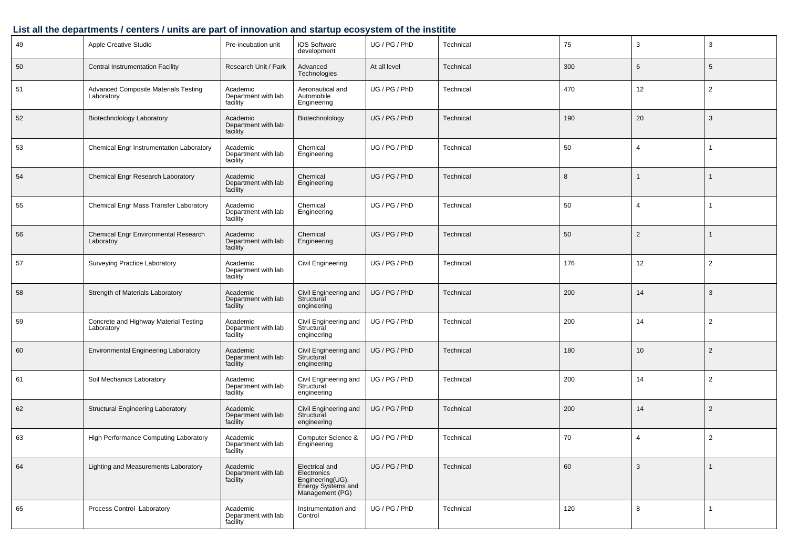| 49 | Apple Creative Studio                               | Pre-incubation unit                         | iOS Software<br>development                                                                | UG / PG / PhD | Technical | 75  | 3              | 3              |
|----|-----------------------------------------------------|---------------------------------------------|--------------------------------------------------------------------------------------------|---------------|-----------|-----|----------------|----------------|
| 50 | <b>Central Instrumentation Facility</b>             | Research Unit / Park                        | Advanced<br>Technologies                                                                   | At all level  | Technical | 300 | 6              | 5              |
| 51 | Advanced Composite Materials Testing<br>Laboratory  | Academic<br>Department with lab<br>facility | Aeronautical and<br>Automobile<br>Engineering                                              | UG / PG / PhD | Technical | 470 | 12             | 2              |
| 52 | Biotechnolology Laboratory                          | Academic<br>Department with lab<br>facility | Biotechnolology                                                                            | UG / PG / PhD | Technical | 190 | 20             | 3              |
| 53 | Chemical Engr Instrumentation Laboratory            | Academic<br>Department with lab<br>facility | Chemical<br>Engineering                                                                    | UG / PG / PhD | Technical | 50  | 4              |                |
| 54 | Chemical Engr Research Laboratory                   | Academic<br>Department with lab<br>facility | Chemical<br>Engineering                                                                    | UG / PG / PhD | Technical | 8   | 1              |                |
| 55 | Chemical Engr Mass Transfer Laboratory              | Academic<br>Department with lab<br>facility | Chemical<br>Engineering                                                                    | UG / PG / PhD | Technical | 50  | 4              |                |
| 56 | Chemical Engr Environmental Research<br>Laboratoy   | Academic<br>Department with lab<br>facility | Chemical<br>Engineering                                                                    | UG / PG / PhD | Technical | 50  | $\overline{2}$ |                |
| 57 | Surveying Practice Laboratory                       | Academic<br>Department with lab<br>facility | <b>Civil Engineering</b>                                                                   | UG / PG / PhD | Technical | 176 | 12             | 2              |
| 58 | Strength of Materials Laboratory                    | Academic<br>Department with lab<br>facility | Civil Engineering and<br>Structural<br>engineering                                         | UG / PG / PhD | Technical | 200 | 14             | 3              |
| 59 | Concrete and Highway Material Testing<br>Laboratory | Academic<br>Department with lab<br>facility | Civil Engineering and<br>Structural<br>engineering                                         | UG / PG / PhD | Technical | 200 | 14             | $\overline{2}$ |
| 60 | <b>Environmental Engineering Laboratory</b>         | Academic<br>Department with lab<br>facility | Civil Engineering and<br>Structural<br>engineering                                         | UG / PG / PhD | Technical | 180 | 10             | $\overline{2}$ |
| 61 | Soil Mechanics Laboratory                           | Academic<br>Department with lab<br>facility | Civil Engineering and<br>Structural<br>engineering                                         | UG / PG / PhD | Technical | 200 | 14             | 2              |
| 62 | <b>Structural Engineering Laboratory</b>            | Academic<br>Department with lab<br>facility | Civil Engineering and<br>Structural<br>engineering                                         | UG / PG / PhD | Technical | 200 | 14             | $\overline{2}$ |
| 63 | High Performance Computing Laboratory               | Academic<br>Department with lab<br>facility | Computer Science &<br>Engineering                                                          | UG / PG / PhD | Technical | 70  | 4              | $\overline{2}$ |
| 64 | Lighting and Measurements Laboratory                | Academic<br>Department with lab<br>facility | Electrical and<br>Electronics<br>Engineering(UG),<br>Energy Systems and<br>Management (PG) | UG / PG / PhD | Technical | 60  | 3              |                |
| 65 | Process Control Laboratory                          | Academic<br>Department with lab<br>facility | Instrumentation and<br>Control                                                             | UG / PG / PhD | Technical | 120 | 8              | $\mathbf{1}$   |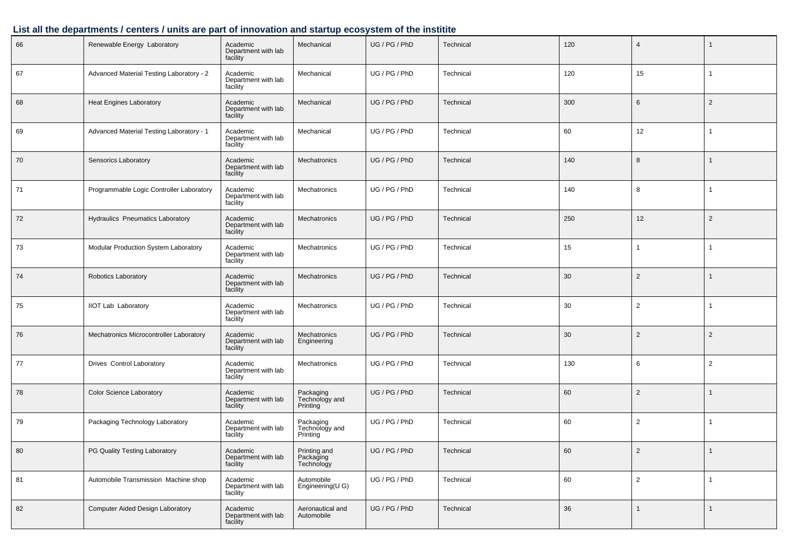| 66 | Renewable Energy Laboratory              | Academic<br>Department with lab<br>facility | Mechanical                              | UG / PG / PhD | Technical | 120 | $\overline{4}$ | $\mathbf{1}$   |
|----|------------------------------------------|---------------------------------------------|-----------------------------------------|---------------|-----------|-----|----------------|----------------|
| 67 | Advanced Material Testing Laboratory - 2 | Academic<br>Department with lab<br>facility | Mechanical                              | UG / PG / PhD | Technical | 120 | 15             | -1             |
| 68 | <b>Heat Engines Laboratory</b>           | Academic<br>Department with lab<br>facility | Mechanical                              | UG / PG / PhD | Technical | 300 | 6              | $\overline{2}$ |
| 69 | Advanced Material Testing Laboratory - 1 | Academic<br>Department with lab<br>facility | Mechanical                              | UG / PG / PhD | Technical | 60  | 12             | $\mathbf{1}$   |
| 70 | Sensorics Laboratory                     | Academic<br>Department with lab<br>facility | Mechatronics                            | UG / PG / PhD | Technical | 140 | 8              | $\mathbf{1}$   |
| 71 | Programmable Logic Controller Laboratory | Academic<br>Department with lab<br>facility | Mechatronics                            | UG / PG / PhD | Technical | 140 | 8              | $\overline{1}$ |
| 72 | Hydraulics Pneumatics Laboratory         | Academic<br>Department with lab<br>facility | <b>Mechatronics</b>                     | UG / PG / PhD | Technical | 250 | 12             | $\overline{2}$ |
| 73 | Modular Production System Laboratory     | Academic<br>Department with lab<br>facility | Mechatronics                            | UG / PG / PhD | Technical | 15  |                | -1             |
| 74 | Robotics Laboratory                      | Academic<br>Department with lab<br>facility | <b>Mechatronics</b>                     | UG / PG / PhD | Technical | 30  | 2              | $\mathbf{1}$   |
| 75 | <b>IIOT Lab Laboratory</b>               | Academic<br>Department with lab<br>facility | Mechatronics                            | UG / PG / PhD | Technical | 30  | $\overline{2}$ | $\mathbf{1}$   |
| 76 | Mechatronics Microcontroller Laboratory  | Academic<br>Department with lab<br>facility | Mechatronics<br>Engineering             | UG / PG / PhD | Technical | 30  | $\overline{2}$ | $\overline{2}$ |
| 77 | <b>Drives Control Laboratory</b>         | Academic<br>Department with lab<br>facility | Mechatronics                            | UG / PG / PhD | Technical | 130 | 6              | $\overline{2}$ |
| 78 | Color Science Laboratory                 | Academic<br>Department with lab<br>facility | Packaging<br>Technology and<br>Printing | UG / PG / PhD | Technical | 60  | $\overline{2}$ | 1              |
| 79 | Packaging Technology Laboratory          | Academic<br>Department with lab<br>facility | Packaging<br>Technology and<br>Printing | UG / PG / PhD | Technical | 60  | 2              |                |
| 80 | PG Quality Testing Laboratory            | Academic<br>Department with lab<br>facility | Printing and<br>Packaging<br>Technology | UG / PG / PhD | Technical | 60  | 2              | $\mathbf{1}$   |
| 81 | Automobile Transmission Machine shop     | Academic<br>Department with lab<br>facility | Automobile<br>Engineering(U G)          | UG / PG / PhD | Technical | 60  | $\overline{2}$ | $\overline{1}$ |
| 82 | Computer Aided Design Laboratory         | Academic<br>Department with lab<br>facility | Aeronautical and<br>Automobile          | UG / PG / PhD | Technical | 36  | -1             | $\overline{1}$ |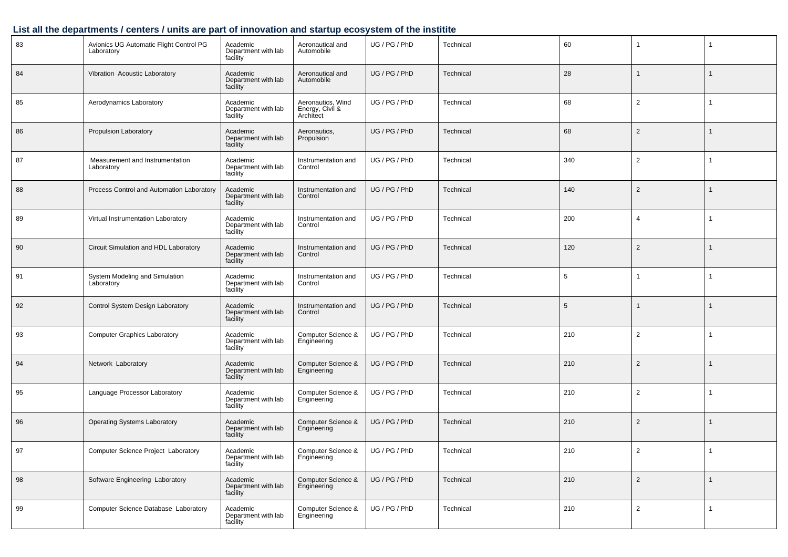| 83 | Avionics UG Automatic Flight Control PG<br>Laboratory                          | Academic<br>Department with lab<br>facility | Aeronautical and<br>Automobile                    | UG / PG / PhD              | Technical | 60  |                |                |
|----|--------------------------------------------------------------------------------|---------------------------------------------|---------------------------------------------------|----------------------------|-----------|-----|----------------|----------------|
| 84 | Vibration Acoustic Laboratory                                                  | Academic<br>Department with lab<br>facility | Aeronautical and<br>Automobile                    | UG / PG / PhD              | Technical | 28  |                | $\mathbf{1}$   |
| 85 | Aerodynamics Laboratory                                                        | Academic<br>Department with lab<br>facility | Aeronautics, Wind<br>Energy, Civil &<br>Architect | UG / PG / PhD              | Technical | 68  | $\overline{2}$ | $\overline{1}$ |
| 86 | Propulsion Laboratory                                                          | Academic<br>Department with lab<br>facility | Aeronautics,<br>Propulsion                        | UG / PG / PhD              | Technical | 68  | $\overline{2}$ | $\mathbf 1$    |
| 87 | Measurement and Instrumentation<br>Laboratory                                  | Academic<br>Department with lab<br>facility | Instrumentation and<br>Control                    | UG / PG / PhD              | Technical | 340 | $\overline{2}$ | -1             |
| 88 | Process Control and Automation Laboratory                                      | Academic<br>Department with lab<br>facility | Instrumentation and<br>Control                    | UG / PG / PhD              | Technical | 140 | 2              | $\mathbf{1}$   |
| 89 | Virtual Instrumentation Laboratory                                             | Academic<br>Department with lab<br>facility | Instrumentation and<br>Control                    | UG / PG / PhD              | Technical | 200 | $\overline{4}$ |                |
| 90 | Circuit Simulation and HDL Laboratory                                          | Academic<br>Department with lab<br>facility | Instrumentation and<br>Control                    | UG / PG / PhD              | Technical | 120 | $\overline{2}$ | $\mathbf{1}$   |
| 91 | System Modeling and Simulation<br>Laboratory                                   | Academic<br>Department with lab<br>facility | Instrumentation and<br>Control                    | UG / PG / PhD<br>Technical |           | 5   |                | $\mathbf{1}$   |
| 92 | Control System Design Laboratory                                               | Academic<br>Department with lab<br>facility | Instrumentation and<br>Control                    | UG / PG / PhD              | Technical | 5   |                | $\mathbf{1}$   |
| 93 | <b>Computer Graphics Laboratory</b>                                            | Academic<br>Department with lab<br>facility | Computer Science &<br>Engineering                 | UG / PG / PhD              | Technical | 210 | $\overline{2}$ |                |
| 94 | Network Laboratory                                                             | Academic<br>Department with lab<br>facility | Computer Science &<br>Engineering                 | UG / PG / PhD              | Technical | 210 | 2              | $\mathbf{1}$   |
| 95 | Language Processor Laboratory                                                  | Academic<br>Department with lab<br>facility | Computer Science &<br>Engineering                 | UG / PG / PhD              | Technical | 210 | $\overline{2}$ |                |
| 96 | <b>Operating Systems Laboratory</b>                                            | Academic<br>Department with lab<br>facility | Computer Science &<br>Engineering                 | UG / PG / PhD              | Technical | 210 | 2              | -1             |
| 97 | <b>Computer Science Project Laboratory</b>                                     | Academic<br>Department with lab<br>facility | Computer Science &<br>Engineering                 | UG / PG / PhD              | Technical | 210 | $\overline{2}$ | $\mathbf{1}$   |
| 98 | Software Engineering Laboratory<br>Academic<br>Department with lab<br>facility |                                             | Computer Science &<br>Engineering                 | UG / PG / PhD              | Technical | 210 | $\overline{2}$ | $\overline{1}$ |
| 99 | Computer Science Database Laboratory                                           | Academic<br>Department with lab<br>facility | Computer Science &<br>Engineering                 | UG / PG / PhD              | Technical | 210 | $\overline{2}$ | $\overline{1}$ |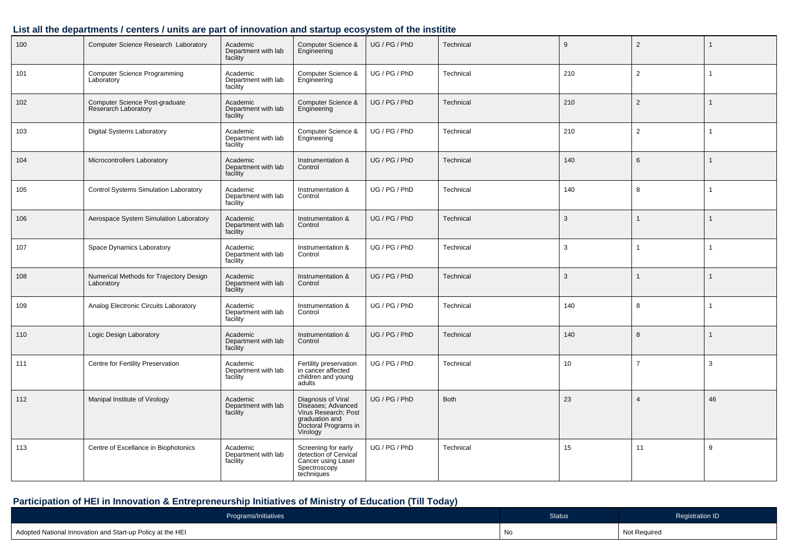| 100 | Computer Science Research Laboratory                   | Academic<br>Department with lab<br>facility | Computer Science &<br>Engineering                                                                                      | UG / PG / PhD | Technical   | 9   | $\overline{2}$ | 1            |
|-----|--------------------------------------------------------|---------------------------------------------|------------------------------------------------------------------------------------------------------------------------|---------------|-------------|-----|----------------|--------------|
| 101 | <b>Computer Science Programming</b><br>Laboratory      | Academic<br>Department with lab<br>facility | Computer Science &<br>Engineering                                                                                      | UG / PG / PhD | Technical   | 210 | 2              | $\mathbf{1}$ |
| 102 | Computer Science Post-graduate<br>Reserarch Laboratory | Academic<br>Department with lab<br>facility | Computer Science &<br>Engineering                                                                                      | UG / PG / PhD | Technical   | 210 | 2              | $\mathbf{1}$ |
| 103 | Digital Systems Laboratory                             | Academic<br>Department with lab<br>facility | Computer Science &<br>Engineering                                                                                      | UG / PG / PhD | Technical   | 210 | 2              | $\mathbf{1}$ |
| 104 | Microcontrollers Laboratory                            | Academic<br>Department with lab<br>facility | Instrumentation &<br>Control                                                                                           | UG / PG / PhD | Technical   | 140 | 6              | 1            |
| 105 | Control Systems Simulation Laboratory                  | Academic<br>Department with lab<br>facility | Instrumentation &<br>Control                                                                                           | UG / PG / PhD | Technical   | 140 | 8              | $\mathbf{1}$ |
| 106 | Aerospace System Simulation Laboratory                 | Academic<br>Department with lab<br>facility | Instrumentation &<br>Control                                                                                           | UG / PG / PhD | Technical   | 3   |                | $\mathbf 1$  |
| 107 | Space Dynamics Laboratory                              | Academic<br>Department with lab<br>facility | Instrumentation &<br>Control                                                                                           | UG / PG / PhD | Technical   | 3   | -1             | 1            |
| 108 | Numerical Methods for Trajectory Design<br>Laboratory  | Academic<br>Department with lab<br>facility | Instrumentation &<br>Control                                                                                           | UG / PG / PhD | Technical   | 3   |                | 1            |
| 109 | Analog Electronic Circuits Laboratory                  | Academic<br>Department with lab<br>facility | Instrumentation &<br>Control                                                                                           | UG / PG / PhD | Technical   | 140 | 8              | 1            |
| 110 | Logic Design Laboratory                                | Academic<br>Department with lab<br>facility | Instrumentation &<br>Control                                                                                           | UG / PG / PhD | Technical   | 140 | 8              | 1            |
| 111 | Centre for Fertility Preservation                      | Academic<br>Department with lab<br>facility | Fertility preservation<br>in cancer affected<br>children and young<br>adults                                           | UG / PG / PhD | Technical   | 10  | $\overline{7}$ | 3            |
| 112 | Manipal Institute of Virology                          | Academic<br>Department with lab<br>facility | Diagnosis of Viral<br>Diseases; Advanced<br>Virus Research; Post<br>graduation and<br>Doctoral Programs in<br>Virology | UG / PG / PhD | <b>Both</b> | 23  | $\overline{4}$ | 46           |
| 113 | Centre of Excellance in Biophotonics                   | Academic<br>Department with lab<br>facility | Screening for early<br>detection of Cervical<br>Cancer using Laser<br>Spectroscopy<br>techniques                       | UG / PG / PhD | Technical   | 15  | 11             | 9            |

## **Participation of HEI in Innovation & Entrepreneurship Initiatives of Ministry of Education (Till Today)**

| Programs/Initiatives                                       | <b>Status</b> | <b>Registration ID</b> |
|------------------------------------------------------------|---------------|------------------------|
| Adopted National Innovation and Start-up Policy at the HEI | No            | Not Required           |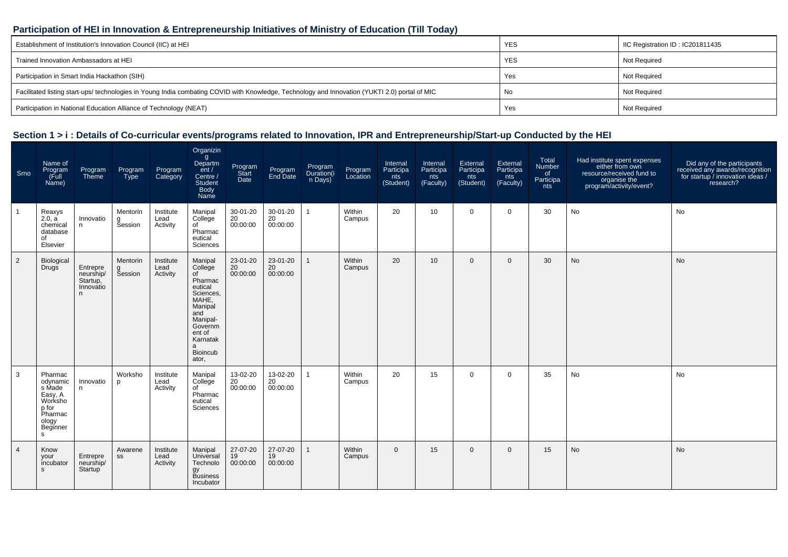#### **Participation of HEI in Innovation & Entrepreneurship Initiatives of Ministry of Education (Till Today)**

| Establishment of Institution's Innovation Council (IIC) at HEI                                                                                 | <b>YES</b> | IC Registration ID: IC201811435 |
|------------------------------------------------------------------------------------------------------------------------------------------------|------------|---------------------------------|
| Trained Innovation Ambassadors at HEI                                                                                                          | <b>YES</b> | Not Required                    |
| Participation in Smart India Hackathon (SIH)                                                                                                   | Yes        | Not Required                    |
| Facilitated listing start-ups/ technologies in Young India combating COVID with Knowledge, Technology and Innovation (YUKTI 2.0) portal of MIC | No         | Not Required                    |
| Participation in National Education Alliance of Technology (NEAT)                                                                              | Yes        | <b>Not Required</b>             |

| Srno           | Name of<br>Program<br>(Full<br>Name)                                                              | Program<br>Theme                                    | Program<br>Type                 | Program<br>Category           | Organizin<br>g<br>Departm<br>ent /<br>Centre /<br><b>Student</b><br>Body<br>Name                                                                                     | Program<br>Start<br>Date   | Program<br>End Date        | Program<br>Duration(i<br>n Days) | Program<br>Location | Internal<br>Participa<br>nts<br>(Student) | Internal<br>Participa<br>nts<br>(Faculty) | External<br>Participa<br>nts<br>(Student) | External<br>Participa<br>nts<br>(Faculty) | Total<br>Number<br>of<br>Participa<br>nts | Had institute spent expenses<br>either from own<br>resource/received fund to<br>organise the<br>?program/activity/event | Did any of the participants<br>received any awards/recognition<br>for startup / innovation ideas /<br>research? |
|----------------|---------------------------------------------------------------------------------------------------|-----------------------------------------------------|---------------------------------|-------------------------------|----------------------------------------------------------------------------------------------------------------------------------------------------------------------|----------------------------|----------------------------|----------------------------------|---------------------|-------------------------------------------|-------------------------------------------|-------------------------------------------|-------------------------------------------|-------------------------------------------|-------------------------------------------------------------------------------------------------------------------------|-----------------------------------------------------------------------------------------------------------------|
|                | Reaxys<br>2.0, a<br>chemical<br>database<br>of<br>Elsevier                                        | Innovatio<br>n.                                     | Mentorin<br>g<br><b>Session</b> | Institute<br>Lead<br>Activity | Manipal<br>College<br>of<br>Pharmac<br>eutical<br>Sciences                                                                                                           | 30-01-20<br>20<br>00:00:00 | 30-01-20<br>20<br>00:00:00 | $\mathbf{1}$                     | Within<br>Campus    | 20                                        | 10 <sup>°</sup>                           | $\mathbf 0$                               | $\mathbf 0$                               | 30                                        | No                                                                                                                      | No                                                                                                              |
| $\overline{2}$ | Biological<br>Drugs                                                                               | Entrepre<br>neurship/<br>Startup,<br>Innovatio<br>n | Mentorin<br>g<br>Session        | Institute<br>Lead<br>Activity | Manipal<br>College<br>of<br>Pharmac<br>eutical<br>Sciences.<br>MAHE,<br>Manipal<br>and<br>Manipal-<br>Governm<br>ent of<br>Karnatak<br>a<br><b>Bioincub</b><br>ator, | 23-01-20<br>20<br>00:00:00 | 23-01-20<br>20<br>00:00:00 | $\mathbf{1}$                     | Within<br>Campus    | 20                                        | 10 <sup>°</sup>                           | $\mathbf{0}$                              | $\overline{0}$                            | 30                                        | No                                                                                                                      | No                                                                                                              |
| 3              | Pharmac<br>odynamic<br>s Made<br>Easy, A<br>Worksho<br>p for<br>Pharmac<br>ology<br>Beginner<br>s | Innovatio<br>n.                                     | Worksho<br>р                    | Institute<br>Lead<br>Activity | Manipal<br>College<br>of<br>Pharmac<br>eutical<br>Sciences                                                                                                           | 13-02-20<br>20<br>00:00:00 | 13-02-20<br>20<br>00:00:00 | 1                                | Within<br>Campus    | 20                                        | 15                                        | 0                                         | $\overline{0}$                            | 35                                        | No                                                                                                                      | No                                                                                                              |
| $\overline{4}$ | Know<br>your<br>incubator<br><b>S</b>                                                             | Entrepre<br>neurship/<br><b>Startup</b>             | Awarene<br>SS                   | Institute<br>Lead<br>Activity | Manipal<br>Universal<br>Technolo<br>gy<br>Business<br>Incubator                                                                                                      | 27-07-20<br>19<br>00:00:00 | 27-07-20<br>19<br>00:00:00 | $\mathbf{1}$                     | Within<br>Campus    | $\Omega$                                  | 15                                        | $\Omega$                                  | $\overline{0}$                            | 15                                        | <b>No</b>                                                                                                               | <b>No</b>                                                                                                       |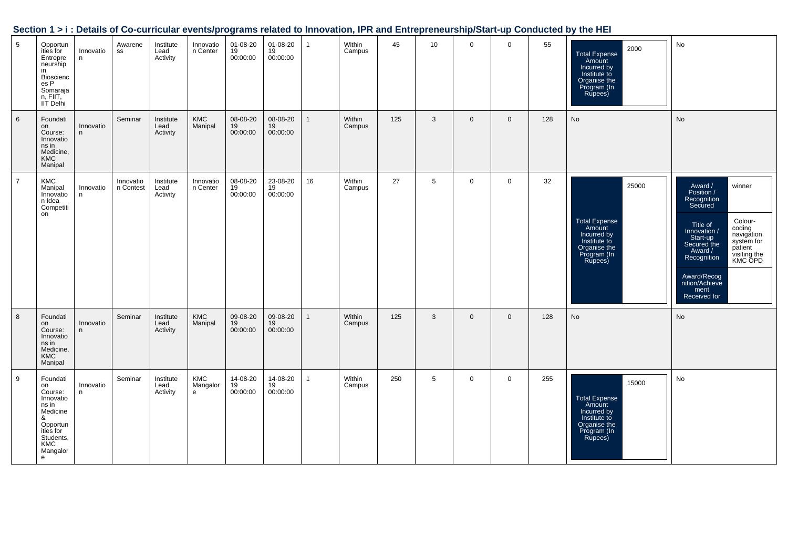| Section 1 > i : Details of Co-curricular events/programs related to Innovation, IPR and Entrepreneurship/Start-up Conducted by the HEI |  |
|----------------------------------------------------------------------------------------------------------------------------------------|--|
|                                                                                                                                        |  |

| 5              | Opportun<br>ities for<br>Entrepre<br>neurship<br>in<br>Bioscienc<br>es P<br>Somaraja<br>n, FIIT,<br>IIT Delhi                  | Innovatio<br>n | Awarene<br>SS          | Institute<br>Lead<br>Activity | Innovatio<br>n Center           | 01-08-20<br>19<br>00:00:00 | 01-08-20<br>19<br>00:00:00 | $\mathbf{1}$ | Within<br>Campus | 45  | 10 <sup>1</sup> | $\mathbf 0$  | $\mathbf 0$  | 55  | 2000<br><b>Total Expense</b><br>Amount<br>Incurred by<br>Institute to<br>Organise the<br>Program (In<br>Rupees)  | No                                                                                                                                                                                                                                                                                         |
|----------------|--------------------------------------------------------------------------------------------------------------------------------|----------------|------------------------|-------------------------------|---------------------------------|----------------------------|----------------------------|--------------|------------------|-----|-----------------|--------------|--------------|-----|------------------------------------------------------------------------------------------------------------------|--------------------------------------------------------------------------------------------------------------------------------------------------------------------------------------------------------------------------------------------------------------------------------------------|
| $6\phantom{1}$ | Foundati<br>on<br>Course:<br>Innovatio<br>ns in<br>Medicine,<br><b>KMC</b><br>Manipal                                          | Innovatio<br>n | Seminar                | Institute<br>Lead<br>Activity | KMC<br>Manipal                  | 08-08-20<br>19<br>00:00:00 | 08-08-20<br>19<br>00:00:00 | $\mathbf{1}$ | Within<br>Campus | 125 | 3               | $\mathbf 0$  | $\mathbf 0$  | 128 | No                                                                                                               | No                                                                                                                                                                                                                                                                                         |
| $\overline{7}$ | KMC<br>Manipal<br>Innovatio<br>n Idea<br>Competiti<br>on                                                                       | Innovatio<br>n | Innovatio<br>n Contest | Institute<br>Lead<br>Activity | Innovatio<br>n Center           | 08-08-20<br>19<br>00:00:00 | 23-08-20<br>19<br>00:00:00 | 16           | Within<br>Campus | 27  | 5               | $\mathbf 0$  | $\mathbf 0$  | 32  | 25000<br><b>Total Expense</b><br>Amount<br>Incurred by<br>Institute to<br>Organise the<br>Program (In<br>Rupees) | winner<br>Award /<br>Position /<br>Recognition<br>Secured<br>Colour-<br>Title of<br>coding<br>Innovation /<br>navigation<br>Start-up<br>system for<br>Secured the<br>patient<br>Award /<br>visiting the<br>KMC OPD<br>Recognition<br>Award/Recog<br>nition/Achieve<br>ment<br>Received for |
| 8              | Foundati<br>on<br>Course:<br>Innovatio<br>ns in<br>Medicine,<br><b>KMC</b><br>Manipal                                          | Innovatio<br>n | Seminar                | Institute<br>Lead<br>Activity | KMC<br>Manipal                  | 09-08-20<br>19<br>00:00:00 | 09-08-20<br>19<br>00:00:00 | $\mathbf{1}$ | Within<br>Campus | 125 | 3               | $\mathbf{0}$ | $\mathbf{0}$ | 128 | No                                                                                                               | No                                                                                                                                                                                                                                                                                         |
| 9              | Foundati<br>on<br>Course:<br>Innovatio<br>ns in<br>Medicine<br>&<br>Opportun<br>ities for<br>Students,<br>KMC<br>Mangalor<br>e | Innovatio<br>n | Seminar                | Institute<br>Lead<br>Activity | KMC<br>Mangalor<br>$\mathbf{e}$ | 14-08-20<br>19<br>00:00:00 | 14-08-20<br>19<br>00:00:00 | $\mathbf{1}$ | Within<br>Campus | 250 | $5\phantom{.0}$ | $\mathbf 0$  | $\mathbf 0$  | 255 | 15000<br><b>Total Expense</b><br>Amount<br>Incurred by<br>Institute to<br>Organise the<br>Program (In<br>Rupees) | No                                                                                                                                                                                                                                                                                         |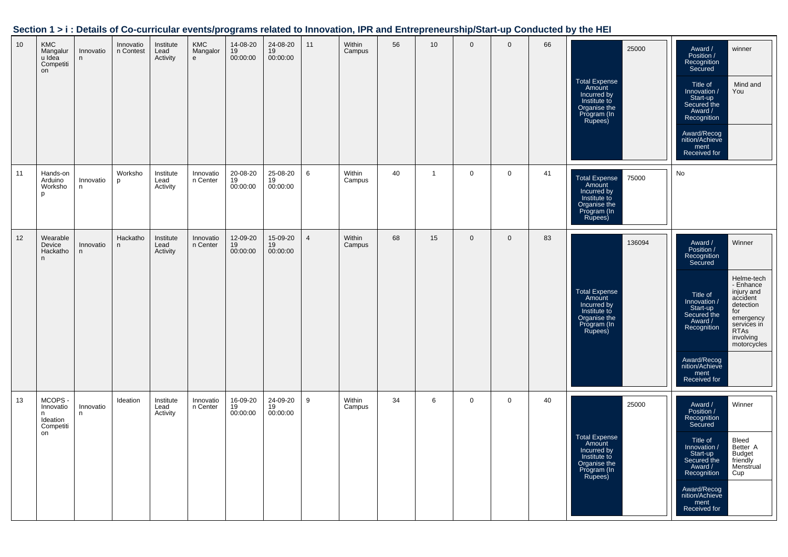|  |  | Section 1 > i : Details of Co-curricular events/programs related to Innovation, IPR and Entrepreneurship/Start-up Conducted by the HEI |
|--|--|----------------------------------------------------------------------------------------------------------------------------------------|
|  |  |                                                                                                                                        |

| 10 | <b>KMC</b><br>Mangalur<br>u Idea<br>Competiti<br>on            | Innovatio<br>n  | Innovatio<br>n Contest   | Institute<br>Lead<br>Activity | <b>KMC</b><br>Mangalor<br>$\mathsf{e}\,$ | 14-08-20<br>19<br>00:00:00 | 24-08-20<br>19<br>00:00:00 | 11             | Within<br>Campus | 56 | 10             | $\mathbf{0}$ | $\mathbf{0}$ | 66 | 25000<br><b>Total Expense</b><br>Amount<br>Incurred by<br>Institute to<br>Organise the<br>Program (In<br>Rupees)  | Award /<br>Position /<br>winner<br>Recognition<br>Secured<br>Mind and<br>Title of<br>Innovation /<br>You<br>Start-up<br>Secured the<br>Award /<br>Recognition<br>Award/Recog<br>nition/Achieve<br>ment<br>Received for                                                                                                                              |
|----|----------------------------------------------------------------|-----------------|--------------------------|-------------------------------|------------------------------------------|----------------------------|----------------------------|----------------|------------------|----|----------------|--------------|--------------|----|-------------------------------------------------------------------------------------------------------------------|-----------------------------------------------------------------------------------------------------------------------------------------------------------------------------------------------------------------------------------------------------------------------------------------------------------------------------------------------------|
| 11 | Hands-on<br>Arduino<br>Worksho<br>p                            | Innovatio<br>n  | Worksho<br>p             | Institute<br>Lead<br>Activity | Innovatio<br>n Center                    | 20-08-20<br>19<br>00:00:00 | 25-08-20<br>19<br>00:00:00 | 6              | Within<br>Campus | 40 | $\overline{1}$ | $\mathbf 0$  | $\mathbf 0$  | 41 | 75000<br><b>Total Expense</b><br>Amount<br>Incurred by<br>Institute to<br>Organise the<br>Program (In<br>Rupees)  | No                                                                                                                                                                                                                                                                                                                                                  |
| 12 | Wearable<br>Device<br>Hackatho<br>n                            | Innovatio<br>n. | Hackatho<br>$\mathsf{n}$ | Institute<br>Lead<br>Activity | Innovatio<br>n Center                    | 12-09-20<br>19<br>00:00:00 | 15-09-20<br>19<br>00:00:00 | $\overline{4}$ | Within<br>Campus | 68 | 15             | $\mathbf{0}$ | $\mathbf 0$  | 83 | 136094<br><b>Total Expense</b><br>Amount<br>Incurred by<br>Institute to<br>Organise the<br>Program (In<br>Rupees) | Winner<br>Award /<br>Position /<br>Recognition<br>Secured<br>Helme-tech<br>- Enhance<br>injury and<br>Title of<br>accident<br>Innovation /<br>detection<br>Start-up<br>for<br>Secured the<br>emergency<br>Award /<br>services in<br>Recognition<br><b>RTAs</b><br>involving<br>motorcycles<br>Award/Recog<br>nition/Achieve<br>ment<br>Received for |
| 13 | <b>MCOPS</b><br>Innovatio<br>n.<br>Ideation<br>Competiti<br>on | Innovatio<br>n. | Ideation                 | Institute<br>Lead<br>Activity | Innovatio<br>n Center                    | 16-09-20<br>19<br>00:00:00 | 24-09-20<br>19<br>00:00:00 | 9              | Within<br>Campus | 34 | 6              | $\mathbf 0$  | $\mathbf 0$  | 40 | 25000<br>Total Expense<br>Amount<br>Incurred by<br>Institute to<br>Organise the<br>Program (In<br>Rupees)         | Winner<br>Award /<br>Position /<br>Recognition<br>Secured<br>Bleed<br>Title of<br>Better A<br>Innovation /<br>Start-up<br><b>Budget</b><br>Secured the<br>friendly<br>Award /<br>Menstrual<br>Cup<br>Recognition<br>Award/Recog<br>nition/Achieve<br>ment<br>Received for                                                                           |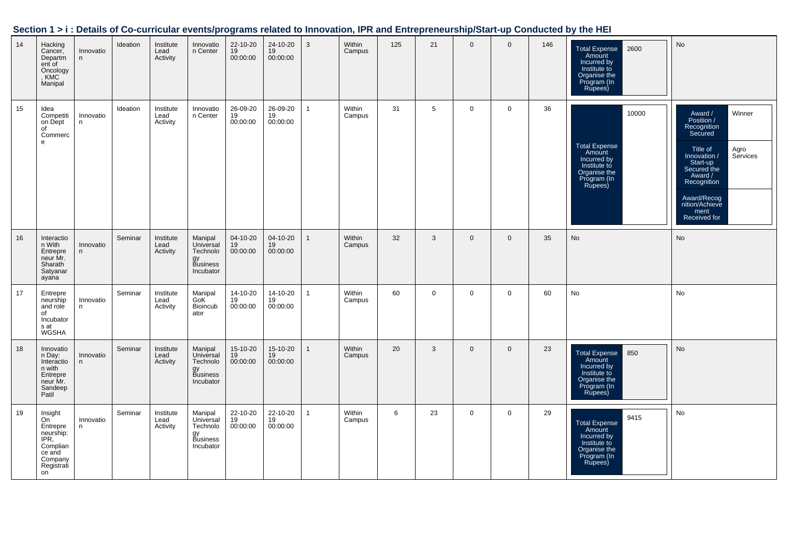| Section 1 > i : Details of Co-curricular events/programs related to Innovation, IPR and Entrepreneurship/Start-up Conducted by the HEI |  |
|----------------------------------------------------------------------------------------------------------------------------------------|--|
|                                                                                                                                        |  |

| 14 | Hacking<br>Cancer,<br>Departm<br>ent of<br>Oncology<br>, KMC<br>Manipal                             | Innovatio<br>n  | Ideation | Institute<br>Lead<br>Activity | Innovatio<br>n Center                                           | 22-10-20<br>19<br>00:00:00 | 24-10-20<br>19<br>00:00:00 | 3              | Within<br>Campus | 125 | 21          | $\mathbf{0}$ | $\mathbf{0}$ | 146 | 2600<br><b>Total Expense</b><br>Amount<br>Incurred by<br>Institute to<br>Organise the<br>Program (In<br>Rupees)  | No                                                                                                                                                                                                                      |
|----|-----------------------------------------------------------------------------------------------------|-----------------|----------|-------------------------------|-----------------------------------------------------------------|----------------------------|----------------------------|----------------|------------------|-----|-------------|--------------|--------------|-----|------------------------------------------------------------------------------------------------------------------|-------------------------------------------------------------------------------------------------------------------------------------------------------------------------------------------------------------------------|
| 15 | Idea<br>Competiti<br>on Dept<br>of<br>Commerc<br>e                                                  | Innovatio<br>n  | Ideation | Institute<br>Lead<br>Activity | Innovatio<br>n Center                                           | 26-09-20<br>19<br>00:00:00 | 26-09-20<br>19<br>00:00:00 | $\mathbf{1}$   | Within<br>Campus | 31  | 5           | $\mathbf 0$  | $\mathbf 0$  | 36  | 10000<br><b>Total Expense</b><br>Amount<br>Incurred by<br>Institute to<br>Organise the<br>Program (In<br>Rupees) | Award /<br>Winner<br>Position /<br>Recognition<br>Secured<br>Title of<br>Agro<br>Services<br>Innovation /<br>Start-up<br>Secured the<br>Award /<br>Recognition<br>Award/Recog<br>nition/Achieve<br>ment<br>Received for |
| 16 | Interactio<br>n With<br>Entrepre<br>neur Mr.<br>Sharath<br>Satyanar<br>ayana                        | Innovatio<br>n  | Seminar  | Institute<br>Lead<br>Activity | Manipal<br>Universal<br>Technolo<br>gy<br>Business<br>Incubator | 04-10-20<br>19<br>00:00:00 | 04-10-20<br>19<br>00:00:00 | $\overline{1}$ | Within<br>Campus | 32  | 3           | $\mathbf 0$  | $\mathbf 0$  | 35  | No                                                                                                               | No                                                                                                                                                                                                                      |
| 17 | Entrepre<br>neurship<br>and role<br>of<br>Incubator<br>s at<br>WGSHA                                | Innovatio<br>n  | Seminar  | Institute<br>Lead<br>Activity | Manipal<br>GoK <sup>1</sup><br>Bioincub<br>ator                 | 14-10-20<br>19<br>00:00:00 | 14-10-20<br>19<br>00:00:00 | $\mathbf{1}$   | Within<br>Campus | 60  | $\mathbf 0$ | $\mathbf 0$  | $\mathbf 0$  | 60  | No                                                                                                               | No                                                                                                                                                                                                                      |
| 18 | Innovatio<br>n Day:<br>Interactio<br>n with<br>Entrepre<br>neur Mr.<br>Sandeep<br>Patil             | Innovatio<br>n  | Seminar  | Institute<br>Lead<br>Activity | Manipal<br>Universal<br>Technolo<br>gy<br>Business<br>Incubator | 15-10-20<br>19<br>00:00:00 | 15-10-20<br>19<br>00:00:00 | $\mathbf{1}$   | Within<br>Campus | 20  | 3           | $\mathbf{0}$ | $\Omega$     | 23  | 850<br><b>Total Expense</b><br>Amount<br>Incurred by<br>Institute to<br>Organise the<br>Program (In<br>Rupees)   | No                                                                                                                                                                                                                      |
| 19 | Insight<br>On<br>Entrepre<br>neurship:<br>IPR,<br>Complian<br>ce and<br>Company<br>Registrati<br>on | Innovatio<br>n. | Seminar  | Institute<br>Lead<br>Activity | Manipal<br>Universal<br>Technolo<br>gy<br>Business<br>Incubator | 22-10-20<br>19<br>00:00:00 | 22-10-20<br>19<br>00:00:00 | $\mathbf{1}$   | Within<br>Campus | 6   | 23          | $\mathbf 0$  | $\mathbf 0$  | 29  | 9415<br><b>Total Expense</b><br>Amount<br>Incurred by<br>Institute to<br>Organise the<br>Program (In<br>Rupees)  | No                                                                                                                                                                                                                      |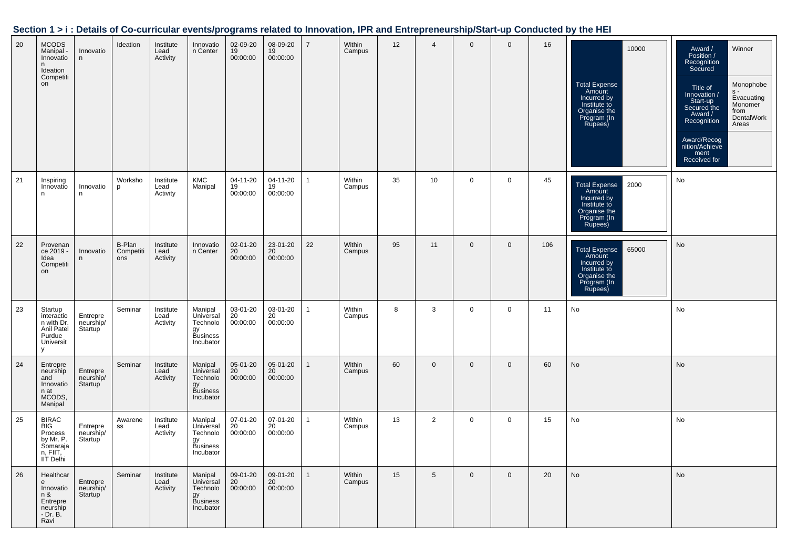|  |  | Section 1 > i : Details of Co-curricular events/programs related to Innovation, IPR and Entrepreneurship/Start-up Conducted by the HEI |
|--|--|----------------------------------------------------------------------------------------------------------------------------------------|
|  |  |                                                                                                                                        |

| 20 | <b>MCODS</b><br>Manipal<br>Innovatio<br>n.<br>Ideation<br>Competiti<br>on               | Innovatio<br>n                                | Ideation                   | Institute<br>Lead<br>Activity | Innovatio<br>n Center                                           | 02-09-20<br>19<br>00:00:00        | 08-09-20<br>19<br>00:00:00 | $\overline{7}$ | Within<br>Campus | 12 | $\overline{4}$  | $\mathbf{0}$ | $\mathbf 0$ | 16  | 10000<br><b>Total Expense</b><br>Amount<br>Incurred by<br>Institute to<br>Organise the<br>Program (In            | Award /<br>Position /<br>Winner<br>Recognition<br>Secured<br>Monophobe<br>Title of<br>$S -$<br>Innovation /<br>Evacuating<br>Start-up<br>Secured the<br>Monomer<br>from<br>Award /<br>DentalWork<br>Recognition<br>Areas<br>Award/Recog<br>nition/Achieve<br>ment<br>Received for |
|----|-----------------------------------------------------------------------------------------|-----------------------------------------------|----------------------------|-------------------------------|-----------------------------------------------------------------|-----------------------------------|----------------------------|----------------|------------------|----|-----------------|--------------|-------------|-----|------------------------------------------------------------------------------------------------------------------|-----------------------------------------------------------------------------------------------------------------------------------------------------------------------------------------------------------------------------------------------------------------------------------|
| 21 | Inspiring<br>Innovatio<br>n.                                                            | Innovatio<br>n.                               | Worksho<br>p               | Institute<br>Lead<br>Activity | <b>KMC</b><br>Manipal                                           | 04-11-20<br>19<br>00:00:00        | 04-11-20<br>19<br>00:00:00 | 1              | Within<br>Campus | 35 | 10              | $\mathbf 0$  | 0           | 45  | 2000<br><b>Total Expense</b><br>Amount<br>Incurred by<br>Institute to<br>Organise the<br>Program (In<br>Rupees)  | No                                                                                                                                                                                                                                                                                |
| 22 | Provenan<br>ce 2019 -<br>Idea<br>Competiti<br>on                                        | Innovatio<br>n                                | B-Plan<br>Competiti<br>ons | Institute<br>Lead<br>Activity | Innovatio<br>n Center                                           | 02-01-20<br>$20$<br>00:00:00      | 23-01-20<br>20<br>00:00:00 | 22             | Within<br>Campus | 95 | 11              | $\mathbf 0$  | $\mathbf 0$ | 106 | <b>Total Expense</b><br>65000<br>Amount<br>Incurred by<br>Institute to<br>Organise the<br>Program (In<br>Rupees) | No                                                                                                                                                                                                                                                                                |
| 23 | Startup<br>interactio<br>n with Dr.<br>Anil Patel<br>Purdue<br>Universit<br>V           | Entrepre<br>neurship/<br>Startup              | Seminar                    | Institute<br>Lead<br>Activity | Manipal<br>Universal<br>Technolo<br>gy<br>Business<br>Incubator | 03-01-20<br>20<br>00:00:00        | 03-01-20<br>20<br>00:00:00 | 1              | Within<br>Campus | 8  | 3               | $\mathbf 0$  | $\mathbf 0$ | 11  | No                                                                                                               | No                                                                                                                                                                                                                                                                                |
| 24 | Entrepre<br>neurship<br>and<br>Innovatio<br>n at<br>MCODS,<br>Manipal                   | Entrepre<br>neurship/<br>Startup              | Seminar                    | Institute<br>Lead<br>Activity | Manipal<br>Universal<br>Technolo<br>gy<br>Business<br>Incubator | 05-01-20<br>20<br>00:00:00        | 05-01-20<br>20<br>00:00:00 | 1              | Within<br>Campus | 60 | $\mathbf{0}$    | $\mathbf{0}$ | $\mathbf 0$ | 60  | <b>No</b>                                                                                                        | <b>No</b>                                                                                                                                                                                                                                                                         |
| 25 | <b>BIRAC</b><br><b>BIG</b><br>Process<br>by Mr. P.<br>Somaraja<br>n, FIIT,<br>IIT Delhi | Entrepre<br>neurship/<br>Startup              | Awarene<br>SS              | Institute<br>Lead<br>Activity | Manipal<br>Universal<br>Technolo<br>gy<br>Business<br>Incubator | 07-01-20<br>$\frac{20}{00:00:00}$ | 07-01-20<br>20<br>00:00:00 | 1              | Within<br>Campus | 13 | 2               | $\mathbf 0$  | $\mathbf 0$ | 15  | No                                                                                                               | No                                                                                                                                                                                                                                                                                |
| 26 | Healthcar<br>e<br>Innovatio<br>n &<br>Entrepre<br>neurship<br>- Dr. B.<br>Ravi          | Entrepre<br>neurship/<br>Startup <sup>1</sup> | Seminar                    | Institute<br>Lead<br>Activity | Manipal<br>Universal<br>Technolo<br>gу<br>Business<br>Incubator | 09-01-20<br>20<br>00:00:00        | 09-01-20<br>20<br>00:00:00 | 1              | Within<br>Campus | 15 | $5\phantom{.0}$ | $\mathbf{0}$ | 0           | 20  | No                                                                                                               | No                                                                                                                                                                                                                                                                                |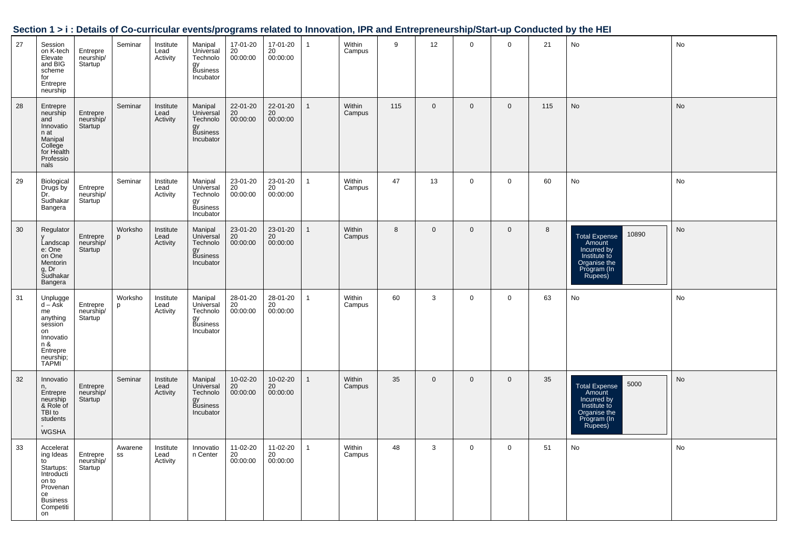|    |                                                                                                                          |                                               |               |                               |                                                                 |                                      |                                |              |                  |     |             |                |             |     | Section 1 > i : Details of Co-curricular events/programs related to Innovation, IPR and Entrepreneurship/Start-up Conducted by the HEI |    |
|----|--------------------------------------------------------------------------------------------------------------------------|-----------------------------------------------|---------------|-------------------------------|-----------------------------------------------------------------|--------------------------------------|--------------------------------|--------------|------------------|-----|-------------|----------------|-------------|-----|----------------------------------------------------------------------------------------------------------------------------------------|----|
| 27 | Session<br>on K-tech<br>Elevate<br>and BIG<br>scheme<br>for<br>Entrepre<br>neurship                                      | Entrepre<br>neurship/<br>Startup <sup>'</sup> | Seminar       | Institute<br>Lead<br>Activity | Manipal<br>Universal<br>Technolo<br>gy<br>Business<br>Incubator | 17-01-20<br>$^{20}_{20}$<br>00:00:00 | 17-01-20<br>20<br>00:00:00     |              | Within<br>Campus | 9   | 12          | $\mathbf{0}$   | $\Omega$    | 21  | No                                                                                                                                     | No |
| 28 | Entrepre<br>neurship<br>and<br>Innovatio<br>n at<br>Manipal<br>College<br>for Health<br>Professio<br>nals                | Entrepre<br>neurship/<br>Startup <sup>'</sup> | Seminar       | Institute<br>Lead<br>Activity | Manipal<br>Universal<br>Technolo<br>gy<br>Business<br>Incubator | 22-01-20<br>20<br>00:00:00           | 22-01-20<br>20<br>00:00:00     | $\mathbf{1}$ | Within<br>Campus | 115 | $\mathbf 0$ | $\overline{0}$ | $\mathbf 0$ | 115 | No                                                                                                                                     | No |
| 29 | Biological<br>Drugs by<br>Dr.<br>Sudhakar<br>Bangera                                                                     | Entrepre<br>neurship/<br>Startup              | Seminar       | Institute<br>Lead<br>Activity | Manipal<br>Universal<br>Technolo<br>gy<br>Business<br>Incubator | 23-01-20<br>20<br>00:00:00           | 23-01-20<br>20<br>00:00:00     | $\mathbf{1}$ | Within<br>Campus | 47  | 13          | $\mathbf 0$    | $\mathbf 0$ | 60  | No                                                                                                                                     | No |
| 30 | Regulator<br>Landscap<br>e: One<br>on One<br>Mentorin<br>g, Dr<br>Sudhakar<br>Bangera                                    | Entrepre<br>neurship/<br>Startup <sup>'</sup> | Worksho<br>p  | Institute<br>Lead<br>Activity | Manipal<br>Universal<br>Technolo<br>gy<br>Business<br>Incubator | 23-01-20<br>20<br>00:00:00           | 23-01-20<br>20<br>00:00:00     | $\mathbf{1}$ | Within<br>Campus | 8   | $\mathbf 0$ | $\overline{0}$ | $\mathbf 0$ | 8   | 10890<br>Total Expense<br>Amount<br>Incurred by<br>Institute to<br>Organise the<br>Program (In<br>Rupees)                              | No |
| 31 | Unplugge<br>d – Ask<br>me<br>anything<br>session<br>on<br>Innovatio<br>n &<br>Entrepre<br>neurship;<br>TAPMI             | Entrepre<br>neurship/<br>Startup              | Worksho<br>p  | Institute<br>Lead<br>Activity | Manipal<br>Universal<br>Technolo<br>gy<br>Business<br>Incubator | 28-01-20<br>20<br>00:00:00           | 28-01-20<br>$20\,$<br>00:00:00 | $\mathbf{1}$ | Within<br>Campus | 60  | 3           | $\mathbf 0$    | $\mathbf 0$ | 63  | No                                                                                                                                     | No |
| 32 | Innovatio<br>n,<br>Entrepre<br>neurship<br>& Role of<br>TBI to<br>students<br><b>WGSHA</b>                               | Entrepre<br>neurship/<br>Startup              | Seminar       | Institute<br>Lead<br>Activity | Manipal<br>Universal<br>Technolo<br>gy<br>Business<br>Incubator | 10-02-20<br>20<br>00:00:00           | 10-02-20<br>20<br>00:00:00     | $\mathbf{1}$ | Within<br>Campus | 35  | $\mathbf 0$ | $\mathbf 0$    | $\mathbf 0$ | 35  | 5000<br>Total Expense<br>Amount<br>Incurred by<br>Institute to<br>Organise the<br>Program (In<br>Rupees)                               | No |
| 33 | Accelerat<br>ing Ideas<br>to<br>Startups:<br>Introducti<br>on to<br>Provenan<br>ce<br><b>Business</b><br>Competiti<br>on | Entrepre<br>neurship/<br>Startup              | Awarene<br>SS | Institute<br>Lead<br>Activity | Innovatio<br>n Center                                           | 11-02-20<br>20<br>00:00:00           | 11-02-20<br>20<br>00:00:00     | $\mathbf{1}$ | Within<br>Campus | 48  | 3           | $\mathbf 0$    | 0           | 51  | No                                                                                                                                     | No |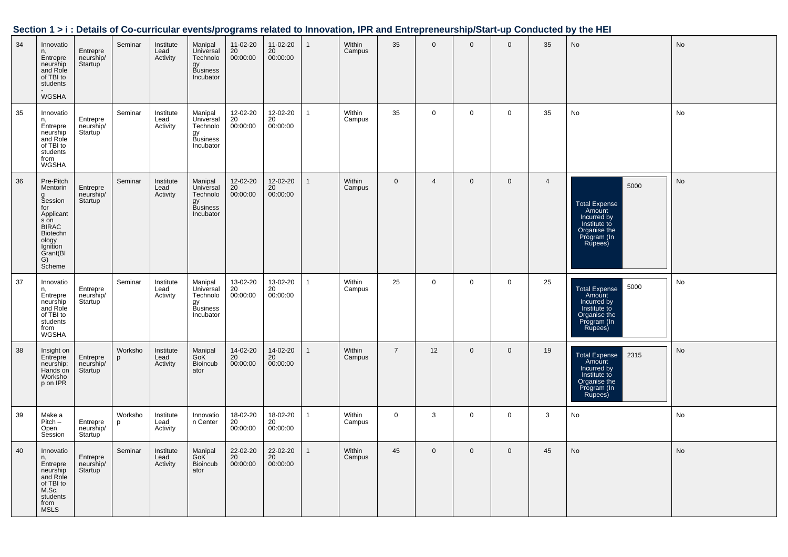| 34 | Innovatio<br>n,<br>Entrepre<br>neurship<br>and Role<br>of TBI to<br>students<br>WGSHA                                                   | Entrepre<br>neurship/<br>Startup <sup>'</sup> | Seminar      | Institute<br>Lead<br>Activity | Manipal<br>Universal<br>Technolo<br>gy<br>Business<br>Incubator | 11-02-20<br>20<br>00:00:00   | 11-02-20<br>20<br>00:00:00 | $\mathbf{1}$ | Within<br>Campus | 35             | $\mathbf 0$    | $\mathbf 0$  | $\mathbf{0}$   | 35             | <b>No</b>                                                                                                                 | <b>No</b> |
|----|-----------------------------------------------------------------------------------------------------------------------------------------|-----------------------------------------------|--------------|-------------------------------|-----------------------------------------------------------------|------------------------------|----------------------------|--------------|------------------|----------------|----------------|--------------|----------------|----------------|---------------------------------------------------------------------------------------------------------------------------|-----------|
| 35 | Innovatio<br>Entrepre<br>neurship<br>and Role<br>of TBI to<br>students<br>from<br>WGSHA                                                 | Entrepre<br>neurship/<br>Startup              | Seminar      | Institute<br>Lead<br>Activity | Manipal<br>Universal<br>Technolo<br>gy<br>Business<br>Incubator | 12-02-20<br>20<br>00:00:00   | 12-02-20<br>20<br>00:00:00 | $\mathbf{1}$ | Within<br>Campus | 35             | $\mathbf 0$    | $\mathbf 0$  | $\mathbf 0$    | 35             | No                                                                                                                        | No        |
| 36 | Pre-Pitch<br>Mentorin<br>g<br>Session<br>for<br>Applicant<br>s on<br>BIRAC<br>Biotechn<br>ology<br>Ignition<br>Grant(BI<br>G)<br>Scheme | Entrepre<br>neurship/<br>Startup              | Seminar      | Institute<br>Lead<br>Activity | Manipal<br>Universal<br>Technolo<br>gy<br>Business<br>Incubator | 12-02-20<br>20<br>00:00:00   | 12-02-20<br>20<br>00:00:00 | $\mathbf{1}$ | Within<br>Campus | $\mathbf 0$    | $\overline{4}$ | $\mathbf 0$  | $\mathbf 0$    | $\overline{4}$ | 5000<br><b>Total Expense</b><br>Amount<br>Amount<br>Incurred by<br>Institute to<br>Organise the<br>Program (In<br>Rupees) | No        |
| 37 | Innovatio<br>n,<br>Entrepre<br>neurship<br>and Role<br>of TBI to<br>students<br>from<br><b>WGSHA</b>                                    | Entrepre<br>neurship/<br>Startup              | Seminar      | Institute<br>Lead<br>Activity | Manipal<br>Universal<br>Technolo<br>gy<br>Business<br>Incubator | 13-02-20<br>$20$<br>00:00:00 | 13-02-20<br>20<br>00:00:00 | $\mathbf{1}$ | Within<br>Campus | 25             | $\mathbf 0$    | $\mathbf 0$  | $\mathbf 0$    | 25             | 5000<br>Total Expense<br>Amount<br>Incurred by<br>Institute to<br>Organise the<br>Program (In<br>Rupees)                  | No        |
| 38 | Insight on<br>Entrepre<br>neurship:<br>Hands on<br>Worksho<br>p on IPR                                                                  | Entrepre<br>neurship/<br>Startup              | Worksho<br>p | Institute<br>Lead<br>Activity | Manipal<br>GoK <sup>'</sup><br>Bioincub<br>ator                 | 14-02-20<br>20<br>00:00:00   | 14-02-20<br>20<br>00:00:00 | $\mathbf{1}$ | Within<br>Campus | $\overline{7}$ | 12             | $\mathbf 0$  | $\mathbf 0$    | 19             | 2315<br>Total Expense<br>Amount<br>Incurred by<br>Institute to<br>Organise the<br>Praise the<br>Program (In<br>Rupees)    | <b>No</b> |
| 39 | Make a<br>$Pitch -$<br>Open<br>Session                                                                                                  | Entrepre<br>neurship/<br>Startup              | Worksho<br>p | Institute<br>Lead<br>Activity | Innovatio<br>n Center                                           | 18-02-20<br>20<br>00:00:00   | 18-02-20<br>20<br>00:00:00 | $\mathbf{1}$ | Within<br>Campus | $\mathbf 0$    | 3              | $\mathbf 0$  | $\overline{0}$ | 3              | No                                                                                                                        | No        |
| 40 | Innovatio<br>n,<br>Entrepre<br>neurship<br>and Role<br>of TBI to<br>M.Sc.<br>students<br>from<br>MSL <sub>S</sub>                       | Entrepre<br>neurship/<br>Startup              | Seminar      | Institute<br>Lead<br>Activity | Manipal<br>GoK <sup>1</sup><br>Bioincub<br>ator                 | 22-02-20<br>20<br>00:00:00   | 22-02-20<br>20<br>00:00:00 | $\mathbf{1}$ | Within<br>Campus | 45             | $\mathbf 0$    | $\mathbf{0}$ | $\overline{0}$ | 45             | No                                                                                                                        | <b>No</b> |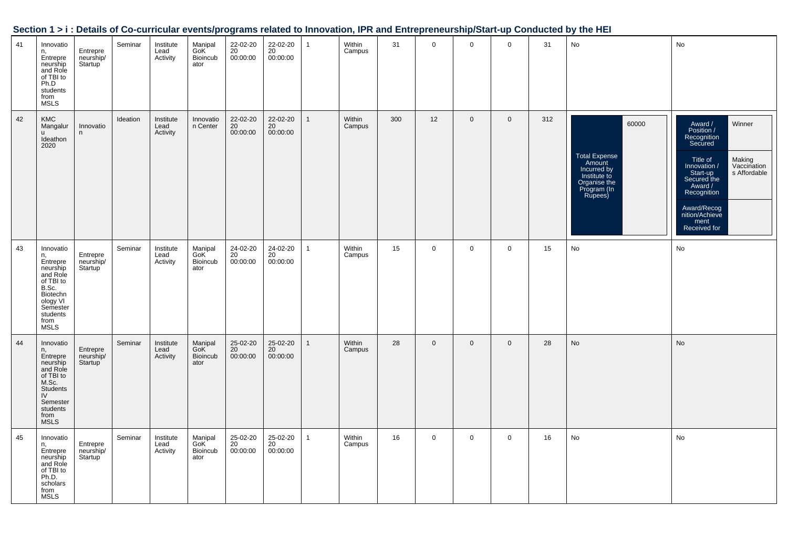| 41 | Innovatio<br>n,<br>Entrepre<br>neurship<br>and Role<br>of TBI to<br>Ph.D<br>students<br>from<br><b>MSLS</b>                                      | Entrepre<br>neurship/<br>Startup <sup>'</sup> | Seminar  | Institute<br>Lead<br>Activity | Manipal<br>GoK <sup>1</sup><br>Bioincub<br>ator | 22-02-20<br>20<br>00:00:00 | 22-02-20<br>20<br>00:00:00 | $\mathbf{1}$ | Within<br>Campus | 31  | $\mathbf 0$ | $\mathbf 0$  | $\mathbf 0$  | 31  | No                                                                                                               | No                                                                                                                                                                                                                                           |
|----|--------------------------------------------------------------------------------------------------------------------------------------------------|-----------------------------------------------|----------|-------------------------------|-------------------------------------------------|----------------------------|----------------------------|--------------|------------------|-----|-------------|--------------|--------------|-----|------------------------------------------------------------------------------------------------------------------|----------------------------------------------------------------------------------------------------------------------------------------------------------------------------------------------------------------------------------------------|
| 42 | <b>KMC</b><br>Mangalur<br><b>u</b><br>Ideathon<br>2020                                                                                           | Innovatio<br>n                                | Ideation | Institute<br>Lead<br>Activity | Innovatio<br>n Center                           | 22-02-20<br>20<br>00:00:00 | 22-02-20<br>20<br>00:00:00 | 1            | Within<br>Campus | 300 | 12          | $\mathbf 0$  | $\mathbf{0}$ | 312 | 60000<br><b>Total Expense</b><br>Amount<br>Incurred by<br>Institute to<br>Organise the<br>Program (In<br>Rupees) | Winner<br>Award /<br>Position /<br>Recognition<br>Secured<br>Making<br>Title of<br>Vaccination<br>Innovation /<br>s Affordable<br>Start-up<br>Secured the<br>Award /<br>Recognition<br>Award/Recog<br>nition/Achieve<br>ment<br>Received for |
| 43 | Innovatio<br>n,<br>Entrepre<br>neurship<br>and Role<br>of TBI to<br>B.Sc.<br>Biotechn<br>ology VI<br>Semester<br>students<br>from<br><b>MSLS</b> | Entrepre<br>neurship/<br>Startup              | Seminar  | Institute<br>Lead<br>Activity | Manipal<br>GoK <sup>'</sup><br>Bioincub<br>ator | 24-02-20<br>20<br>00:00:00 | 24-02-20<br>20<br>00:00:00 | $\mathbf{1}$ | Within<br>Campus | 15  | $\mathbf 0$ | $\mathbf 0$  | $\mathbf 0$  | 15  | No                                                                                                               | No                                                                                                                                                                                                                                           |
| 44 | Innovatio<br>n,<br>Entrepre<br>neurship<br>and Role<br>of TBI to<br>M.Sc.<br>Students<br>IV<br>Semester<br>students<br>from<br><b>MSLS</b>       | Entrepre<br>neurship/<br>Startup              | Seminar  | Institute<br>Lead<br>Activity | Manipal<br>GoK<br><b>Bioincub</b><br>ator       | 25-02-20<br>20<br>00:00:00 | 25-02-20<br>20<br>00:00:00 | $\mathbf{1}$ | Within<br>Campus | 28  | $\mathbf 0$ | $\mathbf{0}$ | $\mathbf{0}$ | 28  | No                                                                                                               | <b>No</b>                                                                                                                                                                                                                                    |
| 45 | Innovatio<br>n,<br>Entrepre<br>neurship<br>and Role<br>of TBI to<br>Ph.D.<br>scholars<br>from<br><b>MSLS</b>                                     | Entrepre<br>neurship/<br>Startup              | Seminar  | Institute<br>Lead<br>Activity | Manipal<br>GoK <sup>'</sup><br>Bioincub<br>ator | 25-02-20<br>20<br>00:00:00 | 25-02-20<br>20<br>00:00:00 | 1            | Within<br>Campus | 16  | $\mathbf 0$ | $\mathbf 0$  | $\mathbf 0$  | 16  | No                                                                                                               | No                                                                                                                                                                                                                                           |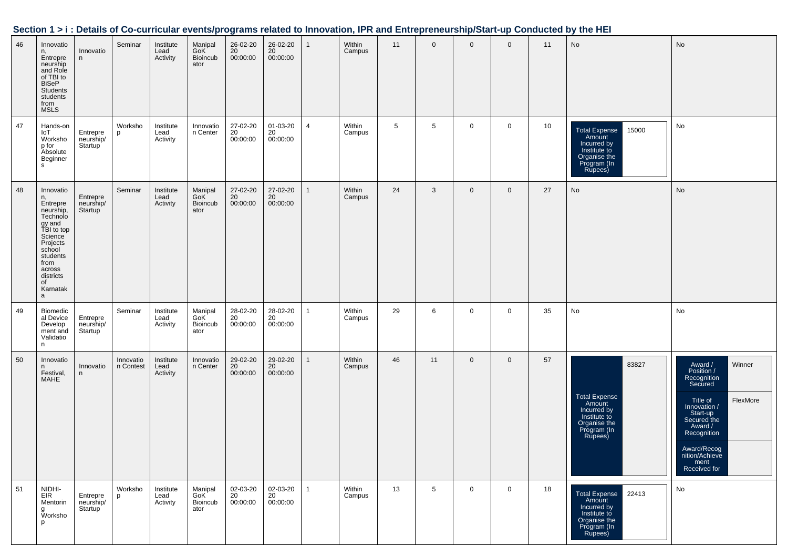| Section 1 > i : Details of Co-curricular events/programs related to Innovation, IPR and Entrepreneurship/Start-up Conducted by the HEI |
|----------------------------------------------------------------------------------------------------------------------------------------|
|----------------------------------------------------------------------------------------------------------------------------------------|

| 46 | Innovatio<br>n,<br>Entrepre<br>neurship<br>and Role<br>of TBI to<br><b>BiSeP</b><br>Students<br>students<br>from<br><b>MSLS</b>                                                 | Innovatio<br>n                                | Seminar                | Institute<br>Lead<br>Activity | Manipal<br>GoK <sup>'</sup><br>Bioincub<br>ator | 26-02-20<br>20<br>00:00:00              | 26-02-20<br>20<br>00:00:00              | $\mathbf{1}$ | Within<br>Campus | 11 | $\mathbf 0$     | $\mathbf 0$  | $\mathbf 0$ | 11 | No                                                                                                               | <b>No</b>                                                                                                                                                                                                       |
|----|---------------------------------------------------------------------------------------------------------------------------------------------------------------------------------|-----------------------------------------------|------------------------|-------------------------------|-------------------------------------------------|-----------------------------------------|-----------------------------------------|--------------|------------------|----|-----------------|--------------|-------------|----|------------------------------------------------------------------------------------------------------------------|-----------------------------------------------------------------------------------------------------------------------------------------------------------------------------------------------------------------|
| 47 | Hands-on<br>loT<br>Worksho<br>p for<br>Absolute<br>Beginner<br>s                                                                                                                | Entrepre<br>neurship/<br>Startup              | Worksho<br>p           | Institute<br>Lead<br>Activity | Innovatio<br>n Center                           | 27-02-20<br>$\overline{20}$<br>00:00:00 | 01-03-20<br>20<br>00:00:00              | 4            | Within<br>Campus | 5  | 5               | 0            | 0           | 10 | 15000<br><b>Total Expense</b><br>Amount<br>Incurred by<br>Institute to<br>Organise the<br>Program (In<br>Rupees) | No                                                                                                                                                                                                              |
| 48 | Innovatio<br>n,<br>Entrepre<br>neurship,<br>Technolo<br>gy and<br>TBI to top<br>Science<br>Projects<br>school<br>students<br>from<br>across<br>districts<br>of<br>Karnatak<br>a | Entrepre<br>neurship/<br>Startup              | Seminar                | Institute<br>Lead<br>Activity | Manipal<br>GoK <sup>'</sup><br>Bioincub<br>ator | 27-02-20<br>20<br>00:00:00              | 27-02-20<br>20<br>00:00:00              | $\mathbf{1}$ | Within<br>Campus | 24 | 3               | $\mathbf 0$  | $\mathbf 0$ | 27 | No                                                                                                               | No                                                                                                                                                                                                              |
| 49 | Biomedic<br>al Device<br>Develop<br>ment and<br>Validatio<br>n                                                                                                                  | Entrepre<br>neurship/<br>Startup              | Seminar                | Institute<br>Lead<br>Activity | Manipal<br>GoK <sup>"</sup><br>Bioincub<br>ator | 28-02-20<br>20<br>00:00:00              | 28-02-20<br>$\overline{20}$<br>00:00:00 | $\mathbf{1}$ | Within<br>Campus | 29 | 6               | 0            | 0           | 35 | No                                                                                                               | No                                                                                                                                                                                                              |
| 50 | Innovatio<br>n.<br>Festival,<br>MAHE                                                                                                                                            | Innovatio<br>n                                | Innovatio<br>n Contest | Institute<br>Lead<br>Activity | Innovatio<br>n Center                           | 29-02-20<br>20<br>00:00:00              | 29-02-20<br>20<br>00:00:00              | $\mathbf{1}$ | Within<br>Campus | 46 | 11              | $\mathbf{0}$ | $\mathbf 0$ | 57 | 83827<br>Total Expense<br>Amount<br>Incurred by<br>Institute to<br>Organise the<br>Program (In<br>Rupees)        | Award /<br>Position /<br>Winner<br>Recognition<br>Secured<br>FlexMore<br>Title of<br>Innovation /<br>Start-up<br>Secured the<br>Award /<br>Recognition<br>Award/Recog<br>nition/Achieve<br>ment<br>Received for |
| 51 | NIDHI-<br>EIR<br>Mentorin<br>g<br>Worksho<br>p                                                                                                                                  | Entrepre<br>neurship/<br>Startup <sup>'</sup> | Worksho<br>p           | Institute<br>Lead<br>Activity | Manipal<br>GoK <sup>'</sup><br>Bioincub<br>ator | 02-03-20<br>20<br>00:00:00              | 02-03-20<br>20<br>00:00:00              | 1            | Within<br>Campus | 13 | $5\overline{5}$ | $\mathbf 0$  | $\mathbf 0$ | 18 | Total Expense 22413<br>Incurred by<br>Institute to<br>Organise the<br>Program (In<br>Rupees)                     | No                                                                                                                                                                                                              |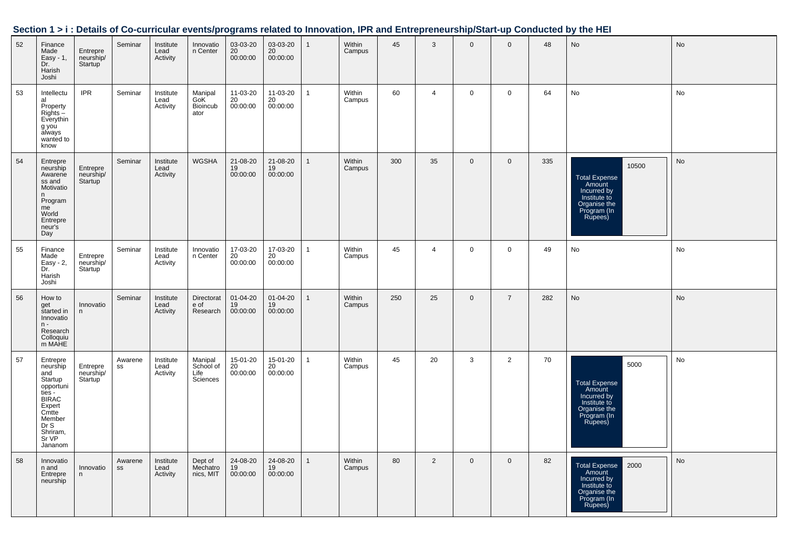|    |                                                                                                                                                      |                                               |                          |                               |                                                 | $5.4112 + 2.412$               |                              |                |                  |     |                |                |                |     |                                                                                                                  |           |
|----|------------------------------------------------------------------------------------------------------------------------------------------------------|-----------------------------------------------|--------------------------|-------------------------------|-------------------------------------------------|--------------------------------|------------------------------|----------------|------------------|-----|----------------|----------------|----------------|-----|------------------------------------------------------------------------------------------------------------------|-----------|
| 52 | Finance<br>Made<br>Easy - 1,<br>Dr.<br>Harish<br>Joshi                                                                                               | Entrepre<br>neurship/<br>Startup              | Seminar                  | Institute<br>Lead<br>Activity | Innovatio<br>n Center                           | 03-03-20<br>20<br>00:00:00     | $03-03-20$<br>20<br>00:00:00 | $\mathbf{1}$   | Within<br>Campus | 45  | 3              | $\mathbf{0}$   | $\overline{0}$ | 48  | <b>No</b>                                                                                                        | No        |
| 53 | Intellectu<br>al<br>Property<br>$RightS -$<br>Everythin<br>g you<br>always<br>wanted to<br>know                                                      | <b>IPR</b>                                    | Seminar                  | Institute<br>Lead<br>Activity | Manipal<br>GoK <sup>1</sup><br>Bioincub<br>ator | 11-03-20<br>$20$<br>$00:00:00$ | 11-03-20<br>20<br>00:00:00   | $\mathbf{1}$   | Within<br>Campus | 60  | $\overline{4}$ | $\mathbf 0$    | $\mathbf 0$    | 64  | No                                                                                                               | <b>No</b> |
| 54 | Entrepre<br>neurship<br>Awarene<br>ss and<br>Motivatio<br>n<br>Program<br>me<br>World<br>Entrepre<br>neur's<br>Day                                   | Entrepre<br>neurship/<br>Startup              | Seminar                  | Institute<br>Lead<br>Activity | <b>WGSHA</b>                                    | 21-08-20<br>19<br>00:00:00     | 21-08-20<br>19<br>00:00:00   | $\mathbf{1}$   | Within<br>Campus | 300 | 35             | $\overline{0}$ | $\mathbf 0$    | 335 | 10500<br><b>Total Expense</b><br>Amount<br>Incurred by<br>Institute to<br>Organise the<br>Program (In<br>Rupees) | No        |
| 55 | Finance<br>Made<br>$Easy - 2$ ,<br>Dr.<br>Harish<br>Joshi                                                                                            | Entrepre<br>neurship/<br>Startup <sup>'</sup> | Seminar                  | Institute<br>Lead<br>Activity | Innovatio<br>n Center                           | 17-03-20<br>20<br>00:00:00     | 17-03-20<br>20<br>00:00:00   | $\mathbf{1}$   | Within<br>Campus | 45  | $\overline{4}$ | $\mathsf{O}$   | $\mathbf 0$    | 49  | No                                                                                                               | No        |
| 56 | How to<br>get<br>started in<br>Innovatio<br>$n -$<br>Research<br>Colloquiu<br>m MAHE                                                                 | Innovatio<br>n                                | Seminar                  | Institute<br>Lead<br>Activity | Directorat<br>e of<br>Research                  | 01-04-20<br>19<br>00:00:00     | 01-04-20<br>19<br>00:00:00   | $\overline{1}$ | Within<br>Campus | 250 | 25             | $\mathbf{0}$   | $\overline{7}$ | 282 | <b>No</b>                                                                                                        | No        |
| 57 | Entrepre<br>neurship<br>and<br>Startup<br>opportuni<br>$ties -$<br><b>BIRAC</b><br>Expert<br>Cmtte<br>Member<br>Dr S<br>Shriram,<br>Sr VP<br>Jananom | Entrepre<br>neurship/<br>Startup              | Awarene<br>SS            | Institute<br>Lead<br>Activity | Manipal<br>School of<br>Life<br>Sciences        | 15-01-20<br>20<br>00:00:00     | 15-01-20<br>20<br>00:00:00   | $\mathbf{1}$   | Within<br>Campus | 45  | 20             | 3              | 2              | 70  | 5000<br>Total Expense<br>Amount<br>Incurred by<br>Institute to<br>Organise the<br>Program (In<br>Rupees)         | No        |
| 58 | Innovatio<br>n and<br>Entrepre<br>neurship                                                                                                           | Innovatio<br>n                                | Awarene<br>$\texttt{SS}$ | Institute<br>Lead<br>Activity | Dept of<br>Mechatro<br>nics, MIT                | 24-08-20<br>19<br>00:00:00     | 24-08-20<br>19<br>00:00:00   | $\mathbf{1}$   | Within<br>Campus | 80  | 2              | $\overline{0}$ | $\mathbf 0$    | 82  | Total Expense<br>Amount<br>2000<br>Incurred by<br>Institute to<br>Organise the<br>Program (In<br>Rupees)         | No        |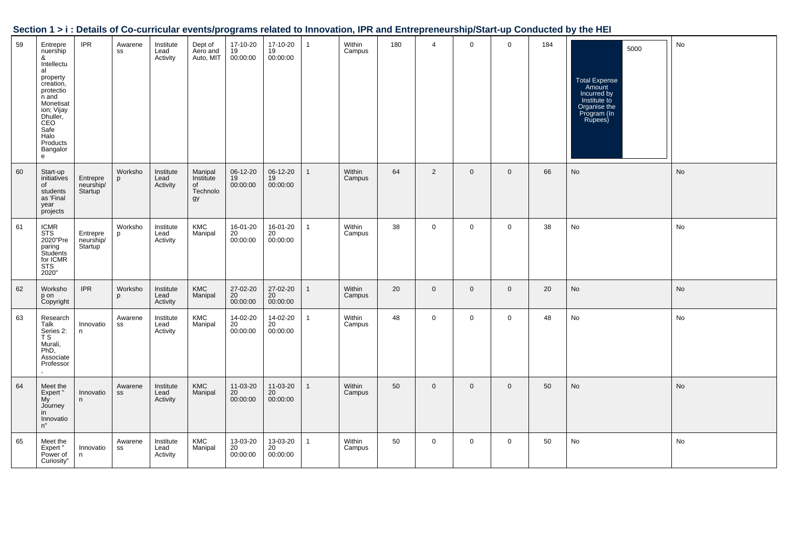| 59 | Entrepre<br>nuership<br>&<br>Intellectu<br>al<br>property<br>creation,<br>protectio<br>n and<br>Monetisat<br>ion; Vijay<br>Dhuller,<br>Safe<br>Halo<br>Products<br>Bangalor<br>$\mathsf{e}$ | <b>IPR</b>                                    | Awarene<br>SS         | Institute<br>Lead<br>Activity | Dept of<br>Aero and<br>Auto, MIT             | 17-10-20<br>19<br>00:00:00 | 17-10-20<br>19<br>00:00:00 | $\mathbf{1}$ | Within<br>Campus | 180 | $\overline{4}$ | $\mathbf 0$  | $\mathbf 0$  | 184 | 5000<br><b>Total Expense</b><br>Amount<br>Incurred by<br>Institute to<br>Organise the<br>Program (In<br>Rupees) | No |
|----|---------------------------------------------------------------------------------------------------------------------------------------------------------------------------------------------|-----------------------------------------------|-----------------------|-------------------------------|----------------------------------------------|----------------------------|----------------------------|--------------|------------------|-----|----------------|--------------|--------------|-----|-----------------------------------------------------------------------------------------------------------------|----|
| 60 | Start-up<br>initiatives<br>of<br>students<br>as 'Final<br>year<br>projects                                                                                                                  | Entrepre<br>neurship/<br>Startup              | Worksho<br>p          | Institute<br>Lead<br>Activity | Manipal<br>Institute<br>of<br>Technolo<br>gy | 06-12-20<br>19<br>00:00:00 | 06-12-20<br>19<br>00:00:00 | $\mathbf{1}$ | Within<br>Campus | 64  | 2              | $\mathbf{0}$ | $\mathbf 0$  | 66  | No                                                                                                              | No |
| 61 | <b>ICMR</b><br><b>STS</b><br>2020"Pre<br>paring<br>Students<br>for ICMR<br>STS<br>2020"                                                                                                     | Entrepre<br>neurship/<br>Startup <sup>'</sup> | Worksho<br>D          | Institute<br>Lead<br>Activity | KMC<br>Manipal                               | 16-01-20<br>20<br>00:00:00 | 16-01-20<br>20<br>00:00:00 | $\mathbf{1}$ | Within<br>Campus | 38  | $\mathbf 0$    | $\mathbf 0$  | $\mathbf 0$  | 38  | No                                                                                                              | No |
| 62 | Worksho<br>p on<br>Copyright                                                                                                                                                                | <b>IPR</b>                                    | Worksho<br>p          | Institute<br>Lead<br>Activity | <b>KMC</b><br>Manipal                        | 27-02-20<br>20<br>00:00:00 | 27-02-20<br>20<br>00:00:00 | $\mathbf{1}$ | Within<br>Campus | 20  | $\mathbf 0$    | $\mathbf{0}$ | $\mathbf{0}$ | 20  | No                                                                                                              | No |
| 63 | Research<br>Talk<br>Series 2:<br>T S<br>Murali,<br>PhD,<br>Associate<br>Professor                                                                                                           | Innovatio<br>n                                | Awarene<br>SS         | Institute<br>Lead<br>Activity | <b>KMC</b><br>Manipal                        | 14-02-20<br>20<br>00:00:00 | 14-02-20<br>20<br>00:00:00 | $\mathbf{1}$ | Within<br>Campus | 48  | $\mathbf 0$    | $\mathbf 0$  | $\mathbf 0$  | 48  | No                                                                                                              | No |
| 64 | Meet the<br>Expert"<br>My<br>Journey<br>in<br>Innovatio<br>n"                                                                                                                               | Innovatio<br>n                                | Awarene<br>${\tt SS}$ | Institute<br>Lead<br>Activity | <b>KMC</b><br>Manipal                        | 11-03-20<br>20<br>00:00:00 | 11-03-20<br>20<br>00:00:00 | $\mathbf{1}$ | Within<br>Campus | 50  | $\mathbf 0$    | $\mathbf{0}$ | $\mathbf{0}$ | 50  | No                                                                                                              | No |
| 65 | Meet the<br>Expert"<br>Power of<br>Curiosity"                                                                                                                                               | Innovatio<br>n                                | Awarene<br>SS         | Institute<br>Lead<br>Activity | <b>KMC</b><br>Manipal                        | 13-03-20<br>20<br>00:00:00 | 13-03-20<br>20<br>00:00:00 | $\mathbf{1}$ | Within<br>Campus | 50  | $\mathbf 0$    | $\mathbf 0$  | $\mathbf 0$  | 50  | No                                                                                                              | No |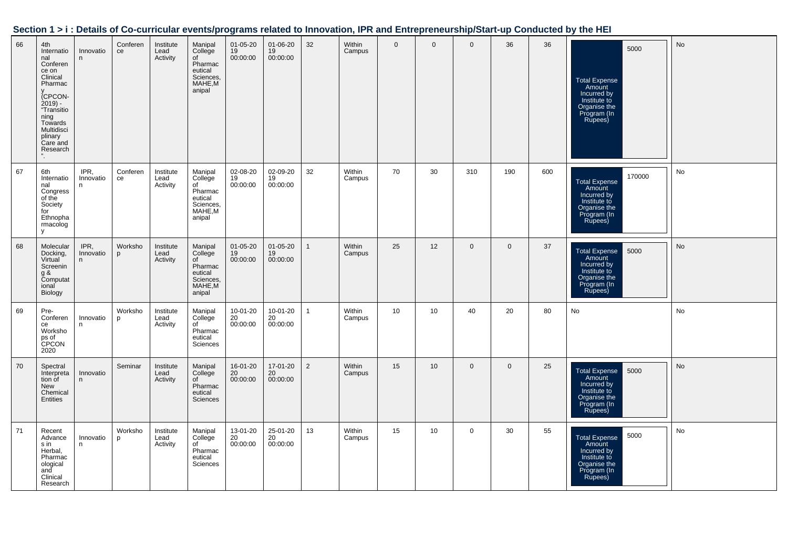|  | Section 1 > i : Details of Co-curricular events/programs related to Innovation, IPR and Entrepreneurship/Start-up Conducted by the HEI |  |
|--|----------------------------------------------------------------------------------------------------------------------------------------|--|
|  |                                                                                                                                        |  |

| 66 | 4th<br>Internatio<br>nal<br>Conferen<br>ce on<br>Clinical<br>Pharmac<br>(CPCON-<br>$2019$ ) -<br>"Transitio<br>ning<br>Towards<br>Multidisci<br>plinary<br>Care and<br>Research | Innovatio<br>n         | Conferen<br>ce | Institute<br>Lead<br>Activity | Manipal<br>College<br>of<br>Pharmac<br>eutical<br>Sciences,<br>MAHE,M<br>anipal  | $01 - 05 - 20$<br>19<br>00:00:00 | 01-06-20<br>19<br>00:00:00 | 32             | <b>Within</b><br>Campus | $\mathbf{0}$ | $\mathbf{0}$    | $\mathbf{0}$ | 36           | 36  | 5000<br><b>Total Expense</b><br>Amount<br>Incurred by<br>Institute to<br>Organise the<br>Program (In<br>Rupees)           | No        |
|----|---------------------------------------------------------------------------------------------------------------------------------------------------------------------------------|------------------------|----------------|-------------------------------|----------------------------------------------------------------------------------|----------------------------------|----------------------------|----------------|-------------------------|--------------|-----------------|--------------|--------------|-----|---------------------------------------------------------------------------------------------------------------------------|-----------|
| 67 | 6th<br>Internatio<br>nal<br>Congress<br>of the<br>Society<br>for<br>Ethnopha<br>rmacolog<br>V                                                                                   | IPR,<br>Innovatio<br>n | Conferen<br>ce | Institute<br>Lead<br>Activity | Manipal<br>College<br>of<br>Pharmac<br>eutical<br>Sciences,<br>MAHE, M<br>anipal | 02-08-20<br>19<br>00:00:00       | 02-09-20<br>19<br>00:00:00 | 32             | Within<br>Campus        | 70           | 30              | 310          | 190          | 600 | 170000<br><b>Total Expense</b><br>Amount<br>Incurred by<br>Institute to<br>Organise the<br>Program (In<br>Rupees)         | No        |
| 68 | Molecular<br>Docking,<br>Virtual<br>Screenin<br>g &<br>Computat<br>ional<br>Biology                                                                                             | IPR,<br>Innovatio<br>n | Worksho<br>p   | Institute<br>Lead<br>Activity | Manipal<br>College<br>of<br>Pharmac<br>eutical<br>Sciences,<br>MAHE,M<br>anipal  | 01-05-20<br>19<br>00:00:00       | 01-05-20<br>19<br>00:00:00 | $\mathbf{1}$   | Within<br>Campus        | 25           | 12              | $\mathbf 0$  | $\mathbf 0$  | 37  | <b>Total Expense</b><br>5000<br>Amount<br>Incurred by<br>Institute to<br>Organise the<br>Program (In<br>Rupees)           | No        |
| 69 | Pre-<br>Conferen<br>ce<br>Worksho<br>ps of<br>CPCON<br>2020                                                                                                                     | Innovatio<br>n.        | Worksho<br>D   | Institute<br>Lead<br>Activity | Manipal<br>College<br>of<br>Pharmac<br>eutical<br>Sciences                       | 10-01-20<br>20<br>00:00:00       | 10-01-20<br>20<br>00:00:00 | $\mathbf{1}$   | Within<br>Campus        | 10           | 10              | 40           | 20           | 80  | No                                                                                                                        | No        |
| 70 | Spectral<br>Interpreta<br>tion of<br>New<br>Chemical<br>Entities                                                                                                                | Innovatio<br>n.        | Seminar        | Institute<br>Lead<br>Activity | Manipal<br>College<br>of<br>Pharmac<br>eutical<br>Sciences                       | 16-01-20<br>20<br>00:00:00       | 17-01-20<br>20<br>00:00:00 | $\overline{2}$ | Within<br>Campus        | 15           | 10 <sup>°</sup> | $\mathbf{0}$ | $\mathbf{0}$ | 25  | <b>Total Expense</b><br>5000<br>Amount<br>Amount<br>Incurred by<br>Institute to<br>Organise the<br>Program (In<br>Rupees) | <b>No</b> |
| 71 | Recent<br>Advance<br>s in<br>Herbal,<br>Pharmac<br>ological<br>and<br>Clinical<br>Research                                                                                      | Innovatio<br>n         | Worksho<br>p   | Institute<br>Lead<br>Activity | Manipal<br>College<br>of<br>Pharmac<br>eutical<br>Sciences                       | 13-01-20<br>20<br>00:00:00       | 25-01-20<br>20<br>00:00:00 | 13             | Within<br>Campus        | 15           | 10              | $\mathbf 0$  | 30           | 55  | 5000<br><b>Total Expense</b><br>Amount<br>Incurred by<br>Institute to<br>Organise the<br>Program (In<br>Rupees)           | No        |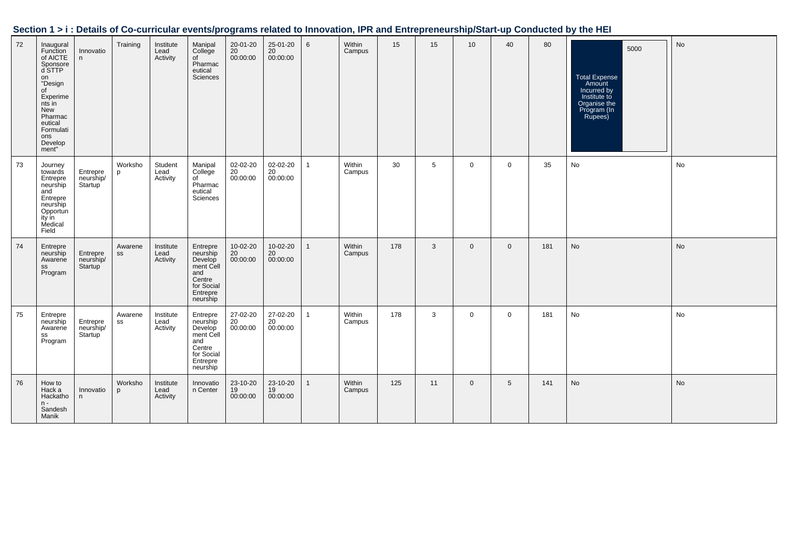|  | Section 1 > i : Details of Co-curricular events/programs related to Innovation, IPR and Entrepreneurship/Start-up Conducted by the HEI |  |
|--|----------------------------------------------------------------------------------------------------------------------------------------|--|
|  |                                                                                                                                        |  |

| 72 | Inaugural<br>Function<br>of AICTE<br>Sponsore<br>d STTP<br>on<br>"Design<br>of<br>Experime<br>nts in<br>New<br>Pharmac<br>eutical<br>Formulati<br>ons<br>Develop<br>ment" | Innovatio<br>n                                | Training      | Institute<br>Lead<br>Activity | Manipal<br>College<br>of<br>Pharmac<br>eutical<br>Sciences                                          | 20-01-20<br>20<br>00:00:00 | 25-01-20<br>20<br>00:00:00 | 6            | Within<br>Campus | 15  | 15 | 10           | 40             | 80  | 5000<br><b>Total Expense</b><br>Amount<br>Incurred by<br>Institute to<br>Organise the<br>Program (In<br>Rupees) | No        |
|----|---------------------------------------------------------------------------------------------------------------------------------------------------------------------------|-----------------------------------------------|---------------|-------------------------------|-----------------------------------------------------------------------------------------------------|----------------------------|----------------------------|--------------|------------------|-----|----|--------------|----------------|-----|-----------------------------------------------------------------------------------------------------------------|-----------|
| 73 | Journey<br>towards<br>Entrepre<br>neurship<br>and<br>Entrepre<br>neurship<br>Opportun<br>ity in<br>Medical<br>Field                                                       | Entrepre<br>neurship/<br><b>Startup</b>       | Worksho<br>p  | Student<br>Lead<br>Activity   | Manipal<br>College<br>of<br>Pharmac<br>eutical<br>Sciences                                          | 02-02-20<br>20<br>00:00:00 | 02-02-20<br>20<br>00:00:00 | 1            | Within<br>Campus | 30  | 5  | $\mathbf 0$  | $\mathbf 0$    | 35  | No                                                                                                              | No        |
| 74 | Entrepre<br>neurship<br>Awarene<br>SS<br>Program                                                                                                                          | Entrepre<br>neurship/<br>Startup <sup>'</sup> | Awarene<br>SS | Institute<br>Lead<br>Activity | Entrepre<br>neurship<br>Develop<br>ment Cell<br>and<br>Centre<br>for Social<br>Entrepre<br>neurship | 10-02-20<br>20<br>00:00:00 | 10-02-20<br>20<br>00:00:00 | $\mathbf{1}$ | Within<br>Campus | 178 | 3  | $\mathbf{0}$ | $\overline{0}$ | 181 | No                                                                                                              | No        |
| 75 | Entrepre<br>neurship<br>Awarene<br>SS<br>Program                                                                                                                          | Entrepre<br>neurship/<br>Startup <sup>'</sup> | Awarene<br>SS | Institute<br>Lead<br>Activity | Entrepre<br>neurship<br>Develop<br>ment Cell<br>and<br>Centre<br>for Social<br>Entrepre<br>neurship | 27-02-20<br>20<br>00:00:00 | 27-02-20<br>20<br>00:00:00 | $\mathbf{1}$ | Within<br>Campus | 178 | 3  | $\mathbf{0}$ | $\mathbf 0$    | 181 | No                                                                                                              | No        |
| 76 | How to<br>Hack a<br>Hackatho<br>$n -$<br>Sandesh<br>Manik                                                                                                                 | Innovatio<br>n                                | Worksho<br>p  | Institute<br>Lead<br>Activity | Innovatio<br>n Center                                                                               | 23-10-20<br>19<br>00:00:00 | 23-10-20<br>19<br>00:00:00 | $\mathbf{1}$ | Within<br>Campus | 125 | 11 | $\mathbf{0}$ | 5              | 141 | No                                                                                                              | <b>No</b> |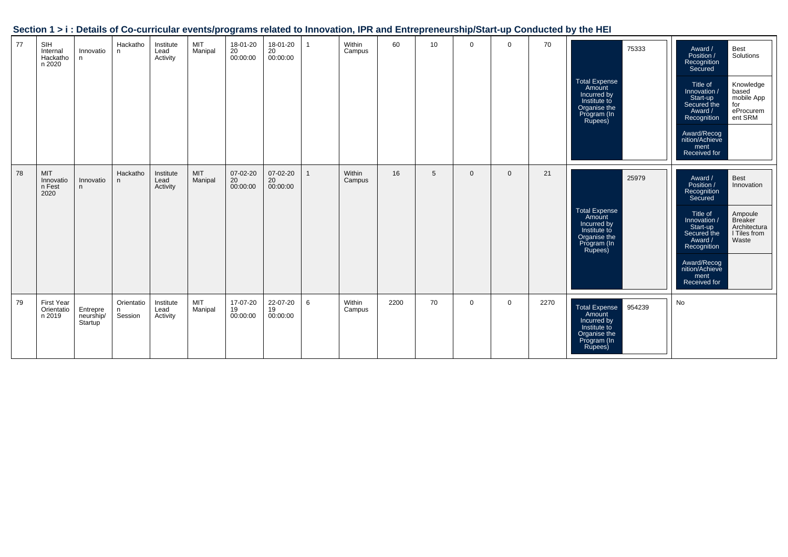| 77 | SIH<br>Internal<br>Hackatho<br>n 2020     | Innovatio<br>n.                  | Hackatho<br>n              | Institute<br>Lead<br>Activity | MIT<br>Manipal | 18-01-20<br>$20$<br>00:00:00 | 18-01-20<br>20<br>00:00:00 | $\mathbf{1}$ | Within<br>Campus | 60   | 10 | $\Omega$     | $\Omega$    | 70   | expression exercisely regrams related to movement in it and more preneurempleant up conducted by the mini-<br>75333<br><b>Total Expense</b><br>Amount<br>Incurred by<br>Institute to<br>Organise the<br>Program (In<br>Rupees) | Award /<br>Position /<br>Best<br>Solutions<br>Recognition<br>Secured<br>Knowledge<br>Title of<br>Innovation /<br>based<br>mobile App<br>Start-up<br>Secured the<br>for<br>eProcurem<br>ent SRM<br>Award /<br>Recognition<br>Award/Recog<br>nition/Achieve<br>ment<br>Received for |
|----|-------------------------------------------|----------------------------------|----------------------------|-------------------------------|----------------|------------------------------|----------------------------|--------------|------------------|------|----|--------------|-------------|------|--------------------------------------------------------------------------------------------------------------------------------------------------------------------------------------------------------------------------------|-----------------------------------------------------------------------------------------------------------------------------------------------------------------------------------------------------------------------------------------------------------------------------------|
| 78 | <b>MIT</b><br>Innovatio<br>n Fest<br>2020 | Innovatio<br>n.                  | Hackatho<br>n              | Institute<br>Lead<br>Activity | MIT<br>Manipal | 07-02-20<br>20<br>00:00:00   | 07-02-20<br>20<br>00:00:00 | $\mathbf{1}$ | Within<br>Campus | 16   | 5  | $\mathbf{0}$ | $\mathbf 0$ | 21   | 25979<br>Total Expense<br>Amount<br>Incurred by<br>Institute to<br>Organise the<br>Program (In<br>Rupees)                                                                                                                      | Best<br>Award /<br>Position /<br>Innovation<br>Recognition<br>Secured<br>Ampoule<br>Breaker<br>Title of<br>Innovation /<br>Architectura<br>Start-up<br>Secured the<br>I Tiles from<br>Waste<br>Award /<br>Recognition<br>Award/Recog<br>nition/Achieve<br>ment<br>Received for    |
| 79 | <b>First Year</b><br>Orientatio<br>n 2019 | Entrepre<br>neurship/<br>Startup | Orientatio<br>n<br>Session | Institute<br>Lead<br>Activity | MIT<br>Manipal | 17-07-20<br>19<br>00:00:00   | 22-07-20<br>19<br>00:00:00 | 6            | Within<br>Campus | 2200 | 70 | $\mathbf{0}$ | $\mathbf 0$ | 2270 | 954239<br><b>Total Expense</b><br>Amount<br>Incurred by<br>Institute to<br>Organise the<br>Program (In<br>Rupees)                                                                                                              | No                                                                                                                                                                                                                                                                                |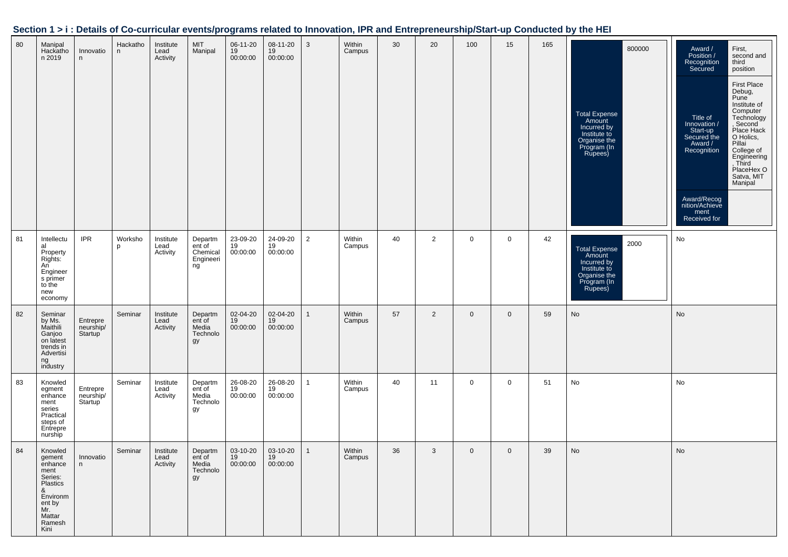|  |  | Section 1 > i : Details of Co-curricular events/programs related to Innovation, IPR and Entrepreneurship/Start-up Conducted by the HEI |
|--|--|----------------------------------------------------------------------------------------------------------------------------------------|
|  |  |                                                                                                                                        |

| 80 | Manipal<br>Hackatho<br>n 2019                                                                                             | Innovatio<br>n                   | Hackatho<br>n | Institute<br>Lead<br>Activity | MIT<br>Manipal                                   | 06-11-20<br>19<br>00:00:00 | 08-11-20<br>19<br>00:00:00 | 3              | Within<br>Campus | 30 | 20             | 100         | 15          | 165 | 800000<br>Total Expense<br>Amount<br>Incurred by<br>Institute to<br>Organise the<br>Program (In<br>Rupees) | First,<br>Award /<br>Position /<br>second and<br>Recognition<br>Secured<br>third<br>position<br><b>First Place</b><br>Debug,<br>Pune <sup>1</sup><br>Institute of<br>Computer<br>Technology<br>Title of<br>Innovation /<br>Second<br>Place Hack<br>Start-up<br>Secured the<br>O Holics,<br>Pillai<br>Award /<br>College of<br>Recognition<br>Engineering<br>, Third<br>PlaceHex O<br>Satva, MIT<br>Manipal<br>Award/Recog<br>nition/Achieve<br>ment<br>Received for |
|----|---------------------------------------------------------------------------------------------------------------------------|----------------------------------|---------------|-------------------------------|--------------------------------------------------|----------------------------|----------------------------|----------------|------------------|----|----------------|-------------|-------------|-----|------------------------------------------------------------------------------------------------------------|---------------------------------------------------------------------------------------------------------------------------------------------------------------------------------------------------------------------------------------------------------------------------------------------------------------------------------------------------------------------------------------------------------------------------------------------------------------------|
| 81 | Intellectu<br>al<br>Property<br>Rights:<br>An<br>Engineer<br>s primer<br>to the<br>new<br>economy                         | <b>IPR</b>                       | Worksho<br>p  | Institute<br>Lead<br>Activity | Departm<br>ent of<br>Chemical<br>Engineeri<br>ng | 23-09-20<br>19<br>00:00:00 | 24-09-20<br>19<br>00:00:00 | $\overline{2}$ | Within<br>Campus | 40 | $\overline{2}$ | 0           | $\mathbf 0$ | 42  | 2000<br>Total Expense<br>Amount<br>Incurred by<br>Institute to<br>Organise the<br>Program (In<br>Rupees)   | No                                                                                                                                                                                                                                                                                                                                                                                                                                                                  |
| 82 | Seminar<br>by Ms.<br>Maithili<br>Ganjoo<br>on latest<br>trends in<br>Advertisi<br>ng<br>industry                          | Entrepre<br>neurship/<br>Startup | Seminar       | Institute<br>Lead<br>Activity | Departm<br>ent of<br>Media<br>Technolo<br>gy     | 02-04-20<br>19<br>00:00:00 | 02-04-20<br>19<br>00:00:00 |                | Within<br>Campus | 57 | $\overline{2}$ | $\mathbf 0$ | $\mathbf 0$ | 59  | No                                                                                                         | No                                                                                                                                                                                                                                                                                                                                                                                                                                                                  |
| 83 | Knowled<br>egment<br>enhance<br>ment<br>series<br>Practical<br>steps of<br>Entrepre<br>nurship                            | Entrepre<br>neurship/<br>Startup | Seminar       | Institute<br>Lead<br>Activity | Departm<br>ent of<br>Media<br>Technolo<br>gу     | 26-08-20<br>19<br>00:00:00 | 26-08-20<br>19<br>00:00:00 | 1              | Within<br>Campus | 40 | 11             | 0           | $\mathbf 0$ | 51  | No                                                                                                         | No                                                                                                                                                                                                                                                                                                                                                                                                                                                                  |
| 84 | Knowled<br>gement<br>enhance<br>ment<br>Series:<br>Plastics<br>&<br>Environm<br>ent by<br>Mr.<br>Mattar<br>Ramesh<br>Kini | Innovatio<br>n                   | Seminar       | Institute<br>Lead<br>Activity | Departm<br>ent of<br>Media<br>Technolo<br>gy     | 03-10-20<br>19<br>00:00:00 | 03-10-20<br>19<br>00:00:00 | 1              | Within<br>Campus | 36 | 3              | $\mathbf 0$ | $\mathbf 0$ | 39  | No                                                                                                         | No                                                                                                                                                                                                                                                                                                                                                                                                                                                                  |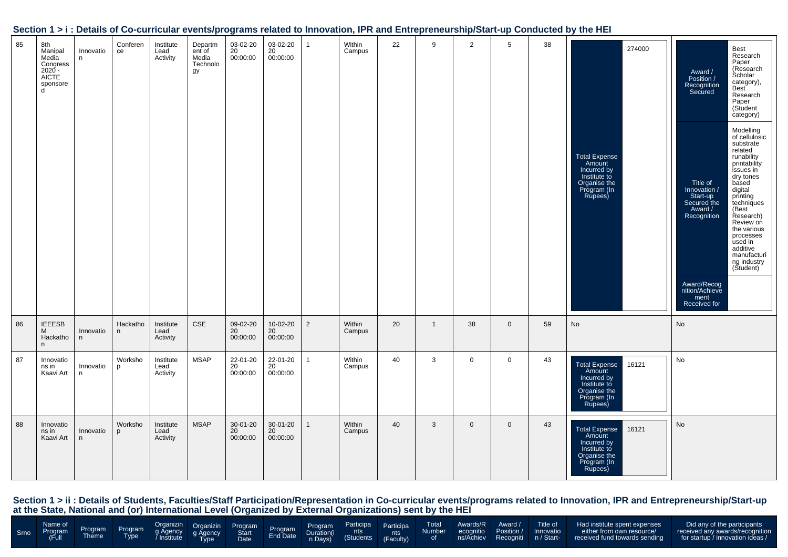| 85 | 8th<br>Manipal<br>Media<br>Congress<br>$2020 -$<br><b>AICTE</b><br>sponsore<br>d | Innovatio<br>n | Conferen<br>ce | Institute<br>Lead<br>Activity | Departm<br>ent of<br>Media<br>Technolo<br>gy | 03-02-20<br>20<br>00:00:00 | 03-02-20<br>20<br>00:00:00 | $\overline{1}$ | Within<br>Campus | 22 | 9              | 2            | 5            | 38 | 274000<br><b>Total Expense</b><br>Amount<br>Incurred by<br>Institute to<br>Organise the<br>Program (In<br>Rupees) | Best<br>Research<br>Paper<br>(Research<br>Award /<br>Scholar<br>Position /<br>Recognition<br>Secured<br>category),<br><b>Best</b><br>Research<br>Paper<br>(Student<br>category)<br>Modelling<br>of cellulosic<br>substrate<br>related<br>runability<br>printability<br>issues in<br>dry tones<br>based<br>Title of<br>Innovation /<br>digital<br>Start-up<br>Secured the<br>printing<br>techniques<br>Award /<br>(Best<br>Recognition<br>Research)<br>Review on<br>the various<br>processes<br>used in<br>additive<br>manufacturi<br>ng industry<br>(Student)<br>Award/Recog<br>nition/Achieve<br>ment<br>Received for |
|----|----------------------------------------------------------------------------------|----------------|----------------|-------------------------------|----------------------------------------------|----------------------------|----------------------------|----------------|------------------|----|----------------|--------------|--------------|----|-------------------------------------------------------------------------------------------------------------------|------------------------------------------------------------------------------------------------------------------------------------------------------------------------------------------------------------------------------------------------------------------------------------------------------------------------------------------------------------------------------------------------------------------------------------------------------------------------------------------------------------------------------------------------------------------------------------------------------------------------|
| 86 | <b>IEEESB</b><br>M<br>Hackatho<br>n                                              | Innovatio<br>n | Hackatho<br>n  | Institute<br>Lead<br>Activity | <b>CSE</b>                                   | 09-02-20<br>20<br>00:00:00 | 10-02-20<br>20<br>00:00:00 | $\overline{2}$ | Within<br>Campus | 20 | $\overline{1}$ | 38           | $\mathbf{0}$ | 59 | No                                                                                                                | No                                                                                                                                                                                                                                                                                                                                                                                                                                                                                                                                                                                                                     |
| 87 | Innovatio<br>ns in<br>Kaavi Art                                                  | Innovatio<br>n | Worksho<br>p   | Institute<br>Lead<br>Activity | <b>MSAP</b>                                  | 22-01-20<br>20<br>00:00:00 | 22-01-20<br>20<br>00:00:00 | $\overline{1}$ | Within<br>Campus | 40 | 3              | $\mathbf 0$  | $\mathbf 0$  | 43 | 16121<br><b>Total Expense</b><br>Amount<br>Incurred by<br>Institute to<br>Organise the<br>Program (In<br>Rupees)  | No                                                                                                                                                                                                                                                                                                                                                                                                                                                                                                                                                                                                                     |
| 88 | Innovatio<br>ns in<br>Kaavi Art                                                  | Innovatio<br>n | Worksho<br>p   | Institute<br>Lead<br>Activity | <b>MSAP</b>                                  | 30-01-20<br>20<br>00:00:00 | 30-01-20<br>20<br>00:00:00 | $\mathbf{1}$   | Within<br>Campus | 40 | 3              | $\mathbf{0}$ | $\mathbf 0$  | 43 | <b>Total Expense</b><br>16121<br>Amount<br>Incurred by<br>Institute to<br>Organise the<br>Program (In<br>Rupees)  | No                                                                                                                                                                                                                                                                                                                                                                                                                                                                                                                                                                                                                     |

|  |  |  |  |  |  |  |  |  |  |  |  |  |  |  | Name of program Program Organizin Organizin Program Program Program Participa Total Awards/R Award Title of Had institute spent expenses Did any of the participants<br>Smo Program Program g Agency g Agency Start Program Durat |  |
|--|--|--|--|--|--|--|--|--|--|--|--|--|--|--|-----------------------------------------------------------------------------------------------------------------------------------------------------------------------------------------------------------------------------------|--|
|--|--|--|--|--|--|--|--|--|--|--|--|--|--|--|-----------------------------------------------------------------------------------------------------------------------------------------------------------------------------------------------------------------------------------|--|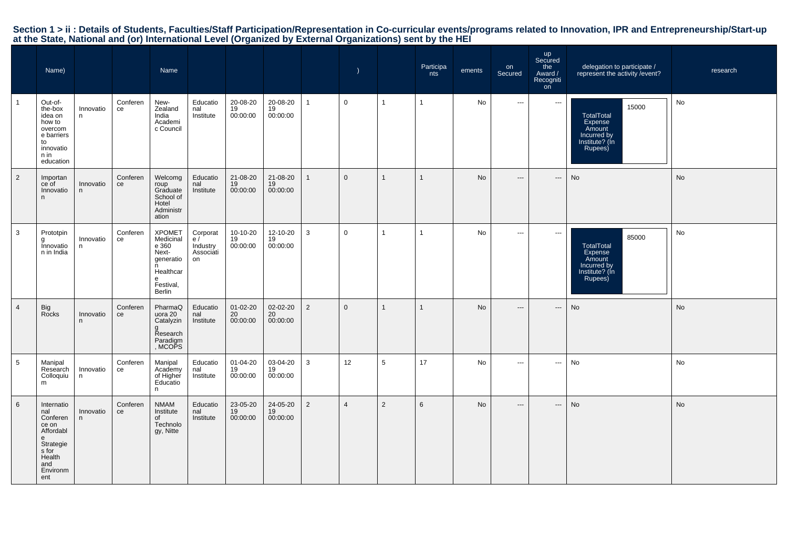|                | Name)                                                                                                              |                 |                | Name                                                                                                    |                                               |                            |                            |                | $\lambda$      |                | Participa<br>nts | ements    | on<br>Secured                            | up<br>Secured<br>the<br>Award /<br>Recogniti<br><sub>on</sub> | delegation to participate /<br>represent the activity / event?                              | research |
|----------------|--------------------------------------------------------------------------------------------------------------------|-----------------|----------------|---------------------------------------------------------------------------------------------------------|-----------------------------------------------|----------------------------|----------------------------|----------------|----------------|----------------|------------------|-----------|------------------------------------------|---------------------------------------------------------------|---------------------------------------------------------------------------------------------|----------|
|                | Out-of-<br>the-box<br>idea on<br>how to<br>overcom<br>e barriers<br>to<br>innovatio<br>n in<br>education           | Innovatio<br>n  | Conferen<br>ce | New-<br>Zealand<br>India<br>Academi<br>c Council                                                        | Educatio<br>nal<br>Institute                  | 20-08-20<br>19<br>00:00:00 | 20-08-20<br>19<br>00:00:00 | $\mathbf{1}$   | $\mathbf 0$    | $\mathbf{1}$   | $\mathbf{1}$     | No        | $\sim$                                   | $\sim$                                                        | 15000<br><b>TotalTotal</b><br>Expense<br>Amount<br>Incurred by<br>Institute? (In<br>Rupees) | No       |
| $\overline{2}$ | Importan<br>ce of<br>Innovatio<br>n.                                                                               | Innovatio<br>n. | Conferen<br>ce | Welcomg<br>roup<br>Graduate<br>School of<br>Hotel<br>Administr<br>ation                                 | Educatio<br>nal<br>Institute                  | 21-08-20<br>19<br>00:00:00 | 21-08-20<br>19<br>00:00:00 | $\mathbf{1}$   | $\mathbf 0$    | $\mathbf{1}$   | $\mathbf{1}$     | No        | $\hspace{0.05cm} \ldots \hspace{0.05cm}$ | ---                                                           | No                                                                                          | No       |
| 3              | Prototpin<br>g<br>Innovatio<br>n in India                                                                          | Innovatio<br>n. | Conferen<br>ce | <b>XPOMET</b><br>Medicinal<br>e 360<br>Next-<br>generatio<br>n<br>Healthcar<br>e<br>Festival,<br>Berlin | Corporat<br>e/<br>Industry<br>Associáti<br>on | 10-10-20<br>19<br>00:00:00 | 12-10-20<br>19<br>00:00:00 | 3              | $\mathbf 0$    | $\mathbf{1}$   | $\mathbf{1}$     | No        | $\hspace{0.05cm} \ldots$                 | $\cdots$                                                      | 85000<br>TotalTotal<br>Expense<br>Amount<br>Incurred by<br>Institute? (In<br>Rupees)        | No       |
| $\overline{4}$ | Big<br>Rocks                                                                                                       | Innovatio<br>n  | Conferen<br>ce | PharmaQ<br>uora 20<br>Catalyzin<br>g<br>Research<br>Paradigm<br>, MCOPS                                 | Educatio<br>nal<br>Institute                  | 01-02-20<br>20<br>00:00:00 | 02-02-20<br>20<br>00:00:00 | $\overline{2}$ | $\mathbf{0}$   | $\mathbf{1}$   | $\mathbf{1}$     | <b>No</b> | $\hspace{0.05cm} \ldots \hspace{0.05cm}$ | ---                                                           | No                                                                                          | No       |
| 5              | Manipal<br>Research<br>Colloquiu<br>m                                                                              | Innovatio<br>n  | Conferen<br>ce | Manipal<br>Academy<br>of Higher<br>Educatio<br>n                                                        | Educatio<br>nal<br>Institute                  | 01-04-20<br>19<br>00:00:00 | 03-04-20<br>19<br>00:00:00 | 3              | 12             | 5              | 17               | No        | $\hspace{0.05cm} \ldots$                 | ---                                                           | No                                                                                          | No       |
| 6              | Internatio<br>nal<br>Conferen<br>ce on<br>Affordabl<br>e<br>Strategie<br>s for<br>Health<br>and<br>Environm<br>ent | Innovatio<br>n  | Conferen<br>ce | <b>NMAM</b><br>Institute<br>of<br>Technolo<br>gy, Nitte                                                 | Educatio<br>nal<br>Institute                  | 23-05-20<br>19<br>00:00:00 | 24-05-20<br>19<br>00:00:00 | $\overline{2}$ | $\overline{4}$ | $\overline{2}$ | 6                | <b>No</b> | $---$                                    | $---$                                                         | No                                                                                          | No       |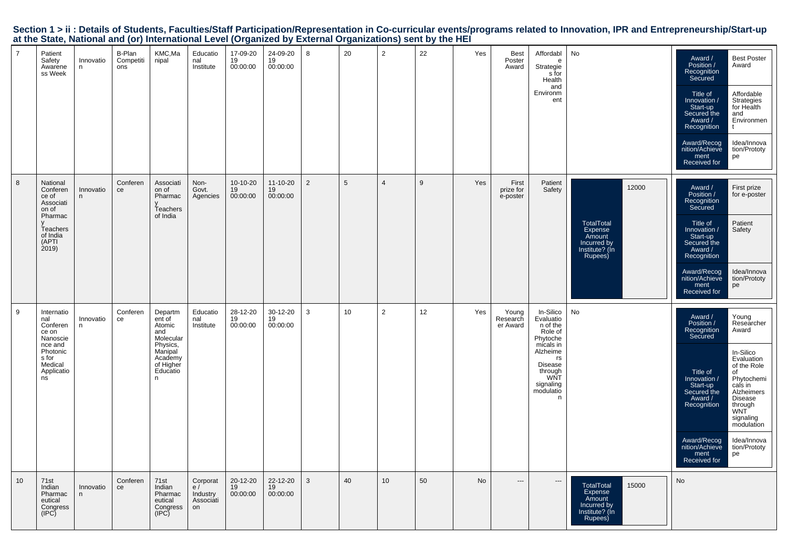|  |                                                                                                           |  |  | Section 1 > ii : Details of Students, Faculties/Staff Participation/Representation in Co-curricular events/programs related to Innovation, IPR and Entrepreneurship/Start-up |  |
|--|-----------------------------------------------------------------------------------------------------------|--|--|------------------------------------------------------------------------------------------------------------------------------------------------------------------------------|--|
|  | at the State, National and (or) International Level (Organized by External Organizations) sent by the HEI |  |  |                                                                                                                                                                              |  |

| $\overline{7}$ | Patient<br>Safety<br>Awarene<br>ss Week                                                                           | Innovatio<br>n. | B-Plan<br>Competiti<br>ons | KMC,Ma<br>nipal                                                                                                 | Educatio<br>nal<br>Institute                  | 17-09-20<br>19<br>00:00:00 | 24-09-20<br>19<br>00:00:00 | 8              | 20 | $\overline{2}$ | 22 | Yes | <b>Best</b><br>Poster<br>Award | Affordabl<br>$\mathsf{e}$<br>Strategie<br>s for<br>Health<br>and<br>Environm<br>ent                                                                         | No                                                                                          | <b>Best Poster</b><br>Award /<br>Position /<br>Award<br>Recognition<br>Secured<br>Affordable<br>Title of<br>Strategies<br>Innovation /<br>for Health<br>Start-up<br>Secured the<br>and<br>Environmen<br>Award /<br>Recognition<br>t<br>Award/Recog<br>Idea/Innova<br>nition/Achieve<br>tion/Prototy<br>pe<br>ment<br>Received for                                                                                    |  |
|----------------|-------------------------------------------------------------------------------------------------------------------|-----------------|----------------------------|-----------------------------------------------------------------------------------------------------------------|-----------------------------------------------|----------------------------|----------------------------|----------------|----|----------------|----|-----|--------------------------------|-------------------------------------------------------------------------------------------------------------------------------------------------------------|---------------------------------------------------------------------------------------------|----------------------------------------------------------------------------------------------------------------------------------------------------------------------------------------------------------------------------------------------------------------------------------------------------------------------------------------------------------------------------------------------------------------------|--|
| 8              | National<br>Conferen<br>ce of<br>Associati<br>on of<br>Pharmac<br>Teachers<br>of India<br>(APTI<br>2019           | Innovatio<br>n. | Conferen<br>ce             | Associati<br>on of<br>Pharmac<br>Teachers<br>of India                                                           | Non-<br>Govt.<br>Agencies                     | 10-10-20<br>19<br>00:00:00 | 11-10-20<br>19<br>00:00:00 | $\overline{2}$ | 5  | $\overline{4}$ | 9  | Yes | First<br>prize for<br>e-poster | Patient<br>Safety                                                                                                                                           | 12000<br><b>TotalTotal</b><br>Expense<br>Amount<br>Incurred by<br>Institute? (In<br>Rupees) | Award /<br>First prize<br>Position /<br>for e-poster<br>Recognition<br>Secured<br>Patient<br>Title of<br>Innovation /<br>Safety<br>Start-up<br>Secured the<br>Award /<br>Recognition<br>Award/Recog<br>Idea/Innova<br>nition/Achieve<br>tion/Prototy<br>ment<br>pe<br>Received for                                                                                                                                   |  |
| 9              | Internatio<br>nal<br>Conferen<br>ce on<br>Nanoscie<br>nce and<br>Photonic<br>s for<br>Medical<br>Applicatio<br>ns | Innovatio<br>n  | Conferen<br>ce             | Departm<br>ent of<br>Atomic<br>and<br>Molecular<br>Physics,<br>Manipal<br>Academy<br>of Higher<br>Educatio<br>n | Educatio<br>nal<br>Institute                  | 28-12-20<br>19<br>00:00:00 | 30-12-20<br>19<br>00:00:00 | 3              | 10 | 2              | 12 | Yes | Young<br>Research<br>er Award  | In-Silico<br>Evaluatio<br>n of the<br>Role of<br>Phytoche<br>micals in<br>Alzheime<br>rs<br><b>Disease</b><br>through<br>WNT<br>signaling<br>modulatio<br>n | No                                                                                          | Award /<br>Young<br>Position /<br>Researcher<br>Recognition<br>Award<br>Secured<br>In-Silico<br>Evaluation<br>of the Role<br>Title of<br>of<br>Phytochemi<br>Innovation /<br>cals in<br>Start-up<br>Secured the<br>Alzheimers<br>Award /<br><b>Disease</b><br>Recognition<br>through<br>WNT<br>signaling<br>modulation<br>Award/Recog<br>Idea/Innova<br>nition/Achieve<br>tion/Prototy<br>ment<br>pe<br>Received for |  |
| 10             | 71st<br>Indian<br>Pharmac<br>eutical<br>Congress<br>(IPC)                                                         | Innovatio<br>n  | Conferen<br>ce             | 71st<br>Indian<br>Pharmac<br>eutical<br>Congress<br>(IPC)                                                       | Corporat<br>e/<br>Industry<br>Associati<br>on | 20-12-20<br>19<br>00:00:00 | 22-12-20<br>19<br>00:00:00 | 3              | 40 | 10             | 50 | No  | $\cdots$                       | $\overline{\phantom{a}}$                                                                                                                                    | <b>TotalTotal</b><br>15000<br>Expense<br>Amount<br>Incurred by<br>Institute? (In<br>Rupees) | No                                                                                                                                                                                                                                                                                                                                                                                                                   |  |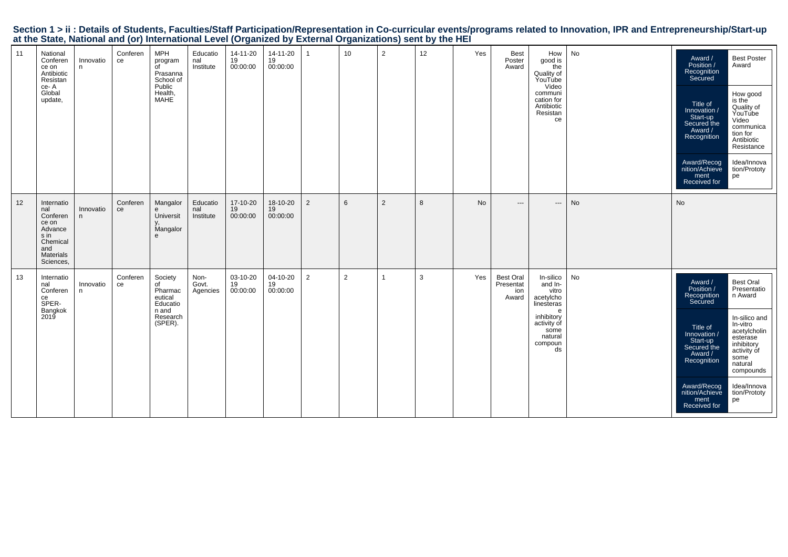|    |                                                                                                        |                |                | at the state; hattend, and (s), mornatenal services and squilled by                                  |                              |                            |                            |                | $\frac{1}{2}$   |                |    |     |                                               |                                                                                                                                |           |                                                                                                                                                                                           |                                                                                                                                                                                                       |
|----|--------------------------------------------------------------------------------------------------------|----------------|----------------|------------------------------------------------------------------------------------------------------|------------------------------|----------------------------|----------------------------|----------------|-----------------|----------------|----|-----|-----------------------------------------------|--------------------------------------------------------------------------------------------------------------------------------|-----------|-------------------------------------------------------------------------------------------------------------------------------------------------------------------------------------------|-------------------------------------------------------------------------------------------------------------------------------------------------------------------------------------------------------|
| 11 | National<br>Conferen<br>ce on<br>Antibiotic<br>Resistan<br>ce-A<br>Global<br>update,                   | Innovatio<br>n | Conferen<br>ce | <b>MPH</b><br>program<br>$\overline{C}$<br>Prasanna<br>School of<br>Public<br>Health,<br><b>MAHE</b> | Educatio<br>nal<br>Institute | 14-11-20<br>19<br>00:00:00 | 14-11-20<br>19<br>00:00:00 | $\overline{1}$ | 10 <sub>1</sub> | $\overline{2}$ | 12 | Yes | Best<br>Poster<br>Award                       | How<br>good is<br>the<br>Quality of<br>YouTube<br>Video<br>communi<br>cation for<br>Antibiotic<br>Resistan<br>ce               | No        | Award /<br>Position /<br>Recognition<br>Secured<br>Title of<br>Innovation /<br>Start-up<br>Secured the<br>Award /<br>Recognition<br>Award/Recog<br>nition/Achieve<br>ment<br>Received for | <b>Best Poster</b><br>Award<br>How good<br>is the<br>Quality of<br>YouTube<br>Video<br>communica<br>tion for<br>Antibiotic<br>Resistance<br>Idea/Innova<br>tion/Prototy<br>pe                         |
| 12 | Internatio<br>nal<br>Conferen<br>ce on<br>Advance<br>s in<br>Chemical<br>and<br>Materials<br>Sciences, | Innovatio<br>n | Conferen<br>ce | Mangalor<br>e<br><b>Universit</b><br>Mangalor<br>e                                                   | Educatio<br>nal<br>Institute | 17-10-20<br>19<br>00:00:00 | 18-10-20<br>19<br>00:00:00 | $\overline{2}$ | $6\overline{6}$ | 2              | 8  | No  | $\cdots$                                      | $\overline{\phantom{a}}$                                                                                                       | <b>No</b> | No                                                                                                                                                                                        |                                                                                                                                                                                                       |
| 13 | Internatio<br>nal<br>Conferen<br>ce<br>SPER-<br>Bangkok<br>2019                                        | Innovatio<br>n | Conferen<br>ce | Society<br>of<br>Pharmac<br>eutical<br>Educatio<br>n and<br>Research<br>(SPER).                      | Non-<br>Govt.<br>Agencies    | 03-10-20<br>19<br>00:00:00 | 04-10-20<br>19<br>00:00:00 | $\overline{2}$ | 2               | -1             | 3  | Yes | <b>Best Oral</b><br>Presentat<br>ion<br>Award | In-silico<br>and In-<br>vitro<br>acetylcho<br>linesteras<br>e<br>inhibitory<br>activity of<br>some<br>natural<br>compoun<br>ds | No        | Award /<br>Position /<br>Recognition<br>Secured<br>Title of<br>Innovation /<br>Start-up<br>Secured the<br>Award /<br>Recognition<br>Award/Recog<br>nition/Achieve<br>ment<br>Received for | <b>Best Oral</b><br>Presentatio<br>n Award<br>In-silico and<br>In-vitro<br>acetylcholin<br>esterase<br>inhibitory<br>activity of<br>some<br>natural<br>compounds<br>Idea/Innova<br>tion/Prototy<br>pe |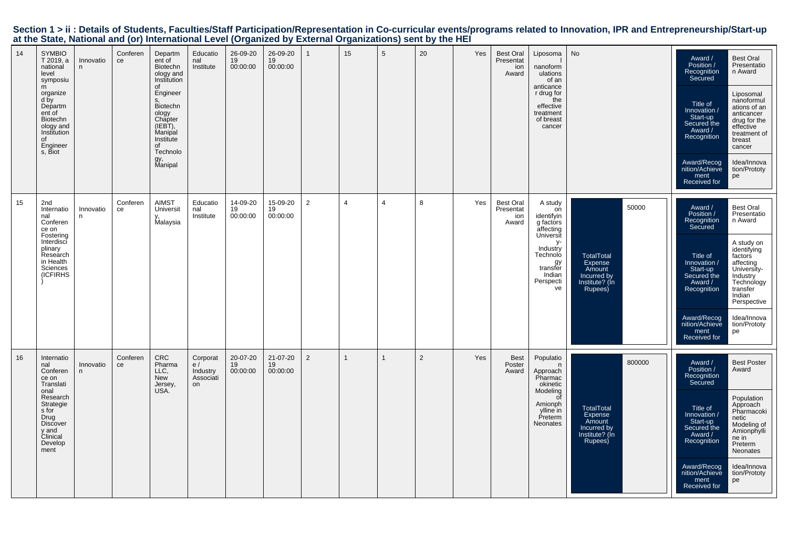|    |                                                                                                                                                                                    |                 |                |                                                                                                                                                                                    | $\alpha$ and state, national and (si) international Ecro, (sigameou by |                            |                            |                |                |                | $\sum_{i=1}^{n}$ |     |                                               |                                                                                                                                                 |                                                                                              |                                                                                                                                                                                           |                                                                                                                                                                                                                    |
|----|------------------------------------------------------------------------------------------------------------------------------------------------------------------------------------|-----------------|----------------|------------------------------------------------------------------------------------------------------------------------------------------------------------------------------------|------------------------------------------------------------------------|----------------------------|----------------------------|----------------|----------------|----------------|------------------|-----|-----------------------------------------------|-------------------------------------------------------------------------------------------------------------------------------------------------|----------------------------------------------------------------------------------------------|-------------------------------------------------------------------------------------------------------------------------------------------------------------------------------------------|--------------------------------------------------------------------------------------------------------------------------------------------------------------------------------------------------------------------|
| 14 | <b>SYMBIO</b><br>$T_{2019, a}$<br>national<br>level<br>symposiu<br>m<br>organize<br>d by<br>Departm<br>ent of<br>Biotechn<br>ology and<br>Institution<br>of<br>Engineer<br>s, Biot | Innovatio<br>n  | Conferen<br>ce | Departm<br>ent of<br>Biotechn<br>ology and<br>Institution<br>of<br>Engineer<br>Biotechn<br>ology<br>Chapter<br>(IEBT),<br>Manipal<br>Institute<br>of<br>Technolo<br>gy,<br>Manipal | Educatio<br>nal<br>Institute                                           | 26-09-20<br>19<br>00:00:00 | 26-09-20<br>19<br>00:00:00 | $\mathbf{1}$   | 15             | 5              | 20               | Yes | <b>Best Oral</b><br>Presentat<br>ion<br>Award | Liposoma<br>nanoform<br>ulations<br>of an<br>anticance<br>r drug for<br>the<br>effective<br>treatment<br>of breast<br>cancer                    | No                                                                                           | Award /<br>Position /<br>Recognition<br>Secured<br>Title of<br>Innovation /<br>Start-up<br>Secured the<br>Award /<br>Recognition<br>Award/Recog<br>nition/Achieve<br>ment                 | <b>Best Oral</b><br>Presentatio<br>n Award<br>Liposomal<br>nanoformul<br>ations of an<br>anticancer<br>drug for the<br>effective<br>treatment of<br>breast<br>cancer<br>Idea/Innova<br>tion/Prototy<br>pe          |
|    |                                                                                                                                                                                    |                 |                |                                                                                                                                                                                    |                                                                        |                            |                            |                |                |                |                  |     |                                               |                                                                                                                                                 |                                                                                              | Received for                                                                                                                                                                              |                                                                                                                                                                                                                    |
| 15 | 2nd<br>Internatio<br>nal<br>Conferen<br>ce on<br>Fostering<br>Interdisci<br>plinary<br>Research<br>in Health<br>Sciences<br><b>(ICFIRHS</b>                                        | Innovatio<br>n. | Conferen<br>ce | <b>AIMST</b><br>Universit<br>Malaysia                                                                                                                                              | Educatio<br>nal<br>Institute                                           | 14-09-20<br>19<br>00:00:00 | 15-09-20<br>19<br>00:00:00 | $\overline{2}$ | $\overline{4}$ | $\overline{4}$ | 8                | Yes | <b>Best Oral</b><br>Presentat<br>ion<br>Award | A study<br>on<br>identifyin<br>g factors<br>affecting<br>Universit<br>у-<br>Industry<br>Technolo<br>gy<br>transfer<br>Indian<br>Perspecti<br>ve | 50000<br><b>TotalTotal</b><br>Expense<br>Amount<br>Incurred by<br>Institute? (In<br>Rupees)  | Award /<br>Position /<br>Recognition<br>Secured<br>Title of<br>Innovation /<br>Start-up<br>Secured the<br>Award /<br>Recognition<br>Award/Recog<br>nition/Achieve<br>ment<br>Received for | <b>Best Oral</b><br>Presentatio<br>n Award<br>A study on<br>identifying<br>factors<br>affecting<br>University-<br>Industry<br>Technology<br>transfer<br>Indian<br>Perspective<br>Idea/Innova<br>tion/Prototy<br>pe |
| 16 | Internatio<br>nal<br>Conferen<br>ce on<br>Translati<br>onal<br>Research<br>Strategie<br>s for<br>Drug<br>Discover<br>y and<br>Clinical<br>Develop<br>ment                          | Innovatio<br>n  | Conferen<br>ce | CRC<br>Pharma<br>LLC,<br>New<br>Jersey,<br>USA.                                                                                                                                    | Corporat<br>e/<br>Industry<br>Associati<br>on                          | 20-07-20<br>19<br>00:00:00 | 21-07-20<br>19<br>00:00:00 | $\overline{2}$ | 1              | $\mathbf{1}$   | $\overline{2}$   | Yes | <b>Best</b><br>Poster<br>Award                | Populatio<br>n<br>Approach<br>Pharmac<br>okinetic<br>Modeling<br>0f<br>Amionph<br>ylline in<br>Preterm<br>Neonates                              | 800000<br><b>TotalTotal</b><br>Expense<br>Amount<br>Incurred by<br>Institute? (In<br>Rupees) | Award /<br>Position /<br>Recognition<br>Secured<br>Title of<br>Innovation /<br>Start-up<br>Secured the<br>Award /<br>Recognition<br>Award/Recog<br>nition/Achieve<br>ment<br>Received for | <b>Best Poster</b><br>Award<br>Population<br>Approach<br>Pharmacoki<br>netic<br>Modeling of<br>Amionphylli<br>ne in<br>Preterm<br>Neonates<br>Idea/Innova<br>tion/Prototy<br>pe                                    |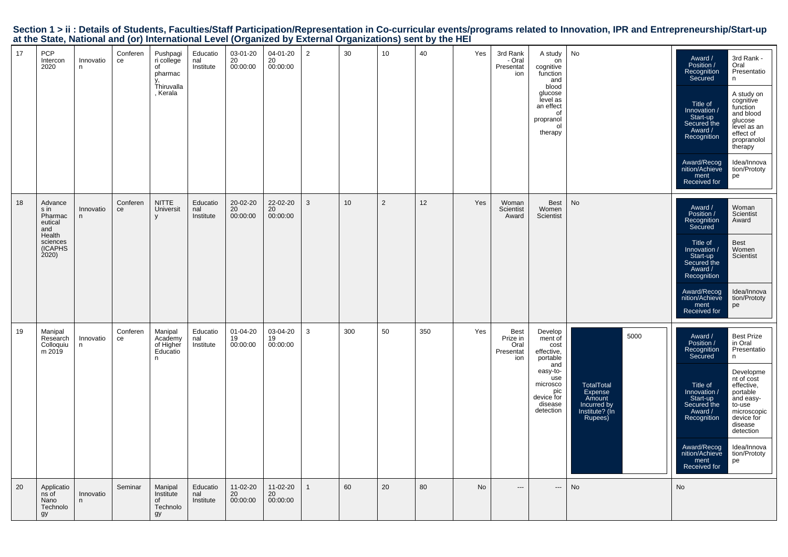| 17 | <b>PCP</b><br>Intercon<br>2020                                                        | Innovatio<br>n | Conferen<br>ce | Pushpagi<br>ri college<br>of<br>pharmac<br>Thiruvalla<br>, Kerala | Educatio<br>nal<br>Institute | 03-01-20<br>20<br>00:00:00 | 04-01-20<br>20<br>00:00:00 | $\overline{2}$ | 30  | 10 | 40  | Yes | 3rd Rank<br>- Oral<br>Presentat<br>ion              | A study<br>on<br>cognitive<br>function<br>and<br>blood<br>glucose<br>level as<br>an effect<br>of<br>propranol<br>ol<br>therapy          | No                                                                                  | 3rd Rank -<br>Award /<br>Position /<br>Oral<br>Recognition<br>Presentatio<br>Secured<br>n.<br>A study on<br>cognitive<br>Title of<br>function<br>Innovation /<br>and blood<br>Start-up<br>glucose<br>Secured the<br>level as an<br>Award /<br>effect of<br>Recognition<br>propranolol<br>therapy<br>Award/Recog<br>Idea/Innova<br>nition/Achieve<br>tion/Prototy<br>ment<br>pe<br>Received for                      |
|----|---------------------------------------------------------------------------------------|----------------|----------------|-------------------------------------------------------------------|------------------------------|----------------------------|----------------------------|----------------|-----|----|-----|-----|-----------------------------------------------------|-----------------------------------------------------------------------------------------------------------------------------------------|-------------------------------------------------------------------------------------|---------------------------------------------------------------------------------------------------------------------------------------------------------------------------------------------------------------------------------------------------------------------------------------------------------------------------------------------------------------------------------------------------------------------|
| 18 | Advance<br>s in<br>Pharmac<br>eutical<br>and<br>Health<br>sciences<br>(ICAPHS<br>2020 | Innovatio<br>n | Conferen<br>ce | <b>NITTE</b><br>Universit                                         | Educatio<br>nal<br>Institute | 20-02-20<br>20<br>00:00:00 | 22-02-20<br>20<br>00:00:00 | 3              | 10  | 2  | 12  | Yes | Woman<br>Scientist<br>Award                         | Best<br>Women<br>Scientist                                                                                                              | <b>No</b>                                                                           | Award /<br>Woman<br>Position /<br>Scientist<br>Recognition<br>Award<br>Secured<br>Best<br>Title of<br>Women<br>Innovation /<br>Start-up<br>Scientist<br>Secured the<br>Award /<br>Recognition<br>Award/Recog<br>nition/Achieve<br>Idea/Innova<br>tion/Prototy<br>ment<br>pe<br>Received for                                                                                                                         |
| 19 | Manipal<br>Research<br>Colloquiu<br>m 2019                                            | Innovatio<br>n | Conferen<br>ce | Manipal<br>Academy<br>of Higher<br>Educatio<br>n.                 | Educatio<br>nal<br>Institute | 01-04-20<br>19<br>00:00:00 | 03-04-20<br>19<br>00:00:00 | $\mathbf{3}$   | 300 | 50 | 350 | Yes | <b>Best</b><br>Prize in<br>Oral<br>Presentat<br>ion | Develop<br>ment of<br>cost<br>effective,<br>portable<br>and<br>easy-to-<br>use<br>microsco<br>pic<br>device for<br>disease<br>detection | 5000<br>TotalTotal<br>Expense<br>Amount<br>Incurred by<br>Institute? (In<br>Rupees) | <b>Best Prize</b><br>Award /<br>Position /<br>in Oral<br>Recognition<br>Presentatio<br>Secured<br>n<br>Developme<br>nt of cost<br>Title of<br>effective,<br>Innovation /<br>portable<br>Start-up<br>and easy-<br>Secured the<br>to-use<br>Award /<br>microscopic<br>Recognition<br>device for<br>disease<br>detection<br>Award/Recog<br>Idea/Innova<br>nition/Achieve<br>tion/Prototy<br>ment<br>pe<br>Received for |
| 20 | Applicatio<br>ns of<br>Nano<br>Technolo<br>gy                                         | Innovatio<br>n | Seminar        | Manipal<br>Institute<br>of<br>Technolo<br>gy                      | Educatio<br>nal<br>Institute | 11-02-20<br>20<br>00:00:00 | 11-02-20<br>20<br>00:00:00 | $\mathbf{1}$   | 60  | 20 | 80  | No  | $\cdots$                                            | $---$                                                                                                                                   | No                                                                                  | No                                                                                                                                                                                                                                                                                                                                                                                                                  |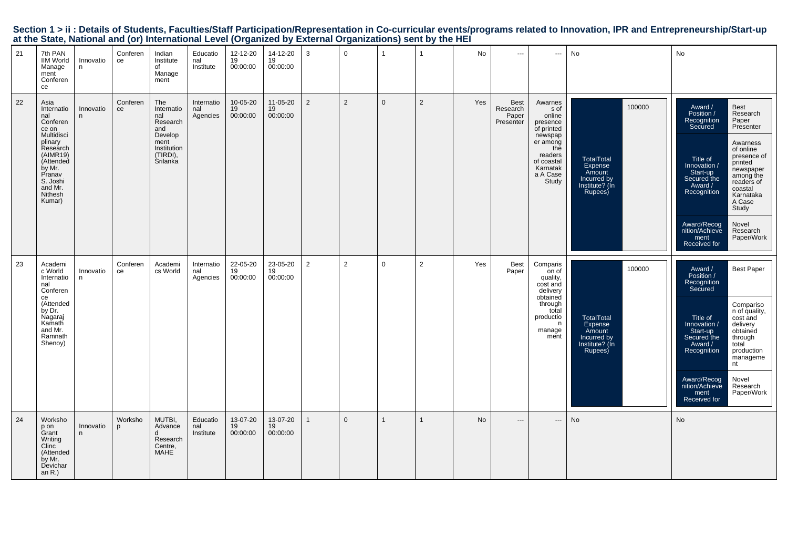| at the State, National and (or) international Level (Organized by External Organizations) sent by the HEI                                                                          |                |                |                                                                                                       |                               |                                              |                                |                |                |                |                |           |                                               |                                                                                                                                             |                                                                                              |                                                                                                                                                                                                                                                                                                                                                                                                              |
|------------------------------------------------------------------------------------------------------------------------------------------------------------------------------------|----------------|----------------|-------------------------------------------------------------------------------------------------------|-------------------------------|----------------------------------------------|--------------------------------|----------------|----------------|----------------|----------------|-----------|-----------------------------------------------|---------------------------------------------------------------------------------------------------------------------------------------------|----------------------------------------------------------------------------------------------|--------------------------------------------------------------------------------------------------------------------------------------------------------------------------------------------------------------------------------------------------------------------------------------------------------------------------------------------------------------------------------------------------------------|
| 21<br>7th PAN<br>IIM World<br>Manage<br>ment<br>Conferen<br>ce                                                                                                                     | Innovatio<br>n | Conferen<br>ce | Indian<br>Institute<br>of<br>Manage<br>ment                                                           | Educatio<br>nal<br>Institute  | $12 - 12 - 20$<br>$19 - 12 = 12$<br>00:00:00 | 14-12-20<br>19<br>00:00:00     | $\mathbf{3}$   | $\overline{0}$ | $\mathbf{1}$   | $\mathbf{1}$   | No        | $\sim$                                        | $\hspace{0.05cm} \cdots$                                                                                                                    | No                                                                                           | No                                                                                                                                                                                                                                                                                                                                                                                                           |
| 22<br>Asia<br>Internatio<br>nal<br>Conferen<br>ce on<br>Multidisci<br>plinary<br>Research<br>(AIMR19)<br>(Attended<br>by Mr.<br>Pranav<br>S. Joshi<br>and Mr.<br>Nithesh<br>Kumar) | Innovatio<br>n | Conferen<br>ce | The<br>Internatio<br>nal<br>Research<br>and<br>Develop<br>ment<br>Institution<br>(TIRDI),<br>Srilanka | Internatio<br>nal<br>Agencies | 10-05-20<br>19<br>00:00:00                   | 11-05-20<br>19<br>00:00:00     | 2              | $\overline{2}$ | $\mathbf{0}$   | 2              | Yes       | <b>Best</b><br>Research<br>Paper<br>Presenter | Awarnes<br>s of<br>online<br>presence<br>of printed<br>newspap<br>er among<br>the<br>readers<br>of coastal<br>Karnatak<br>a A Case<br>Study | 100000<br><b>TotalTotal</b><br>Expense<br>Amount<br>Incurred by<br>Institute? (In<br>Rupees) | Best<br>Award /<br>Position /<br>Recognition<br>Secured<br>Research<br>Paper<br>Presenter<br>Awarness<br>of online<br>presence of<br>Title of<br>printed<br>Innovation /<br>newspaper<br>among the<br>readers of<br>Start-up<br>Secured the<br>Award /<br>Recognition<br>coastal<br>Karnataka<br>A Case<br>Study<br>Award/Recog<br>Novel<br>nition/Achieve<br>Research<br>Paper/Work<br>ment<br>Received for |
| 23<br>Academi<br>c World<br>Internatio<br>nal<br>Conferen<br>ce<br>(Attended<br>by Dr.<br>by Dr.<br>Nagaraj<br>Kamath<br>and Mr.<br>Ramnath<br>Shenoy)                             | Innovatio<br>n | Conferen<br>ce | Academi<br>cs World                                                                                   | Internatio<br>nal<br>Agencies | 22-05-20<br>19<br>00:00:00                   | 23-05-20<br>19<br>00:00:00     | $\overline{2}$ | $\overline{2}$ | $\mathbf 0$    | $\overline{2}$ | Yes       | <b>Best</b><br>Paper                          | Comparis<br>on of<br>quality,<br>cost and<br>delivery<br>obtained<br>through<br>total<br>productio<br>n<br>manage<br>ment                   | 100000<br>TotalTotal<br>Expense<br>Amount<br>Incurred by<br>Institute? (In<br>Rupees)        | Award /<br>Position /<br><b>Best Paper</b><br>Recognition<br>Secured<br>Compariso<br>n of quality,<br>cost and<br>Title of<br>/ Innovation<br>delivery<br>delivery<br>through<br>total<br>Start-up<br>Secured the<br>Award /<br>Recognition<br>production<br>manageme<br>nt<br>Award/Recog<br>Novel<br>nition/Achieve<br>Research<br>Paper/Work<br>ment<br>Received for                                      |
| 24<br>Worksho<br>p on<br>Grant<br>Writing<br>Clinc<br>(Attended<br>by Mr.<br>Devichar<br>an R.)                                                                                    | Innovatio<br>n | Worksho<br>p   | MUTBI,<br>Advance<br>d<br>Research<br>Centre,<br>MAHE                                                 | Educatio<br>nal<br>Institute  | 13-07-20<br>19<br>00:00:00                   | $13-07-20$<br>$19$<br>00:00:00 | $\mathbf{1}$   | $\overline{0}$ | $\overline{1}$ | $\mathbf{1}$   | <b>No</b> | $\hspace{0.05cm} \cdots$                      | $\hspace{0.05cm} \cdots$                                                                                                                    | No                                                                                           | No                                                                                                                                                                                                                                                                                                                                                                                                           |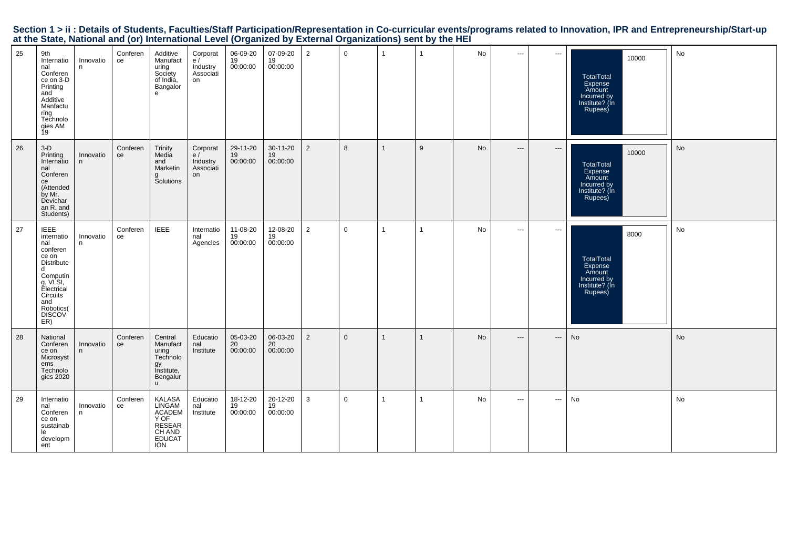| 25 | 9th<br>Internatio<br>nal<br>Conferen<br>ce on 3-D<br>Printing<br>and<br>Additive<br>Manfactu<br>ring<br>Technolo<br>gies AM<br>Ĭ9                                      | Innovatio<br>n | Conferen<br>ce | Additive<br>Manufact<br>uring<br>Society<br>of India,<br>Bangalor<br>e                | Corporat<br>e/<br>Industry<br>Associati<br>on | 06-09-20<br>19<br>00:00:00 | 07-09-20<br>19<br>00:00:00 | $\overline{2}$ | $\mathbf 0$    | $\overline{1}$ | -1             | No | $\cdots$                 | $\qquad \qquad - -$      | 10000<br><b>TotalTotal</b><br>Expense<br>Amount<br>Incurred by<br>Institute? (In<br>Rupees) | No |
|----|------------------------------------------------------------------------------------------------------------------------------------------------------------------------|----------------|----------------|---------------------------------------------------------------------------------------|-----------------------------------------------|----------------------------|----------------------------|----------------|----------------|----------------|----------------|----|--------------------------|--------------------------|---------------------------------------------------------------------------------------------|----|
| 26 | $3-D$<br>Printing<br>Internatio<br>nal<br>Conferen<br>ce<br>(Attended<br>by Mr.<br>Devichar<br>an R. and<br>Students)                                                  | Innovatio<br>n | Conferen<br>ce | Trinity<br>Media<br>and<br>Marketin<br>Solutions                                      | Corporat<br>e/<br>Industry<br>Associati<br>on | 29-11-20<br>19<br>00:00:00 | 30-11-20<br>19<br>00:00:00 | $\overline{2}$ | 8              | $\overline{1}$ | 9              | No | $\hspace{0.05cm} \ldots$ | $\hspace{0.05cm} \cdots$ | 10000<br><b>TotalTotal</b><br>Expense<br>Amount<br>Incurred by<br>Institute? (In<br>Rupees) | No |
| 27 | <b>IEEE</b><br>internatio<br>nal<br>conferen<br>ce on<br>Distribute<br>d<br>Computin<br>g, VLSI,<br>Electrical<br>Circuits<br>and<br>Robotics(<br><b>DISCOV</b><br>ER) | Innovatio<br>n | Conferen<br>ce | <b>IEEE</b>                                                                           | Internatio<br>nal<br>Agencies                 | 11-08-20<br>19<br>00:00:00 | 12-08-20<br>19<br>00:00:00 | $\overline{2}$ | $\mathbf 0$    | $\overline{1}$ | $\overline{1}$ | No | $\sim$ $\sim$            | $\hspace{0.05cm} \ldots$ | 8000<br><b>TotalTotal</b><br>Expense<br>Amount<br>Incurred by<br>Institute? (In<br>Rupees)  | No |
| 28 | National<br>Conferen<br>ce on<br>Microsyst<br>ems<br>Technolo<br>gies 2020                                                                                             | Innovatio<br>n | Conferen<br>ce | Central<br>Manufact<br>uring<br>Technolo<br>gy<br>Institute,<br>Bengalur<br>u.        | Educatio<br>nal<br>Institute                  | 05-03-20<br>20<br>00:00:00 | 06-03-20<br>20<br>00:00:00 | $\overline{2}$ | $\overline{0}$ | $\overline{1}$ | $\mathbf{1}$   | No | $---$                    | ---                      | No                                                                                          | No |
| 29 | Internatio<br>nal<br>Conferen<br>ce on<br>sustainab<br>le<br>developm<br>ent                                                                                           | Innovatio<br>n | Conferen<br>ce | KALASA<br>LINGAM<br><b>ACADEM</b><br>Y OF<br>RESEAR<br>CH AND<br><b>EDUCAT</b><br>ION | Educatio<br>nal<br>Institute                  | 18-12-20<br>19<br>00:00:00 | 20-12-20<br>19<br>00:00:00 | 3              | $\overline{0}$ | $\overline{1}$ | $\overline{1}$ | No | $\cdots$                 | $\qquad \qquad - -$      | No                                                                                          | No |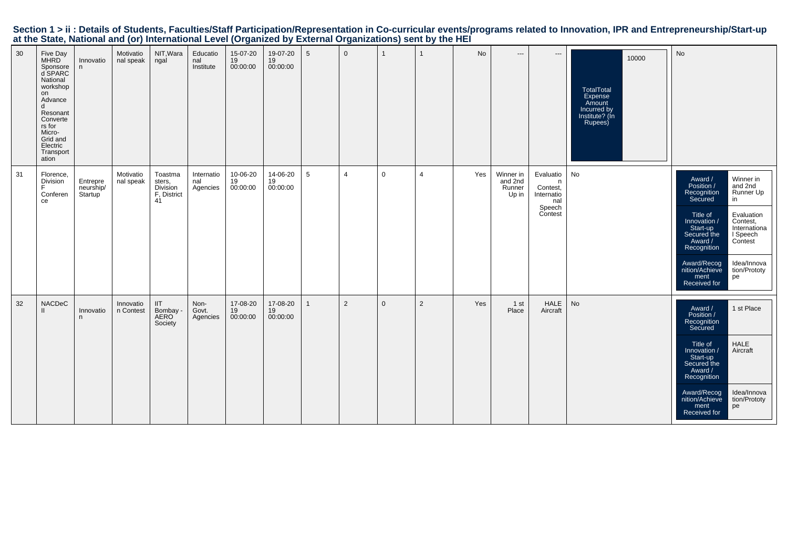| Section 1 > ii : Details of Students, Faculties/Staff Participation/Representation in Co-curricular events/programs related to Innovation, IPR and Entrepreneurship/Start-up |  |  |
|------------------------------------------------------------------------------------------------------------------------------------------------------------------------------|--|--|
| at the State, National and (or) International Level (Organized by External Organizations) sent by the HEI                                                                    |  |  |

| 30 | Five Day<br>MHRD<br>Sponsore<br>d SPARC<br>National<br>workshop<br>on<br>Advance<br>d<br>Resonant<br>Converte<br>rs for<br>Micro-<br>Grid and<br>Electric<br>Transport<br>ation | Innovatio<br>n                   | Motivatio<br>nal speak | NIT, Wara<br>ngal                                  | Educatio<br>nal<br>Institute  | 15-07-20<br>19<br>00:00:00 | 19-07-20<br>19<br>00:00:00 | $5\phantom{.0}$ | $\Omega$       | $\mathbf{1}$ | 1              | No  | $\qquad \qquad - -$                     | ---                                                                  | 10000<br>TotalTotal<br>Expense<br>Amount<br>Incurred by<br>Institute? (In<br>Rupees) | No                                                                                                                                                                                                                                                                                                                                         |
|----|---------------------------------------------------------------------------------------------------------------------------------------------------------------------------------|----------------------------------|------------------------|----------------------------------------------------|-------------------------------|----------------------------|----------------------------|-----------------|----------------|--------------|----------------|-----|-----------------------------------------|----------------------------------------------------------------------|--------------------------------------------------------------------------------------|--------------------------------------------------------------------------------------------------------------------------------------------------------------------------------------------------------------------------------------------------------------------------------------------------------------------------------------------|
| 31 | Florence,<br>Division<br>Conferen<br>ce                                                                                                                                         | Entrepre<br>neurship/<br>Startup | Motivatio<br>nal speak | Toastma<br>sters,<br>Division<br>F, District<br>41 | Internatio<br>nal<br>Agencies | 10-06-20<br>19<br>00:00:00 | 14-06-20<br>19<br>00:00:00 | 5               | $\overline{4}$ | $\mathbf 0$  | $\overline{4}$ | Yes | Winner in<br>and 2nd<br>Runner<br>Up in | Evaluatio<br>n<br>Contest,<br>Internatio<br>nal<br>Speech<br>Contest | No                                                                                   | Winner in<br>Award /<br>Position /<br>and 2nd<br>Runner Up<br>Recognition<br>Secured<br>in<br>Title of<br>Evaluation<br>Innovation /<br>Contest,<br>Internationa<br>Start-up<br>Secured the<br>I Speech<br>Award /<br>Contest<br>Recognition<br>Idea/Innova<br>Award/Recog<br>nition/Achieve<br>tion/Prototy<br>ment<br>pe<br>Received for |
| 32 | <b>NACDeC</b><br>$\mathbf{H}$                                                                                                                                                   | Innovatio<br>n                   | Innovatio<br>n Contest | IIT<br>Bombay -<br>AERO<br>Society                 | Non-<br>Govt.<br>Agencies     | 17-08-20<br>19<br>00:00:00 | 17-08-20<br>19<br>00:00:00 | 1               | 2              | $\mathbf{0}$ | $\overline{2}$ | Yes | 1 <sub>st</sub><br>Place                | <b>HALE</b><br>Aircraft                                              | No                                                                                   | 1 st Place<br>Award /<br>Position /<br>Recognition<br>Secured<br><b>HALE</b><br>Title of<br>Aircraft<br>Innovation /<br>Start-up<br>Secured the<br>Award /<br>Recognition<br>Award/Recog<br>nition/Achieve<br>Idea/Innova<br>tion/Prototy<br>ment<br>pe<br>Received for                                                                    |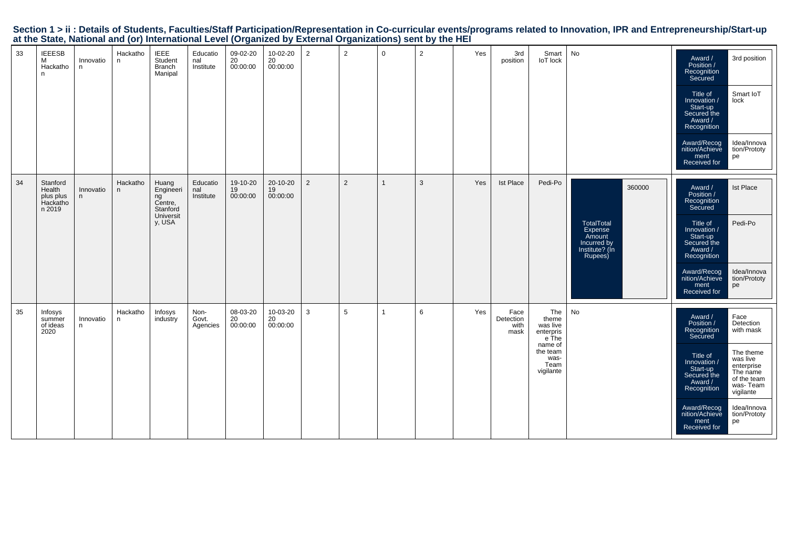|                                                                                                           |  | Section 1 > ii : Details of Students, Faculties/Staff Participation/Representation in Co-curricular events/programs related to Innovation, IPR and Entrepreneurship/Start-up |
|-----------------------------------------------------------------------------------------------------------|--|------------------------------------------------------------------------------------------------------------------------------------------------------------------------------|
| at the State, National and (or) International Level (Organized by External Organizations) sent by the HEI |  |                                                                                                                                                                              |

| 33 | <b>IEEESB</b><br>M<br>Hackatho<br>n                   | Innovatio<br>n | Hackatho<br>n | <b>IEEE</b><br>Student<br><b>Branch</b><br>Manipal                     | Educatio<br>nal<br>Institute | 09-02-20<br>20<br>00:00:00 | 10-02-20<br>20<br>00:00:00 | $\overline{2}$ | $\overline{2}$ | $\overline{0}$ | 2 | Yes | 3rd<br>position                   | Smart<br><b>IoT</b> lock                                                                           | No                                                                                    | Award /<br>Position /<br>Recognition<br>Secured<br>Title of<br>Innovation /<br>Start-up<br>Secured the<br>Award /<br>Recognition<br>Award/Recog<br>nition/Achieve<br>ment<br>Received for | 3rd position<br>Smart IoT<br>lock<br>Idea/Innova<br>tion/Prototy<br>pe                                                                                         |
|----|-------------------------------------------------------|----------------|---------------|------------------------------------------------------------------------|------------------------------|----------------------------|----------------------------|----------------|----------------|----------------|---|-----|-----------------------------------|----------------------------------------------------------------------------------------------------|---------------------------------------------------------------------------------------|-------------------------------------------------------------------------------------------------------------------------------------------------------------------------------------------|----------------------------------------------------------------------------------------------------------------------------------------------------------------|
| 34 | Stanford<br>Health<br>plus plus<br>Hackatho<br>n 2019 | Innovatio<br>n | Hackatho<br>n | Huang<br>Engineeri<br>ng<br>Centre,<br>Stanford<br>Universit<br>y, USA | Educatio<br>nal<br>Institute | 19-10-20<br>19<br>00:00:00 | 20-10-20<br>19<br>00:00:00 | 2              | 2              | $\overline{1}$ | 3 | Yes | <b>Ist Place</b>                  | Pedi-Po                                                                                            | 360000<br>TotalTotal<br>Expense<br>Amount<br>Incurred by<br>Institute? (In<br>Rupees) | Award /<br>Position /<br>Recognition<br>Secured<br>Title of<br>Innovation /<br>Start-up<br>Secured the<br>Award /<br>Recognition<br>Award/Recog<br>nition/Achieve<br>ment<br>Received for | <b>Ist Place</b><br>Pedi-Po<br>Idea/Innova<br>tion/Prototy<br>pe                                                                                               |
| 35 | Infosys<br>summer<br>of ideas<br>2020                 | Innovatio<br>n | Hackatho<br>n | Infosys<br>industry                                                    | Non-<br>Govt.<br>Agencies    | 08-03-20<br>20<br>00:00:00 | 10-03-20<br>20<br>00:00:00 | $\mathbf{3}$   | 5              | $\overline{1}$ | 6 | Yes | Face<br>Detection<br>with<br>mask | The<br>theme<br>was live<br>enterpris<br>e The<br>name of<br>the team<br>was-<br>Team<br>vigilante | No                                                                                    | Award /<br>Position /<br>Recognition<br>Secured<br>Title of<br>Innovation /<br>Start-up<br>Secured the<br>Award /<br>Recognition<br>Award/Recog<br>nition/Achieve<br>ment<br>Received for | Face<br>Detection<br>with mask<br>The theme<br>was live<br>enterprise<br>The name<br>of the team<br>was-Team<br>vigilante<br>Idea/Innova<br>tion/Prototy<br>pe |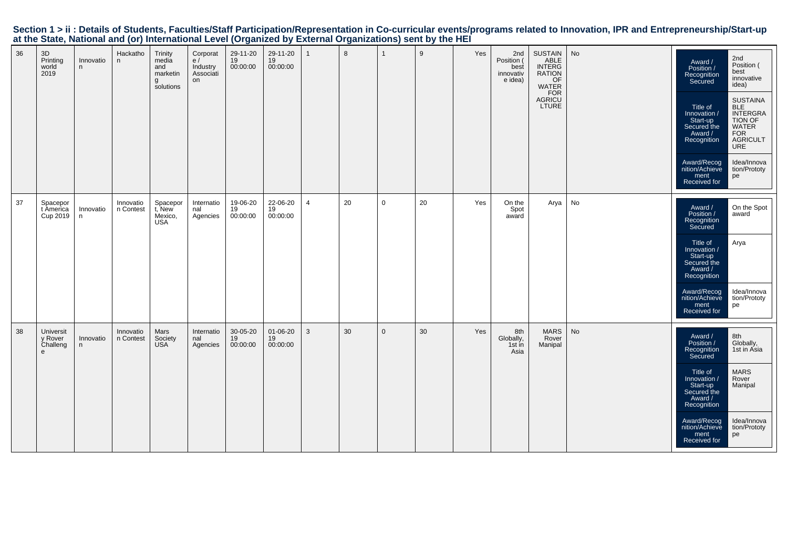|    |                                       |                |                        |                                                       |                                               |                              |                            |                |    |              | at the blair, national and (b) international EUVER (bigainzed by EXICHIAI Organizations) sent by the HET |     |                                                   |                                                                                             |    |                                                                                                                                                                                           |                                                                                                                                                                    |
|----|---------------------------------------|----------------|------------------------|-------------------------------------------------------|-----------------------------------------------|------------------------------|----------------------------|----------------|----|--------------|----------------------------------------------------------------------------------------------------------|-----|---------------------------------------------------|---------------------------------------------------------------------------------------------|----|-------------------------------------------------------------------------------------------------------------------------------------------------------------------------------------------|--------------------------------------------------------------------------------------------------------------------------------------------------------------------|
| 36 | 3D<br>Printing<br>world<br>2019       | Innovatio<br>n | Hackatho<br>n          | Trinity<br>media<br>and<br>marketin<br>g<br>solutions | Corporat<br>e/<br>Industry<br>Associati<br>on | 29-11-20<br>19<br>00:00:00   | 29-11-20<br>19<br>00:00:00 | $\overline{1}$ | 8  | $\mathbf{1}$ | 9                                                                                                        | Yes | 2nd<br>Position (<br>best<br>innovativ<br>e idea) | <b>SUSTAIN</b><br>ABLE<br>ABLE<br>INTERG<br>RATION<br>OF<br>VATER<br>FOR<br>AGRICU<br>LTURE | No | Award /<br>Position /<br>Recognition<br>Secured<br>Title of<br>Innovation /<br>Start-up<br>Secured the<br>Award /<br>Recognition<br>Award/Recog<br>nition/Achieve<br>ment<br>Received for | 2nd<br>Position (<br>best<br>innovative<br>idea)<br>SUSTAINA<br>BLE<br>INTERGRA<br>TION OF<br>WATER<br>FOR<br>AGRICULT<br>URE<br>Idea/Innova<br>tion/Prototy<br>pe |
| 37 | Spacepor<br>t America<br>Cup 2019     | Innovatio<br>n | Innovatio<br>n Contest | Spacepor<br>t, New<br>Mexico,<br><b>USA</b>           | Internatio<br>nal<br>Agencies                 | 19-06-20<br>$19$<br>00:00:00 | 22-06-20<br>19<br>00:00:00 | $\overline{4}$ | 20 | $\mathbf 0$  | 20                                                                                                       | Yes | On the<br>Spot<br>award                           | Arya                                                                                        | No | Award /<br>Position /<br>Recognition<br>Secured<br>Title of<br>/ Innovation<br>Start-up<br>Secured the<br>Award /<br>Recognition<br>Award/Recog<br>nition/Achieve<br>ment<br>Received for | On the Spot<br>award<br>Arya<br>Idea/Innova<br>tion/Prototy<br>pe                                                                                                  |
| 38 | Universit<br>y Rover<br>Challeng<br>e | Innovatio<br>n | Innovatio<br>n Contest | Mars<br>Society<br>USA                                | Internatio<br>nal<br>Agencies                 | 30-05-20<br>19<br>00:00:00   | 01-06-20<br>19<br>00:00:00 | $\mathbf{3}$   | 30 | $\mathbf 0$  | 30                                                                                                       | Yes | 8th<br>Globally,<br>1st in<br>Asia                | <b>MARS</b><br>Rover<br>Manipal                                                             | No | Award /<br>Position /<br>Recognition<br>Secured<br>Title of<br>/ Innovation<br>Start-up<br>Secured the<br>Award /<br>Recognition<br>Award/Recog<br>nition/Achieve<br>ment<br>Received for | 8th<br>Globally,<br>1st in Asia<br><b>MARS</b><br>Rover<br>Manipal<br>Idea/Innova<br>tion/Prototy<br>pe                                                            |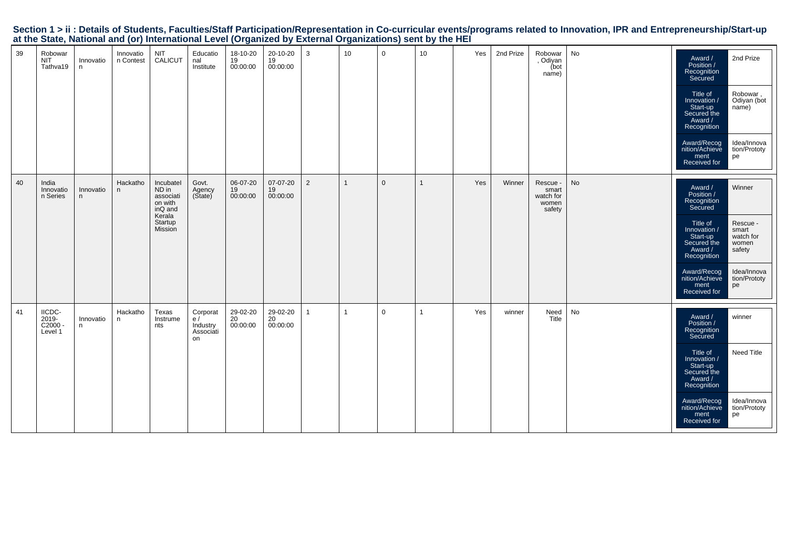|    |                                          |                |                        |                                                                                       |                                                |                            |                            |                |                 | at the etate) rational and (e.) international 2010; (e.gam20a s) 28.01.1a. erganizatione) com s) the rixi |                 |     |           |                                                   |    |                                                                                                                                                                                           |                                                                                                  |
|----|------------------------------------------|----------------|------------------------|---------------------------------------------------------------------------------------|------------------------------------------------|----------------------------|----------------------------|----------------|-----------------|-----------------------------------------------------------------------------------------------------------|-----------------|-----|-----------|---------------------------------------------------|----|-------------------------------------------------------------------------------------------------------------------------------------------------------------------------------------------|--------------------------------------------------------------------------------------------------|
| 39 | Robowar<br><b>NIT</b><br>Tathva19        | Innovatio<br>n | Innovatio<br>n Contest | NIT<br>CALICUT                                                                        | Educatio<br>nal<br>Institute                   | 18-10-20<br>19<br>00:00:00 | 20-10-20<br>19<br>00:00:00 | $\mathbf{3}$   | 10 <sup>1</sup> | $\mathbf 0$                                                                                               | 10 <sup>1</sup> | Yes | 2nd Prize | Robowar<br>, Odiyan<br>(bot<br>name)              | No | Award /<br>Position /<br>Recognition<br>Secured<br>Title of<br>/ Innovation<br>Start-up<br>Start-up<br>Secured the<br>Award /<br>Recognition                                              | 2nd Prize<br>Robowar,<br>Odiyan (bot<br>name)                                                    |
|    |                                          |                |                        |                                                                                       |                                                |                            |                            |                |                 |                                                                                                           |                 |     |           |                                                   |    | Award/Recog<br>nition/Achieve<br>ment<br>Received for                                                                                                                                     | Idea/Innova<br>tion/Prototy<br>pe                                                                |
| 40 | India<br>Innovatio<br>n Series           | Innovatio<br>n | Hackatho<br>n          | Incubatel<br>ND in<br>associati<br>on with<br>inQ and<br>Kerala<br>Startup<br>Mission | Govt.<br>Agency<br>(State)                     | 06-07-20<br>19<br>00:00:00 | 07-07-20<br>19<br>00:00:00 | 2              | $\mathbf{1}$    | $\mathbf 0$                                                                                               | $\mathbf{1}$    | Yes | Winner    | Rescue -<br>smart<br>watch for<br>women<br>safety | No | Award /<br>Position /<br>Recognition<br>Secured<br>Title of<br>/ Innovation<br>Start-up<br>Secured the<br>Award /<br>Recognition<br>Award/Recog<br>nition/Achieve<br>ment<br>Received for | Winner<br>Rescue -<br>smart<br>watch for<br>women<br>safety<br>Idea/Innova<br>tion/Prototy<br>pe |
| 41 | IICDC-<br>$2019 -$<br>C2000 -<br>Level 1 | Innovatio<br>n | Hackatho<br>n          | Texas<br>Instrume<br>nts                                                              | Corporat<br>e /<br>Industry<br>Associati<br>on | 29-02-20<br>20<br>00:00:00 | 29-02-20<br>20<br>00:00:00 | $\overline{1}$ | 1               | $\mathbf 0$                                                                                               | $\mathbf{1}$    | Yes | winner    | Need<br>Title                                     | No | Award /<br>Position /<br>Recognition<br>Secured<br>Title of<br>/ Innovation<br>Start-up<br>Secured the<br>Award /<br>Recognition<br>Award/Recog<br>nition/Achieve                         | winner<br>Need Title<br>Idea/Innova<br>tion/Prototv                                              |

ment Received for

 tion/Prototype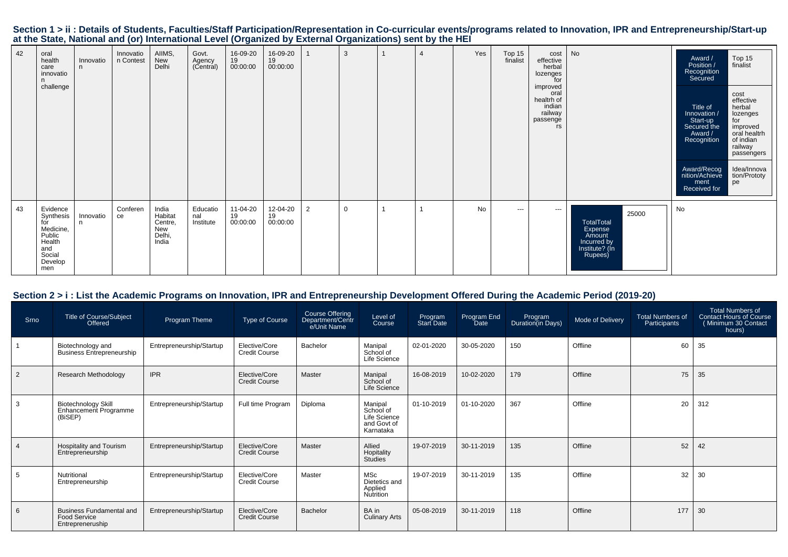|                                                                                                           |  |  |  |  |  |  |  |  |  |  |  |  | Section 1 > ii : Details of Students, Faculties/Staff Participation/Representation in Co-curricular events/programs related to Innovation, IPR and Entrepreneurship/Start-up |  |
|-----------------------------------------------------------------------------------------------------------|--|--|--|--|--|--|--|--|--|--|--|--|------------------------------------------------------------------------------------------------------------------------------------------------------------------------------|--|
| at the State, National and (or) International Level (Organized by External Organizations) sent by the HEI |  |  |  |  |  |  |  |  |  |  |  |  |                                                                                                                                                                              |  |
|                                                                                                           |  |  |  |  |  |  |  |  |  |  |  |  |                                                                                                                                                                              |  |

| 42 | oral<br>health<br>care<br>innovatio<br>n                                                         | Innovatio<br>n. | Innovatio<br>n Contest | AIIMS,<br>New<br>Delhi                                | Govt.<br>Agency<br>(Central) | 16-09-20<br>19<br>00:00:00 | 16-09-20<br>19<br>00:00:00 |                | 3           | $\overline{4}$ | Yes | Top 15<br>finalist | cost<br>effective<br>herbal<br>lozenges<br>for<br>improved<br>oral<br>healtrh of<br>indian<br>railway<br>passenge<br>rs | No                                                                                   | Award /<br>Position /<br>Recognition<br>Secured                                                                                        | Top 15<br>finalist                                                                                                                                    |
|----|--------------------------------------------------------------------------------------------------|-----------------|------------------------|-------------------------------------------------------|------------------------------|----------------------------|----------------------------|----------------|-------------|----------------|-----|--------------------|-------------------------------------------------------------------------------------------------------------------------|--------------------------------------------------------------------------------------|----------------------------------------------------------------------------------------------------------------------------------------|-------------------------------------------------------------------------------------------------------------------------------------------------------|
|    | challenge                                                                                        |                 |                        |                                                       |                              |                            |                            |                |             |                |     |                    |                                                                                                                         |                                                                                      | Title of<br>Innovation /<br>Start-up<br>Secured the<br>Award /<br>Recognition<br>Award/Recog<br>nition/Achieve<br>ment<br>Received for | cost<br>effective<br>herbal<br>lozenges<br>for<br>improved<br>oral healtrh<br>of indian<br>railway<br>passengers<br>Idea/Innova<br>tion/Prototy<br>pe |
| 43 | Evidence<br>Synthesis<br>for<br>Medicine,<br>Public<br>Health<br>and<br>Social<br>Develop<br>men | Innovatio<br>n. | Conferen<br>ce         | India<br>Habitat<br>Centre,<br>New<br>Delhi,<br>India | Educatio<br>nal<br>Institute | 11-04-20<br>19<br>00:00:00 | 12-04-20<br>19<br>00:00:00 | $\overline{2}$ | $\mathbf 0$ |                | No  | $\cdots$           | $\cdots$                                                                                                                | 25000<br>TotalTotal<br>Expense<br>Amount<br>Incurred by<br>Institute? (In<br>Rupees) | No                                                                                                                                     |                                                                                                                                                       |

## **Section 2 > i : List the Academic Programs on Innovation, IPR and Entrepreneurship Development Offered During the Academic Period (2019-20)**

| Srno | <b>Title of Course/Subject</b><br>Offered                                  | Program Theme            | <b>Type of Course</b>                 | Course Offering<br>Department/Centr<br>e/Unit Name | Level of<br>Course                                               | Program<br>Start Date | Program End<br><b>Date</b> | Program<br>Duration(in Days) | Mode of Delivery | <b>Total Numbers of</b><br>Participants | <b>Total Numbers of</b><br><b>Contact Hours of Course</b><br>Minimum 30 Contact<br>hours) |
|------|----------------------------------------------------------------------------|--------------------------|---------------------------------------|----------------------------------------------------|------------------------------------------------------------------|-----------------------|----------------------------|------------------------------|------------------|-----------------------------------------|-------------------------------------------------------------------------------------------|
|      | Biotechnology and<br><b>Business Entrepreneurship</b>                      | Entrepreneurship/Startup | Elective/Core<br><b>Credit Course</b> | Bachelor                                           | Manipal<br>School of<br>Life Science                             | 02-01-2020            | 30-05-2020                 | 150                          | Offline          | 60                                      | 35                                                                                        |
| 2    | Research Methodology                                                       | <b>IPR</b>               | Elective/Core<br><b>Credit Course</b> | Master                                             | Manipal<br>School of<br>Life Science                             | 16-08-2019            | 10-02-2020                 | 179                          | Offline          | 75                                      | 35                                                                                        |
| 3    | <b>Biotechnology Skill</b><br>Enhancement Programme<br>(BiSEP)             | Entrepreneurship/Startup | Full time Program                     | Diploma                                            | Manipal<br>School of<br>Life Science<br>and Govt of<br>Karnataka | 01-10-2019            | 01-10-2020                 | 367                          | Offline          | 20                                      | 312                                                                                       |
|      | Hospitality and Tourism<br>Entrepreneurship                                | Entrepreneurship/Startup | Elective/Core<br><b>Credit Course</b> | Master                                             | Allied<br>Hopitality<br><b>Studies</b>                           | 19-07-2019            | 30-11-2019                 | 135                          | Offline          | 52                                      | 42                                                                                        |
| 5    | Nutritional<br>Entrepreneurship                                            | Entrepreneurship/Startup | Elective/Core<br><b>Credit Course</b> | Master                                             | <b>MSc</b><br>Dietetics and<br>Applied<br>Nutrition              | 19-07-2019            | 30-11-2019                 | 135                          | Offline          | 32                                      | 30                                                                                        |
| 6    | <b>Business Fundamental and</b><br><b>Food Service</b><br>Entrepreneruship | Entrepreneurship/Startup | Elective/Core<br><b>Credit Course</b> | Bachelor                                           | BA in<br><b>Culinary Arts</b>                                    | 05-08-2019            | 30-11-2019                 | 118                          | Offline          | 177                                     | 30                                                                                        |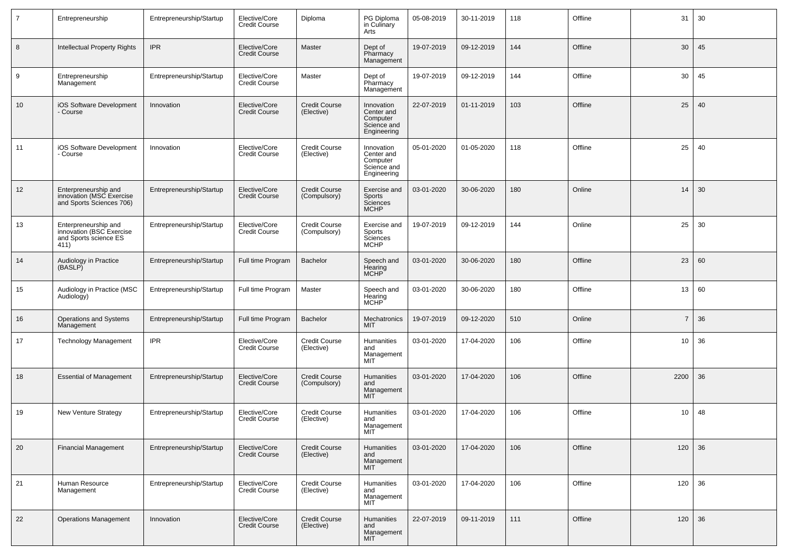| $\overline{7}$ | Entrepreneurship                                                                  | Entrepreneurship/Startup | Elective/Core<br><b>Credit Course</b> | Diploma                              | PG Diploma<br>in Culinary<br>Arts                                  | 05-08-2019 | 30-11-2019 | 118 | Offline | 31             | 30 |
|----------------|-----------------------------------------------------------------------------------|--------------------------|---------------------------------------|--------------------------------------|--------------------------------------------------------------------|------------|------------|-----|---------|----------------|----|
| 8              | Intellectual Property Rights                                                      | <b>IPR</b>               | Elective/Core<br><b>Credit Course</b> | Master                               | Dept of<br>Pharmacy<br>Management                                  | 19-07-2019 | 09-12-2019 | 144 | Offline | 30             | 45 |
| 9              | Entrepreneurship<br>Management                                                    | Entrepreneurship/Startup | Elective/Core<br><b>Credit Course</b> | Master                               | Dept of<br>Pharmacy<br>Management                                  | 19-07-2019 | 09-12-2019 | 144 | Offline | 30             | 45 |
| 10             | iOS Software Development<br>- Course                                              | Innovation               | Elective/Core<br><b>Credit Course</b> | Credit Course<br>(Elective)          | Innovation<br>Center and<br>Computer<br>Science and<br>Engineering | 22-07-2019 | 01-11-2019 | 103 | Offline | 25             | 40 |
| 11             | iOS Software Development<br>- Course                                              | Innovation               | Elective/Core<br><b>Credit Course</b> | Credit Course<br>(Elective)          | Innovation<br>Center and<br>Computer<br>Science and<br>Engineering | 05-01-2020 | 01-05-2020 | 118 | Offline | 25             | 40 |
| 12             | Enterpreneurship and<br>innovation (MSC Exercise<br>and Sports Sciences 706)      | Entrepreneurship/Startup | Elective/Core<br><b>Credit Course</b> | <b>Credit Course</b><br>(Compulsory) | Exercise and<br>Sports<br>Sciences<br><b>MCHP</b>                  | 03-01-2020 | 30-06-2020 | 180 | Online  | 14             | 30 |
| 13             | Enterpreneurship and<br>innovation (BSC Exercise<br>and Sports science ES<br>411) | Entrepreneurship/Startup | Elective/Core<br><b>Credit Course</b> | Credit Course<br>(Compulsory)        | Exercise and<br>Sports<br>Sciences<br><b>MCHP</b>                  | 19-07-2019 | 09-12-2019 | 144 | Online  | 25             | 30 |
| 14             | Audiology in Practice<br>(BASLP)                                                  | Entrepreneurship/Startup | Full time Program                     | <b>Bachelor</b>                      | Speech and<br>Hearing<br>MCHP                                      | 03-01-2020 | 30-06-2020 | 180 | Offline | 23             | 60 |
| 15             | Audiology in Practice (MSC<br>Audiology)                                          | Entrepreneurship/Startup | Full time Program                     | Master                               | Speech and<br>Hearing<br>MCHP                                      | 03-01-2020 | 30-06-2020 | 180 | Offline | 13             | 60 |
| 16             | Operations and Systems<br>Management                                              | Entrepreneurship/Startup | Full time Program                     | <b>Bachelor</b>                      | Mechatronics<br><b>MIT</b>                                         | 19-07-2019 | 09-12-2020 | 510 | Online  | $\overline{7}$ | 36 |
| 17             | <b>Technology Management</b>                                                      | <b>IPR</b>               | Elective/Core<br><b>Credit Course</b> | Credit Course<br>(Elective)          | <b>Humanities</b><br>and<br>Management<br><b>MIT</b>               | 03-01-2020 | 17-04-2020 | 106 | Offline | 10             | 36 |
| 18             | <b>Essential of Management</b>                                                    | Entrepreneurship/Startup | Elective/Core<br><b>Credit Course</b> | Credit Course<br>(Compulsory)        | <b>Humanities</b><br>and<br>Management<br>MIT                      | 03-01-2020 | 17-04-2020 | 106 | Offline | 2200           | 36 |
| 19             | <b>New Venture Strategy</b>                                                       | Entrepreneurship/Startup | Elective/Core<br><b>Credit Course</b> | Credit Course<br>(Elective)          | <b>Humanities</b><br>and<br>Management<br>MIT                      | 03-01-2020 | 17-04-2020 | 106 | Offline | 10             | 48 |
| 20             | <b>Financial Management</b>                                                       | Entrepreneurship/Startup | Elective/Core<br><b>Credit Course</b> | <b>Credit Course</b><br>(Elective)   | Humanities<br>and<br>Management<br><b>MIT</b>                      | 03-01-2020 | 17-04-2020 | 106 | Offline | 120            | 36 |
| 21             | Human Resource<br>Management                                                      | Entrepreneurship/Startup | Elective/Core<br>Credit Course        | Credit Course<br>(Elective)          | Humanities<br>and<br>Management<br><b>MIT</b>                      | 03-01-2020 | 17-04-2020 | 106 | Offline | 120            | 36 |
| 22             | <b>Operations Management</b>                                                      | Innovation               | Elective/Core<br>Credit Course        | <b>Credit Course</b><br>(Elective)   | Humanities<br>and<br>Management<br><b>MIT</b>                      | 22-07-2019 | 09-11-2019 | 111 | Offline | 120            | 36 |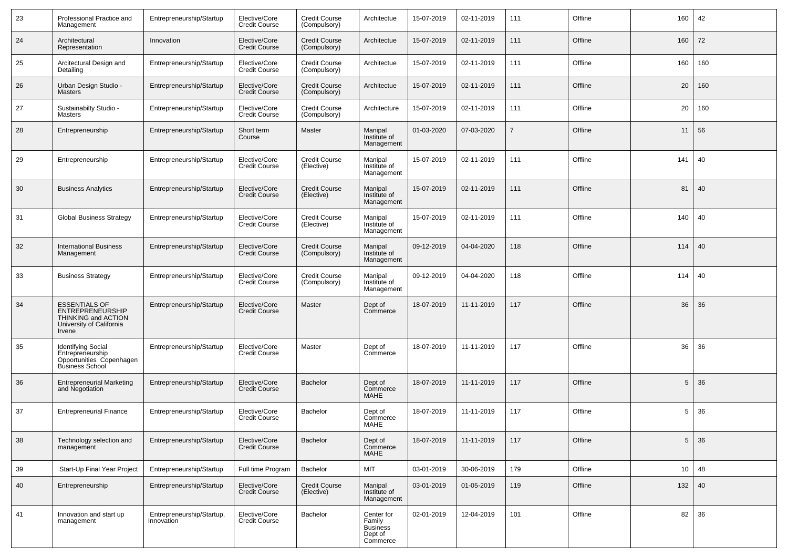| 23 | Professional Practice and<br>Management                                                                      | Entrepreneurship/Startup                | Elective/Core<br><b>Credit Course</b> | <b>Credit Course</b><br>(Compulsory) | Architectue                                                    | 15-07-2019 | 02-11-2019 | 111 | Offline | 160             | 42  |
|----|--------------------------------------------------------------------------------------------------------------|-----------------------------------------|---------------------------------------|--------------------------------------|----------------------------------------------------------------|------------|------------|-----|---------|-----------------|-----|
| 24 | Architectural<br>Representation                                                                              | Innovation                              | Elective/Core<br><b>Credit Course</b> | Credit Course<br>(Compulsory)        | Architectue                                                    | 15-07-2019 | 02-11-2019 | 111 | Offline | 160             | 72  |
| 25 | Arcitectural Design and<br>Detailing                                                                         | Entrepreneurship/Startup                | Elective/Core<br><b>Credit Course</b> | Credit Course<br>(Compulsory)        | Architectue                                                    | 15-07-2019 | 02-11-2019 | 111 | Offline | 160             | 160 |
| 26 | Urban Design Studio -<br><b>Masters</b>                                                                      | Entrepreneurship/Startup                | Elective/Core<br><b>Credit Course</b> | Credit Course<br>(Compulsory)        | Architectue                                                    | 15-07-2019 | 02-11-2019 | 111 | Offline | 20              | 160 |
| 27 | Sustainabilty Studio -<br>Masters                                                                            | Entrepreneurship/Startup                | Elective/Core<br><b>Credit Course</b> | Credit Course<br>(Compulsory)        | Architecture                                                   | 15-07-2019 | 02-11-2019 | 111 | Offline | 20              | 160 |
| 28 | Entrepreneurship                                                                                             | Entrepreneurship/Startup                | Short term<br>Course                  | Master                               | Manipal<br>Institute of<br>Management                          | 01-03-2020 | 07-03-2020 | 7   | Offline | 11              | 56  |
| 29 | Entrepreneurship                                                                                             | Entrepreneurship/Startup                | Elective/Core<br><b>Credit Course</b> | Credit Course<br>(Elective)          | Manipal<br>Institute of<br>Management                          | 15-07-2019 | 02-11-2019 | 111 | Offline | 141             | 40  |
| 30 | <b>Business Analytics</b>                                                                                    | Entrepreneurship/Startup                | Elective/Core<br><b>Credit Course</b> | <b>Credit Course</b><br>(Elective)   | Manipal<br>Institute of<br>Management                          | 15-07-2019 | 02-11-2019 | 111 | Offline | 81              | 40  |
| 31 | <b>Global Business Strategy</b>                                                                              | Entrepreneurship/Startup                | Elective/Core<br><b>Credit Course</b> | Credit Course<br>(Elective)          | Manipal<br>Institute of<br>Management                          | 15-07-2019 | 02-11-2019 | 111 | Offline | 140             | 40  |
| 32 | <b>International Business</b><br>Management                                                                  | Entrepreneurship/Startup                | Elective/Core<br><b>Credit Course</b> | <b>Credit Course</b><br>(Compulsory) | Manipal<br>Institute of<br>Management                          | 09-12-2019 | 04-04-2020 | 118 | Offline | 114             | 40  |
| 33 | <b>Business Strategy</b>                                                                                     | Entrepreneurship/Startup                | Elective/Core<br><b>Credit Course</b> | <b>Credit Course</b><br>(Compulsory) | Manipal<br>Institute of<br>Management                          | 09-12-2019 | 04-04-2020 | 118 | Offline | 114             | 40  |
| 34 | <b>ESSENTIALS OF</b><br><b>ENTREPRENEURSHIP</b><br>THINKING and ACTION<br>University of California<br>Irvene | Entrepreneurship/Startup                | Elective/Core<br><b>Credit Course</b> | Master                               | Dept of<br>Commerce                                            | 18-07-2019 | 11-11-2019 | 117 | Offline | 36              | 36  |
| 35 | <b>Identifying Social</b><br>Entrepreneurship<br>Opportunities Copenhagen<br><b>Business School</b>          | Entrepreneurship/Startup                | Elective/Core<br><b>Credit Course</b> | Master                               | Dept of<br>Commerce                                            | 18-07-2019 | 11-11-2019 | 117 | Offline | 36              | 36  |
| 36 | Entrepreneurial Marketing<br>and Negotiation                                                                 | Entrepreneurship/Startup                | Elective/Core<br><b>Credit Course</b> | <b>Bachelor</b>                      | Dept of<br>Commerce<br><b>MAHE</b>                             | 18-07-2019 | 11-11-2019 | 117 | Offline | 5               | 36  |
| 37 | <b>Entrepreneurial Finance</b>                                                                               | Entrepreneurship/Startup                | Elective/Core<br><b>Credit Course</b> | Bachelor                             | Dept of<br>Commerce<br><b>MAHE</b>                             | 18-07-2019 | 11-11-2019 | 117 | Offline | -5              | 36  |
| 38 | Technology selection and<br>management                                                                       | Entrepreneurship/Startup                | Elective/Core<br><b>Credit Course</b> | <b>Bachelor</b>                      | Dept of<br>Commerce<br><b>MAHE</b>                             | 18-07-2019 | 11-11-2019 | 117 | Offline | $5\phantom{.0}$ | 36  |
| 39 | Start-Up Final Year Project                                                                                  | Entrepreneurship/Startup                | Full time Program                     | Bachelor                             | <b>MIT</b>                                                     | 03-01-2019 | 30-06-2019 | 179 | Offline | 10              | 48  |
| 40 | Entrepreneurship                                                                                             | Entrepreneurship/Startup                | Elective/Core<br><b>Credit Course</b> | <b>Credit Course</b><br>(Elective)   | Manipal<br>Institute of<br>Management                          | 03-01-2019 | 01-05-2019 | 119 | Offline | 132             | 40  |
| 41 | Innovation and start up<br>management                                                                        | Entrepreneurship/Startup,<br>Innovation | Elective/Core<br><b>Credit Course</b> | Bachelor                             | Center for<br>Family<br><b>Business</b><br>Dept of<br>Commerce | 02-01-2019 | 12-04-2019 | 101 | Offline | 82              | 36  |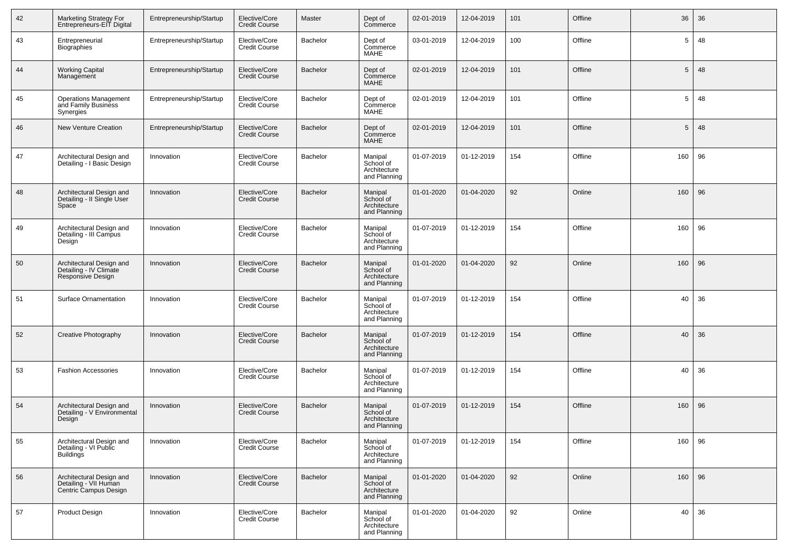| 42 | Marketing Strategy For<br>Entrepreneurs-EIT Digital                        | Entrepreneurship/Startup | Elective/Core<br><b>Credit Course</b> | Master          | Dept of<br>Commerce                                  | 02-01-2019 | 12-04-2019 | 101 | Offline | 36  | 36 |
|----|----------------------------------------------------------------------------|--------------------------|---------------------------------------|-----------------|------------------------------------------------------|------------|------------|-----|---------|-----|----|
| 43 | Entrepreneurial<br><b>Biographies</b>                                      | Entrepreneurship/Startup | Elective/Core<br><b>Credit Course</b> | Bachelor        | Dept of<br>Commerce<br>MAHE                          | 03-01-2019 | 12-04-2019 | 100 | Offline | 5   | 48 |
| 44 | <b>Working Capital</b><br>Management                                       | Entrepreneurship/Startup | Elective/Core<br><b>Credit Course</b> | Bachelor        | Dept of<br>Commerce<br><b>MAHE</b>                   | 02-01-2019 | 12-04-2019 | 101 | Offline | 5   | 48 |
| 45 | <b>Operations Management</b><br>and Family Business<br><b>Synergies</b>    | Entrepreneurship/Startup | Elective/Core<br><b>Credit Course</b> | Bachelor        | Dept of<br>Commerce<br><b>MAHE</b>                   | 02-01-2019 | 12-04-2019 | 101 | Offline | 5   | 48 |
| 46 | <b>New Venture Creation</b>                                                | Entrepreneurship/Startup | Elective/Core<br><b>Credit Course</b> | <b>Bachelor</b> | Dept of<br>Commerce<br>MAHE                          | 02-01-2019 | 12-04-2019 | 101 | Offline | 5   | 48 |
| 47 | Architectural Design and<br>Detailing - I Basic Design                     | Innovation               | Elective/Core<br><b>Credit Course</b> | Bachelor        | Manipal<br>School of<br>Architecture<br>and Planning | 01-07-2019 | 01-12-2019 | 154 | Offline | 160 | 96 |
| 48 | Architectural Design and<br>Detailing - II Single User<br>Space            | Innovation               | Elective/Core<br><b>Credit Course</b> | <b>Bachelor</b> | Manipal<br>School of<br>Architecture<br>and Planning | 01-01-2020 | 01-04-2020 | 92  | Online  | 160 | 96 |
| 49 | Architectural Design and<br>Detailing - III Campus<br>Design               | Innovation               | Elective/Core<br><b>Credit Course</b> | Bachelor        | Manipal<br>School of<br>Architecture<br>and Planning | 01-07-2019 | 01-12-2019 | 154 | Offline | 160 | 96 |
| 50 | Architectural Design and<br>Detailing - IV Climate<br>Responsive Design    | Innovation               | Elective/Core<br><b>Credit Course</b> | Bachelor        | Manipal<br>School of<br>Architecture<br>and Planning | 01-01-2020 | 01-04-2020 | 92  | Online  | 160 | 96 |
| 51 | Surface Ornamentation                                                      | Innovation               | Elective/Core<br><b>Credit Course</b> | Bachelor        | Manipal<br>School of<br>Architecture<br>and Planning | 01-07-2019 | 01-12-2019 | 154 | Offline | 40  | 36 |
| 52 | Creative Photography                                                       | Innovation               | Elective/Core<br><b>Credit Course</b> | <b>Bachelor</b> | Manipal<br>School of<br>Architecture<br>and Planning | 01-07-2019 | 01-12-2019 | 154 | Offline | 40  | 36 |
| 53 | <b>Fashion Accessories</b>                                                 | Innovation               | Elective/Core<br><b>Credit Course</b> | Bachelor        | Manipal<br>School of<br>Architecture<br>and Planning | 01-07-2019 | 01-12-2019 | 154 | Offline | 40  | 36 |
| 54 | Architectural Design and<br>Detailing - V Environmental<br>Design          | Innovation               | Elective/Core<br><b>Credit Course</b> | <b>Bachelor</b> | Manipal<br>School of<br>Architecture<br>and Planning | 01-07-2019 | 01-12-2019 | 154 | Offline | 160 | 96 |
| 55 | Architectural Design and<br>Detailing - VI Public<br><b>Buildings</b>      | Innovation               | Elective/Core<br><b>Credit Course</b> | <b>Bachelor</b> | Manipal<br>School of<br>Architecture<br>and Planning | 01-07-2019 | 01-12-2019 | 154 | Offline | 160 | 96 |
| 56 | Architectural Design and<br>Detailing - VII Human<br>Centric Campus Design | Innovation               | Elective/Core<br><b>Credit Course</b> | Bachelor        | Manipal<br>School of<br>Architecture<br>and Planning | 01-01-2020 | 01-04-2020 | 92  | Online  | 160 | 96 |
| 57 | <b>Product Design</b>                                                      | Innovation               | Elective/Core<br><b>Credit Course</b> | Bachelor        | Manipal<br>School of<br>Architecture<br>and Planning | 01-01-2020 | 01-04-2020 | 92  | Online  | 40  | 36 |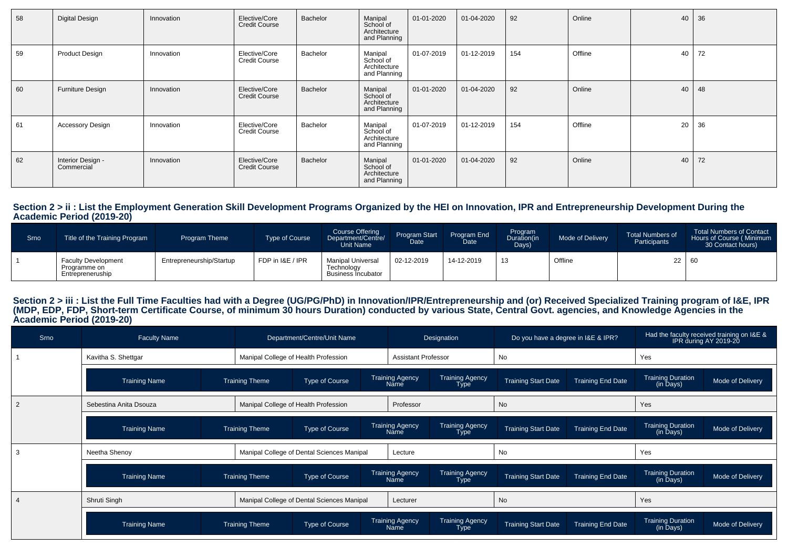| 58 | Digital Design                  | Innovation | Elective/Core<br><b>Credit Course</b> | Bachelor | Manipal<br>School of<br>Architecture<br>and Planning | 01-01-2020   | 01-04-2020 | 92  | Online  | 40 | 36 |
|----|---------------------------------|------------|---------------------------------------|----------|------------------------------------------------------|--------------|------------|-----|---------|----|----|
| 59 | <b>Product Design</b>           | Innovation | Elective/Core<br><b>Credit Course</b> | Bachelor | Manipal<br>School of<br>Architecture<br>and Planning | 01-07-2019   | 01-12-2019 | 154 | Offline | 40 | 72 |
| 60 | Furniture Design                | Innovation | Elective/Core<br><b>Credit Course</b> | Bachelor | Manipal<br>School of<br>Architecture<br>and Planning | 01-01-2020   | 01-04-2020 | 92  | Online  | 40 | 48 |
| 61 | <b>Accessory Design</b>         | Innovation | Elective/Core<br><b>Credit Course</b> | Bachelor | Manipal<br>School of<br>Architecture<br>and Planning | $01-07-2019$ | 01-12-2019 | 154 | Offline | 20 | 36 |
| 62 | Interior Design -<br>Commercial | Innovation | Elective/Core<br><b>Credit Course</b> | Bachelor | Manipal<br>School of<br>Architecture<br>and Planning | 01-01-2020   | 01-04-2020 | 92  | Online  | 40 | 72 |

# **Section 2 > ii : List the Employment Generation Skill Development Programs Organized by the HEI on Innovation, IPR and Entrepreneurship Development During the Academic Period (2019-20)**

| Srno | Title of the Training Program                                  | <b>Program Theme</b>     | Type of Course   | Course Offering<br>Department/Centre/<br>Unit Name                 | Program Start<br>Date | Program End<br><b>Date</b> | Program<br>Duration(in<br>Days) | Mode of Delivery | <b>Total Numbers of</b><br>Participants | <b>Total Numbers of Contact</b><br>Hours of Course (Minimum<br>30 Contact hours) |
|------|----------------------------------------------------------------|--------------------------|------------------|--------------------------------------------------------------------|-----------------------|----------------------------|---------------------------------|------------------|-----------------------------------------|----------------------------------------------------------------------------------|
|      | <b>Faculty Development</b><br>Programme on<br>Entrepreneruship | Entrepreneurship/Startup | FDP in I&E / IPR | <b>Manipal Universa</b><br>Technoloav<br><b>Business Incubator</b> | 02-12-2019            | 14-12-2019                 | 13                              | Offline          |                                         | - 60                                                                             |

# Section 2 > iii : List the Full Time Faculties had with a Degree (UG/PG/PhD) in Innovation/IPR/Entrepreneurship and (or) Received Specialized Training program of I&E, IPR<br>(MDP, EDP, FDP, Short-term Certificate Course, of m

| Srno | <b>Faculty Name</b>    |                                            | Department/Centre/Unit Name                |                                                                         |                                       | Designation                    | Do you have a degree in I&E & IPR?                     |                          | Had the faculty received training on I&E &<br>IPR during AY 2019-20 |                  |
|------|------------------------|--------------------------------------------|--------------------------------------------|-------------------------------------------------------------------------|---------------------------------------|--------------------------------|--------------------------------------------------------|--------------------------|---------------------------------------------------------------------|------------------|
|      | Kavitha S. Shettgar    |                                            | Manipal College of Health Profession       |                                                                         | <b>Assistant Professor</b>            |                                | No                                                     |                          | Yes                                                                 |                  |
|      | <b>Training Name</b>   | <b>Training Theme</b>                      | Type of Course                             |                                                                         | <b>Training Agency</b><br><b>Name</b> | <b>Training Agency</b><br>Type | <b>Training Start Date</b>                             | <b>Training End Date</b> | <b>Training Duration</b><br>(in Days)                               | Mode of Delivery |
|      | Sebestina Anita Dsouza |                                            | Manipal College of Health Profession       |                                                                         | Professor                             |                                | No                                                     |                          | Yes                                                                 |                  |
|      | <b>Training Name</b>   | <b>Training Theme</b>                      | Type of Course                             |                                                                         | <b>Training Agency</b><br><b>Name</b> | <b>Training Agency</b><br>Type | <b>Training Start Date</b>                             | <b>Training End Date</b> | <b>Training Duration</b><br>(in Days)                               | Mode of Delivery |
|      | Neetha Shenoy          | Manipal College of Dental Sciences Manipal |                                            |                                                                         | Lecture                               |                                | No                                                     |                          | Yes                                                                 |                  |
|      | <b>Training Name</b>   | <b>Training Theme</b><br>Type of Course    |                                            | <b>Training Agency</b><br><b>Training Agency</b><br><b>Name</b><br>Type |                                       |                                | <b>Training Start Date</b><br><b>Training End Date</b> |                          | <b>Training Duration</b><br>(in Days)                               | Mode of Delivery |
|      | Shruti Singh           |                                            | Manipal College of Dental Sciences Manipal |                                                                         | Lecturer                              |                                | No                                                     |                          | Yes                                                                 |                  |
|      | <b>Training Name</b>   | <b>Training Theme</b>                      | Type of Course                             |                                                                         | <b>Training Agency</b><br>Name        | <b>Training Agency</b><br>Type | <b>Training Start Date</b>                             | <b>Training End Date</b> | <b>Training Duration</b><br>(in Days)                               | Mode of Delivery |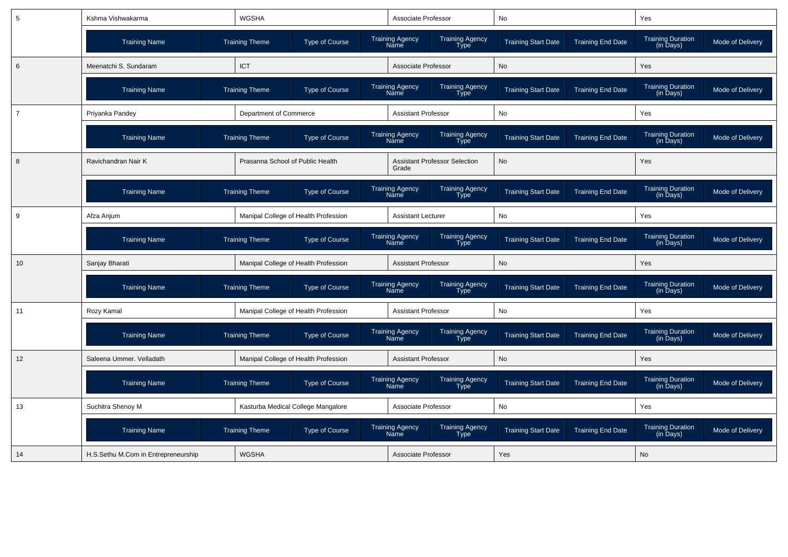| 5              | Kshma Vishwakarma                   | <b>WGSHA</b>                         |                       | Associate Professor                                                     | No                         |                          | Yes                                               |                  |
|----------------|-------------------------------------|--------------------------------------|-----------------------|-------------------------------------------------------------------------|----------------------------|--------------------------|---------------------------------------------------|------------------|
|                | <b>Training Name</b>                | <b>Training Theme</b>                | <b>Type of Course</b> | Training Agency<br>Type<br><b>Training Agency</b><br><b>Name</b>        | <b>Training Start Date</b> | <b>Training End Date</b> | <b>Training Duration</b><br>(in Days)             | Mode of Delivery |
| 6              | Meenatchi S. Sundaram               | <b>ICT</b>                           |                       | Associate Professor                                                     | <b>No</b>                  |                          | Yes                                               |                  |
|                | <b>Training Name</b>                | <b>Training Theme</b>                | <b>Type of Course</b> | Training Agency<br>Type<br><b>Training Agency</b><br><b>Name</b>        | <b>Training Start Date</b> | <b>Training End Date</b> | <b>Training Duration</b><br>(in Days)             | Mode of Delivery |
| $\overline{7}$ | Priyanka Pandey                     | Department of Commerce               |                       | <b>Assistant Professor</b>                                              | No                         |                          | Yes                                               |                  |
|                | <b>Training Name</b>                | <b>Training Theme</b>                | <b>Type of Course</b> | <b>Training Agency</b><br>Training Agency<br>Type<br>Name               | <b>Training Start Date</b> | <b>Training End Date</b> | Training Duration<br>(in Days)                    | Mode of Delivery |
| 8              | Ravichandran Nair K                 | Prasanna School of Public Health     |                       | <b>Assistant Professor Selection</b><br>Grade                           | <b>No</b>                  |                          | Yes                                               |                  |
|                | <b>Training Name</b>                | <b>Training Theme</b>                | Type of Course        | <b>Training Agency</b><br>Training Agency<br>Name<br><b>Type</b>        | <b>Training Start Date</b> | <b>Training End Date</b> | <b>Training Duration</b><br>(in Days)             | Mode of Delivery |
| 9              | Afza Anjum                          | Manipal College of Health Profession |                       | <b>Assistant Lecturer</b>                                               | No                         |                          | Yes                                               |                  |
|                | <b>Training Name</b>                | <b>Training Theme</b>                | Type of Course        | <b>Training Agency</b><br>Training Agency<br>Type<br>Name               | <b>Training Start Date</b> | <b>Training End Date</b> | <b>Training Duration</b><br>(in Days)             | Mode of Delivery |
| 10             | Sanjay Bharati                      | Manipal College of Health Profession |                       | <b>Assistant Professor</b>                                              | <b>No</b>                  |                          | Yes                                               |                  |
|                | <b>Training Name</b>                | <b>Training Theme</b>                | Type of Course        | Training Agency<br><b>Training Agency</b><br>Name<br><b>Type</b>        | <b>Training Start Date</b> | <b>Training End Date</b> | <b>Training Duration</b><br>$(in \bar{D}$ ays $)$ | Mode of Delivery |
| 11             | Rozy Kamal                          | Manipal College of Health Profession |                       | <b>Assistant Professor</b>                                              | No                         |                          | Yes                                               |                  |
|                | <b>Training Name</b>                | <b>Training Theme</b>                | <b>Type of Course</b> | <b>Training Agency</b><br><b>Training Agency</b><br><b>Type</b><br>Name | <b>Training Start Date</b> | <b>Training End Date</b> | <b>Training Duration</b><br>(in Days)             | Mode of Delivery |
| 12             | Saleena Ummer. Velladath            | Manipal College of Health Profession |                       | <b>Assistant Professor</b>                                              | No                         |                          | Yes                                               |                  |
|                | <b>Training Name</b>                | <b>Training Theme</b>                | <b>Type of Course</b> | Training Agency<br><b>Training Agency</b><br>Name<br><b>Type</b>        | <b>Training Start Date</b> | <b>Training End Date</b> | Training Duration<br>(in Days)                    | Mode of Delivery |
| 13             | Suchitra Shenoy M                   | Kasturba Medical College Mangalore   |                       | Associate Professor                                                     | No                         |                          | Yes                                               |                  |
|                | <b>Training Name</b>                | <b>Training Theme</b>                | <b>Type of Course</b> | Training Agency<br>Name<br>Training Agency<br>Type                      | <b>Training Start Date</b> | <b>Training End Date</b> | Training Duration<br>(in Days)                    | Mode of Delivery |
| 14             | H.S.Sethu M.Com in Entrepreneurship | <b>WGSHA</b>                         |                       | Associate Professor                                                     | Yes                        |                          | No                                                |                  |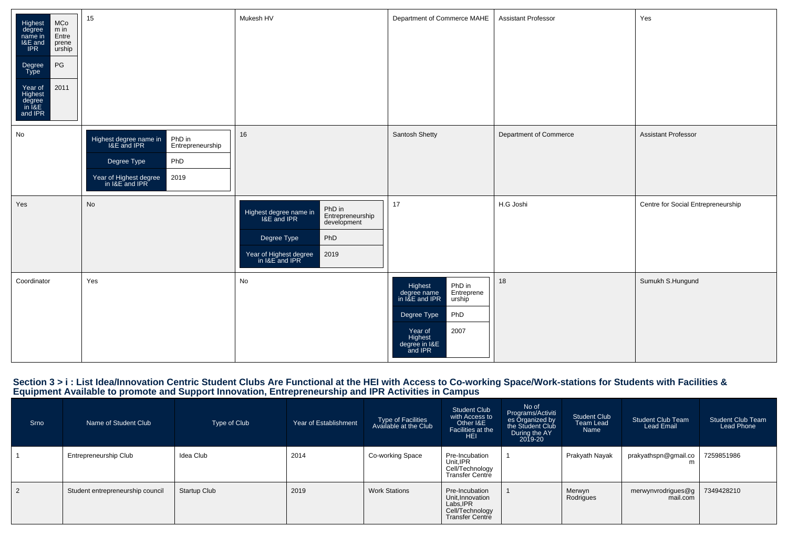| Highest<br>degree<br>name in<br>I&E and<br>IPR<br>MCo<br>m in<br>Entre<br>prene<br>urship<br>$\mathsf{PG}$<br>Degree<br>Type<br>2011<br>Year of<br>Highest<br>degree<br>in I&E<br>and IPR | 15                                                                                                                                            | Mukesh HV                                                                                                                                                    | Department of Commerce MAHE                                                                                                                                | <b>Assistant Professor</b> | Yes                                |
|-------------------------------------------------------------------------------------------------------------------------------------------------------------------------------------------|-----------------------------------------------------------------------------------------------------------------------------------------------|--------------------------------------------------------------------------------------------------------------------------------------------------------------|------------------------------------------------------------------------------------------------------------------------------------------------------------|----------------------------|------------------------------------|
| No                                                                                                                                                                                        | PhD in<br>Highest degree name in<br>I&E and IPR<br>Entrepreneurship<br>PhD<br>Degree Type<br>Year of Highest degree<br>in I&E and IPR<br>2019 | 16                                                                                                                                                           | Santosh Shetty                                                                                                                                             | Department of Commerce     | <b>Assistant Professor</b>         |
| Yes                                                                                                                                                                                       | No                                                                                                                                            | PhD in<br>Entrepreneurship<br>Highest degree name in<br>I&E and IPR<br>development<br>Degree Type<br>PhD<br>Year of Highest degree<br>in I&E and IPR<br>2019 | 17                                                                                                                                                         | H.G Joshi                  | Centre for Social Entrepreneurship |
| Coordinator                                                                                                                                                                               | Yes                                                                                                                                           | No                                                                                                                                                           | PhD in<br>Entreprene<br>Highest<br>degree name<br>in I&E and IPR<br>urship<br>PhD<br>Degree Type<br>2007<br>Year of<br>Highest<br>degree in I&E<br>and IPR | 18                         | Sumukh S.Hungund                   |

## Section 3 > i : List Idea/Innovation Centric Student Clubs Are Functional at the HEI with Access to Co-working Space/Work-stations for Students with Facilities &<br>Equipment Available to promote and Support Innovation, Entre

| Srno | Name of Student Club             | Type of Club        | Year of Establishment | Type of Facilities<br>Available at the Club | <b>Student Club</b><br>with Access to<br>Other I&E<br>Facilities at the<br><b>HEI</b>       | No of<br>Programs/Activiti<br>es Organized by<br>the Student Club<br>During the AY<br>$2019 - 20$ | Student Club<br>Team Lead<br>Name | <b>Student Club Team</b><br><b>Lead Email</b> | <b>Student Club Team</b><br>Lead Phone |
|------|----------------------------------|---------------------|-----------------------|---------------------------------------------|---------------------------------------------------------------------------------------------|---------------------------------------------------------------------------------------------------|-----------------------------------|-----------------------------------------------|----------------------------------------|
|      | Entrepreneurship Club            | Idea Club           | 2014                  | Co-working Space                            | Pre-Incubation<br>Unit, IPR<br>Cell/Technology<br><b>Transfer Centre</b>                    |                                                                                                   | Prakyath Nayak                    | prakyathspn@gmail.co<br>m                     | 7259851986                             |
| 2    | Student entrepreneurship council | <b>Startup Club</b> | 2019                  | <b>Work Stations</b>                        | Pre-Incubation<br>Unit.Innovation<br>Labs, IPR<br>Cell/Technology<br><b>Transfer Centre</b> |                                                                                                   | Merwyn<br>Rodrigues               | merwynvrodrigues@g<br>mail.com                | 7349428210                             |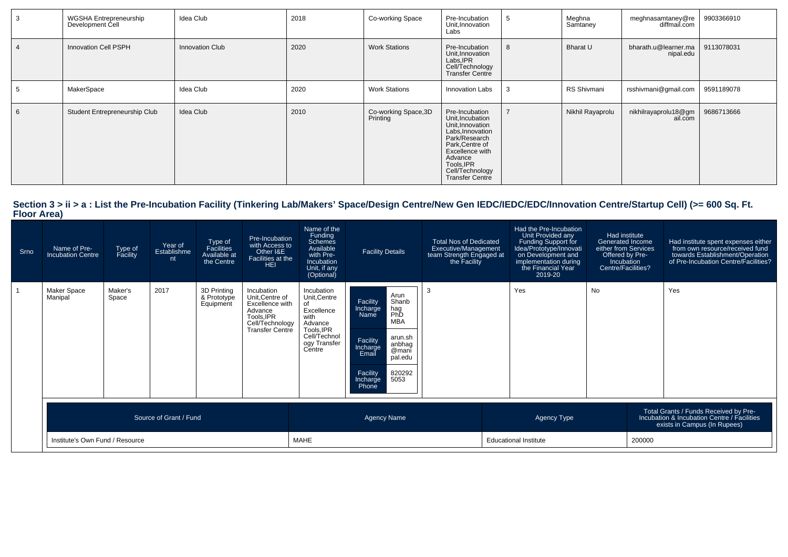| -3 | WGSHA Entrepreneurship<br>Development Cell | Idea Club       | 2018 | Co-working Space                 | Pre-Incubation<br>Unit, Innovation<br>Labs                                                                                                                                                              | - 0 | Meghna<br>Samtaney | meghnasamtaney@re<br>diffmail.com | 9903366910 |
|----|--------------------------------------------|-----------------|------|----------------------------------|---------------------------------------------------------------------------------------------------------------------------------------------------------------------------------------------------------|-----|--------------------|-----------------------------------|------------|
|    | Innovation Cell PSPH                       | Innovation Club | 2020 | <b>Work Stations</b>             | Pre-Incubation<br>Unit, Innovation<br>Labs, IPR<br>Cell/Technology<br><b>Transfer Centre</b>                                                                                                            | 8   | Bharat U           | bharath.u@learner.ma<br>nipal.edu | 9113078031 |
|    | MakerSpace                                 | Idea Club       | 2020 | <b>Work Stations</b>             | Innovation Labs                                                                                                                                                                                         | -3  | RS Shivmani        | rsshivmani@gmail.com              | 9591189078 |
| 6  | Student Entrepreneurship Club              | Idea Club       | 2010 | Co-working Space, 3D<br>Printing | Pre-Incubation<br>Unit, Incubation<br>Unit, Innovation<br>Labs, Innovation<br>Park/Research<br>Park, Centre of<br>Excellence with<br>Advance<br>Tools, IPR<br>Cell/Technology<br><b>Transfer Centre</b> |     | Nikhil Rayaprolu   | nikhilrayaprolu18@gm<br>ail.com   | 9686713666 |

## **Section 3 > ii > a : List the Pre-Incubation Facility (Tinkering Lab/Makers' Space/Design Centre/New Gen IEDC/IEDC/EDC/Innovation Centre/Startup Cell) (>= 600 Sq. Ft. Floor Area)**

| Srno | Name of Pre-<br><b>Incubation Centre</b> | Type of<br>Facility | Year of<br>Establishme<br>nt | Type of<br>Facilities<br>Available at<br>the Centre | Pre-Incubation<br>with Access to<br>Other I&E<br>Facilities at the<br><b>HEI</b>                                      | Name of the<br>Funding<br><b>Schemes</b><br>Available<br>with Pre-<br>Incubation<br>Unit, if any<br>(Optional)            | <b>Facility Details</b>                                                                                                                                                                                | <b>Total Nos of Dedicated</b><br>Executive/Management<br>team Strength Engaged at<br>the Facility | Had the Pre-Incubation<br>Unit Provided any<br>Funding Support for<br>Idea/Prototype/Innovati<br>  on Development and<br>implementation during<br>the Financial Year<br>2019-20 | Had institute<br><b>Generated Income</b><br>either from Services<br>Offered by Pre-<br>Incubation<br>Centre/Facilities? |  | Had institute spent expenses either<br>from own resource/received fund<br>towards Establishment/Operation<br>of Pre-Incubation Centre/Facilities? |
|------|------------------------------------------|---------------------|------------------------------|-----------------------------------------------------|-----------------------------------------------------------------------------------------------------------------------|---------------------------------------------------------------------------------------------------------------------------|--------------------------------------------------------------------------------------------------------------------------------------------------------------------------------------------------------|---------------------------------------------------------------------------------------------------|---------------------------------------------------------------------------------------------------------------------------------------------------------------------------------|-------------------------------------------------------------------------------------------------------------------------|--|---------------------------------------------------------------------------------------------------------------------------------------------------|
|      | Maker Space<br>Manipal                   | Maker's<br>Space    | 2017                         | 3D Printing<br>& Prototype<br>Equipment             | Incubation<br>Unit, Centre of<br>Excellence with<br>Advance<br>Tools.IPR<br>Cell/Technology<br><b>Transfer Centre</b> | Incubation<br>Unit, Centre<br>of<br>Excellence<br>with<br>Advance<br>Tools, IPR<br>Cell/Technol<br>ogy Transfer<br>Centre | Arun<br>Shanb<br>Facility<br>Incharge<br>hag<br>PhD<br>Name<br><b>MBA</b><br>arun.sh<br>Facility<br>anbhag<br>Incharge<br>@mani<br>Email<br>pal.edu<br>Facility<br>820292<br>5053<br>Incharge<br>Phone | 3                                                                                                 | Yes                                                                                                                                                                             | <b>No</b>                                                                                                               |  | Yes                                                                                                                                               |
|      |                                          |                     | Source of Grant / Fund       |                                                     |                                                                                                                       |                                                                                                                           | <b>Agency Name</b>                                                                                                                                                                                     |                                                                                                   | Agency Type                                                                                                                                                                     |                                                                                                                         |  | Total Grants / Funds Received by Pre-<br>Incubation & Incubation Centre / Facilities<br>exists in Campus (In Rupees)                              |
|      | Institute's Own Fund / Resource          |                     |                              |                                                     | MAHE                                                                                                                  |                                                                                                                           |                                                                                                                                                                                                        | <b>Educational Institute</b>                                                                      |                                                                                                                                                                                 | 200000                                                                                                                  |  |                                                                                                                                                   |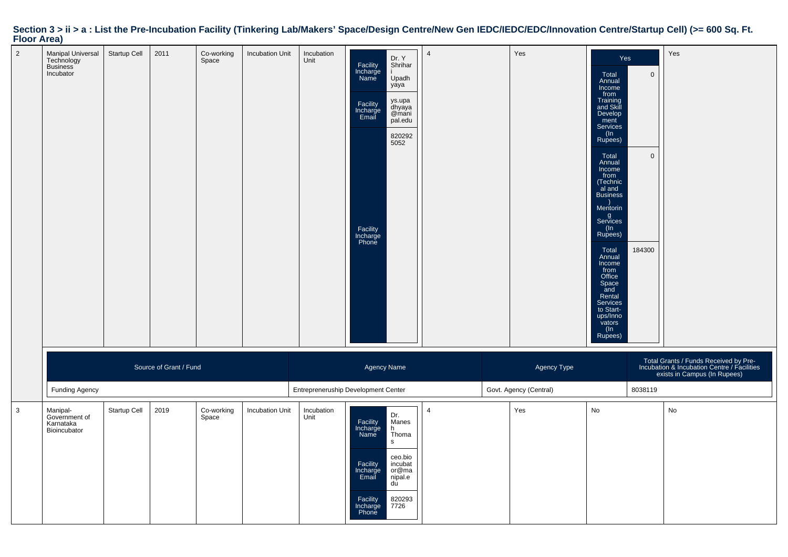#### 2 Manipal Universal Technology Business IncubatorStartup Cell 2011 Co-working Space Incubation Unit IncubationUnit**Facility**<br>Incharge NameDr. Y Shrihar Upadh yayaFacility Incharge Email ys.upa dhyaya @mani pal.eduFacility Incharge Phone82029250524a version of the contract of the contract of the contract of the contract of the contract of the contract of t<br>The contract of the contract of the contract of the contract of the contract of the contract of the contract o Total Annual Income from Training and Skill Develop ment Services $(\ln$  Rupees) $\Omega$ Total Annual Income from (Technic al and Business) Mentorin g Services(In Rupees)0Total Annual Income from Office Space and Rental Services to Startups/Inno vators (In Rupees)184300YesSource of Grant / Fundd and the control of the control of the Agency Name Agency Type and the control of the Agency Type  $\mathsf{A}$ gency Type  $\mathsf{A}$ gency Type and the control of the control of the control of the control of the control of the co Total Grants / Funds Received by Pre-Incubation & Incubation Centre / Facilitiesexists in Campus (In Rupees)Funding AgencyEntrepreneruship Development Center Govt. Agency (Central) 6038119 3 Manipal-Government ofKarnataka BioincubatorStartup Cell 2019 Co-working SpaceIncubation Unit IncubationUnit Facility Incharge NameDr. Manesh ThomasFacility Incharge Emailceo.bio incubat or@ma nipal.eduFacility Incharge Phone82029377264Yes No No

#### Section  $3 > i$  i > a : List the Pre-Incubation Facility (Tinkering Lab/Makers' Space/Design Centre/New Gen IEDC/IEDC/EDC/Innovation Centre/Startup Cell) (>= 600 Sq. Ft. **Floor Area)**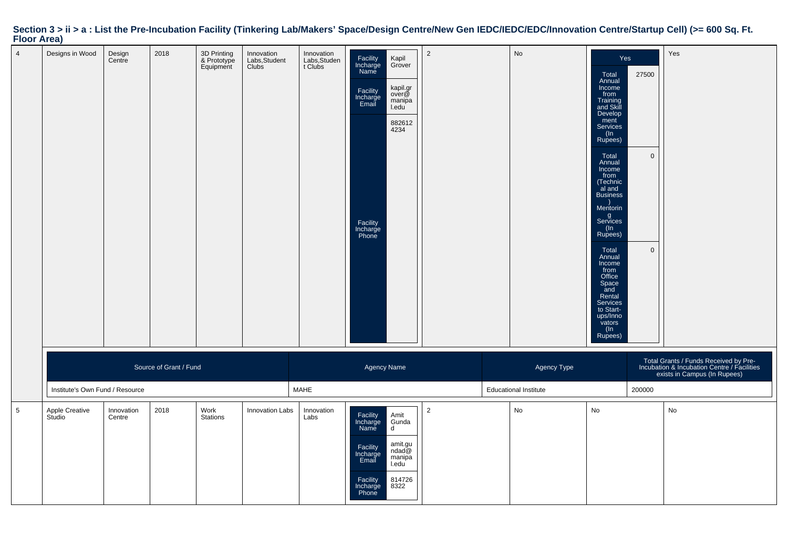|                | <b>Floor Area)</b>              |                      |                        |                                         |                                      |                                       |                                                                                                |                                                                             |                |                              |                                                                                                                                                                                                                                                                                                                                                                                                |                                      | Section 3 > ii > a : List the Pre-Incubation Facility (Tinkering Lab/Makers' Space/Design Centre/New Gen IEDC/IEDC/EDC/Innovation Centre/Startup Cell) (>= 600 Sq. Ft. |
|----------------|---------------------------------|----------------------|------------------------|-----------------------------------------|--------------------------------------|---------------------------------------|------------------------------------------------------------------------------------------------|-----------------------------------------------------------------------------|----------------|------------------------------|------------------------------------------------------------------------------------------------------------------------------------------------------------------------------------------------------------------------------------------------------------------------------------------------------------------------------------------------------------------------------------------------|--------------------------------------|------------------------------------------------------------------------------------------------------------------------------------------------------------------------|
| $\overline{4}$ | Designs in Wood                 | Design<br>Centre     | 2018                   | 3D Printing<br>& Prototype<br>Equipment | Innovation<br>Labs, Student<br>Clubs | Innovation<br>Labs, Studen<br>t Clubs | Facility<br>Incharge<br>Name<br>Facility<br>Incharge<br>Email<br>Facility<br>Incharge<br>Phone | Kapil<br>Grover<br>kapil.gr<br>over@<br>manipa<br>I.edu<br>882612<br>4234   | $\overline{2}$ | No                           | Yes<br>Total<br>Annual<br>Income<br>from<br>Training<br>and Skill<br>Develop<br>ment<br>Services<br>(In<br>Rupees)<br>Total<br>Annual<br>Income<br>from<br>Technic<br>al and<br><b>Business</b><br>Mentorin<br>g<br>Services<br>$(\ln$<br>Rupees)<br>Total<br>Annual<br>Income<br>from<br>Office<br>Space<br>and<br>Rental<br>Services<br>to Start-<br>ups/Inno<br>vators<br>$(\ln$<br>Rupees) | 27500<br>$\mathbf{0}$<br>$\mathbf 0$ | Yes                                                                                                                                                                    |
|                |                                 |                      | Source of Grant / Fund |                                         |                                      |                                       | Agency Name                                                                                    |                                                                             |                | Agency Type                  |                                                                                                                                                                                                                                                                                                                                                                                                |                                      | Total Grants / Funds Received by Pre-<br>Incubation & Incubation Centre / Facilities<br>exists in Campus (In Rupees)                                                   |
|                | Institute's Own Fund / Resource |                      |                        |                                         |                                      | MAHE                                  |                                                                                                |                                                                             |                | <b>Educational Institute</b> |                                                                                                                                                                                                                                                                                                                                                                                                | 200000                               |                                                                                                                                                                        |
| ${\bf 5}$      | Apple Creative<br>Studio        | Innovation<br>Centre | 2018                   | Work<br>Stations                        | Innovation Labs                      | Innovation<br>Labs                    | Facility<br>Incharge<br>Name<br>Facility<br>Incharge<br>Email<br>Facility<br>Incharge<br>Phone | Amit<br>Gunda<br>d<br>amit.gu<br>ndad@<br>manipa<br>I.edu<br>814726<br>8322 | $\overline{2}$ | $\mathsf{No}$                | No                                                                                                                                                                                                                                                                                                                                                                                             |                                      | No                                                                                                                                                                     |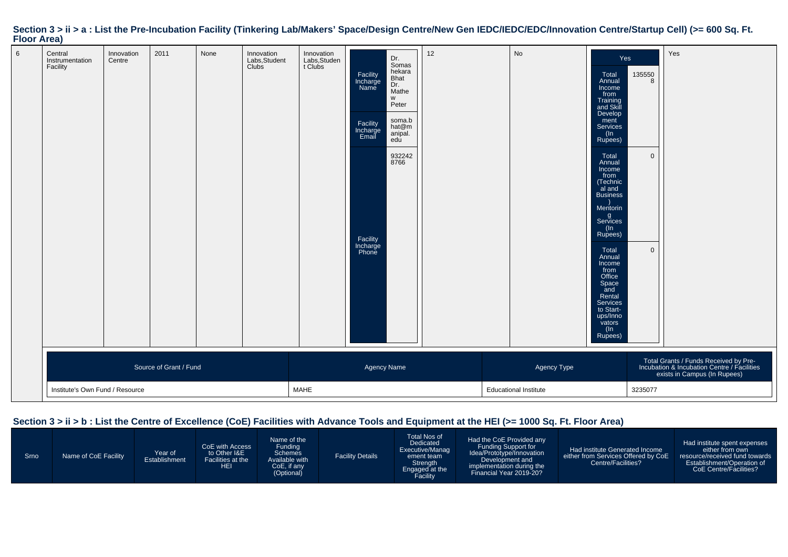| 1.1             |                                        |                                 |                        |      |                                                   |                                      |                                                                                                |                                                                                                                     |    |                              |                                                                                                                                                                                                                                                                                                                                                                                              |                                                 |                                                                                                                      |
|-----------------|----------------------------------------|---------------------------------|------------------------|------|---------------------------------------------------|--------------------------------------|------------------------------------------------------------------------------------------------|---------------------------------------------------------------------------------------------------------------------|----|------------------------------|----------------------------------------------------------------------------------------------------------------------------------------------------------------------------------------------------------------------------------------------------------------------------------------------------------------------------------------------------------------------------------------------|-------------------------------------------------|----------------------------------------------------------------------------------------------------------------------|
| $6\phantom{.}6$ | Central<br>Instrumentation<br>Facility | Innovation<br>Centre            | 2011                   | None | Innovation<br>Labs, Student<br>Clubs <sup>1</sup> | Innovation<br>Labs,Studen<br>t Clubs | Facility<br>Incharge<br>Name<br>Facility<br>Incharge<br>Email<br>Facility<br>Incharge<br>Phone | Dr.<br>Somas<br>bekara<br>Bhat<br>Dr.<br>Mathe<br>W<br>Peter<br>soma.b<br>hat@m<br>anipal.<br>edu<br>932242<br>8766 | 12 | No                           | Yes<br>Total<br>Annual<br>Income<br>from<br>Training<br>and Skill<br>Develop<br>ment<br>Services<br>(In<br>Rupees)<br>Total<br>Annual<br>Income<br>from<br>(Technic<br>al and<br><b>Business</b><br>Mentorin<br>g<br>Services<br>(In<br>Rupees)<br>Total<br>Annual<br>Income<br>from<br>Office<br>Space<br>and<br>Rental<br>Services<br>to Start-<br>ups/Inno<br>vators<br>$(\ln$<br>Rupees) | 135550<br>8<br>$\overline{0}$<br>$\overline{0}$ | Yes                                                                                                                  |
|                 |                                        |                                 | Source of Grant / Fund |      |                                                   |                                      | Agency Name                                                                                    |                                                                                                                     |    | Agency Type                  |                                                                                                                                                                                                                                                                                                                                                                                              |                                                 | Total Grants / Funds Received by Pre-<br>Incubation & Incubation Centre / Facilities<br>exists in Campus (In Rupees) |
|                 |                                        | Institute's Own Fund / Resource |                        |      |                                                   | MAHE                                 |                                                                                                |                                                                                                                     |    | <b>Educational Institute</b> |                                                                                                                                                                                                                                                                                                                                                                                              | 3235077                                         |                                                                                                                      |

## **Section 3 > ii > a : List the Pre-Incubation Facility (Tinkering Lab/Makers' Space/Design Centre/New Gen IEDC/IEDC/EDC/Innovation Centre/Startup Cell) (>= 600 Sq. Ft. Floor Area)**

| Srno | Name of CoE Facility | Year of<br>Establishment | CoE with Access<br>to Other I&E<br>Facilities at the<br>ΗEΙ | Name of the<br><b>Funding</b><br><b>Schemes</b><br>Available with<br>CoE, if any<br>(Optional) | <b>Facility Details</b> | Total Nos of<br>Dedicated<br>Executive/Manag<br>ement team<br>Strength<br>Engaged at the<br>Facility | Had the CoE Provided any<br>Funding Support for<br>Idea/Prototype/Innovation<br>Development and<br>implementation during the<br>Financial Year 2019-20? | Had institute Generated Income<br>either from Services Offered by CoE<br>Centre/Facilities? | Had institute spent expenses<br>either from own<br>resource/received fund towards<br>Establishment/Operation of<br>CoE Centre/Facilities? |
|------|----------------------|--------------------------|-------------------------------------------------------------|------------------------------------------------------------------------------------------------|-------------------------|------------------------------------------------------------------------------------------------------|---------------------------------------------------------------------------------------------------------------------------------------------------------|---------------------------------------------------------------------------------------------|-------------------------------------------------------------------------------------------------------------------------------------------|
|------|----------------------|--------------------------|-------------------------------------------------------------|------------------------------------------------------------------------------------------------|-------------------------|------------------------------------------------------------------------------------------------------|---------------------------------------------------------------------------------------------------------------------------------------------------------|---------------------------------------------------------------------------------------------|-------------------------------------------------------------------------------------------------------------------------------------------|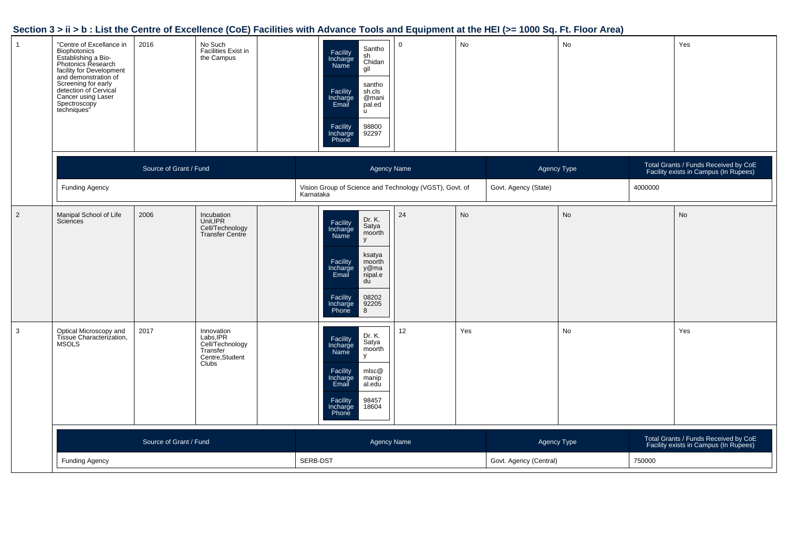| $\overline{1}$ | "Centre of Excellance in<br>Biophotonics<br>Establishing a Bio-<br>Photonics Research<br>facility for Development<br>and demonstration of<br>Screening for early<br>detection of Cervical<br>Cancer using Laser<br>Spectroscopy<br>techniques" | 2016                   | No Such<br>Facilities Exist in<br>the Campus                                      | Santho<br>Facility<br>sh<br>Chidan<br>Incharge<br>Name<br>gil<br>santho<br>Facility<br>Incharge<br>Email<br>sh.cls<br>@mani<br>pal.ed<br>$\mathsf{u}$<br>Facility<br>98800<br>Incharge<br>Phone<br>92297 | $\mathsf 0$        | No  |                        | No |         | Yes                                                                           |
|----------------|------------------------------------------------------------------------------------------------------------------------------------------------------------------------------------------------------------------------------------------------|------------------------|-----------------------------------------------------------------------------------|----------------------------------------------------------------------------------------------------------------------------------------------------------------------------------------------------------|--------------------|-----|------------------------|----|---------|-------------------------------------------------------------------------------|
|                |                                                                                                                                                                                                                                                | Source of Grant / Fund |                                                                                   |                                                                                                                                                                                                          | Agency Name        |     | Agency Type            |    |         | Total Grants / Funds Received by CoE<br>Facility exists in Campus (In Rupees) |
|                | <b>Funding Agency</b>                                                                                                                                                                                                                          |                        |                                                                                   | Vision Group of Science and Technology (VGST), Govt. of<br>Karnataka                                                                                                                                     |                    |     | Govt. Agency (State)   |    | 4000000 |                                                                               |
| $\overline{2}$ | Manipal School of Life<br>Sciences                                                                                                                                                                                                             | 2006                   | Incubation<br>Unit,IPR<br>Cell/Technology<br>Transfer Centre                      | Dr. K.<br>Facility<br>Satya<br>moorth<br>Incharge<br>Name<br>y<br>ksatya<br>Facility<br>moorth<br>Incharge<br>Email<br>y@ma<br>nipal.e<br>du<br>Facility<br>Incharge<br>Phone<br>08202<br>92205<br>8     | 24                 | No  |                        | No |         | No                                                                            |
| $\mathbf{3}$   | Optical Microscopy and<br>Tissue Characterization,<br><b>MSOLS</b>                                                                                                                                                                             | 2017                   | Innovation<br>Labs,IPR<br>Cell/Technology<br>Transfer<br>Centre, Student<br>Clubs | Dr. K.<br>Facility<br>Incharge<br>Satya<br>moorth<br><b>Name</b><br>y<br>Facility<br>mlsc@<br>Incharge<br>Email<br>manip<br>al.edu<br>98457<br>Facility<br>18604<br>Incharge<br>Phone                    | 12                 | Yes |                        | No |         | Yes                                                                           |
|                |                                                                                                                                                                                                                                                | Source of Grant / Fund |                                                                                   |                                                                                                                                                                                                          | <b>Agency Name</b> |     | Agency Type            |    |         | Total Grants / Funds Received by CoE<br>Facility exists in Campus (In Rupees) |
|                | <b>Funding Agency</b>                                                                                                                                                                                                                          |                        |                                                                                   | SERB-DST                                                                                                                                                                                                 |                    |     | Govt. Agency (Central) |    | 750000  |                                                                               |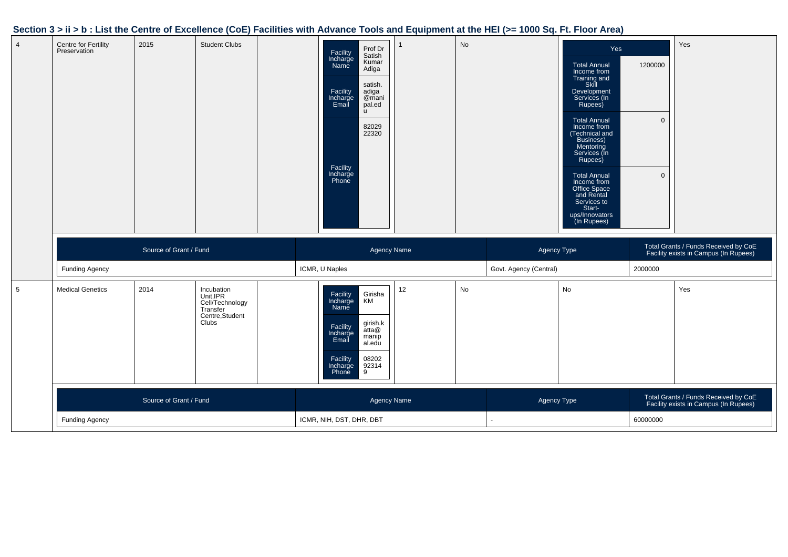| $\overline{4}$ | Centre for Fertility<br>Preservation | 2015                   | <b>Student Clubs</b>                                                               | Prof Dr<br>Facility<br>Satish<br>Incharge<br>Name<br>Kumar<br>Adiga<br>satish.<br>Facility<br>Incharge<br>Email<br>adiga<br>@mani<br>pal.ed<br>$\mathsf{u}$<br>82029<br>22320<br>Facility<br>Incharge<br>Phone |                    | <b>No</b> |                                       | Yes<br><b>Total Annual</b><br>Income from<br>Training and<br>Skill<br>Development<br>Services (In<br>Rupees)<br><b>Total Annual</b><br>Income from<br>(Technical and<br>Business)<br>Mentoring<br>Services (In<br>Rupees)<br><b>Total Annual</b><br>Income from<br>Office Space<br>and Rental<br>Services to<br>Start-<br>ups/Innovators<br>(In Rupees) | 1200000<br>$\overline{0}$<br>$\Omega$ | Yes                                                                           |
|----------------|--------------------------------------|------------------------|------------------------------------------------------------------------------------|----------------------------------------------------------------------------------------------------------------------------------------------------------------------------------------------------------------|--------------------|-----------|---------------------------------------|---------------------------------------------------------------------------------------------------------------------------------------------------------------------------------------------------------------------------------------------------------------------------------------------------------------------------------------------------------|---------------------------------------|-------------------------------------------------------------------------------|
|                |                                      |                        |                                                                                    |                                                                                                                                                                                                                |                    |           |                                       |                                                                                                                                                                                                                                                                                                                                                         |                                       |                                                                               |
|                | Funding Agency                       | Source of Grant / Fund |                                                                                    | ICMR, U Naples                                                                                                                                                                                                 | <b>Agency Name</b> |           | Agency Type<br>Govt. Agency (Central) |                                                                                                                                                                                                                                                                                                                                                         | 2000000                               | Total Grants / Funds Received by CoE<br>Facility exists in Campus (In Rupees) |
| 5              | <b>Medical Genetics</b>              | 2014                   | Incubation<br>Unit, IPR<br>Cell/Technology<br>Transfer<br>Centre, Student<br>Clubs | Facility<br>Incharge<br>Girisha<br>KM<br>Name<br>girish.k<br>Facility<br>Incharge<br>Email<br>atta@<br>manip<br>al.edu<br>Facility<br>Incharge<br>08202<br>$\frac{92314}{9}$<br>Phone                          | 12 <sup>°</sup>    | No        |                                       | No                                                                                                                                                                                                                                                                                                                                                      |                                       | Yes                                                                           |
|                |                                      | Source of Grant / Fund |                                                                                    |                                                                                                                                                                                                                | <b>Agency Name</b> |           | Agency Type                           |                                                                                                                                                                                                                                                                                                                                                         |                                       | Total Grants / Funds Received by CoE<br>Facility exists in Campus (In Rupees) |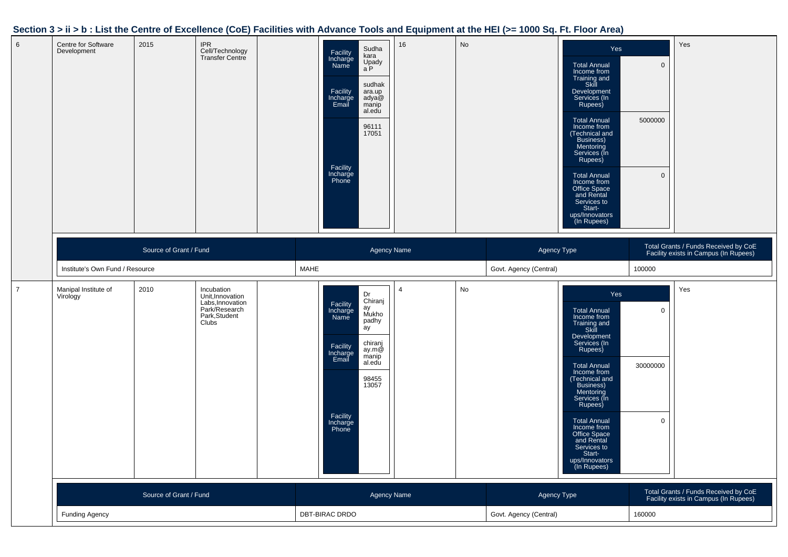| Centre for Software<br>Development | 2015                   | <b>IPR</b><br>Cell/Technology<br>Transfer Centre                                              | Sudha<br>Facility<br>kara<br>Incharge<br>Name<br>Upady<br>a P<br>sudhak<br>Facility<br>ara.up<br>Incharge<br>Email<br>adya@<br>manip<br>al.edu<br>96111<br>17051<br>Facility<br>Incharge<br>Phone      | 16                    | $\mathsf{No}$ |                                       | Yes<br><b>Total Annual</b><br>Income from<br>Training and<br>Skill<br>Development<br>Services (In<br>Rupees)<br><b>Total Annual</b><br>Income from<br>(Technical and<br>Business)<br>Mentoring<br>Services (In<br>Rupees)<br><b>Total Annual</b><br>Income from<br>Office Space<br>and Rental<br>Services to<br>Start-<br>ups/Innovators<br>(In Rupees) | $\overline{0}$<br>5000000<br>$\mathbf 0$ | Yes                                                                           |
|------------------------------------|------------------------|-----------------------------------------------------------------------------------------------|--------------------------------------------------------------------------------------------------------------------------------------------------------------------------------------------------------|-----------------------|---------------|---------------------------------------|---------------------------------------------------------------------------------------------------------------------------------------------------------------------------------------------------------------------------------------------------------------------------------------------------------------------------------------------------------|------------------------------------------|-------------------------------------------------------------------------------|
| Institute's Own Fund / Resource    | Source of Grant / Fund |                                                                                               | <b>MAHE</b>                                                                                                                                                                                            | <b>Agency Name</b>    |               | Agency Type<br>Govt. Agency (Central) |                                                                                                                                                                                                                                                                                                                                                         | 100000                                   | Total Grants / Funds Received by CoE<br>Facility exists in Campus (In Rupees) |
| Manipal Institute of<br>Virology   | 2010                   | Incubation<br>Unit, Innovation<br>Labs, Innovation<br>Park/Research<br>Park, Student<br>Clubs | Dr<br>Chiranj<br>Facility<br>Incharge<br>Name<br>ay<br>Mukho<br>padhy<br>äy<br>chiranj<br>Facility<br>Incharge<br>Email<br>ay.m@<br>manip<br>al.edu<br>98455<br>13057<br>Facility<br>Incharge<br>Phone | $\boldsymbol{\Delta}$ | No            |                                       | Yes<br><b>Total Annual</b><br>Income from<br>Training and<br>Skill<br>Development<br>Services (In<br>Rupees)<br><b>Total Annual</b><br>Income from<br>(Technical and<br>Business)<br>Mentoring<br>Services (In<br>Rupees)<br><b>Total Annual</b><br>Income from<br>Office Space<br>and Rental<br>Services to<br>Start-<br>ups/Innovators<br>(In Rupees) | $\mathbf 0$<br>30000000<br>$\mathbf 0$   | Yes                                                                           |
|                                    | Source of Grant / Fund |                                                                                               |                                                                                                                                                                                                        | <b>Agency Name</b>    |               | Agency Type                           |                                                                                                                                                                                                                                                                                                                                                         |                                          | Total Grants / Funds Received by CoE<br>Facility exists in Campus (In Rupees) |
| <b>Funding Agency</b>              |                        |                                                                                               | DBT-BIRAC DRDO                                                                                                                                                                                         |                       |               | Govt. Agency (Central)                |                                                                                                                                                                                                                                                                                                                                                         | 160000                                   |                                                                               |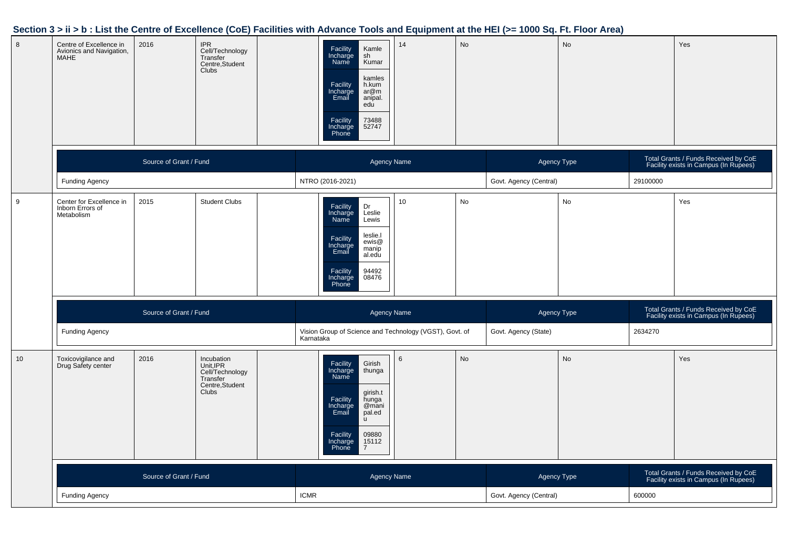#### 8 Centre of Excellence in Avionics and Navigation,**MAHE** 20166 IPR<br>Cell/Technology<br>Transfer Transfer Centre,StudentClubs<sup>1</sup> Facility Incharge NameKamlesh KumarFacility Incharge Email kamles h.kum ar@m anipal.eduFacility Incharge Phone73488 5274714 No No Yes Source of Grant / FundAgency Name Agency Type Total Grants / Funds Received by CoE Agency Type Total Grants / Funds Received by CoE<br>
Facility exists in Campus (In Rupees) Funding Agency NTRO (2016-2021) Govt. Agency (Central) <sup>29100000</sup>9 Center for Excellence in Inborn Errors ofMetabolism20155 Student Clubs<br>
Facility Incharge<br>
Name Dr Leslie LewisFacility Incharge Emailleslie.l ewis@ al.edumanipFacility Incharge Phone94492 0847610 No No Yes Source of Grant / FundAgency Name Agency Type Total Grants / Funds Received by CoE Agency Type Total Grants / Funds Received by CoE<br>Facility exists in Campus (In Rupees) Funding Agency Vision Group of Science and Technology (VGST), Govt. of KarnatakaGovt. Agency (State) <sup>2634270</sup>10 Toxicovigilance and Drug Safety center2016 Incubation Unit,IPR Cell/Technology**Transfer**  Centre,StudentClubsFacility Incharge NameGirish thungaFacility Incharge Emailgirish.t hunga @mani pal.eduFacility Incharge Phone09880 1511276 No No Yes Source of Grant / FundAgency Name Agency Type Total Grants / Funds Received by CoE Agency Type Total Grants / Funds Received by CoE<br>
Facility exists in Campus (In Rupees) Funding Agency $\mathsf y$  ICMR Govt. Agency (Central) <sup>600000</sup>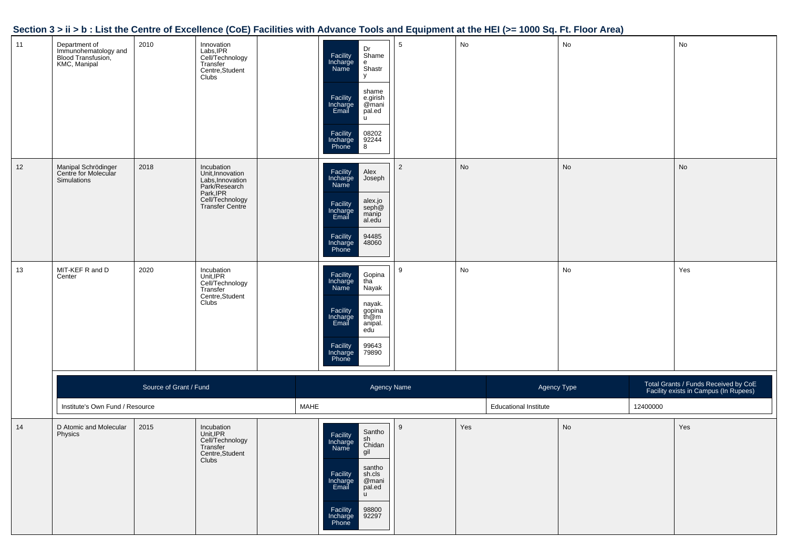|    | Jection 3 > 11 > 10 . List the Centre of Excellence (COE) Facilities with Advance Tools and Equipment at the HEI (>= Tool Oq. Ft. Floor Area) |                        |                                                                                                                        |      |                                                                                                                                                                                                                                        |                 |     |                              |    |          |                                                                               |
|----|-----------------------------------------------------------------------------------------------------------------------------------------------|------------------------|------------------------------------------------------------------------------------------------------------------------|------|----------------------------------------------------------------------------------------------------------------------------------------------------------------------------------------------------------------------------------------|-----------------|-----|------------------------------|----|----------|-------------------------------------------------------------------------------|
| 11 | Department of<br>Immunohematology and<br>Blood Transfusion,<br>KMC, Manipal                                                                   | 2010                   | Innovation<br>Labs,IPR<br>Cell/Technology<br>Transfer<br>Centre,Student<br>Clubs                                       |      | Dr<br>Shame<br>Facility<br>Incharge<br>Name<br>e<br>Shastr<br>y<br>shame<br>Facility<br>Incharge<br>Email<br>e.girish<br>@mani<br>pal.ed<br>u.<br>Facility<br>Incharge<br>Phone<br>$\begin{array}{ c} 08202 \\ 92244 \\ 8 \end{array}$ | $5\overline{)}$ | No  |                              | No |          | No                                                                            |
| 12 | Manipal Schrödinger<br>Centre for Molecular<br>Simulations                                                                                    | 2018                   | Incubation<br>Unit, Innovation<br>Labs, Innovation<br>Park/Research<br>Park, IPR<br>Cell/Technology<br>Transfer Centre |      | Facility<br>Incharge<br>Name<br>Alex<br>Joseph<br>alex.jo<br>seph@<br>Facility<br>Incharge<br>Email<br>manip<br>al.edu<br>94485<br>Facility<br>48060<br>Incharge<br>Phone                                                              | $\overline{2}$  | No  |                              | No |          | No                                                                            |
| 13 | MIT-KEF R and D<br>Center                                                                                                                     | 2020                   | Incubation<br>Unit,IPR<br>Cell/Technology<br>Transfer<br>Centre,Student<br>Clubs                                       |      | Facility<br>Incharge<br>Name<br>Gopina<br>tha<br>Nayak<br>nayak.<br>gopina<br>th@m<br>Facility<br>Incharge<br>Email<br>anipal.<br>edu<br>Facility<br>Incharge<br>Phone<br>99643<br>79890                                               | 9               | No  |                              | No |          | Yes                                                                           |
|    |                                                                                                                                               | Source of Grant / Fund |                                                                                                                        |      | Agency Name                                                                                                                                                                                                                            |                 |     | Agency Type                  |    |          | Total Grants / Funds Received by CoE<br>Facility exists in Campus (In Rupees) |
|    | Institute's Own Fund / Resource                                                                                                               |                        |                                                                                                                        | MAHE |                                                                                                                                                                                                                                        |                 |     | <b>Educational Institute</b> |    | 12400000 |                                                                               |
| 14 | D Atomic and Molecular<br>Physics                                                                                                             | 2015                   | Incubation<br>Unit,IPR<br>Cell/Technology<br>Transfer<br>Centre, Student<br>Clubs                                      |      | Santho<br>Facility<br>Incharge<br>Name<br>sh<br>Chidan<br>gil<br>santho<br>Facility<br>Incharge<br>sh.cls<br>@mani<br>Email<br>pal.ed<br><b>u</b><br>98800<br>Facility<br>92297<br>Incharge<br>Phone                                   | 9               | Yes |                              | No |          | Yes                                                                           |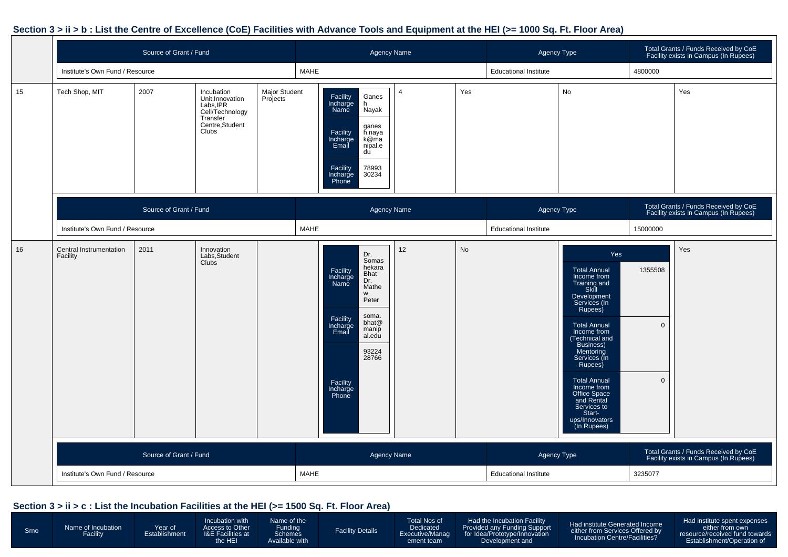|    | Source of Grant / Fund              |                        |                                                                                                        |                           |                                                                                                                                                                                                                       | <b>Agency Name</b> |     | Agency Type                  |                                                                                                                                                                                                                                                                                                                                                  |                                           | Total Grants / Funds Received by CoE<br>Facility exists in Campus (In Rupees) |
|----|-------------------------------------|------------------------|--------------------------------------------------------------------------------------------------------|---------------------------|-----------------------------------------------------------------------------------------------------------------------------------------------------------------------------------------------------------------------|--------------------|-----|------------------------------|--------------------------------------------------------------------------------------------------------------------------------------------------------------------------------------------------------------------------------------------------------------------------------------------------------------------------------------------------|-------------------------------------------|-------------------------------------------------------------------------------|
|    | Institute's Own Fund / Resource     |                        |                                                                                                        |                           | <b>MAHE</b>                                                                                                                                                                                                           |                    |     | <b>Educational Institute</b> |                                                                                                                                                                                                                                                                                                                                                  | 4800000                                   |                                                                               |
| 15 | Tech Shop, MIT                      | 2007                   | Incubation<br>Unit, Innovation<br>Labs, IPR<br>Cell/Technology<br>Transfer<br>Centre, Student<br>Clubs | Major Student<br>Projects | Ganes<br>Facility<br>Incharge<br>Name<br>h<br><b>Nayak</b><br>ganes<br>Facility<br>h.naya<br>k@ma<br>Incharge<br>Email<br>nipal.e<br>du<br>Facility<br>78993<br>30234<br>Incharge<br>Phone                            | $\overline{4}$     | Yes |                              | No                                                                                                                                                                                                                                                                                                                                               |                                           | Yes                                                                           |
|    |                                     | Source of Grant / Fund |                                                                                                        |                           |                                                                                                                                                                                                                       | <b>Agency Name</b> |     | Agency Type                  |                                                                                                                                                                                                                                                                                                                                                  |                                           | Total Grants / Funds Received by CoE<br>Facility exists in Campus (In Rupees) |
|    | Institute's Own Fund / Resource     |                        |                                                                                                        |                           | <b>MAHE</b>                                                                                                                                                                                                           |                    |     | <b>Educational Institute</b> |                                                                                                                                                                                                                                                                                                                                                  | 15000000                                  |                                                                               |
| 16 | Central Instrumentation<br>Facility | 2011                   | Innovation<br>Labs, Student<br>Clubs                                                                   |                           | Dr.<br>Somas<br>hekara<br>Facility<br>Bhat<br>Incharge<br>Name<br>Dr.<br>Mathe<br>W<br>Peter<br>soma.<br>Facility<br>bhat@<br>Incharge<br>Email<br>manip<br>al.edu<br>93224<br>28766<br>Facility<br>Incharge<br>Phone | 12                 | No  |                              | Yes<br><b>Total Annual</b><br>Income from<br>Training and<br>Skill<br>Development<br>Services (In<br>Rupees)<br>Total Annual<br>Income from<br>(Technical and<br>Business)<br>Mentoring<br>Services (In<br>Rupees)<br><b>Total Annual</b><br>Income from<br>Office Space<br>and Rental<br>Services to<br>Start-<br>ups/Innovators<br>(In Rupees) | 1355508<br>$\mathbf{0}$<br>$\overline{0}$ | Yes                                                                           |
|    |                                     | Source of Grant / Fund |                                                                                                        |                           |                                                                                                                                                                                                                       | <b>Agency Name</b> |     | Agency Type                  |                                                                                                                                                                                                                                                                                                                                                  |                                           | Total Grants / Funds Received by CoE<br>Facility exists in Campus (In Rupees) |
|    | Institute's Own Fund / Resource     |                        |                                                                                                        |                           | <b>MAHE</b>                                                                                                                                                                                                           |                    |     | <b>Educational Institute</b> |                                                                                                                                                                                                                                                                                                                                                  | 3235077                                   |                                                                               |

#### **Section 3 > ii > c : List the Incubation Facilities at the HEI (>= 1500 Sq. Ft. Floor Area)**

| Incubation Centre/Facilities?<br>Establishment/Operation of<br>he HEI<br>Available with<br>Development and<br>ement team |
|--------------------------------------------------------------------------------------------------------------------------|
|--------------------------------------------------------------------------------------------------------------------------|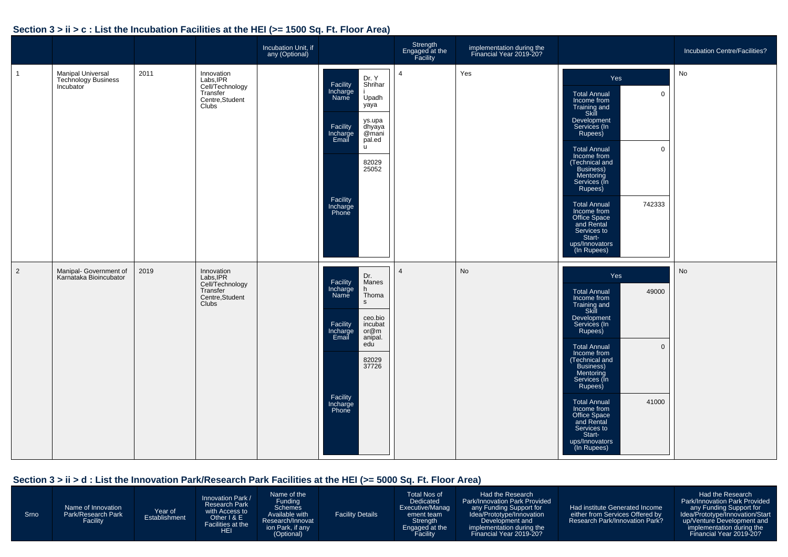#### **Section 3 > ii > c : List the Incubation Facilities at the HEI (>= 1500 Sq. Ft. Floor Area)**

|              |                                                                     |      |                                                                                                 | Incubation Unit, if<br>any (Optional) |                                                                                                                                                                                                     | Strength<br>Engaged at the<br>Facility | implementation during the<br>Financial Year 2019-20? |                                                                                                                                                                                                                                                                                                                                                                                                 | Incubation Centre/Facilities? |
|--------------|---------------------------------------------------------------------|------|-------------------------------------------------------------------------------------------------|---------------------------------------|-----------------------------------------------------------------------------------------------------------------------------------------------------------------------------------------------------|----------------------------------------|------------------------------------------------------|-------------------------------------------------------------------------------------------------------------------------------------------------------------------------------------------------------------------------------------------------------------------------------------------------------------------------------------------------------------------------------------------------|-------------------------------|
| $\mathbf{1}$ | <b>Manipal Universal</b><br><b>Technology Business</b><br>Incubator | 2011 | Innovation<br>Labs, IPR<br>Labs, IPR<br>Cell/Technology<br>Transfer<br>Centre, Student<br>Clubs |                                       | Dr. Y<br>Facility<br>Shrihar<br>Incharge<br>Name<br>Upadh<br>yaya<br>ys.upa<br>Facility<br>dhyaya<br>Incharge<br>Email<br>@mani<br>pal.ed<br>u<br>82029<br>25052<br>Facility<br>Incharge<br>Phone   | $\overline{4}$                         | Yes                                                  | Yes<br><b>Total Annual</b><br>$\mathbf 0$<br>Income from<br>Training and<br>Skill<br>Development<br>Services (In<br>Rupees)<br><b>Total Annual</b><br>$\mathbf 0$<br>Income from<br>(Technical and<br>Business)<br>Mentoring<br>Services (In<br>Rupees)<br><b>Total Annual</b><br>742333<br>Income from<br>Office Space<br>and Rental<br>Services to<br>Start-<br>ups/Innovators<br>(In Rupees) | No                            |
| 2            | Manipal- Government of<br>Karnataka Bioincubator                    | 2019 | Innovation<br>Labs, IPR<br>Cell/Technology<br>Transfer<br>Centre, Student<br>Clubs              |                                       | Dr.<br>Facility<br>Manes<br>Incharge<br>Name<br>h<br>Thoma<br>S<br>ceo.bio<br>Facility<br>incubat<br>Incharge<br>Email<br>or@m<br>anipal.<br>edu<br>82029<br>37726<br>Facility<br>Incharge<br>Phone | $\overline{4}$                         | <b>No</b>                                            | Yes<br>49000<br><b>Total Annual</b><br>Income from<br>Training and<br>Skill<br>Development<br>Services (In<br>Rupees)<br><b>Total Annual</b><br>$\mathbf{0}$<br>Income from<br>(Technical and<br>Business)<br>Mentoring<br>Services (In<br>Rupees)<br>41000<br><b>Total Annual</b><br>Income from<br>Office Space<br>and Rental<br>Services to<br>Start-<br>ups/Innovators<br>(In Rupees)       | <b>No</b>                     |

#### **Section 3 > ii > d : List the Innovation Park/Research Park Facilities at the HEI (>= 5000 Sq. Ft. Floor Area)**

| <b>Srno</b> | Name of Innovation<br>Park/Research Park<br>Facility | Year of<br>Establishment | Innovation Park /<br><b>Research Park</b><br>with Access to<br>Other $1 & E$<br>Facilities at the<br>HEI | Name of the<br>Funding<br><b>Schemes</b><br>Available with<br>Research/Innovat<br>ion Park, if any<br>(Optional) | <b>Facility Details</b> | Total Nos of<br>Dedicated<br>Executive/Manag<br>ement team<br>Strength<br>Engaged at the<br>Facility | Had the Research<br>Park/Innovation Park Provided<br>any Funding Support for<br>Idea/Prototype/Innovation<br>Development and<br>implementation during the<br>Financial Year 2019-20? | Had institute Generated Income<br>either from Services Offered by<br>Research Park/Innovation Park? | Had the Research<br><b>Park/Innovation Park Provided</b><br>any Funding Support for<br>Idea/Prototype/Innovation/Start<br>up/Venture Development and<br>implementation during the<br>Financial Year 2019-20? |
|-------------|------------------------------------------------------|--------------------------|----------------------------------------------------------------------------------------------------------|------------------------------------------------------------------------------------------------------------------|-------------------------|------------------------------------------------------------------------------------------------------|--------------------------------------------------------------------------------------------------------------------------------------------------------------------------------------|-----------------------------------------------------------------------------------------------------|--------------------------------------------------------------------------------------------------------------------------------------------------------------------------------------------------------------|
|-------------|------------------------------------------------------|--------------------------|----------------------------------------------------------------------------------------------------------|------------------------------------------------------------------------------------------------------------------|-------------------------|------------------------------------------------------------------------------------------------------|--------------------------------------------------------------------------------------------------------------------------------------------------------------------------------------|-----------------------------------------------------------------------------------------------------|--------------------------------------------------------------------------------------------------------------------------------------------------------------------------------------------------------------|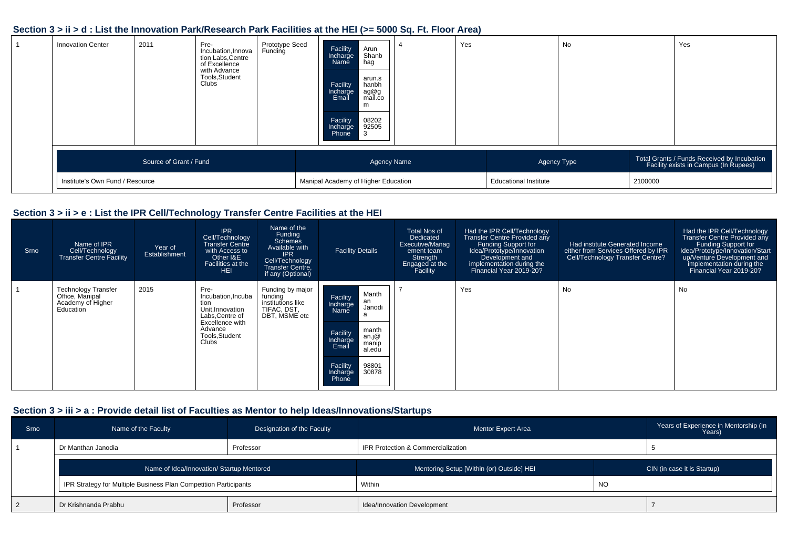#### **Section 3 > ii > d : List the Innovation Park/Research Park Facilities at the HEI (>= 5000 Sq. Ft. Floor Area)**

| <b>Innovation Center</b>        | 2011                   | Pre-<br>Incubation, Innova<br>tion Labs, Centre<br>of Excellence<br>with Advance<br>Tools, Student<br>Clubs <sup>1</sup> | Prototype Seed<br>Funding | Facility<br>Arun<br>Shanb<br>Incharge<br>Name<br>hag<br>arun.s<br>Facility<br>hanbh<br>ag@g<br>mail.co<br>Incharge<br>Email<br>m<br>08202<br>Facility<br>92505<br>Incharge<br>Phone<br>  3 | Yes |                              | No |         | Yes                                                                                  |
|---------------------------------|------------------------|--------------------------------------------------------------------------------------------------------------------------|---------------------------|--------------------------------------------------------------------------------------------------------------------------------------------------------------------------------------------|-----|------------------------------|----|---------|--------------------------------------------------------------------------------------|
|                                 | Source of Grant / Fund |                                                                                                                          |                           | <b>Agency Name</b>                                                                                                                                                                         |     | Agency Type                  |    |         | Total Grants / Funds Received by Incubation<br>Facility exists in Campus (In Rupees) |
| Institute's Own Fund / Resource |                        |                                                                                                                          |                           | Manipal Academy of Higher Education                                                                                                                                                        |     | <b>Educational Institute</b> |    | 2100000 |                                                                                      |

#### **Section 3 > ii > e : List the IPR Cell/Technology Transfer Centre Facilities at the HEI**

| <b>Srno</b> | Name of IPR<br>Cell/Technology<br>Transfer Centre Facility                      | Year of<br>Establishment | <b>IPR</b><br>Cell/Technology<br><b>Transfer Centre</b><br>with Access to<br>Other I&E<br>Facilities at the<br><b>HEI</b>          | Name of the<br>Funding<br>Schemes<br>Available with<br><b>IPR</b><br>Cell/Technology<br>Transfer Centre,<br>if any (Optional) | <b>Facility Details</b>                                                                                                                                                        | <b>Total Nos of</b><br>Dedicated<br>Executive/Manag<br>ement team<br>Strength<br>Engaged at the<br>Facility | Had the IPR Cell/Technology<br><b>Transfer Centre Provided any</b><br><b>Funding Support for</b><br>Idea/Prototype/Innovation<br>Development and<br>implementation during the<br>Financial Year 2019-20? | Had institute Generated Income<br>either from Services Offered by IPR<br>Cell/Technology Transfer Centre? | Had the IPR Cell/Technology<br>Transfer Centre Provided any<br>Funding Support for<br>Idea/Prototype/Innovation/Start<br>up/Venture Development and<br>implementation during the<br>Financial Year 2019-20? |
|-------------|---------------------------------------------------------------------------------|--------------------------|------------------------------------------------------------------------------------------------------------------------------------|-------------------------------------------------------------------------------------------------------------------------------|--------------------------------------------------------------------------------------------------------------------------------------------------------------------------------|-------------------------------------------------------------------------------------------------------------|----------------------------------------------------------------------------------------------------------------------------------------------------------------------------------------------------------|-----------------------------------------------------------------------------------------------------------|-------------------------------------------------------------------------------------------------------------------------------------------------------------------------------------------------------------|
|             | <b>Technology Transfer</b><br>Office, Manipal<br>Academy of Higher<br>Education | 2015                     | Pre-<br>Incubation, Incuba<br>tion<br>Unit, Innovation<br>Labs, Centre of<br>Excellence with<br>Advance<br>Tools, Student<br>Clubs | Funding by major<br>funding<br>institutions like<br>TIFAC, DST,<br>DBT, MSME etc                                              | Manth<br>Facility<br>an<br>Incharge<br>Janodi<br>Name<br>manth<br>Facility<br>an.j@<br>manip<br>Incharge<br>Email<br>al.edu<br>Facility<br>98801<br>30878<br>Incharge<br>Phone |                                                                                                             | Yes                                                                                                                                                                                                      | <b>No</b>                                                                                                 | <b>No</b>                                                                                                                                                                                                   |

#### **Section 3 > iii > a : Provide detail list of Faculties as Mentor to help Ideas/Innovations/Startups**

| <b>Srno</b> | Name of the Faculty                                              | Designation of the Faculty | <b>Mentor Expert Area</b>                 |           | Years of Experience in Mentorship (In<br>Years) |  |
|-------------|------------------------------------------------------------------|----------------------------|-------------------------------------------|-----------|-------------------------------------------------|--|
|             | Dr Manthan Janodia                                               | Professor                  | IPR Protection & Commercialization        |           |                                                 |  |
|             | Name of Idea/Innovation/ Startup Mentored                        |                            | Mentoring Setup [Within (or) Outside] HEI |           | CIN (in case it is Startup)                     |  |
|             | IPR Strategy for Multiple Business Plan Competition Participants |                            | Within                                    | <b>NO</b> |                                                 |  |
| 2           | Dr Krishnanda Prabhu                                             | Professor                  | Idea/Innovation Development               |           |                                                 |  |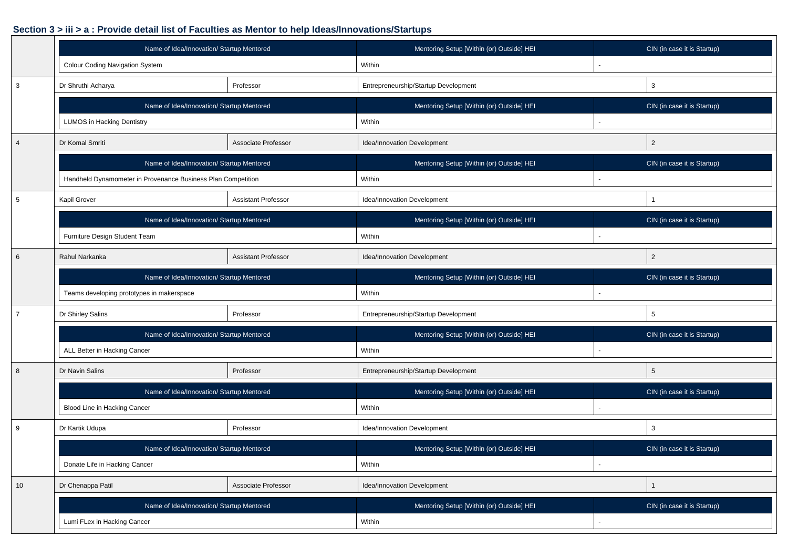### **Section 3 > iii > a : Provide detail list of Faculties as Mentor to help Ideas/Innovations/Startups**

|                 | Name of Idea/Innovation/ Startup Mentored                    |                            | Mentoring Setup [Within (or) Outside] HEI | CIN (in case it is Startup) |  |  |
|-----------------|--------------------------------------------------------------|----------------------------|-------------------------------------------|-----------------------------|--|--|
|                 | Colour Coding Navigation System                              |                            | Within                                    |                             |  |  |
| 3               | Dr Shruthi Acharya                                           | Professor                  | Entrepreneurship/Startup Development      | 3                           |  |  |
|                 | Name of Idea/Innovation/ Startup Mentored                    |                            | Mentoring Setup [Within (or) Outside] HEI | CIN (in case it is Startup) |  |  |
|                 | <b>LUMOS in Hacking Dentistry</b>                            |                            | Within                                    |                             |  |  |
| $\overline{4}$  | Dr Komal Smriti                                              | Associate Professor        | Idea/Innovation Development               | $\overline{2}$              |  |  |
|                 | Name of Idea/Innovation/ Startup Mentored                    |                            | Mentoring Setup [Within (or) Outside] HEI | CIN (in case it is Startup) |  |  |
|                 | Handheld Dynamometer in Provenance Business Plan Competition |                            | Within                                    |                             |  |  |
| $\sqrt{5}$      | Kapil Grover                                                 | <b>Assistant Professor</b> | Idea/Innovation Development               | $\mathbf{1}$                |  |  |
|                 | Name of Idea/Innovation/ Startup Mentored                    |                            | Mentoring Setup [Within (or) Outside] HEI | CIN (in case it is Startup) |  |  |
|                 | Furniture Design Student Team                                |                            | Within                                    |                             |  |  |
| 6               | Rahul Narkanka                                               | <b>Assistant Professor</b> | Idea/Innovation Development               | $\overline{2}$              |  |  |
|                 | Name of Idea/Innovation/ Startup Mentored                    |                            | Mentoring Setup [Within (or) Outside] HEI | CIN (in case it is Startup) |  |  |
|                 | Teams developing prototypes in makerspace                    |                            | Within                                    |                             |  |  |
| $\overline{7}$  | Dr Shirley Salins                                            | Professor                  | Entrepreneurship/Startup Development      | 5                           |  |  |
|                 | Name of Idea/Innovation/ Startup Mentored                    |                            | Mentoring Setup [Within (or) Outside] HEI | CIN (in case it is Startup) |  |  |
|                 | ALL Better in Hacking Cancer                                 |                            | Within                                    |                             |  |  |
| 8               | Dr Navin Salins                                              | Professor                  | Entrepreneurship/Startup Development      | 5                           |  |  |
|                 | Name of Idea/Innovation/ Startup Mentored                    |                            | Mentoring Setup [Within (or) Outside] HEI | CIN (in case it is Startup) |  |  |
|                 | Blood Line in Hacking Cancer                                 |                            | Within                                    |                             |  |  |
| 9               | Dr Kartik Udupa                                              | Professor                  | Idea/Innovation Development               | 3                           |  |  |
|                 | Name of Idea/Innovation/ Startup Mentored                    |                            | Mentoring Setup [Within (or) Outside] HEI | CIN (in case it is Startup) |  |  |
|                 | Donate Life in Hacking Cancer                                |                            | Within                                    |                             |  |  |
| 10 <sup>1</sup> | Dr Chenappa Patil                                            | Associate Professor        | Idea/Innovation Development               | $\mathbf{1}$                |  |  |
|                 | Name of Idea/Innovation/ Startup Mentored                    |                            | Mentoring Setup [Within (or) Outside] HEI | CIN (in case it is Startup) |  |  |
|                 | Lumi FLex in Hacking Cancer                                  |                            | Within                                    |                             |  |  |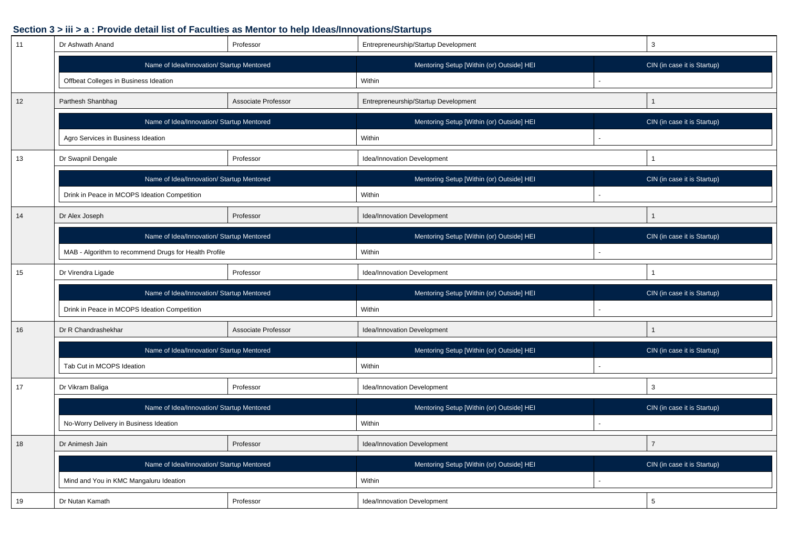#### **Section 3 > iii > a : Provide detail list of Faculties as Mentor to help Ideas/Innovations/Startups**

| 11 | Dr Ashwath Anand                                      | Professor           | Entrepreneurship/Startup Development      |  | 3                           |  |  |  |  |  |  |
|----|-------------------------------------------------------|---------------------|-------------------------------------------|--|-----------------------------|--|--|--|--|--|--|
|    | Name of Idea/Innovation/ Startup Mentored             |                     | Mentoring Setup [Within (or) Outside] HEI |  | CIN (in case it is Startup) |  |  |  |  |  |  |
|    | Offbeat Colleges in Business Ideation                 |                     | Within                                    |  |                             |  |  |  |  |  |  |
| 12 | Parthesh Shanbhag                                     | Associate Professor | Entrepreneurship/Startup Development      |  | $\mathbf{1}$                |  |  |  |  |  |  |
|    | Name of Idea/Innovation/ Startup Mentored             |                     | Mentoring Setup [Within (or) Outside] HEI |  | CIN (in case it is Startup) |  |  |  |  |  |  |
|    | Agro Services in Business Ideation                    |                     | Within                                    |  |                             |  |  |  |  |  |  |
| 13 | Dr Swapnil Dengale                                    | Professor           | Idea/Innovation Development               |  | $\mathbf{1}$                |  |  |  |  |  |  |
|    | Name of Idea/Innovation/ Startup Mentored             |                     | Mentoring Setup [Within (or) Outside] HEI |  | CIN (in case it is Startup) |  |  |  |  |  |  |
|    | Drink in Peace in MCOPS Ideation Competition          |                     | Within                                    |  |                             |  |  |  |  |  |  |
| 14 | Dr Alex Joseph                                        | Professor           | Idea/Innovation Development               |  | $\mathbf{1}$                |  |  |  |  |  |  |
|    | Name of Idea/Innovation/ Startup Mentored             |                     | Mentoring Setup [Within (or) Outside] HEI |  | CIN (in case it is Startup) |  |  |  |  |  |  |
|    | MAB - Algorithm to recommend Drugs for Health Profile |                     | Within                                    |  |                             |  |  |  |  |  |  |
| 15 | Dr Virendra Ligade                                    | Professor           | Idea/Innovation Development               |  | 1                           |  |  |  |  |  |  |
|    | Name of Idea/Innovation/ Startup Mentored             |                     | Mentoring Setup [Within (or) Outside] HEI |  | CIN (in case it is Startup) |  |  |  |  |  |  |
|    | Drink in Peace in MCOPS Ideation Competition          |                     | Within                                    |  |                             |  |  |  |  |  |  |
| 16 | Dr R Chandrashekhar                                   | Associate Professor | Idea/Innovation Development               |  | $\mathbf{1}$                |  |  |  |  |  |  |
|    | Name of Idea/Innovation/ Startup Mentored             |                     | Mentoring Setup [Within (or) Outside] HEI |  | CIN (in case it is Startup) |  |  |  |  |  |  |
|    | Tab Cut in MCOPS Ideation                             |                     | Within                                    |  |                             |  |  |  |  |  |  |
| 17 | Dr Vikram Baliga<br>Professor                         |                     | Idea/Innovation Development               |  | 3                           |  |  |  |  |  |  |
|    | Name of Idea/Innovation/ Startup Mentored             |                     | Mentoring Setup [Within (or) Outside] HEI |  | CIN (in case it is Startup) |  |  |  |  |  |  |
|    | No-Worry Delivery in Business Ideation                |                     | Within                                    |  |                             |  |  |  |  |  |  |
| 18 | Dr Animesh Jain                                       | Professor           | Idea/Innovation Development               |  | $\overline{7}$              |  |  |  |  |  |  |
|    | Name of Idea/Innovation/ Startup Mentored             |                     | Mentoring Setup [Within (or) Outside] HEI |  | CIN (in case it is Startup) |  |  |  |  |  |  |
|    | Mind and You in KMC Mangaluru Ideation                |                     | Within                                    |  |                             |  |  |  |  |  |  |
| 19 | Dr Nutan Kamath                                       | Professor           | 5<br>Idea/Innovation Development          |  |                             |  |  |  |  |  |  |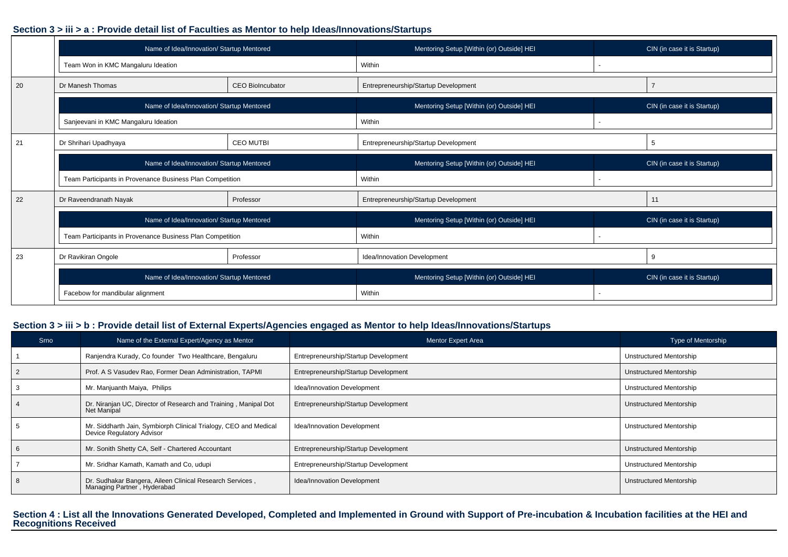#### **Section 3 > iii > a : Provide detail list of Faculties as Mentor to help Ideas/Innovations/Startups**

|    | Name of Idea/Innovation/ Startup Mentored                 |                         | Mentoring Setup [Within (or) Outside] HEI | CIN (in case it is Startup) |
|----|-----------------------------------------------------------|-------------------------|-------------------------------------------|-----------------------------|
|    | Team Won in KMC Mangaluru Ideation                        |                         | Within                                    |                             |
| 20 | Dr Manesh Thomas                                          | <b>CEO BioIncubator</b> | Entrepreneurship/Startup Development      |                             |
|    | Name of Idea/Innovation/ Startup Mentored                 |                         | Mentoring Setup [Within (or) Outside] HEI | CIN (in case it is Startup) |
|    | Sanjeevani in KMC Mangaluru Ideation                      |                         | Within                                    |                             |
| 21 | Dr Shrihari Upadhyaya                                     | <b>CEO MUTBI</b>        | Entrepreneurship/Startup Development      | 5                           |
|    | Name of Idea/Innovation/ Startup Mentored                 |                         | Mentoring Setup [Within (or) Outside] HEI | CIN (in case it is Startup) |
|    | Team Participants in Provenance Business Plan Competition |                         | Within                                    |                             |
| 22 | Dr Raveendranath Nayak                                    | Professor               | Entrepreneurship/Startup Development      | 11                          |
|    | Name of Idea/Innovation/ Startup Mentored                 |                         | Mentoring Setup [Within (or) Outside] HEI | CIN (in case it is Startup) |
|    | Team Participants in Provenance Business Plan Competition |                         | Within                                    |                             |
| 23 | Dr Ravikiran Ongole                                       | Professor               | Idea/Innovation Development               | 9                           |
|    | Name of Idea/Innovation/ Startup Mentored                 |                         | Mentoring Setup [Within (or) Outside] HEI | CIN (in case it is Startup) |
|    | Facebow for mandibular alignment                          |                         | Within                                    |                             |

#### **Section 3 > iii > b : Provide detail list of External Experts/Agencies engaged as Mentor to help Ideas/Innovations/Startups**

| <b>Srno</b> | Name of the External Expert/Agency as Mentor                                                  | <b>Mentor Expert Area</b>            | <b>Type of Mentorship</b> |
|-------------|-----------------------------------------------------------------------------------------------|--------------------------------------|---------------------------|
|             | Ranjendra Kurady, Co founder Two Healthcare, Bengaluru                                        | Entrepreneurship/Startup Development | Unstructured Mentorship   |
|             | Prof. A S Vasudev Rao, Former Dean Administration, TAPMI                                      | Entrepreneurship/Startup Development | Unstructured Mentorship   |
|             | Mr. Manjuanth Maiya, Philips                                                                  | Idea/Innovation Development          | Unstructured Mentorship   |
|             | Dr. Niranjan UC, Director of Research and Training, Manipal Dot<br>Net Manipal                | Entrepreneurship/Startup Development | Unstructured Mentorship   |
|             | Mr. Siddharth Jain, Symbiorph Clinical Trialogy, CEO and Medical<br>Device Regulatory Advisor | Idea/Innovation Development          | Unstructured Mentorship   |
|             | Mr. Sonith Shetty CA, Self - Chartered Accountant                                             | Entrepreneurship/Startup Development | Unstructured Mentorship   |
|             | Mr. Sridhar Kamath, Kamath and Co, udupi                                                      | Entrepreneurship/Startup Development | Unstructured Mentorship   |
|             | Dr. Sudhakar Bangera, Aileen Clinical Research Services,<br>Managing Partner, Hyderabad       | Idea/Innovation Development          | Unstructured Mentorship   |

## **Section 4 : List all the Innovations Generated Developed, Completed and Implemented in Ground with Support of Pre-incubation & Incubation facilities at the HEI and Recognitions Received**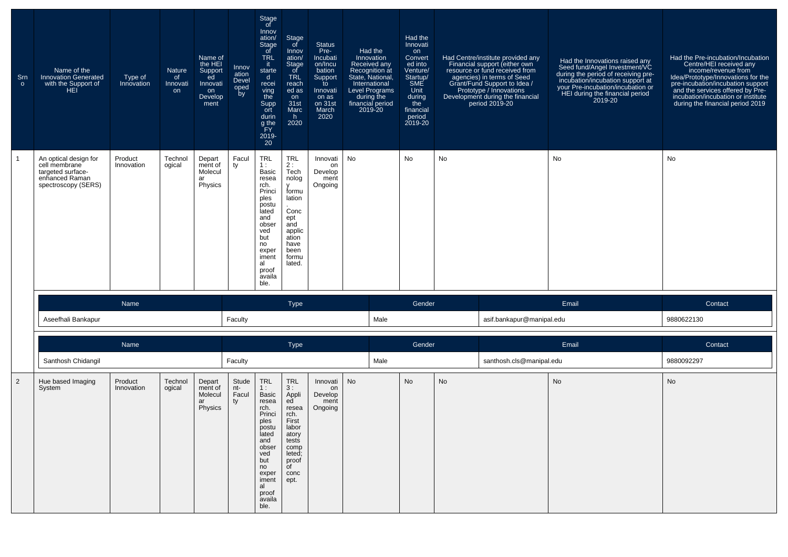| Srn<br>$\circ$ | Name of the<br><b>Innovation Generated</b><br>with the Support of<br><b>HEI</b>                      | Type of<br>Innovation | Nature<br>of<br>Innovati<br>on | Name of<br>the HEI<br>Support<br>ed<br>Innovati<br>on<br>Develop<br>ment | Innov<br>ation<br>Devel<br>oped<br>by | Stage<br>of<br>Innov<br>ation/<br>Stage<br>of<br><b>TRL</b><br>it.<br>starte<br>$\mathsf{d}$<br>recei<br>ving<br>the<br>Supp<br>ort<br>durin<br>g <sub>the</sub><br>ĔY<br>2019-<br>20 | Stage<br>of<br>Innov<br>ation/<br>Stage<br>of<br><b>TRL</b><br>reach<br>ed as<br>on<br>31st<br>Marc<br>h.<br>2020                                 | <b>Status</b><br>Pre-<br>Incubati<br>on/Incu<br>bation<br>Support<br>to<br>Innovati<br>on as<br>on 31st<br>March<br>2020 | Had the<br>Innovation<br>Received any<br>Recognition at<br>State, National,<br>International<br><b>Level Programs</b><br>during the<br>financial period<br>2019-20 | Had the<br>Innovati<br>on<br>Convert<br>ed into<br>Venture/<br>Startup/<br>SME<br>Unit<br>during<br>the<br>financial<br>period<br>2019-20 |    | Had Centre/institute provided any<br>Financial support (either own<br>resource or fund received from<br>agencies) in terms of Seed<br>Grant/Fund Support to Idea /<br>Prototype / Innovations<br>Development during the financial<br>period 2019-20 | Had the Innovations raised any<br>Seed fund/Angel Investment/VC<br>during the period of receiving pre-<br>incubation/incubation support at<br>your Pre-incubation/incubation or<br>HEI during the financial period<br>2019-20 | Had the Pre-incubation/Incubation<br>Centre/HEI received any<br>income/revenue from<br>Idea/Prototype/Innovations for the<br>pre-incubation/incubation support<br>and the services offered by Pre-<br>incubation/incubation or institute<br>during the financial period 2019 |
|----------------|------------------------------------------------------------------------------------------------------|-----------------------|--------------------------------|--------------------------------------------------------------------------|---------------------------------------|---------------------------------------------------------------------------------------------------------------------------------------------------------------------------------------|---------------------------------------------------------------------------------------------------------------------------------------------------|--------------------------------------------------------------------------------------------------------------------------|--------------------------------------------------------------------------------------------------------------------------------------------------------------------|-------------------------------------------------------------------------------------------------------------------------------------------|----|-----------------------------------------------------------------------------------------------------------------------------------------------------------------------------------------------------------------------------------------------------|-------------------------------------------------------------------------------------------------------------------------------------------------------------------------------------------------------------------------------|------------------------------------------------------------------------------------------------------------------------------------------------------------------------------------------------------------------------------------------------------------------------------|
|                | An optical design for<br>cell membrane<br>targeted surface-<br>enhanced Raman<br>spectroscopy (SERS) | Product<br>Innovation | Technol<br>ogical              | Depart<br>ment of<br>Molecul<br>ar<br>Physics                            | Facul<br>ty                           | <b>TRL</b><br>1:<br><b>Basic</b><br>resea<br>rch.<br>Princi<br>ples<br>postu<br>lated<br>and<br>obser<br>ved<br>but<br>no<br>exper<br>iment<br>al<br>proof<br>availa<br>ble.          | <b>TRL</b><br>2:<br>Tech<br>nolog<br>v<br>formu<br>lation<br>Conc<br>ept<br>and<br>applic<br>ation<br>have<br>been<br>formu<br>lated.             | Innovati<br>on<br>Develop<br>ment<br>Ongoing                                                                             | No                                                                                                                                                                 | No                                                                                                                                        | No |                                                                                                                                                                                                                                                     | No                                                                                                                                                                                                                            | No                                                                                                                                                                                                                                                                           |
|                |                                                                                                      | Name                  |                                |                                                                          |                                       |                                                                                                                                                                                       | <b>Type</b>                                                                                                                                       |                                                                                                                          |                                                                                                                                                                    | Gender                                                                                                                                    |    |                                                                                                                                                                                                                                                     | Email                                                                                                                                                                                                                         | Contact                                                                                                                                                                                                                                                                      |
|                | Aseefhali Bankapur                                                                                   |                       |                                |                                                                          | Faculty                               |                                                                                                                                                                                       |                                                                                                                                                   |                                                                                                                          | Male                                                                                                                                                               |                                                                                                                                           |    | asif.bankapur@manipal.edu                                                                                                                                                                                                                           |                                                                                                                                                                                                                               | 9880622130                                                                                                                                                                                                                                                                   |
|                |                                                                                                      | Name                  |                                |                                                                          |                                       |                                                                                                                                                                                       | <b>Type</b>                                                                                                                                       |                                                                                                                          |                                                                                                                                                                    | Gender                                                                                                                                    |    |                                                                                                                                                                                                                                                     | Email                                                                                                                                                                                                                         | Contact                                                                                                                                                                                                                                                                      |
|                | Santhosh Chidangil                                                                                   |                       |                                |                                                                          | Faculty                               |                                                                                                                                                                                       |                                                                                                                                                   |                                                                                                                          | Male                                                                                                                                                               |                                                                                                                                           |    | santhosh.cls@manipal.edu                                                                                                                                                                                                                            |                                                                                                                                                                                                                               | 9880092297                                                                                                                                                                                                                                                                   |
| 2              | Hue based Imaging<br>System                                                                          | Product<br>Innovation | Technol<br>ogical              | Depart<br>ment of<br>Molecul<br>ar<br>Physics                            | Stude<br>nt-<br>Facul<br>ty           | <b>TRL</b><br>1:<br><b>Basic</b><br>resea<br>rch.<br>Princi<br>ples<br>postu<br>lated<br>and<br>obser<br>ved<br>but<br>no<br>exper<br>iment<br>al<br>proof<br>availa<br>ble.          | <b>TRL</b><br>3:<br>Appli<br>ed<br>resea<br>rch.<br>First<br>labor<br>atory<br>tests<br>comp<br>leted;<br>proof<br>$\overline{C}$<br>conc<br>ept. | Innovati<br>on<br>Develop<br>ment<br>Ongoing                                                                             | No                                                                                                                                                                 | <b>No</b>                                                                                                                                 | No |                                                                                                                                                                                                                                                     | No                                                                                                                                                                                                                            | No                                                                                                                                                                                                                                                                           |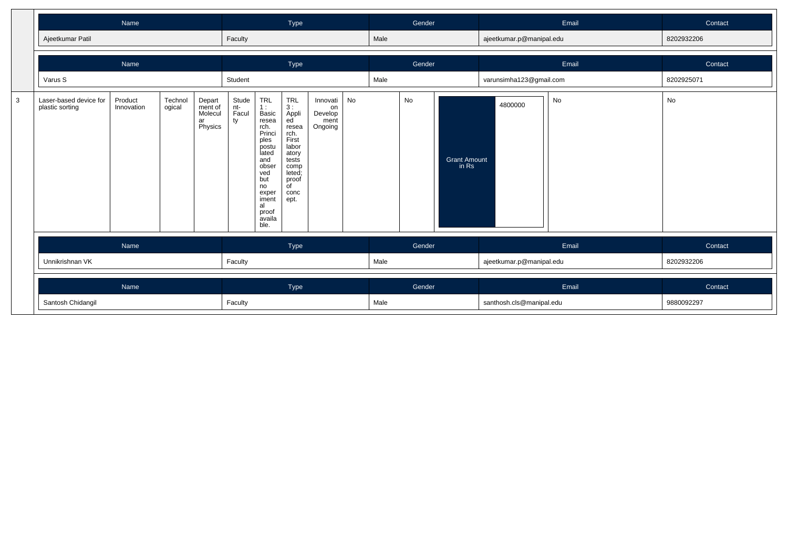|   |                                           | Name                                       |  |                                               |                             |                                                                                                                                                                                                                                                                                                                                                                            | Type |  |  |      | Gender |                              | Email                    |       | Contact    |
|---|-------------------------------------------|--------------------------------------------|--|-----------------------------------------------|-----------------------------|----------------------------------------------------------------------------------------------------------------------------------------------------------------------------------------------------------------------------------------------------------------------------------------------------------------------------------------------------------------------------|------|--|--|------|--------|------------------------------|--------------------------|-------|------------|
|   | Ajeetkumar Patil                          |                                            |  |                                               | Faculty                     |                                                                                                                                                                                                                                                                                                                                                                            |      |  |  | Male |        |                              | ajeetkumar.p@manipal.edu |       | 8202932206 |
|   |                                           | Name                                       |  |                                               |                             |                                                                                                                                                                                                                                                                                                                                                                            | Type |  |  |      | Gender |                              |                          | Email | Contact    |
|   | Varus S                                   | Product<br>Technol<br>Innovation<br>ogical |  |                                               | Student                     |                                                                                                                                                                                                                                                                                                                                                                            |      |  |  | Male |        |                              | varunsimha123@gmail.com  |       | 8202925071 |
| 3 | Laser-based device for<br>plastic sorting |                                            |  | Depart<br>ment of<br>Molecul<br>ar<br>Physics | Stude<br>nt-<br>Facul<br>ty | <b>TRL</b><br>TRL<br>No<br>Innovati<br>3:<br>1:<br>on<br>Basic<br>Appli<br>Develop<br>ed <sup>'</sup><br>resea<br>ment<br>Ongoing<br>rch.<br>resea<br>Princi<br>rch.<br>First<br>ples<br>labor<br>postu<br>lated<br>atory<br>tests<br>and<br>obser<br>comp<br>leted;<br>ved<br>but<br>proof<br>no<br>of<br>exper<br>conc<br>iment<br>ept.<br>al<br>proof<br>availa<br>ble. |      |  |  |      | No     | <b>Grant Amount</b><br>in Rs | 4800000                  | No    | No         |
|   |                                           | Name                                       |  |                                               | Type                        |                                                                                                                                                                                                                                                                                                                                                                            |      |  |  |      | Gender |                              |                          | Email | Contact    |
|   | Unnikrishnan VK                           |                                            |  |                                               |                             |                                                                                                                                                                                                                                                                                                                                                                            |      |  |  | Male |        |                              | ajeetkumar.p@manipal.edu |       | 8202932206 |
|   |                                           | Name                                       |  |                                               |                             | Type                                                                                                                                                                                                                                                                                                                                                                       |      |  |  |      | Gender |                              |                          | Email | Contact    |
|   | Santosh Chidangil                         |                                            |  |                                               |                             | Male<br>Faculty                                                                                                                                                                                                                                                                                                                                                            |      |  |  |      |        |                              | santhosh.cls@manipal.edu |       | 9880092297 |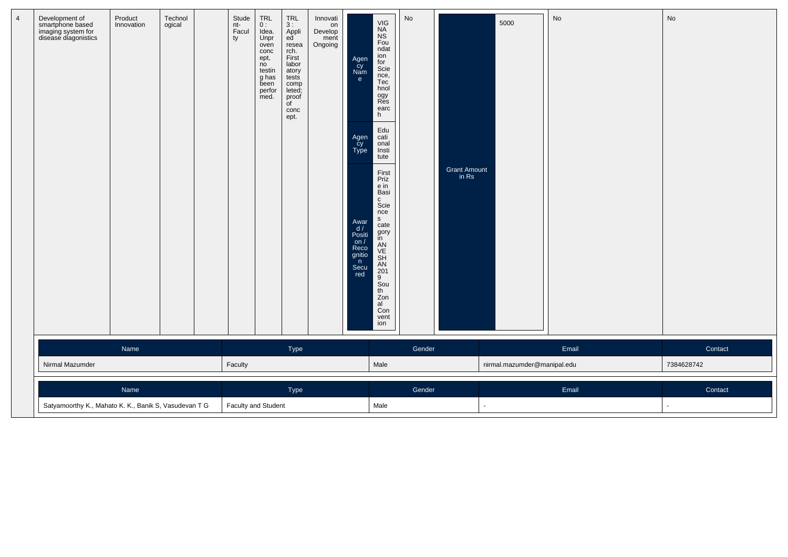| 4 | Development of<br>smartphone based<br>imaging system for<br>disease diagonistics | Product<br>Innovation | Technol<br>ogical | Stude<br>nt-<br>Facul<br>ty | TRL<br>0 :<br>Idea.<br>Unpr<br>oven<br>conc<br>ept,<br>no<br>testin<br>g has<br>been<br>perfor<br>med. | $TRL$<br>3 :<br>Appli<br>ed<br>resea<br>rch.<br>First<br>labor<br>atory<br>tests<br>comp<br>leted;<br>proof<br>of<br>conc<br>ept. | Innovati<br>on<br>Develop<br>ment<br>Ongoing | Agen<br>Cy<br>Nam<br>e.<br>Agen<br>cy<br>Type<br>Awar<br>$\frac{d}{d}$<br>Positi<br>on/<br>Reco<br>gnitio<br>$\mathsf{n}$<br>Secu<br>red | VIG<br>NA<br>NS<br>Fou<br>ndat<br>ion<br>for<br>Scie<br>nce,<br>Tec<br>hnol<br>ogy<br>Res<br>earc<br>h<br>Edu<br>cati<br>onal<br>Insti<br>tute<br>First<br>Priz<br>e in<br>Basi<br>c<br>Scie<br>nce<br>S<br>cate<br>gory<br>in<br>AN<br>CH<br>SH<br>AN<br>201<br>9<br>Sou<br>th<br>Zon<br>$a^{\dagger}$<br>Con<br>vent<br>ion | No     | Grant Amount<br>in Rs | 5000                        | No    | No             |  |
|---|----------------------------------------------------------------------------------|-----------------------|-------------------|-----------------------------|--------------------------------------------------------------------------------------------------------|-----------------------------------------------------------------------------------------------------------------------------------|----------------------------------------------|------------------------------------------------------------------------------------------------------------------------------------------|-------------------------------------------------------------------------------------------------------------------------------------------------------------------------------------------------------------------------------------------------------------------------------------------------------------------------------|--------|-----------------------|-----------------------------|-------|----------------|--|
|   |                                                                                  | Name                  |                   |                             |                                                                                                        | Type                                                                                                                              |                                              |                                                                                                                                          |                                                                                                                                                                                                                                                                                                                               | Gender |                       |                             | Email | Contact        |  |
|   | Nirmal Mazumder                                                                  |                       |                   | Faculty                     |                                                                                                        |                                                                                                                                   |                                              |                                                                                                                                          | Male                                                                                                                                                                                                                                                                                                                          |        |                       | nirmal.mazumder@manipal.edu |       | 7384628742     |  |
|   |                                                                                  |                       | Type              |                             |                                                                                                        |                                                                                                                                   |                                              | Gender                                                                                                                                   |                                                                                                                                                                                                                                                                                                                               |        | Email                 | Contact                     |       |                |  |
|   | Satyamoorthy K., Mahato K. K., Banik S, Vasudevan T G                            |                       |                   |                             | Faculty and Student<br>Male                                                                            |                                                                                                                                   |                                              |                                                                                                                                          |                                                                                                                                                                                                                                                                                                                               |        |                       |                             |       | $\blacksquare$ |  |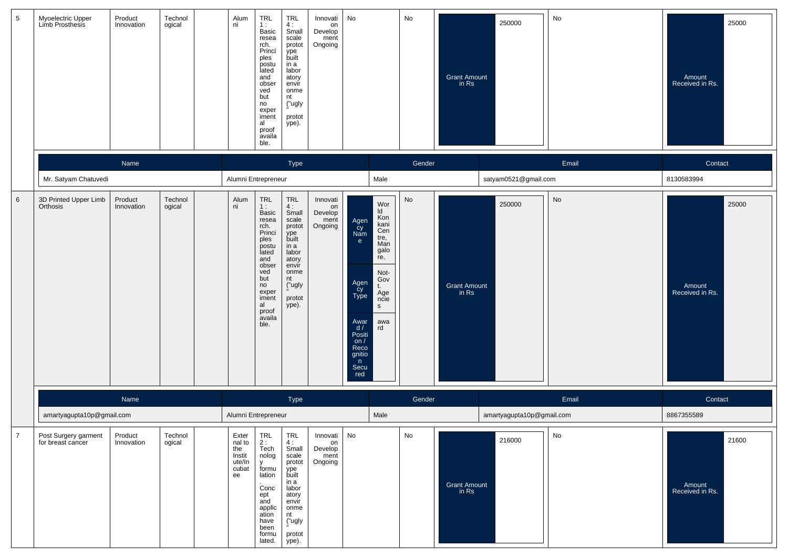| $5\phantom{.0}$ | Myoelectric Upper<br>Limb Prosthesis      | Product<br>Innovation | Technol<br>ogical | Alum<br>ni                                                  | TRL<br>1:<br>Basic<br>resea<br>rch.<br>Princi<br>ples<br>postu<br>lated<br>and<br>obser<br>ved<br>but<br>no<br>exper<br>iment<br>al<br>proof<br>availa<br>ble.        | TRL<br>4:<br>Small<br>scale<br>protot<br>ype<br>built<br>in a<br>labor<br>atory<br>envír<br>onme<br>nt<br>("ugly<br>protot<br>ype).        | Innovati<br>on<br>Develop<br>ment<br>Ongoing | No                                                                                                                    |                                                                                                                                | No     | 250000<br>Grant Amount<br>in Rs | No    | 25000<br>Amount<br>Received in Rs. |
|-----------------|-------------------------------------------|-----------------------|-------------------|-------------------------------------------------------------|-----------------------------------------------------------------------------------------------------------------------------------------------------------------------|--------------------------------------------------------------------------------------------------------------------------------------------|----------------------------------------------|-----------------------------------------------------------------------------------------------------------------------|--------------------------------------------------------------------------------------------------------------------------------|--------|---------------------------------|-------|------------------------------------|
|                 |                                           | Name                  |                   |                                                             |                                                                                                                                                                       | Type                                                                                                                                       |                                              |                                                                                                                       |                                                                                                                                | Gender |                                 | Email | Contact                            |
|                 | Mr. Satyam Chatuvedi                      |                       |                   |                                                             | Alumni Entrepreneur                                                                                                                                                   |                                                                                                                                            |                                              |                                                                                                                       | Male                                                                                                                           |        | satyam0521@gmail.com            |       | 8130583994                         |
| 6               | 3D Printed Upper Limb<br>Orthosis         | Product<br>Innovation | Technol<br>ogical | Alum<br>ni                                                  | TRL<br>1:<br><b>Basic</b><br>resea<br>rch.<br>Princi<br>ples<br>postu<br>lated<br>and<br>obser<br>ved<br>but<br>no<br>exper<br>iment<br>al<br>proof<br>availa<br>ble. | <b>TRL</b><br>4:<br>Small<br>scale<br>protot<br>ype<br>built<br>in a<br>labor<br>atory<br>envir<br>onme<br>nt<br>("ugly<br>protot<br>ype). | Innovati<br>on<br>Develop<br>ment<br>Ongoing | Agen<br>cy<br>Nam<br>e<br>Agen<br>cy<br>Type<br>Awar<br>$d / P$ ositi<br>on $/$<br>Reco<br>gnitio<br>n<br>Secu<br>red | Wor<br>ld<br>Kon<br>kani<br>Cen<br>tre,<br>Man<br>galo<br>re.<br>Not-<br>Gov<br>t.<br>Age<br>ncie<br>$\mathsf{s}$<br>awa<br>rd | No     | 250000<br>Grant Amount<br>in Rs | No    | 25000<br>Amount<br>Received in Rs. |
|                 |                                           | Name                  |                   |                                                             |                                                                                                                                                                       | Type                                                                                                                                       |                                              |                                                                                                                       |                                                                                                                                | Gender |                                 | Email | Contact                            |
|                 | amartyagupta10p@gmail.com                 |                       |                   |                                                             | Alumni Entrepreneur                                                                                                                                                   |                                                                                                                                            |                                              |                                                                                                                       | Male                                                                                                                           |        | amartyagupta10p@gmail.com       |       | 8867355589                         |
| $\overline{7}$  | Post Surgery garment<br>for breast cancer | Product<br>Innovation | Technol<br>ogical | Exter<br>$n = 10$<br>the<br>Instit<br>ute/In<br>cubat<br>ee | TRL<br>$2:$<br>Tech<br>nolog<br>$\mathsf{v}$<br>formu<br>lation<br>Conc<br>ept<br>and<br>applic<br>ation<br>have<br>been<br>formu<br>lated.                           | TRL<br>4:<br>Small<br>scale<br>protot<br>.<br>built<br>in a<br>labor<br>atory<br>envir<br>onme<br>nt<br>("ugly<br>protot<br>ype).          | Innovati<br>on<br>Develop<br>ment<br>Ongoing | No                                                                                                                    |                                                                                                                                | No     | 216000<br>Grant Amount<br>in Rs | No    | 21600<br>Amount<br>Received in Rs. |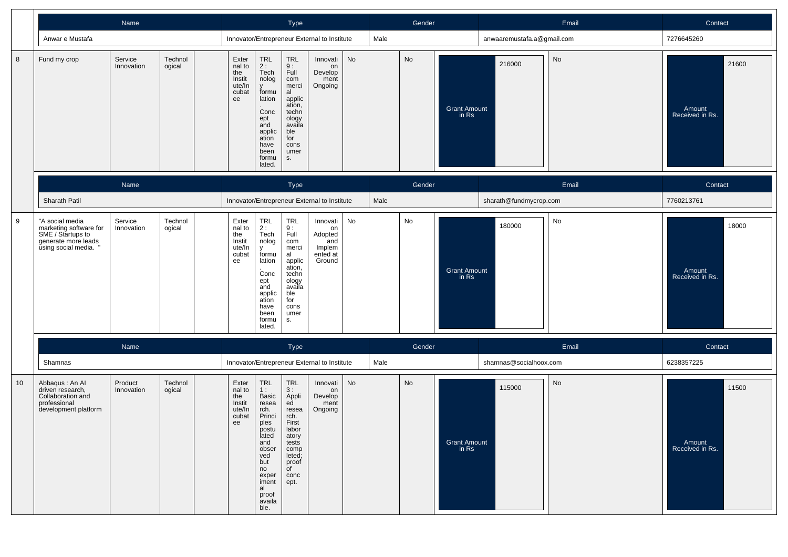|    |                                                                                                              | Name                  |                   | Type<br>Innovator/Entrepreneur External to Institute      |                                                                                                                                                                |                                                                                                                                       |                                                                  |           |      | Gender |                              | Email                      |           | Contact                            |
|----|--------------------------------------------------------------------------------------------------------------|-----------------------|-------------------|-----------------------------------------------------------|----------------------------------------------------------------------------------------------------------------------------------------------------------------|---------------------------------------------------------------------------------------------------------------------------------------|------------------------------------------------------------------|-----------|------|--------|------------------------------|----------------------------|-----------|------------------------------------|
|    | Anwar e Mustafa                                                                                              |                       |                   |                                                           |                                                                                                                                                                |                                                                                                                                       |                                                                  |           | Male |        |                              | anwaaremustafa.a@gmail.com |           | 7276645260                         |
| 8  | Fund my crop                                                                                                 | Service<br>Innovation | Technol<br>ogical | Exter<br>nal to<br>the<br>Instit<br>ute/In<br>cubat<br>ee | TRL<br>2:<br>Tech<br>nolog<br>$\mathsf{v}$<br>formu<br>lation<br>Conc<br>ept<br>and<br>applic<br>ation<br>have<br>been<br>formu<br>lated.                      | TRL<br>$\frac{9}{1}$ :<br>com<br>merci<br>al<br>applic<br>ation,<br>techn<br>ology<br>availa<br>ble<br>for<br>cons<br>umer<br>S.      | Innovati<br>on<br>Develop<br>ment<br>Ongoing                     | <b>No</b> |      | No     | <b>Grant Amount</b><br>in Rs | 216000                     | <b>No</b> | 21600<br>Amount<br>Received in Rs. |
|    |                                                                                                              | Name                  |                   |                                                           |                                                                                                                                                                | Type                                                                                                                                  |                                                                  |           |      | Gender |                              |                            | Email     | Contact                            |
|    | Sharath Patil                                                                                                |                       |                   |                                                           |                                                                                                                                                                |                                                                                                                                       | Innovator/Entrepreneur External to Institute                     |           | Male |        |                              | sharath@fundmycrop.com     |           | 7760213761                         |
| 9  | "A social media<br>marketing software for<br>SME / Startups to<br>generate more leads<br>using social media. | Service<br>Innovation | Technol<br>ogical | Exter<br>nal to<br>the<br>Instit<br>ute/In<br>cubat<br>ee | TRL<br>2:<br>Tech<br>nolog<br>v<br>formu<br>lation<br>Conc<br>ept<br>and<br>applic<br>ation<br>have<br>been<br>formu<br>lated.                                 | <b>TRL</b><br>9:<br>Full<br>com<br>merci<br>al<br>applic<br>ation,<br>techn<br>ology<br>availa<br>ble<br>for<br>cons<br>umer<br>s.    | Innovati<br>on<br>Adopted<br>and<br>Implem<br>ented at<br>Ground | No        |      | No     | <b>Grant Amount</b><br>in Rs | 180000                     | No        | 18000<br>Amount<br>Received in Rs. |
|    |                                                                                                              | Name                  |                   |                                                           |                                                                                                                                                                | Type                                                                                                                                  |                                                                  |           |      | Gender |                              |                            | Email     | Contact                            |
|    | Shamnas                                                                                                      |                       |                   |                                                           |                                                                                                                                                                |                                                                                                                                       | Innovator/Entrepreneur External to Institute                     |           | Male |        |                              | shamnas@socialhoox.com     |           | 6238357225                         |
| 10 | Abbaqus: An Al<br>driven research,<br>Collaboration and<br>professional<br>development platform              | Product<br>Innovation | Technol<br>ogical | Exter<br>nal to<br>the<br>Instit<br>ute/In<br>cubat<br>ee | TRL<br>1:<br>Basic<br>resea<br>rch.<br>Princi<br>ples<br>postu<br>lated<br>and<br>obser<br>ved<br>but<br>no<br>exper<br>iment<br>al<br>proof<br>availa<br>ble. | <b>TRL</b><br>3:<br>Appli<br>ed<br>resea<br>rch.<br>First<br>labor<br>atory<br>tests<br>comp<br>leted;<br>proof<br>of<br>conc<br>ept. | Innovati<br>on<br>Develop<br>ment<br>Ongoing                     | <b>No</b> |      | No     | <b>Grant Amount</b><br>in Rs | 115000                     | No        | 11500<br>Amount<br>Received in Rs. |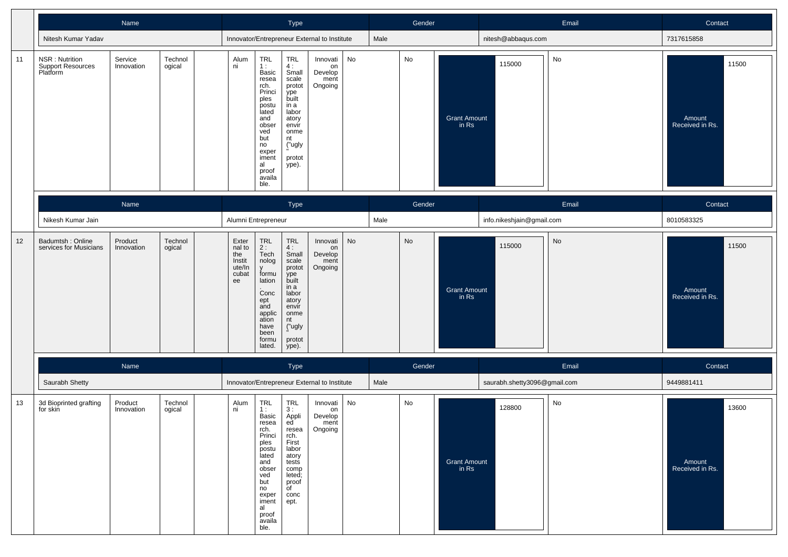|    |                                                        | Name                  |                   |                                                           |                                                                                                                                                                                            | Type                                                                                                                                       |                                              |    |      | Gender |                              | Email                        |       | Contact                            |
|----|--------------------------------------------------------|-----------------------|-------------------|-----------------------------------------------------------|--------------------------------------------------------------------------------------------------------------------------------------------------------------------------------------------|--------------------------------------------------------------------------------------------------------------------------------------------|----------------------------------------------|----|------|--------|------------------------------|------------------------------|-------|------------------------------------|
|    | Nitesh Kumar Yadav                                     |                       |                   |                                                           |                                                                                                                                                                                            |                                                                                                                                            | Innovator/Entrepreneur External to Institute |    | Male |        |                              | nitesh@abbaqus.com           |       | 7317615858                         |
| 11 | NSR: Nutrition<br><b>Support Resources</b><br>Platform | Service<br>Innovation | Technol<br>ogical | Alum<br>ni                                                | TRL<br>1:<br>Basic<br>resea<br>rch.<br>Princi<br>ples<br>postu<br>lated<br>and<br>obser<br>ved<br>but<br>no<br>exper<br>iment<br>al<br>proof<br>availa<br>ble.                             | TRL<br>$\frac{4}{3}$ :<br>scale<br>protot<br>ype<br>built<br>in a<br>labor<br>atory<br>envir<br>onme<br>nt<br>("ugly<br>protot<br>ype).    | Innovati<br>on<br>Develop<br>ment<br>Ongoing | No |      | No     | <b>Grant Amount</b><br>in Rs | 115000                       | No    | 11500<br>Amount<br>Received in Rs. |
|    |                                                        | Name                  |                   |                                                           |                                                                                                                                                                                            | Type                                                                                                                                       |                                              |    |      | Gender |                              |                              | Email | Contact                            |
|    | Nikesh Kumar Jain                                      |                       |                   |                                                           | Alumni Entrepreneur                                                                                                                                                                        |                                                                                                                                            |                                              |    | Male |        |                              | info.nikeshjain@gmail.com    |       | 8010583325                         |
| 12 | Badumtsh: Online<br>services for Musicians             | Product<br>Innovation | Technol<br>ogical | Exter<br>nal to<br>the<br>Instit<br>ute/In<br>cubat<br>ee | $\begin{array}{c} \mathsf{TRL} \\ \mathsf{2}: \end{array}$<br>Tech<br>nolog<br>$\mathsf{v}$<br>formu<br>lation<br>Conc<br>ept<br>and<br>applic<br>ation<br>have<br>been<br>formu<br>lated. | <b>TRL</b><br>4:<br>Small<br>scale<br>protot<br>ype<br>built<br>in a<br>labor<br>atory<br>envir<br>onme<br>nt<br>("ugly<br>protot<br>ype). | Innovati<br>on<br>Develop<br>ment<br>Ongoing | No |      | No     | Grant Amount<br>in Rs        | 115000                       | No    | 11500<br>Amount<br>Received in Rs. |
|    |                                                        | Name                  |                   |                                                           |                                                                                                                                                                                            | Type                                                                                                                                       |                                              |    |      | Gender |                              |                              | Email | Contact                            |
|    | Saurabh Shetty                                         |                       |                   |                                                           |                                                                                                                                                                                            |                                                                                                                                            | Innovator/Entrepreneur External to Institute |    | Male |        |                              | saurabh.shetty3096@gmail.com |       | 9449881411                         |
| 13 | 3d Bioprinted grafting<br>for skin                     | Product<br>Innovation | Technol<br>ogical | Alum<br>ni                                                | TRL<br>1:<br>Basic<br>resea<br>rch.<br>Princi<br>ples<br>postu<br>lated<br>and<br>obser<br>ved<br>but<br>no<br>exper<br>iment<br>al<br>proof<br>availa<br>ble.                             | <b>TRL</b><br>3 :<br>Appli<br>ed<br>resea<br>rch.<br>First<br>labor<br>atory<br>tests<br>comp<br>leted;<br>proof<br>of<br>conc<br>ept.     | Innovati<br>on<br>Develop<br>ment<br>Ongoing | No |      | No     | <b>Grant Amount</b><br>in Rs | 128800                       | No    | 13600<br>Amount<br>Received in Rs. |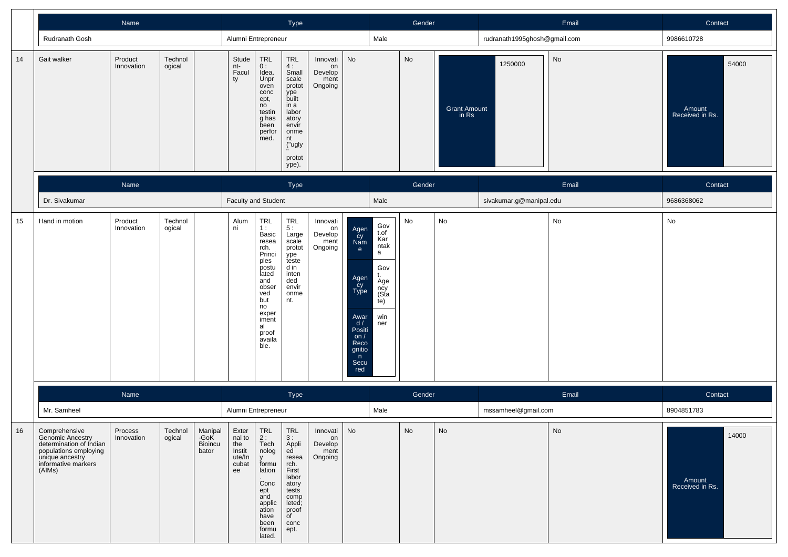|    |                                                                                                                                           | Name                  |                   |                                     |                                                           |                                                                                                                                                                       | Type                                                                                                                                |                                                   |                                                                                                                                             |                                                                                         | Gender |                              |                              | Email | Contact                            |
|----|-------------------------------------------------------------------------------------------------------------------------------------------|-----------------------|-------------------|-------------------------------------|-----------------------------------------------------------|-----------------------------------------------------------------------------------------------------------------------------------------------------------------------|-------------------------------------------------------------------------------------------------------------------------------------|---------------------------------------------------|---------------------------------------------------------------------------------------------------------------------------------------------|-----------------------------------------------------------------------------------------|--------|------------------------------|------------------------------|-------|------------------------------------|
|    | Rudranath Gosh                                                                                                                            |                       |                   |                                     | Alumni Entrepreneur                                       |                                                                                                                                                                       |                                                                                                                                     |                                                   |                                                                                                                                             | Male                                                                                    |        |                              | rudranath1995ghosh@gmail.com |       | 9986610728                         |
| 14 | Gait walker                                                                                                                               | Product<br>Innovation | Technol<br>ogical |                                     | Stude<br>nt-<br>Facul<br>ty                               | <b>TRL</b><br>0 :<br>Idea.<br>Unpr<br>oven<br>conc<br>ept,<br>no<br>testin<br>g has<br>been<br>perfor<br>med.                                                         | TRL<br>4:<br>Small<br>scale<br>protot<br>ype<br>built<br>in a<br>labor<br>atory<br>envir<br>onme<br>nt<br>("ugly<br>protot<br>ype). | Innovati<br>on<br>Develop<br>ment<br>Ongoing      | No                                                                                                                                          |                                                                                         | No     | <b>Grant Amount</b><br>in Rs | 1250000                      | No    | 54000<br>Amount<br>Received in Rs. |
|    |                                                                                                                                           | Name                  |                   |                                     |                                                           |                                                                                                                                                                       | Type                                                                                                                                |                                                   |                                                                                                                                             |                                                                                         | Gender |                              |                              | Email | Contact                            |
|    | Dr. Sivakumar                                                                                                                             |                       |                   |                                     | <b>Faculty and Student</b>                                |                                                                                                                                                                       |                                                                                                                                     |                                                   |                                                                                                                                             | Male                                                                                    |        | sivakumar.g@manipal.edu      |                              |       | 9686368062                         |
| 15 | Hand in motion                                                                                                                            | Product<br>Innovation | Technol<br>ogical |                                     | Alum<br>ni                                                | <b>TRL</b><br>1:<br>Basic<br>resea<br>rch.<br>Princi<br>ples<br>postu<br>lated<br>and<br>obser<br>ved<br>but<br>no<br>exper<br>iment<br>al<br>proof<br>availa<br>ble. | <b>TRL</b><br>5:<br>Large<br>scale<br>protot<br>.<br>teste<br>d in<br>inten<br>ded<br>envir<br>onme<br>nt.                          | Innovati<br>on<br>Develop<br>ment<br>Ongoing      | Agen<br>Cy<br>Nam<br>$\mathbf{e}$<br>Agen<br>Cy<br>Type<br>Awar<br>$\overline{d}$<br>Positi<br>on $/$<br>Reco<br>gnitio<br>n<br>Secu<br>red | Gov<br>t.of<br>Kar<br>ntak<br>a<br>Gov<br>t.<br>Age<br>ncy<br>(Sta<br>te)<br>win<br>ner | No     | $\operatorname{\mathsf{No}}$ |                              | No    | No                                 |
|    |                                                                                                                                           | Name                  |                   |                                     |                                                           |                                                                                                                                                                       | Type                                                                                                                                |                                                   |                                                                                                                                             |                                                                                         | Gender |                              |                              | Email | Contact                            |
|    | Mr. Samheel                                                                                                                               |                       |                   |                                     | Alumni Entrepreneur                                       |                                                                                                                                                                       |                                                                                                                                     |                                                   |                                                                                                                                             | Male                                                                                    |        |                              | mssamheel@gmail.com          |       | 8904851783                         |
| 16 | Comprehensive<br>Genomic Ancestry<br>determination of Indian<br>populations employing<br>unique ancestry<br>informative markers<br>(AIMs) | Process<br>Innovation | Technol<br>ogical | Manipal<br>-GoK<br>Bioincu<br>bator | Exter<br>nal to<br>the<br>Instit<br>ute/In<br>cubat<br>ee | TRL<br>2 :<br>Tech<br>nolog<br>$\mathsf{V}$<br>formu<br>lation<br>Conc<br>ept<br>and<br>applic<br>ation<br>have<br>been<br>formu<br>lated.                            | TRL<br>3:<br>Appli<br>ed<br>resea<br>rch.<br>First<br>labor<br>atory<br>tests<br>comp<br>leted;<br>proof<br>of<br>conc<br>ept.      | Innovati   No<br>on<br>Develop<br>ment<br>Ongoing |                                                                                                                                             |                                                                                         | No     | No                           |                              | No    | 14000<br>Amount<br>Received in Rs. |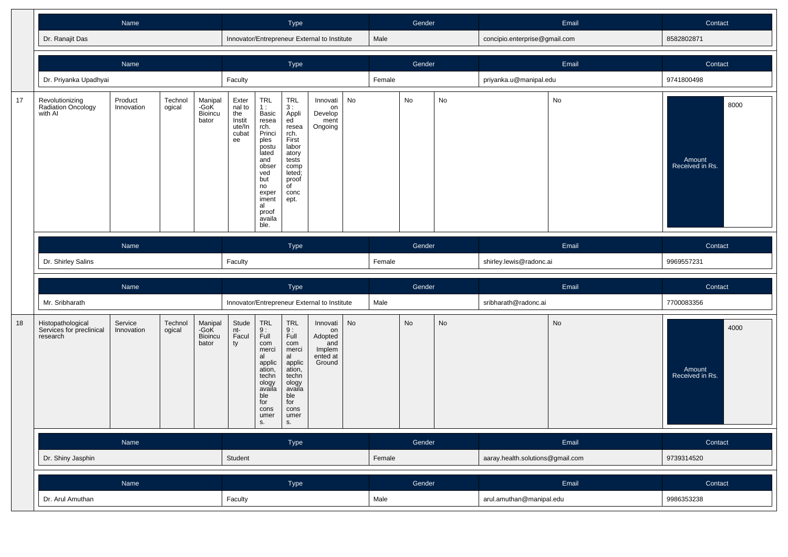|    |                                                                                                                          | Name<br>Dr. Ranajit Das |                   |                                     |                                                             |                                                                                                                                                                | Type                                                                                                                                                     |                                                                  |    |        | Gender |                                  | Email                         |            | Contact                           |
|----|--------------------------------------------------------------------------------------------------------------------------|-------------------------|-------------------|-------------------------------------|-------------------------------------------------------------|----------------------------------------------------------------------------------------------------------------------------------------------------------------|----------------------------------------------------------------------------------------------------------------------------------------------------------|------------------------------------------------------------------|----|--------|--------|----------------------------------|-------------------------------|------------|-----------------------------------|
|    |                                                                                                                          |                         |                   |                                     |                                                             |                                                                                                                                                                |                                                                                                                                                          | Innovator/Entrepreneur External to Institute                     |    | Male   |        |                                  | concipio.enterprise@gmail.com |            | 8582802871                        |
|    |                                                                                                                          | Name                    |                   |                                     |                                                             |                                                                                                                                                                | Type                                                                                                                                                     |                                                                  |    |        | Gender |                                  |                               | Email      | Contact                           |
|    | Dr. Priyanka Upadhyai                                                                                                    |                         |                   |                                     | Faculty                                                     |                                                                                                                                                                |                                                                                                                                                          |                                                                  |    | Female |        |                                  | priyanka.u@manipal.edu        |            | 9741800498                        |
| 17 | Revolutionizing<br>Radiation Oncology<br>with Al                                                                         | Product<br>Innovation   | Technol<br>ogical | Manipal<br>-GoK<br>Bioincu<br>bator | Exter<br>$n = 10$<br>the<br>Instit<br>ute/In<br>cubat<br>ee | TRL<br>1:<br>Basic<br>resea<br>rch.<br>Princi<br>ples<br>postu<br>lated<br>and<br>obser<br>ved<br>but<br>no<br>exper<br>iment<br>al<br>proof<br>availa<br>ble. | TRL<br>3 :<br>Appli<br>ed <sup>'</sup><br>resea<br>rch.<br>First<br>labor<br>atory<br>tests<br>comp<br>leted;<br>proof<br>of<br>conc<br>ept.             | Innovati<br>on<br>Develop<br>ment<br>Ongoing                     | No |        | No     | No                               |                               | No         | 8000<br>Amount<br>Received in Rs. |
|    | Name                                                                                                                     |                         |                   |                                     |                                                             |                                                                                                                                                                | Type                                                                                                                                                     |                                                                  |    | Gender |        |                                  | Email                         |            | Contact                           |
|    | Dr. Shirley Salins                                                                                                       |                         |                   |                                     | Faculty                                                     |                                                                                                                                                                |                                                                                                                                                          |                                                                  |    | Female |        |                                  | shirley.lewis@radonc.ai       |            | 9969557231                        |
|    | Name                                                                                                                     |                         |                   |                                     |                                                             |                                                                                                                                                                | Type                                                                                                                                                     |                                                                  |    | Gender |        |                                  |                               | Email      | Contact                           |
|    | Mr. Sribharath                                                                                                           |                         |                   |                                     | Innovator/Entrepreneur External to Institute                |                                                                                                                                                                |                                                                                                                                                          |                                                                  |    | Male   |        |                                  | sribharath@radonc.ai          |            | 7700083356                        |
| 18 | Histopathological<br>Service<br>Technol<br>-GoK<br>Services for preclinical<br>Innovation<br>ogical<br>research<br>bator |                         |                   | Manipal<br><b>Bioincu</b>           | Stude<br>nt-<br>Facul<br>ty                                 | <b>TRL</b><br>$\frac{9}{1}$ :<br>com<br>merci<br>al<br>applic<br>ation,<br>techn<br>ology<br>availa<br>ble<br>for<br>cons<br>umer<br>s.                        | $\ensuremath{\mathsf{TRL}}$<br>$\frac{9}{1}$ :<br>com<br>merci<br>al<br>applic<br>ation,<br>techn<br>ology<br>availa<br>ble<br>for<br>cons<br>umer<br>s. | Innovati<br>on<br>Adopted<br>and<br>Implem<br>ented at<br>Ground | No |        | No     | No                               |                               | No         | 4000<br>Amount<br>Received in Rs. |
|    | Name                                                                                                                     |                         |                   |                                     |                                                             |                                                                                                                                                                | Type                                                                                                                                                     |                                                                  |    |        | Gender |                                  |                               | Email      | Contact                           |
|    | Dr. Shiny Jasphin                                                                                                        |                         |                   |                                     | Student                                                     |                                                                                                                                                                |                                                                                                                                                          |                                                                  |    | Female |        | aaray.health.solutions@gmail.com |                               | 9739314520 |                                   |
|    |                                                                                                                          |                         |                   | Name                                |                                                             |                                                                                                                                                                |                                                                                                                                                          |                                                                  |    | Gender |        |                                  |                               |            |                                   |
|    |                                                                                                                          |                         |                   |                                     |                                                             |                                                                                                                                                                | Type                                                                                                                                                     |                                                                  |    |        |        |                                  |                               | Email      | Contact                           |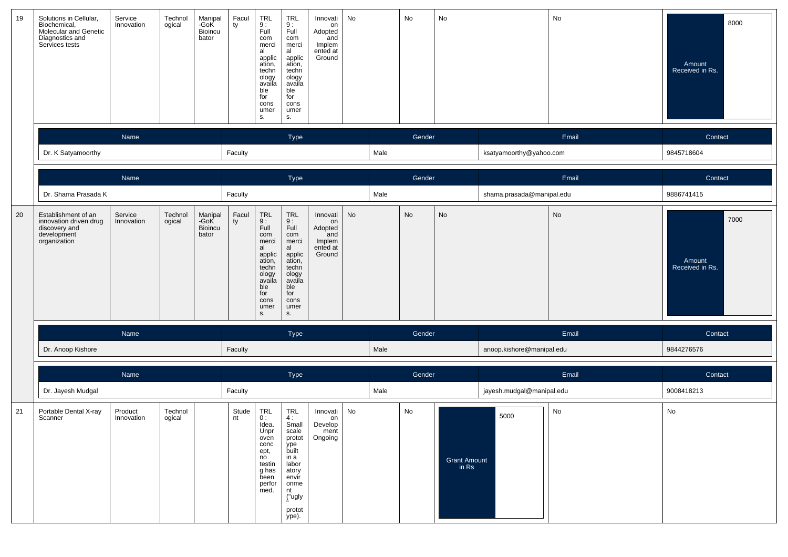| 19 | Solutions in Cellular,<br>Biochemical,<br>Molecular and Genetic<br>Diagnostics and<br>Services tests | Service<br>Innovation | Technol<br>ogical | Manipal<br>-GoK<br>Bioincu<br>bator | Facul<br>ty | TRL<br>9 :<br>Full<br>com<br>merci<br>al<br>applic<br>ation,<br>techn<br>ology<br>availa<br>ble<br>for<br>cons<br>umer<br>S.                                                 | <b>TRL</b><br>9:<br>Full<br>com<br>merci<br>al<br>applic<br>ation,<br>techn<br>ology<br>availa<br>ble<br>for<br>cons<br>umer<br>S.          | Innovati<br>on<br>Adopted<br>and<br>Implem<br>ented at<br>Ground | No |      | No     | No                           |                           | No    | 8000<br>Amount<br>Received in Rs. |
|----|------------------------------------------------------------------------------------------------------|-----------------------|-------------------|-------------------------------------|-------------|------------------------------------------------------------------------------------------------------------------------------------------------------------------------------|---------------------------------------------------------------------------------------------------------------------------------------------|------------------------------------------------------------------|----|------|--------|------------------------------|---------------------------|-------|-----------------------------------|
|    |                                                                                                      | Name                  |                   |                                     |             |                                                                                                                                                                              | Type                                                                                                                                        |                                                                  |    |      | Gender |                              |                           | Email | Contact                           |
|    | Dr. K Satyamoorthy                                                                                   |                       |                   |                                     | Faculty     |                                                                                                                                                                              |                                                                                                                                             |                                                                  |    | Male |        |                              | ksatyamoorthy@yahoo.com   |       | 9845718604                        |
|    |                                                                                                      | Name                  |                   |                                     |             |                                                                                                                                                                              | Type                                                                                                                                        |                                                                  |    |      | Gender |                              |                           | Email | Contact                           |
|    | Dr. Shama Prasada K                                                                                  |                       |                   |                                     | Faculty     |                                                                                                                                                                              |                                                                                                                                             |                                                                  |    | Male |        |                              | shama.prasada@manipal.edu |       | 9886741415                        |
| 20 | Establishment of an<br>innovation driven drug<br>discovery and<br>development<br>organization        | Service<br>Innovation | Technol<br>ogical | Manipal<br>-GoK<br>Bioincu<br>bator | Facul<br>ty | $\begin{array}{c} \mathsf{TRL} \\ \mathsf{9}: \end{array}$<br>Full<br>com<br>merci<br>al<br>applic<br>ation,<br>techn<br>ology<br>availa<br>ble<br>for<br>cons<br>umer<br>S. | $7RL$<br>$9:$<br>Full<br>com<br>merci<br>al<br>applic<br>ation,<br>techn<br>ology<br>availa<br>ble<br>for<br>cons<br>umer<br>S.             | Innovati<br>on<br>Adopted<br>and<br>Implem<br>ented at<br>Ground | No |      | No     | No                           |                           | No    | 7000<br>Amount<br>Received in Rs. |
|    |                                                                                                      | Name                  |                   |                                     |             |                                                                                                                                                                              | Type                                                                                                                                        |                                                                  |    |      | Gender |                              |                           | Email | Contact                           |
|    | Dr. Anoop Kishore                                                                                    |                       |                   |                                     | Faculty     |                                                                                                                                                                              |                                                                                                                                             |                                                                  |    | Male |        |                              | anoop.kishore@manipal.edu |       | 9844276576                        |
|    |                                                                                                      | Name                  |                   |                                     |             |                                                                                                                                                                              | Type                                                                                                                                        |                                                                  |    |      | Gender |                              |                           | Email | Contact                           |
|    | Dr. Jayesh Mudgal                                                                                    |                       |                   |                                     | Faculty     |                                                                                                                                                                              |                                                                                                                                             |                                                                  |    | Male |        |                              | jayesh.mudgal@manipal.edu |       | 9008418213                        |
| 21 | Portable Dental X-ray<br>Scanner                                                                     | Product<br>Innovation | Technol<br>ogical |                                     | Stude<br>nt | <b>TRL</b><br>0:<br>Idea.<br>Unpr<br>oven<br>conc<br>ept,<br>no<br>testin<br>g has<br>been<br>perfor<br>med.                                                                 | <b>TRL</b><br>4 :<br>Small<br>scale<br>protot<br>ype<br>built<br>in a<br>labor<br>atory<br>envir<br>onme<br>nt<br>("ugly<br>protot<br>ype). | Innovati<br>on<br>Develop<br>ment<br>Ongoing                     | No |      | No     | <b>Grant Amount</b><br>in Rs | 5000                      | No    | No                                |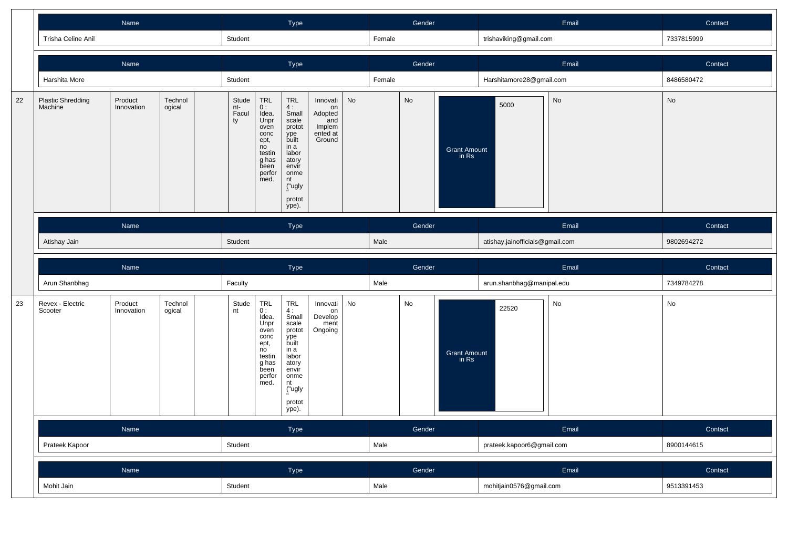|    |                                     |                             |                                                                                                              |                                                                                                                                            | Type                                                                                                  |                                                                                                                                            |                                              | Gender    |                              |                                 |                              | Email                     | Contact |            |
|----|-------------------------------------|-----------------------------|--------------------------------------------------------------------------------------------------------------|--------------------------------------------------------------------------------------------------------------------------------------------|-------------------------------------------------------------------------------------------------------|--------------------------------------------------------------------------------------------------------------------------------------------|----------------------------------------------|-----------|------------------------------|---------------------------------|------------------------------|---------------------------|---------|------------|
|    | Trisha Celine Anil                  |                             |                                                                                                              | Student                                                                                                                                    |                                                                                                       |                                                                                                                                            |                                              |           | Female                       |                                 |                              | trishaviking@gmail.com    |         | 7337815999 |
|    |                                     | Name                        |                                                                                                              |                                                                                                                                            |                                                                                                       | Type                                                                                                                                       |                                              |           |                              | Gender                          |                              |                           | Email   | Contact    |
|    | Harshita More                       |                             |                                                                                                              | Student                                                                                                                                    |                                                                                                       |                                                                                                                                            |                                              |           | Female                       |                                 |                              | Harshitamore28@gmail.com  |         | 8486580472 |
| 22 | <b>Plastic Shredding</b><br>Machine | Stude<br>nt-<br>Facul<br>ty | <b>TRL</b><br>0:<br>Idea.<br>Unpr<br>oven<br>conc<br>ept,<br>no<br>testin<br>g has<br>been<br>perfor<br>med. | <b>TRL</b><br>4:<br>Small<br>scale<br>protot<br>ype<br>built<br>in a<br>labor<br>atory<br>envir<br>onme<br>nt<br>("ugly<br>protot<br>ype). | Innovati<br>on<br>Adopted<br>and<br>Implem<br>ented at<br>Ground                                      | No                                                                                                                                         |                                              | <b>No</b> | <b>Grant Amount</b><br>in Rs | 5000                            | No                           | No                        |         |            |
|    |                                     | Name                        |                                                                                                              |                                                                                                                                            |                                                                                                       | Type                                                                                                                                       |                                              |           |                              | Gender                          |                              | Email                     |         | Contact    |
|    | Atishay Jain                        | Student                     |                                                                                                              |                                                                                                                                            |                                                                                                       |                                                                                                                                            | Male                                         |           |                              | atishay.jainofficials@gmail.com |                              | 9802694272                |         |            |
|    |                                     |                             |                                                                                                              |                                                                                                                                            |                                                                                                       |                                                                                                                                            |                                              |           |                              |                                 |                              |                           |         |            |
|    |                                     | Name                        |                                                                                                              |                                                                                                                                            |                                                                                                       | Type                                                                                                                                       |                                              |           |                              | Gender                          |                              |                           | Email   | Contact    |
|    | Arun Shanbhag                       |                             |                                                                                                              | Faculty                                                                                                                                    |                                                                                                       |                                                                                                                                            |                                              |           | Male                         |                                 |                              | arun.shanbhag@manipal.edu |         | 7349784278 |
| 23 | Revex - Electric<br>Scooter         | Product<br>Innovation       | Technol<br>ogical                                                                                            | Stude<br>nt                                                                                                                                | TRL<br>0:<br>Idea.<br>Unpr<br>oven<br>conc<br>ept,<br>no<br>testin<br>g has<br>been<br>perfor<br>med. | <b>TRL</b><br>4:<br>Small<br>scale<br>protot<br>ype<br>built<br>in a<br>labor<br>atory<br>envir<br>onme<br>nt<br>("ugly<br>protot<br>ype). | Innovati<br>on<br>Develop<br>ment<br>Ongoing | No        |                              | No                              | <b>Grant Amount</b><br>in Rs | 22520                     | No      | No         |
|    |                                     | Name                        |                                                                                                              |                                                                                                                                            |                                                                                                       | Type                                                                                                                                       |                                              |           |                              | Gender                          |                              |                           | Email   | Contact    |
|    | Prateek Kapoor                      |                             |                                                                                                              | Student                                                                                                                                    |                                                                                                       |                                                                                                                                            |                                              |           | Male                         |                                 |                              | prateek.kapoor6@gmail.com |         | 8900144615 |
|    |                                     | Name                        |                                                                                                              |                                                                                                                                            |                                                                                                       | Type                                                                                                                                       |                                              |           |                              | Gender                          |                              |                           | Email   | Contact    |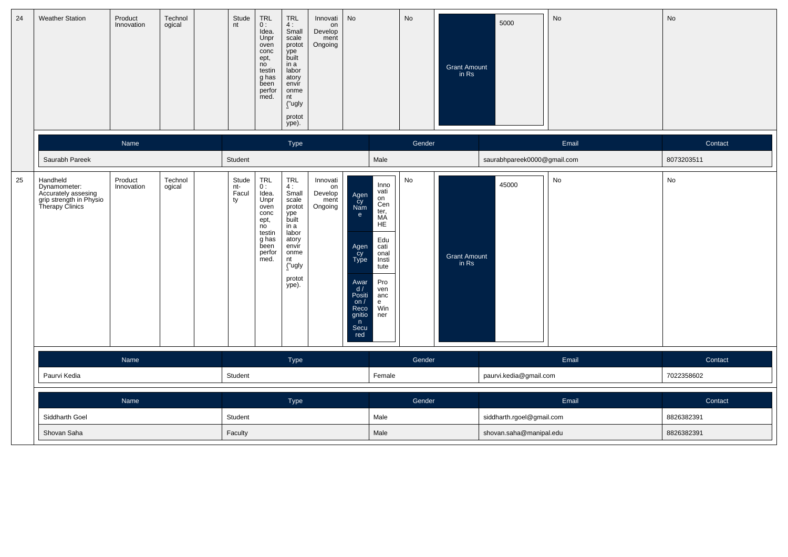| 24 | <b>Weather Station</b>                                                                        | Product<br>Innovation | Technol<br>ogical | Stude<br>nt                 | <b>TRL</b><br>0:<br>Idea.<br>Unpr<br>oven<br>conc<br>ept,<br>no<br>testin<br>g has<br>been<br>perfor<br>med.                                           | <b>TRL</b><br>4:<br>Small<br>scale<br>protot<br>ype<br>built<br>in a<br>labor<br>atory<br>envir<br>onme<br>nt<br>("ugly<br>protot<br>ype). | Innovati<br>on<br>Develop<br>ment<br>Ongoing | No                                                                                                                 |                                                                                                                                      | No                           | Grant Amount<br>in Rs                    | 5000                        | No    | No         |
|----|-----------------------------------------------------------------------------------------------|-----------------------|-------------------|-----------------------------|--------------------------------------------------------------------------------------------------------------------------------------------------------|--------------------------------------------------------------------------------------------------------------------------------------------|----------------------------------------------|--------------------------------------------------------------------------------------------------------------------|--------------------------------------------------------------------------------------------------------------------------------------|------------------------------|------------------------------------------|-----------------------------|-------|------------|
|    |                                                                                               | Name                  |                   |                             |                                                                                                                                                        | Type                                                                                                                                       |                                              |                                                                                                                    |                                                                                                                                      | Gender                       |                                          |                             | Email | Contact    |
|    | Saurabh Pareek                                                                                |                       |                   | Student                     |                                                                                                                                                        |                                                                                                                                            |                                              |                                                                                                                    | Male                                                                                                                                 |                              |                                          | saurabhpareek0000@gmail.com |       | 8073203511 |
| 25 | Handheld<br>Dynamometer:<br>Accurately assesing<br>grip strength in Physio<br>Therapy Clinics | Product<br>Innovation | Technol<br>ogical | Stude<br>nt-<br>Facul<br>ty | $\begin{array}{c} \mathsf{TRL} \\ \mathsf{O}: \end{array}$<br>Idea.<br>Unpr<br>oven<br>conc<br>ept,<br>no<br>testin<br>g has<br>been<br>perfor<br>med. | TRL<br>4:<br>Small<br>scale<br>protot<br>ype<br>built<br>in a<br>labor<br>atory<br>envir<br>onme<br>nt<br>("ugly<br>protot<br>ype).        | Innovati<br>on<br>Develop<br>ment<br>Ongoing | Agen<br>Cy<br>Nam<br>e<br>Agen<br>Cy<br>Type<br>Awar<br>$\frac{d}{d}$<br>on/<br>Reco<br>gnitio<br>n<br>Secu<br>red | Inno<br>vati<br>on<br>Cen<br>ter,<br>МA<br><b>HE</b><br>Edu<br>cati<br>onal<br>Insti<br>tute<br>Pro<br>ven<br>anc<br>e<br>Win<br>ner | $\operatorname{\mathsf{No}}$ | <b>Grant Amount</b><br>$\overline{m}$ Rs | 45000                       | No    | No         |
|    |                                                                                               | Name<br>Paurvi Kedia  |                   |                             |                                                                                                                                                        | Type                                                                                                                                       |                                              |                                                                                                                    |                                                                                                                                      | Gender                       |                                          |                             | Email | Contact    |
|    |                                                                                               |                       |                   | Student                     |                                                                                                                                                        |                                                                                                                                            |                                              |                                                                                                                    | Female                                                                                                                               |                              |                                          | paurvi.kedia@gmail.com      |       | 7022358602 |
|    |                                                                                               | Name                  |                   |                             |                                                                                                                                                        | Type                                                                                                                                       |                                              |                                                                                                                    |                                                                                                                                      | Gender                       | Email                                    |                             |       | Contact    |
|    | Siddharth Goel                                                                                |                       |                   |                             | Male<br>Student                                                                                                                                        |                                                                                                                                            |                                              |                                                                                                                    |                                                                                                                                      |                              |                                          | siddharth.rgoel@gmail.com   |       | 8826382391 |
|    | Shovan Saha                                                                                   |                       |                   |                             | Faculty                                                                                                                                                |                                                                                                                                            |                                              |                                                                                                                    | Male                                                                                                                                 |                              |                                          | shovan.saha@manipal.edu     |       | 8826382391 |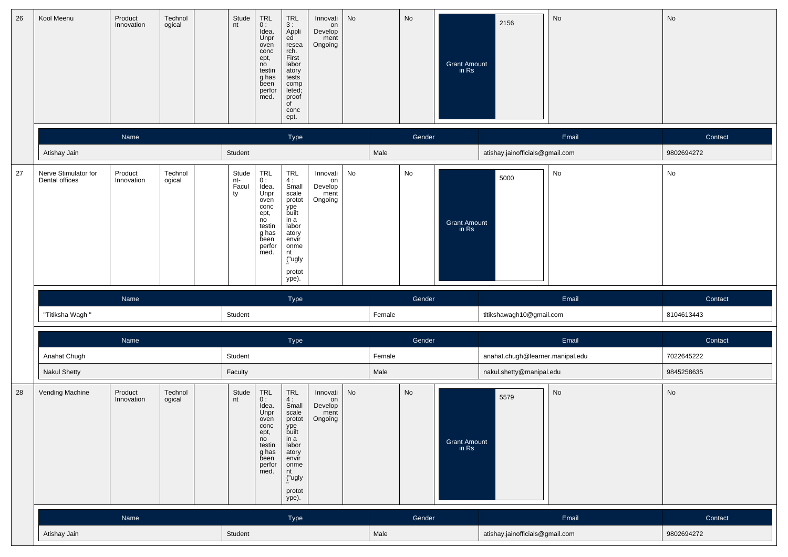| 26 | Kool Meenu                             | Product<br>Innovation | Technol<br>ogical | Stude<br>nt                 | TRL<br>0:<br>Idea.<br>Unpr<br>oven<br>conc<br>ept,<br>no<br>testin<br>g has<br>been<br>perfor<br>med.                                                   | TRL<br>3 :<br>Appli<br>ed<br>resea<br>rch.<br>First<br>labor<br>atory<br>tests<br>comp<br>leted;<br>proof<br>of<br>conc<br>ept.                                                      | Innovati<br>on<br>Develop<br>ment<br>Ongoing | No   |        | No     | <b>Grant Amount</b><br>in Rs    | 2156                             | No         | No         |
|----|----------------------------------------|-----------------------|-------------------|-----------------------------|---------------------------------------------------------------------------------------------------------------------------------------------------------|--------------------------------------------------------------------------------------------------------------------------------------------------------------------------------------|----------------------------------------------|------|--------|--------|---------------------------------|----------------------------------|------------|------------|
|    |                                        | Name                  |                   |                             |                                                                                                                                                         | Type                                                                                                                                                                                 |                                              |      |        | Gender |                                 |                                  | Email      | Contact    |
|    | Atishay Jain                           |                       | Student           |                             |                                                                                                                                                         |                                                                                                                                                                                      |                                              | Male |        |        | atishay.jainofficials@gmail.com |                                  | 9802694272 |            |
| 27 | Nerve Stimulator for<br>Dental offices | Product<br>Innovation | Technol<br>ogical | Stude<br>nt-<br>Facul<br>ty | TRL<br>0:<br>Idea.<br>Unpr<br>oven<br>conc<br>ept,<br>no<br>testin<br>g has<br>been<br>perfor<br>med.                                                   | $_{4}^{\rm TRL}$<br>Small<br>scale<br>protot<br>ype<br>built<br>in a<br>labor<br>atory<br>envir<br>onme<br>nt<br>("ugly<br>protot<br>ype).                                           | Innovati<br>on<br>Develop<br>ment<br>Ongoing | No   |        | No     | <b>Grant Amount</b><br>in Rs    | 5000                             | No         | No         |
|    |                                        | Name                  |                   |                             |                                                                                                                                                         | Type                                                                                                                                                                                 |                                              |      |        | Gender |                                 |                                  | Email      | Contact    |
|    | "Titiksha Wagh"                        |                       |                   | Student                     |                                                                                                                                                         |                                                                                                                                                                                      |                                              |      | Female |        |                                 | titikshawagh10@gmail.com         |            | 8104613443 |
|    |                                        | Name                  |                   |                             |                                                                                                                                                         | Type                                                                                                                                                                                 |                                              |      |        | Gender |                                 |                                  | Email      | Contact    |
|    | Anahat Chugh                           |                       |                   | Student                     |                                                                                                                                                         |                                                                                                                                                                                      |                                              |      | Female |        |                                 | anahat.chugh@learner.manipal.edu |            | 7022645222 |
|    | <b>Nakul Shetty</b>                    |                       |                   | Faculty                     |                                                                                                                                                         |                                                                                                                                                                                      |                                              |      | Male   |        |                                 | nakul.shetty@manipal.edu         |            | 9845258635 |
| 28 | Vending Machine                        | Product<br>Innovation | Technol<br>ogical | Stude<br>nt                 | $\begin{array}{c} \mathsf{TRL} \\ \mathsf{0} : \end{array}$<br>Idea.<br>Unpr<br>oven<br>conc<br>ept,<br>no<br>testin<br>g has<br>been<br>perfor<br>med. | $\begin{array}{c} \mathsf{TRL} \\ \mathsf{4}: \end{array}$<br>Small<br>scale<br>protot<br>ype<br>built<br>in a<br>labor<br>atory<br>envir<br>onme<br>nt<br>("ugly<br>protot<br>ype). | Innovati<br>on<br>Develop<br>ment<br>Ongoing | No   |        | No     | Grant Amount<br>in Rs           | 5579                             | No         | No         |
|    |                                        | Name                  |                   |                             |                                                                                                                                                         | Type                                                                                                                                                                                 |                                              |      |        | Gender |                                 |                                  | Email      | Contact    |
|    | Atishay Jain                           |                       | Student           |                             |                                                                                                                                                         |                                                                                                                                                                                      |                                              | Male |        |        | atishay.jainofficials@gmail.com | 9802694272                       |            |            |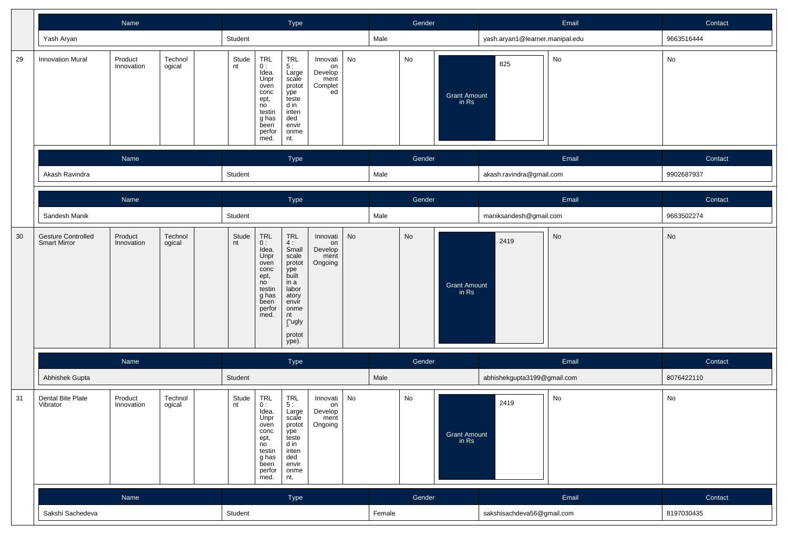|    |                                                                                                | Name        |                                                                                                       |                                                                                                                                                                                                                                                                                                                                                                                     |                                                    | Type |  |      |                                    | Gender     |                          | Email                           |            | Contact    |
|----|------------------------------------------------------------------------------------------------|-------------|-------------------------------------------------------------------------------------------------------|-------------------------------------------------------------------------------------------------------------------------------------------------------------------------------------------------------------------------------------------------------------------------------------------------------------------------------------------------------------------------------------|----------------------------------------------------|------|--|------|------------------------------------|------------|--------------------------|---------------------------------|------------|------------|
|    | Yash Aryan                                                                                     |             |                                                                                                       | Student                                                                                                                                                                                                                                                                                                                                                                             |                                                    |      |  |      | Male                               |            |                          | yash.aryan1@learner.manipal.edu |            | 9663516444 |
| 29 | <b>Innovation Mural</b>                                                                        | Stude<br>nt | TRL<br>0:<br>Idea.<br>Unpr<br>oven<br>conc<br>ept,<br>no<br>testin<br>g has<br>been<br>perfor<br>med. | TRL<br>$\overline{5}$ :<br>Large<br>scale<br>protot<br>ype<br>teste<br>d in<br>inten<br>ded<br>envir<br>onme<br>nt.                                                                                                                                                                                                                                                                 | Innovati<br>on<br>Develop<br>ment<br>Complet<br>ed | No   |  | No   | Grant Amount<br>in Rs              | 825        | No                       | No                              |            |            |
|    |                                                                                                | Name        |                                                                                                       |                                                                                                                                                                                                                                                                                                                                                                                     |                                                    | Type |  |      |                                    | Gender     |                          |                                 | Email      | Contact    |
|    | Akash Ravindra                                                                                 |             | Student                                                                                               |                                                                                                                                                                                                                                                                                                                                                                                     |                                                    |      |  | Male |                                    |            | akash.ravindra@gmail.com |                                 | 9902687937 |            |
|    |                                                                                                | Name        |                                                                                                       |                                                                                                                                                                                                                                                                                                                                                                                     |                                                    | Type |  |      |                                    | Gender     |                          |                                 | Email      | Contact    |
|    | Sandesh Manik                                                                                  |             |                                                                                                       | Student                                                                                                                                                                                                                                                                                                                                                                             |                                                    |      |  |      | Male                               |            |                          | maniksandesh@gmail.com          |            | 9663502274 |
| 30 | Technol<br><b>Gesture Controlled</b><br>Product<br><b>Smart Mirror</b><br>Innovation<br>ogical |             |                                                                                                       | $\begin{array}{c} \mathsf{TRL} \\ \mathsf{0}: \end{array}$<br>TRL<br>No<br>Stude<br>Innovati<br>4:<br>nt<br>on<br>Idea.<br>Small<br>Develop<br>Unpr<br>scale<br>ment<br>Ongoing<br>protot<br>oven<br>$\operatorname{conc}$<br>ype<br>built<br>ept,<br>no<br>in a<br>testin<br>labor<br>g has<br>atory<br>been<br>envir<br>perfor<br>onme<br>med.<br>nt<br>("ugly<br>protot<br>ype). |                                                    |      |  |      | No<br><b>Grant Amount</b><br>in Rs |            |                          | 2419                            | No         | No         |
|    |                                                                                                | Name        |                                                                                                       |                                                                                                                                                                                                                                                                                                                                                                                     |                                                    | Type |  |      |                                    | Gender     |                          |                                 | Email      | Contact    |
|    | Abhishek Gupta                                                                                 |             |                                                                                                       | Student                                                                                                                                                                                                                                                                                                                                                                             |                                                    |      |  |      | Male                               |            |                          | abhishekgupta3199@gmail.com     |            | 8076422110 |
| 31 | Dental Bite Plate<br>Vibrator                                                                  | Stude<br>nt | TRL<br>0:<br>Idea.<br>Unpr<br>oven<br>conc<br>ept,<br>no<br>testin<br>g has<br>been<br>perfor<br>med. | TRL<br>5:<br>Large<br>scale<br>protot<br>ype<br>teste<br>d in<br>inten<br>ded<br>envir<br>onme<br>nt.                                                                                                                                                                                                                                                                               | Innovati<br>on<br>Develop<br>ment<br>Ongoing       | No   |  | No   | Grant Amount<br>in Rs              | No<br>2419 |                          | No                              |            |            |
|    |                                                                                                | Name        |                                                                                                       | Type                                                                                                                                                                                                                                                                                                                                                                                |                                                    |      |  |      |                                    | Gender     |                          |                                 | Email      | Contact    |
|    | Sakshi Sachedeva                                                                               |             |                                                                                                       | Student                                                                                                                                                                                                                                                                                                                                                                             |                                                    |      |  |      | Female                             |            |                          | sakshisachdeva56@gmail.com      |            | 8197030435 |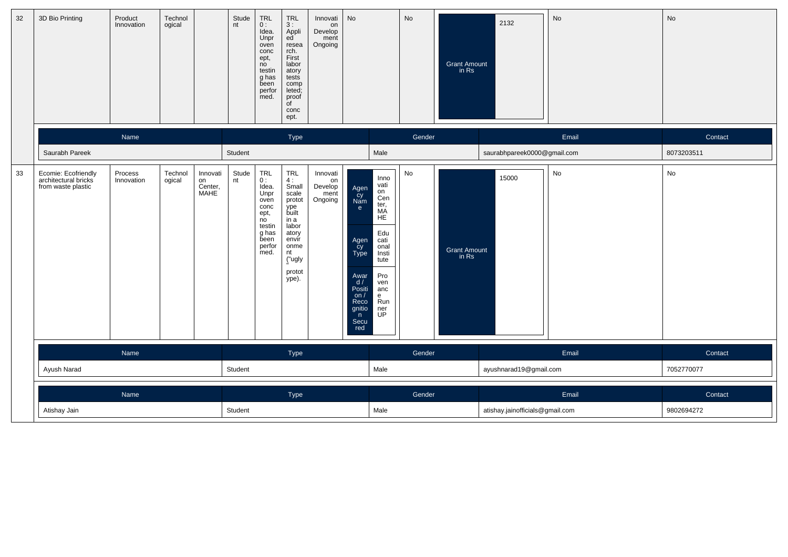| 32 | 3D Bio Printing                                                   | Product<br>Innovation | Technol<br>ogical |                                   | Stude<br>nt | TRL<br>0:<br>Idea.<br>Unpr<br>oven<br>conc<br>ept,<br>no<br>testin<br>g has<br>been<br>perfor<br>med. | TRL<br>3:<br>Appli<br>ed<br>resea<br>rch.<br>First<br>labor<br>atory<br>tests<br>comp<br>leted;<br>proof<br>of<br>conc<br>ept.        | Innovati<br>on<br>Develop<br>ment<br>Ongoing | No                                                                                                                   |                                                                                                                                            | No            | <b>Grant Amount</b><br>in Rs | 2132                            | No    | No         |
|----|-------------------------------------------------------------------|-----------------------|-------------------|-----------------------------------|-------------|-------------------------------------------------------------------------------------------------------|---------------------------------------------------------------------------------------------------------------------------------------|----------------------------------------------|----------------------------------------------------------------------------------------------------------------------|--------------------------------------------------------------------------------------------------------------------------------------------|---------------|------------------------------|---------------------------------|-------|------------|
|    |                                                                   | Name                  |                   |                                   |             |                                                                                                       | Type                                                                                                                                  |                                              |                                                                                                                      |                                                                                                                                            | Gender        |                              |                                 | Email | Contact    |
|    | Saurabh Pareek                                                    |                       |                   |                                   | Student     |                                                                                                       |                                                                                                                                       |                                              |                                                                                                                      | Male                                                                                                                                       |               |                              | saurabhpareek0000@gmail.com     |       | 8073203511 |
| 33 | Ecomie: Ecofriendly<br>architectural bricks<br>from waste plastic | Process<br>Innovation | Technol<br>ogical | Innovati<br>on<br>Center,<br>MAHE | Stude<br>nt | TRL<br>0:<br>Idea.<br>Unpr<br>oven<br>conc<br>ept,<br>no<br>testin<br>g has<br>been<br>perfor<br>med. | $TRL$<br>4:<br>Small<br>scale<br>protot<br>ype<br>built<br>in a<br>labor<br>atory<br>envir<br>onme<br>nt<br>("ugly<br>protot<br>ype). | Innovati<br>on<br>Develop<br>ment<br>Ongoing | Agen<br>Cy<br>Nam<br>e<br>Agen<br>Cy<br>Type<br>Awar<br>d/<br>Positi<br>on $/$<br>Reco<br>gnitio<br>n<br>Secu<br>red | Inno<br>vati<br>on<br>Cen<br>ter,<br>MA<br><b>HE</b><br>Edu<br>cati<br>onal<br>Insti<br>tute<br>Pro<br>ven<br>anc<br>e<br>Run<br>ner<br>UP | $\mathsf{No}$ | Grant Amount<br>in Rs        | 15000                           | No    | No         |
|    |                                                                   | Name                  |                   |                                   |             |                                                                                                       | Type                                                                                                                                  |                                              |                                                                                                                      |                                                                                                                                            | Gender        |                              |                                 | Email | Contact    |
|    | Ayush Narad                                                       |                       |                   |                                   | Student     |                                                                                                       |                                                                                                                                       |                                              |                                                                                                                      | Male                                                                                                                                       |               |                              | ayushnarad19@gmail.com          |       | 7052770077 |
|    |                                                                   | Name                  |                   |                                   |             |                                                                                                       | Type                                                                                                                                  |                                              |                                                                                                                      |                                                                                                                                            | Gender        |                              |                                 | Email | Contact    |
|    | Atishay Jain                                                      |                       |                   |                                   | Student     |                                                                                                       |                                                                                                                                       |                                              |                                                                                                                      | Male                                                                                                                                       |               |                              | atishay.jainofficials@gmail.com |       | 9802694272 |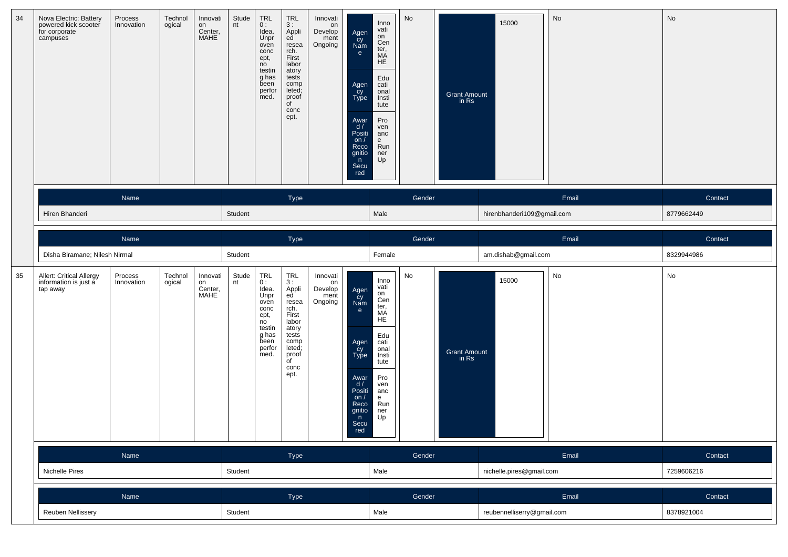| 34 | Nova Electric: Battery<br>powered kick scooter<br>for corporate<br>campuses | Process<br>Innovation | Technol<br>ogical | Innovati<br>on<br>Center,<br><b>MAHE</b> | Stude<br>nt     | TRL<br>0:<br>Idea.<br>Unpr<br>oven<br>conc<br>ept,<br>no<br>testin<br>g has<br>been<br>perfor<br>med. | TRL<br>3:<br>Appli<br>ed<br>resea<br>rch.<br>First<br>labor<br>atory<br>tests<br>comp<br>leted;<br>proof<br>of<br>conc<br>ept.             | Innovati<br>on<br>Develop<br>ment<br>Ongoing | Agen<br>cy<br>Nam<br>e<br>Agen<br>cy<br>Type<br>Awar<br>d /<br>Positi<br>on $/$<br>Reco<br>gnitio<br>n<br>Secu<br>red | Inno<br>vati<br>on<br>Cen<br>ter,<br>MÄ<br><b>HE</b><br>Edu<br>cati<br>onal<br>Insti<br>tute<br>Pro<br>ven<br>anc<br>e<br>Run<br>ner<br>Up | No     | <b>Grant Amount</b><br>in Rs | 15000                      | No         | No         |
|----|-----------------------------------------------------------------------------|-----------------------|-------------------|------------------------------------------|-----------------|-------------------------------------------------------------------------------------------------------|--------------------------------------------------------------------------------------------------------------------------------------------|----------------------------------------------|-----------------------------------------------------------------------------------------------------------------------|--------------------------------------------------------------------------------------------------------------------------------------------|--------|------------------------------|----------------------------|------------|------------|
|    |                                                                             | Name                  |                   |                                          |                 |                                                                                                       | Type                                                                                                                                       |                                              |                                                                                                                       |                                                                                                                                            | Gender |                              |                            | Email      | Contact    |
|    | Hiren Bhanderi                                                              |                       |                   |                                          | Student         |                                                                                                       |                                                                                                                                            |                                              |                                                                                                                       | Male                                                                                                                                       |        |                              | hirenbhanderi109@gmail.com |            | 8779662449 |
|    |                                                                             | Name                  |                   |                                          |                 |                                                                                                       | Type                                                                                                                                       |                                              |                                                                                                                       |                                                                                                                                            | Gender |                              |                            | Email      | Contact    |
|    | Disha Biramane; Nilesh Nirmal                                               |                       |                   |                                          | Student         |                                                                                                       |                                                                                                                                            |                                              |                                                                                                                       | Female                                                                                                                                     |        |                              | am.dishab@gmail.com        |            | 8329944986 |
| 35 | Allert: Critical Allergy<br>information is just a<br>tap away               | Process<br>Innovation | Technol<br>ogical | Innovati<br>on<br>Center,<br>MAHE        | Stude<br>nt     | TRL<br>0:<br>Idea.<br>Unpr<br>oven<br>conc<br>ept,<br>no<br>testin<br>g has<br>been<br>perfor<br>med. | TRL<br>3:<br>Appli<br>ed<br>resea<br>rch.<br>First<br>labor<br>atory<br>tests<br>comp<br>leted;<br>proof<br>$\overline{C}$<br>conc<br>ept. | Innovati<br>on<br>Develop<br>ment<br>Ongoing | Agen<br>Cy<br>Nam<br>e<br>Agen<br>Cy<br>Type<br>Awar<br>d /<br>Positi<br>on $/$<br>Reco<br>gnitio<br>n<br>Secu<br>red | Inno<br>vati<br>on<br>Cen<br>ter,<br>МA<br>HE<br>Edu<br>cati<br>onal<br>Insti<br>tute<br>Pro<br>ven<br>anc<br>e<br>Run<br>ner<br>Up        | No     | Grant Amount<br>in Rs        | 15000                      | No         | No         |
|    |                                                                             | Name                  |                   |                                          |                 |                                                                                                       | Type                                                                                                                                       |                                              |                                                                                                                       |                                                                                                                                            | Gender |                              |                            | Email      | Contact    |
|    | Nichelle Pires                                                              |                       |                   |                                          | Male<br>Student |                                                                                                       |                                                                                                                                            |                                              |                                                                                                                       |                                                                                                                                            |        |                              | nichelle.pires@gmail.com   | 7259606216 |            |
|    | Name                                                                        |                       |                   |                                          | Type            |                                                                                                       |                                                                                                                                            |                                              |                                                                                                                       |                                                                                                                                            | Gender |                              |                            | Email      | Contact    |
|    | Reuben Nellissery                                                           |                       |                   |                                          |                 |                                                                                                       |                                                                                                                                            |                                              |                                                                                                                       | Male                                                                                                                                       |        |                              | reubennelliserry@gmail.com |            | 8378921004 |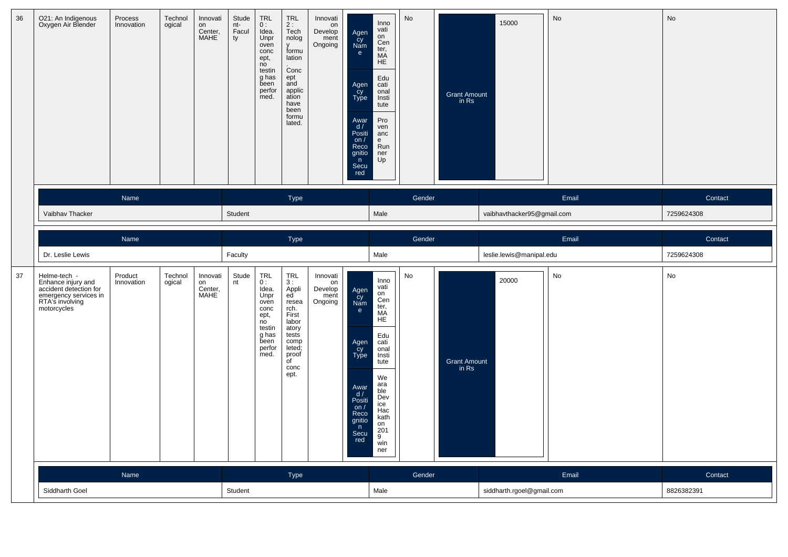| 36 | O21: An Indigenous<br>Oxygen Air Blender                                                                                | Process<br>Innovation | Technol<br>ogical | Innovati<br>on<br>Center,<br><b>MAHE</b> | Stude<br>nt-<br>Facul<br>ty | TRL<br>0:<br>Idea.<br>Unpr<br>oven<br>conc<br>ept,<br>no<br>testin<br>g has<br>been<br>perfor<br>med.        | <b>TRL</b><br>2:<br>Tech<br>nolog<br>v<br>formu<br>lation<br>Conc<br>ept<br>and<br>applic<br>ation<br>have<br>been<br>formu<br>lated. | Innovati<br>on<br>Develop<br>ment<br>Ongoing | Agen<br>Cy<br>Nam<br>$\mathbf{e}$<br>Agen<br>Cy<br>Type<br>Awar<br>d /<br>Positi<br>on $/$<br>Reco<br>gnitio<br>n<br>Secu<br>red | Inno<br>vati<br>on<br>Cen<br>ter,<br>MÄ<br><b>HE</b><br>Edu<br>cati<br>onal<br>Insti<br>tute<br>Pro<br>ven<br>anc<br>e<br>Run<br>ner<br>Up                             | No     | <b>Grant Amount</b><br>in Rs | 15000                      | No                    | No            |
|----|-------------------------------------------------------------------------------------------------------------------------|-----------------------|-------------------|------------------------------------------|-----------------------------|--------------------------------------------------------------------------------------------------------------|---------------------------------------------------------------------------------------------------------------------------------------|----------------------------------------------|----------------------------------------------------------------------------------------------------------------------------------|------------------------------------------------------------------------------------------------------------------------------------------------------------------------|--------|------------------------------|----------------------------|-----------------------|---------------|
|    | Name                                                                                                                    |                       |                   |                                          |                             |                                                                                                              | Type                                                                                                                                  |                                              |                                                                                                                                  |                                                                                                                                                                        | Gender |                              |                            | Email                 | Contact       |
|    | Vaibhav Thacker                                                                                                         |                       |                   |                                          | Student                     |                                                                                                              |                                                                                                                                       |                                              |                                                                                                                                  | Male                                                                                                                                                                   |        |                              | vaibhavthacker95@gmail.com |                       | 7259624308    |
|    |                                                                                                                         | Name                  |                   |                                          |                             |                                                                                                              | Type                                                                                                                                  |                                              |                                                                                                                                  | Gender                                                                                                                                                                 |        |                              |                            | Email                 | Contact       |
|    | Dr. Leslie Lewis                                                                                                        |                       |                   |                                          | Faculty                     |                                                                                                              |                                                                                                                                       |                                              |                                                                                                                                  | Male                                                                                                                                                                   |        |                              | leslie.lewis@manipal.edu   |                       | 7259624308    |
| 37 | Helme-tech -<br>Enhance injury and<br>accident detection for<br>emergency services in<br>RTA's involving<br>motorcycles | Product<br>Innovation | Technol<br>ogical | Innovati<br>on<br>Center,<br>MAHE        | Stude<br>nt                 | <b>TRL</b><br>0:<br>Idea.<br>Unpr<br>oven<br>conc<br>ept,<br>no<br>testin<br>g has<br>been<br>perfor<br>med. | TRL<br>3:<br>Appli<br>ed<br>resea<br>rch.<br>First<br>labor<br>atory<br>tests<br>comp<br>leted;<br>proof<br>of<br>conc<br>ept.        | Innovati<br>on<br>Develop<br>ment<br>Ongoing | Agen<br>Cy<br>Nam<br>e<br>Agen<br>Cy<br>Type<br>Awar<br>d /<br>Positi<br>on/<br>Reco<br>gnitio<br>$\bullet$<br>Secu<br>red       | Inno<br>vati<br>on<br>Cen<br>ter,<br>MÄ<br>HE<br>Edu<br>cati<br>onal<br>Insti<br>tute<br>We<br>ara<br>ble<br>Dev<br>ice<br>Hac<br>kath<br>on<br>201<br>9<br>win<br>ner | No     | <b>Grant Amount</b><br>in Rs | 20000                      | No                    | $\mathsf{No}$ |
|    | Name<br>Siddharth Goel                                                                                                  |                       |                   |                                          | <b>Type</b><br>Student      |                                                                                                              |                                                                                                                                       |                                              |                                                                                                                                  |                                                                                                                                                                        | Gender |                              | siddharth.rgoel@gmail.com  | Contact<br>8826382391 |               |
|    |                                                                                                                         |                       |                   |                                          |                             |                                                                                                              |                                                                                                                                       | Male                                         |                                                                                                                                  |                                                                                                                                                                        |        |                              |                            |                       |               |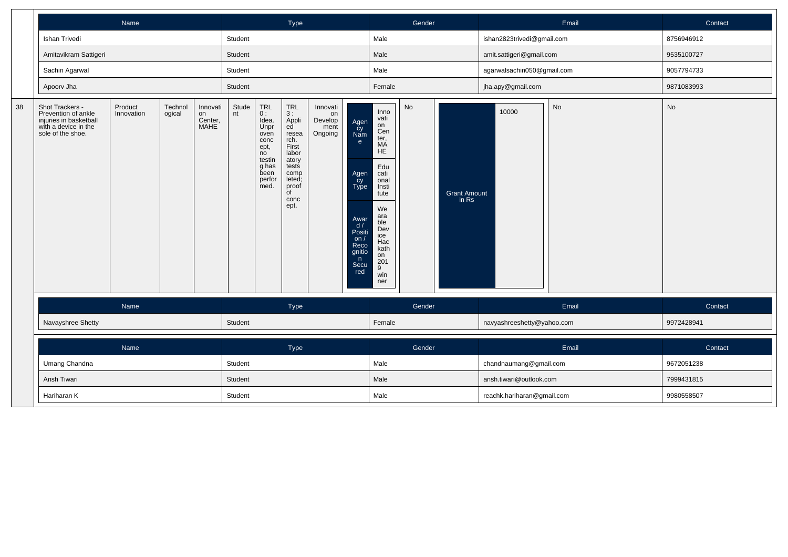|    |                                                                                                               | Name                  |                   |                                          |             |                                                                                                       | Type                                                                                                                                              |                                              |                                                                                                                      |                                                                                                                                                                               | Gender |                              |                            | Email | Contact    |
|----|---------------------------------------------------------------------------------------------------------------|-----------------------|-------------------|------------------------------------------|-------------|-------------------------------------------------------------------------------------------------------|---------------------------------------------------------------------------------------------------------------------------------------------------|----------------------------------------------|----------------------------------------------------------------------------------------------------------------------|-------------------------------------------------------------------------------------------------------------------------------------------------------------------------------|--------|------------------------------|----------------------------|-------|------------|
|    | Ishan Trivedi                                                                                                 |                       |                   |                                          | Student     |                                                                                                       |                                                                                                                                                   |                                              |                                                                                                                      | Male                                                                                                                                                                          |        |                              | ishan2823trivedi@gmail.com |       | 8756946912 |
|    | Amitavikram Sattigeri                                                                                         |                       |                   |                                          | Student     |                                                                                                       |                                                                                                                                                   |                                              |                                                                                                                      | Male                                                                                                                                                                          |        |                              | amit.sattigeri@gmail.com   |       | 9535100727 |
|    | Sachin Agarwal                                                                                                |                       |                   |                                          | Student     |                                                                                                       |                                                                                                                                                   |                                              |                                                                                                                      | Male                                                                                                                                                                          |        |                              | agarwalsachin050@gmail.com |       | 9057794733 |
|    | Apoorv Jha                                                                                                    |                       |                   |                                          | Student     |                                                                                                       |                                                                                                                                                   |                                              |                                                                                                                      | Female                                                                                                                                                                        |        |                              | jha.apy@gmail.com          |       | 9871083993 |
| 38 | Shot Trackers -<br>Prevention of ankle<br>injuries in basketball<br>with a device in the<br>sole of the shoe. | Product<br>Innovation | Technol<br>ogical | Innovati<br>on<br>Center,<br><b>MAHE</b> | Stude<br>nt | TRL<br>0:<br>Idea.<br>Unpr<br>oven<br>conc<br>ept,<br>no<br>testin<br>g has<br>been<br>perfor<br>med. | <b>TRL</b><br>3:<br>Appli<br>ed<br>resea<br>rch.<br>First<br>labor<br>atory<br>tests<br>comp<br>leted;<br>proof<br>$\overline{C}$<br>conc<br>ept. | Innovati<br>on<br>Develop<br>ment<br>Ongoing | Agen<br>cy<br>Nam<br>e<br>Agen<br>cy<br>Type<br>Awar<br>d/<br>Positi<br>on $/$<br>Reco<br>gnitio<br>n<br>Secu<br>red | Inno<br>vati<br>on<br>Cen<br>ter,<br>MA<br><b>HE</b><br>Edu<br>cati<br>onal<br>Insti<br>tute<br>We<br>ara<br>ble<br>Dev<br>ice<br>Hac<br>kath<br>on<br>201<br>9<br>win<br>ner | No     | <b>Grant Amount</b><br>in Rs | 10000                      | No    | No         |
|    |                                                                                                               | Name                  |                   |                                          |             |                                                                                                       | Type                                                                                                                                              |                                              |                                                                                                                      |                                                                                                                                                                               | Gender |                              |                            | Email | Contact    |
|    | Navayshree Shetty                                                                                             |                       |                   |                                          | Student     |                                                                                                       |                                                                                                                                                   |                                              |                                                                                                                      | Female                                                                                                                                                                        |        |                              | navyashreeshetty@yahoo.com |       | 9972428941 |
|    |                                                                                                               | Name                  |                   |                                          |             |                                                                                                       | Type                                                                                                                                              |                                              |                                                                                                                      |                                                                                                                                                                               | Gender |                              |                            | Email | Contact    |
|    | Umang Chandna                                                                                                 |                       |                   |                                          | Student     |                                                                                                       |                                                                                                                                                   |                                              |                                                                                                                      | Male                                                                                                                                                                          |        |                              | chandnaumang@gmail.com     |       | 9672051238 |
|    | Ansh Tiwari                                                                                                   |                       |                   |                                          | Student     |                                                                                                       |                                                                                                                                                   |                                              |                                                                                                                      | Male                                                                                                                                                                          |        |                              | ansh.tiwari@outlook.com    |       | 7999431815 |
|    | Hariharan K                                                                                                   |                       |                   |                                          | Student     |                                                                                                       |                                                                                                                                                   |                                              |                                                                                                                      | Male                                                                                                                                                                          |        |                              | reachk.hariharan@gmail.com |       | 9980558507 |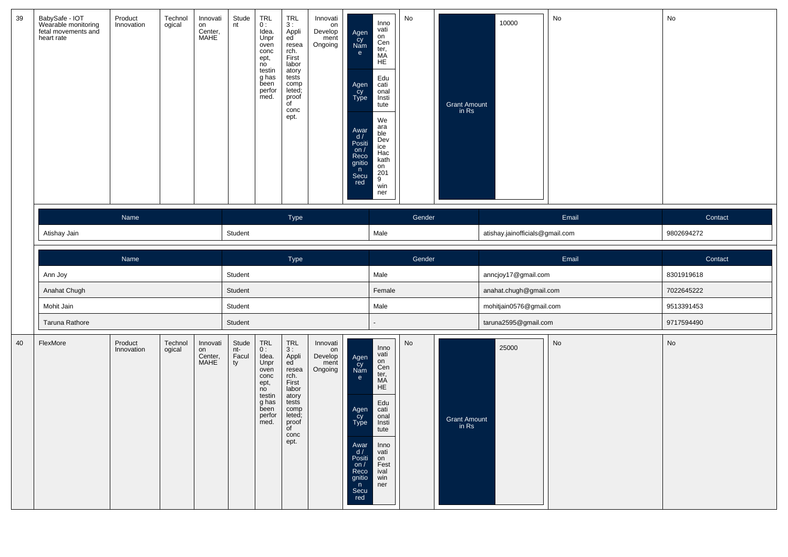| 39 | BabySafe - IOT<br>Wearable monitoring<br>fetal movements and<br>heart rate | Product<br>Innovation | Technol<br>ogical | Innovati<br>on<br>Center,<br>MAHE        | Stude<br>nt                 | <b>TRL</b><br>0:<br>Idea.<br>Unpr<br>oven<br>conc<br>ept,<br>no<br>testin<br>g has<br>been<br>perfor<br>med. | <b>TRL</b><br>3:<br>Appli<br>ed<br>resea<br>rch.<br>First<br>labor<br>atory<br>tests<br>comp<br>leted;<br>proof<br>$\overline{C}$<br>conc<br>ept. | Innovati<br>on<br>Develop<br>ment<br>Ongoing | Agen<br>Cy<br>Nam<br>e<br>Agen<br>Cy<br>Type<br>Awar<br>$\frac{d}{d}$<br>Positi<br>on $/$<br>Reco<br>gnitio<br>n<br>Secu<br>red | Inno<br>vati<br>on<br>Cen<br>ter,<br>MÁ<br>HE<br>Edu<br>cati<br>onal<br>Insti<br>tute<br>We<br>ara<br>bie<br>Dev<br>ice<br>Hac<br>kath<br>on<br>201<br>9<br>win<br>ner | No     | <b>Grant Amount</b><br>$\overline{m}$ Rs | 10000                           | No    | No         |
|----|----------------------------------------------------------------------------|-----------------------|-------------------|------------------------------------------|-----------------------------|--------------------------------------------------------------------------------------------------------------|---------------------------------------------------------------------------------------------------------------------------------------------------|----------------------------------------------|---------------------------------------------------------------------------------------------------------------------------------|------------------------------------------------------------------------------------------------------------------------------------------------------------------------|--------|------------------------------------------|---------------------------------|-------|------------|
|    |                                                                            | Name                  |                   |                                          |                             |                                                                                                              | Type                                                                                                                                              |                                              |                                                                                                                                 |                                                                                                                                                                        | Gender |                                          |                                 | Email | Contact    |
|    | Atishay Jain                                                               |                       |                   |                                          | Student                     |                                                                                                              |                                                                                                                                                   |                                              |                                                                                                                                 | Male                                                                                                                                                                   |        |                                          | atishay.jainofficials@gmail.com |       | 9802694272 |
|    |                                                                            | Name                  |                   |                                          |                             |                                                                                                              | Type                                                                                                                                              |                                              |                                                                                                                                 |                                                                                                                                                                        | Gender |                                          |                                 | Email | Contact    |
|    | Ann Joy                                                                    |                       |                   |                                          | Student                     |                                                                                                              |                                                                                                                                                   |                                              |                                                                                                                                 | Male                                                                                                                                                                   |        |                                          | anncjoy17@gmail.com             |       | 8301919618 |
|    | Anahat Chugh                                                               |                       |                   |                                          | Student                     |                                                                                                              |                                                                                                                                                   |                                              |                                                                                                                                 | Female                                                                                                                                                                 |        |                                          | anahat.chugh@gmail.com          |       | 7022645222 |
|    | Mohit Jain                                                                 |                       |                   |                                          | Student                     |                                                                                                              |                                                                                                                                                   |                                              |                                                                                                                                 | Male                                                                                                                                                                   |        |                                          | mohitjain0576@gmail.com         |       | 9513391453 |
|    | Taruna Rathore                                                             |                       |                   |                                          | Student                     |                                                                                                              |                                                                                                                                                   |                                              |                                                                                                                                 | $\blacksquare$                                                                                                                                                         |        |                                          | taruna2595@gmail.com            |       | 9717594490 |
| 40 | FlexMore                                                                   | Product<br>Innovation | Technol<br>ogical | Innovati<br>on<br>Center,<br><b>MAHE</b> | Stude<br>nt-<br>Facul<br>ty | TRL<br>0:<br>Idea.<br>Unpr<br>oven<br>conc<br>ept,<br>no<br>testin<br>g has<br>been<br>perfor<br>med.        | TRL<br>3:<br>Appli<br>ed<br>resea<br>rch.<br>First<br>labor<br>atory<br>tests<br>comp<br>leted;<br>proof<br>of<br>conc<br>ept.                    | Innovati<br>on<br>Develop<br>ment<br>Ongoing | Agen<br>Cy<br>Nam<br>e<br>Agen<br>Cy<br>Type<br>Awar<br>d/<br>Positi<br>on $/$<br>Reco<br>gnitio<br>n<br>Secu<br>red            | Inno<br>vati<br>on<br>Cen<br>ter,<br>MÄ<br>${\sf HE}$<br>Edu<br>cati<br>onal<br>Insti<br>tute<br>Inno<br>vati<br>on<br>Fest<br>ival<br>win<br>ner                      | No     | <b>Grant Amount</b><br>in $Rs$           | 25000                           | No    | No         |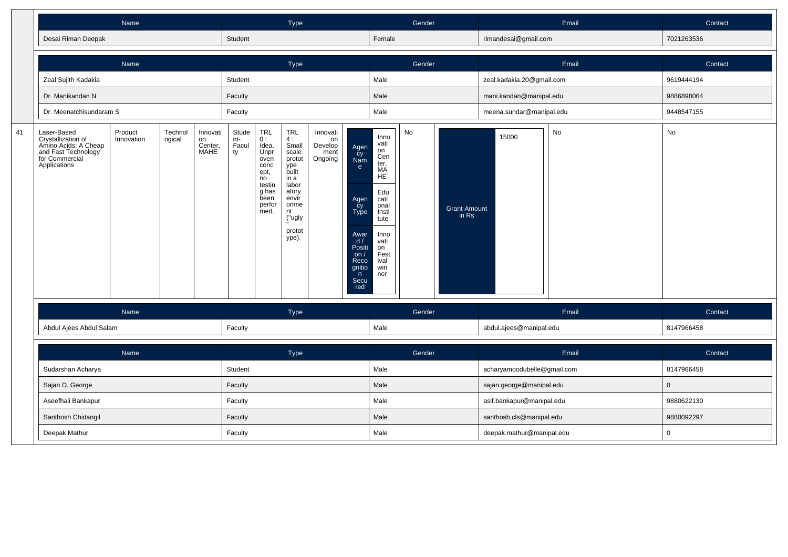|    |                                                                                                                    | Name                  |                   |                                   |                             |                                                                                                                                                         | Type                                                                                                                                       |                                              |                                                                                                                       |                                                                                                                                                               | Gender |                              |                             | Email | Contact        |
|----|--------------------------------------------------------------------------------------------------------------------|-----------------------|-------------------|-----------------------------------|-----------------------------|---------------------------------------------------------------------------------------------------------------------------------------------------------|--------------------------------------------------------------------------------------------------------------------------------------------|----------------------------------------------|-----------------------------------------------------------------------------------------------------------------------|---------------------------------------------------------------------------------------------------------------------------------------------------------------|--------|------------------------------|-----------------------------|-------|----------------|
|    | Desai Riman Deepak                                                                                                 |                       |                   |                                   | Student                     |                                                                                                                                                         |                                                                                                                                            |                                              |                                                                                                                       | Female                                                                                                                                                        |        |                              | rimandesai@gmail.com        |       | 7021263536     |
|    |                                                                                                                    | Name                  |                   |                                   |                             |                                                                                                                                                         | Type                                                                                                                                       |                                              |                                                                                                                       |                                                                                                                                                               | Gender |                              |                             | Email | Contact        |
|    | Zeal Sujith Kadakia                                                                                                |                       |                   |                                   | Student                     |                                                                                                                                                         |                                                                                                                                            |                                              |                                                                                                                       | Male                                                                                                                                                          |        |                              | zeal.kadakia.20@gmail.com   |       | 9619444194     |
|    | Dr. Manikandan N                                                                                                   |                       |                   |                                   | Faculty                     |                                                                                                                                                         |                                                                                                                                            |                                              |                                                                                                                       | Male                                                                                                                                                          |        |                              | mani.kandan@manipal.edu     |       | 9886898064     |
|    | Dr. Meenatchisundaram S                                                                                            |                       |                   |                                   | Faculty                     |                                                                                                                                                         |                                                                                                                                            |                                              |                                                                                                                       | Male                                                                                                                                                          |        |                              | meena.sundar@manipal.edu    |       | 9448547155     |
| 41 | Laser-Based<br>Crystallization of<br>Amino Acids: A Cheap<br>and Fast Technology<br>for Commercial<br>Applications | Product<br>Innovation | Technol<br>ogical | Innovati<br>on<br>Center,<br>MAHE | Stude<br>nt-<br>Facul<br>ty | $\begin{array}{c} \mathsf{TRL} \\ \mathsf{0} : \end{array}$<br>Idea.<br>Unpr<br>oven<br>conc<br>ept,<br>no<br>testin<br>g has<br>been<br>perfor<br>med. | <b>TRL</b><br>4:<br>Small<br>scale<br>protot<br>ype<br>built<br>in a<br>labor<br>atory<br>envir<br>onme<br>nt<br>("ugly<br>protot<br>ype). | Innovati<br>on<br>Develop<br>ment<br>Ongoing | Agen<br>čy<br>Nam<br>e<br>Agen<br>cy<br>Type<br>Awar<br>d /<br>Positi<br>on $/$<br>Reco<br>gnitio<br>n<br>Secu<br>red | Inno<br>vati<br>on<br>Cen<br>ter,<br><b>MA</b><br>HE <sup>1</sup><br>Edu<br>cati<br>onal<br>Insti<br>tute<br>Inno<br>vati<br>on<br>Fest<br>ival<br>win<br>ner | No     | <b>Grant Amount</b><br>in Rs | 15000                       | No    | No             |
|    |                                                                                                                    | Name                  |                   |                                   |                             |                                                                                                                                                         | Type                                                                                                                                       |                                              |                                                                                                                       |                                                                                                                                                               | Gender |                              |                             | Email | Contact        |
|    | Abdul Ajees Abdul Salam                                                                                            |                       |                   |                                   | Faculty                     |                                                                                                                                                         |                                                                                                                                            |                                              |                                                                                                                       | Male                                                                                                                                                          |        |                              | abdul.ajees@manipal.edu     |       | 8147966458     |
|    |                                                                                                                    | Name                  |                   |                                   |                             |                                                                                                                                                         | Type                                                                                                                                       |                                              |                                                                                                                       |                                                                                                                                                               | Gender |                              |                             | Email | Contact        |
|    | Sudarshan Acharya                                                                                                  |                       |                   |                                   | Student                     |                                                                                                                                                         |                                                                                                                                            |                                              |                                                                                                                       | Male                                                                                                                                                          |        |                              | acharyamoodubelle@gmail.com |       | 8147966458     |
|    | Sajan D. George                                                                                                    |                       |                   |                                   | Faculty                     |                                                                                                                                                         |                                                                                                                                            |                                              |                                                                                                                       | Male                                                                                                                                                          |        |                              | sajan.george@manipal.edu    |       | $\overline{0}$ |
|    | Aseefhali Bankapur                                                                                                 |                       |                   |                                   | Faculty                     |                                                                                                                                                         |                                                                                                                                            |                                              |                                                                                                                       | Male                                                                                                                                                          |        |                              | asif.bankapur@manipal.edu   |       | 9880622130     |
|    | Santhosh Chidangil                                                                                                 |                       |                   |                                   | Faculty                     |                                                                                                                                                         |                                                                                                                                            |                                              |                                                                                                                       | Male                                                                                                                                                          |        |                              | santhosh.cls@manipal.edu    |       | 9880092297     |
|    | Deepak Mathur                                                                                                      |                       |                   |                                   | Faculty                     |                                                                                                                                                         |                                                                                                                                            |                                              |                                                                                                                       | Male                                                                                                                                                          |        |                              | deepak.mathur@manipal.edu   |       | $\overline{0}$ |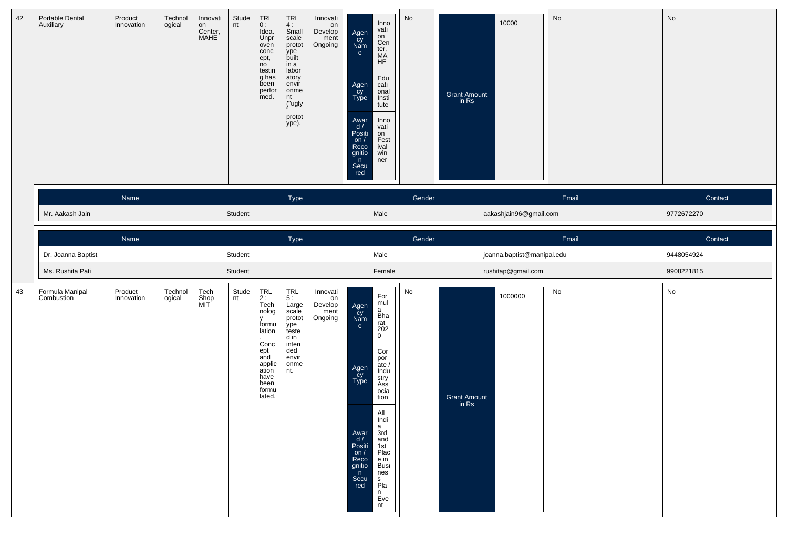| 42 | Portable Dental<br>Auxiliary  | Product<br>Innovation | Technol<br>ogical | Innovati<br>on<br>Center,<br>MAHE | Stude<br>nt | TRL<br>0:<br>Idea.<br>Unpr<br>oven<br>conc<br>ept,<br>no<br>testin<br>g has<br>been<br>perfor<br>med.                                       | TRL<br>4:<br>Small<br>scale<br>protot<br>.<br>built<br>in a<br>labor<br>atory<br>envir<br>onme<br>nt<br>("ugly<br>protot<br>ype). | Innovati<br>on<br>Develop<br>ment<br>Ongoing | Agen<br>cy<br>Nam<br>e<br>Agen<br>Cy<br>Type<br>Awar<br>d/<br>Posiți<br>on $/$<br>Reco<br>gnitio<br>n<br>Secu<br>red            | Inno<br>vati<br>on<br>Cen<br>ter,<br>MA<br>HE<br>Edu<br>cati<br>onal<br>Insti<br>tute<br>Inno<br>vati<br>on<br>Fest<br>ival<br>win<br>ner                                                                                                                                                                                                | No     | Grant Amount<br>in Rs | 10000                      | No    | No         |
|----|-------------------------------|-----------------------|-------------------|-----------------------------------|-------------|---------------------------------------------------------------------------------------------------------------------------------------------|-----------------------------------------------------------------------------------------------------------------------------------|----------------------------------------------|---------------------------------------------------------------------------------------------------------------------------------|------------------------------------------------------------------------------------------------------------------------------------------------------------------------------------------------------------------------------------------------------------------------------------------------------------------------------------------|--------|-----------------------|----------------------------|-------|------------|
|    |                               | Name                  |                   |                                   |             |                                                                                                                                             | Type                                                                                                                              |                                              |                                                                                                                                 |                                                                                                                                                                                                                                                                                                                                          | Gender |                       |                            | Email | Contact    |
|    | Mr. Aakash Jain               |                       |                   |                                   | Student     |                                                                                                                                             |                                                                                                                                   |                                              |                                                                                                                                 | Male                                                                                                                                                                                                                                                                                                                                     |        |                       | aakashjain96@gmail.com     |       | 9772672270 |
|    |                               | Name                  |                   |                                   |             |                                                                                                                                             | Type                                                                                                                              |                                              |                                                                                                                                 |                                                                                                                                                                                                                                                                                                                                          | Gender |                       |                            | Email | Contact    |
|    | Dr. Joanna Baptist            |                       |                   |                                   | Student     |                                                                                                                                             |                                                                                                                                   |                                              |                                                                                                                                 | Male                                                                                                                                                                                                                                                                                                                                     |        |                       | joanna.baptist@manipal.edu |       | 9448054924 |
|    | Ms. Rushita Pati              |                       |                   |                                   | Student     |                                                                                                                                             |                                                                                                                                   |                                              |                                                                                                                                 | Female                                                                                                                                                                                                                                                                                                                                   |        |                       | rushitap@gmail.com         |       | 9908221815 |
| 43 | Formula Manipal<br>Combustion | Product<br>Innovation | Technol<br>ogical | Tech<br>Shop<br>MIT               | Stude<br>nt | $\mathop{\sf TRL}_{2\ :\ }$<br>Tech<br>nolog<br>formu<br>lation<br>Conc<br>ept<br>and<br>applic<br>ation<br>have<br>been<br>formu<br>lated. | TRL<br>5:<br>Large<br>scale<br>protot<br>ype<br>teste<br>d in<br>inten<br>ded<br>envir<br>onme<br>nt.                             | Innovati<br>on<br>Develop<br>ment<br>Ongoing | Agen<br>Cy<br>Nam<br>e<br>Agen<br>Cy<br>Type<br>Awar<br>$\frac{d}{d}$<br>Positi<br>on $/$<br>Reco<br>gnitio<br>n<br>Secu<br>red | For<br>mul<br>a<br>$\frac{a}{\text{h}}$ rat<br>$\begin{array}{c} 202 \\ 0 \end{array}$<br>Cor<br>por<br>ate /<br>Indu<br>stry<br>Ass<br>ocia<br>tion<br>All<br>Indi<br>a<br>3rd<br>and<br>$\begin{array}{c}\n1 \text{st} \\ 1 \text{st} \\ \text{Place} \\ \text{e in}\n\end{array}$<br><b>Busi</b><br>nes<br>s<br>Pla<br>n<br>Eve<br>nt | No     | Grant Amount<br>in Rs | 1000000                    | No    | No         |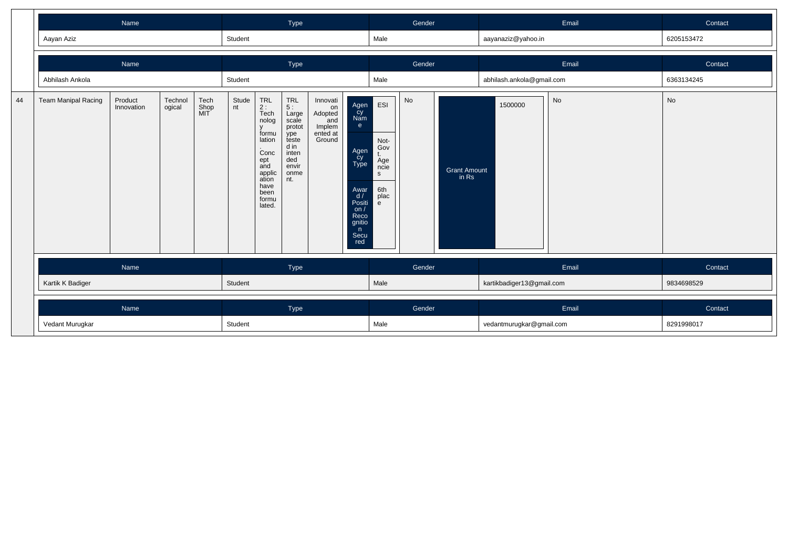|    |                     | Name                  |                   |                     |             |                                                                                                                                            | Type                                                                                                         |                                                                  |                                                                                                                   |                                                                  | Gender |                              |                           | Email | Contact        |
|----|---------------------|-----------------------|-------------------|---------------------|-------------|--------------------------------------------------------------------------------------------------------------------------------------------|--------------------------------------------------------------------------------------------------------------|------------------------------------------------------------------|-------------------------------------------------------------------------------------------------------------------|------------------------------------------------------------------|--------|------------------------------|---------------------------|-------|----------------|
|    | Aayan Aziz          |                       |                   |                     | Student     |                                                                                                                                            |                                                                                                              |                                                                  |                                                                                                                   | Male                                                             |        |                              | aayanaziz@yahoo.in        |       | 6205153472     |
|    |                     | Name                  |                   |                     |             |                                                                                                                                            | Type                                                                                                         |                                                                  |                                                                                                                   |                                                                  | Gender |                              |                           | Email | Contact        |
|    | Abhilash Ankola     |                       |                   |                     | Student     |                                                                                                                                            |                                                                                                              |                                                                  |                                                                                                                   | Male                                                             |        |                              | abhilash.ankola@gmail.com |       | 6363134245     |
| 44 | Team Manipal Racing | Product<br>Innovation | Technol<br>ogical | Tech<br>Shop<br>MIT | Stude<br>nt | TRL<br>2 :<br>Tech<br>nolog<br>$\mathsf{v}$<br>formu<br>lation<br>Conc<br>ept<br>and<br>applic<br>ation<br>have<br>been<br>formu<br>lated. | <b>TRL</b><br>5:<br>Large<br>scale<br>protot<br>ype<br>teste<br>d in<br>inten<br>ded<br>envir<br>onme<br>nt. | Innovati<br>on<br>Adopted<br>and<br>Implem<br>ented at<br>Ground | Agen<br>Cy<br>Nam<br>e<br>Agen<br>Cy<br>Type<br>Awar<br>d/<br>Positi<br>on/<br>Reco<br>gnitio<br>n<br>Secu<br>red | ESI<br>Not-<br>Gov<br>t.<br>Age<br>ncie<br>S<br>6th<br>plac<br>e | No     | <b>Grant Amount</b><br>in Rs | 1500000                   | No    | No             |
|    |                     | Name                  |                   |                     |             |                                                                                                                                            | Type                                                                                                         |                                                                  |                                                                                                                   |                                                                  | Gender |                              |                           | Email | <b>Contact</b> |
|    | Kartik K Badiger    |                       |                   |                     | Student     |                                                                                                                                            |                                                                                                              |                                                                  |                                                                                                                   | Male                                                             |        |                              | kartikbadiger13@gmail.com |       | 9834698529     |
|    |                     | Name                  |                   |                     |             |                                                                                                                                            | Type                                                                                                         |                                                                  |                                                                                                                   |                                                                  | Gender |                              |                           | Email | Contact        |
|    | Vedant Murugkar     |                       |                   |                     | Student     |                                                                                                                                            |                                                                                                              |                                                                  |                                                                                                                   | Male                                                             |        |                              | vedantmurugkar@gmail.com  |       | 8291998017     |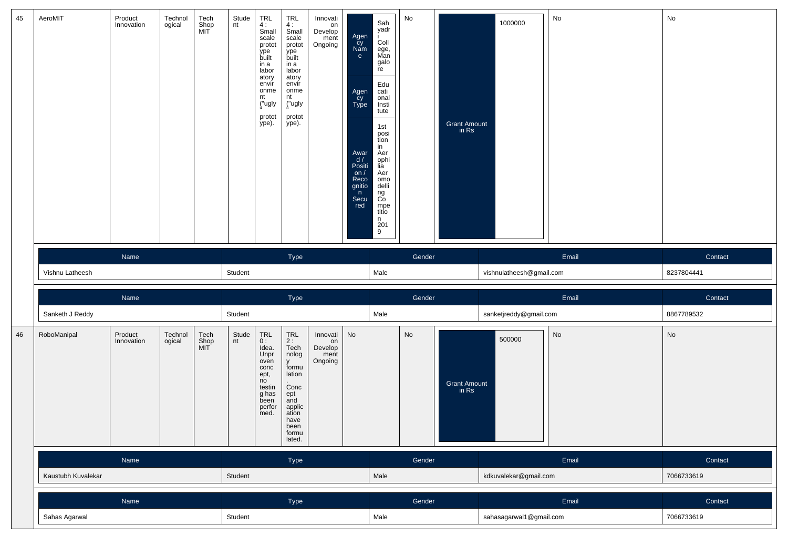| 45 | AeroMIT            | Product<br>Innovation | Technol<br>ogical | Tech<br>Shop<br>MIT | Stude<br>nt | $TRL$<br>4:<br>Small<br>scale<br>protot<br>ype<br>built<br>in a<br>labor<br>atory<br>envir<br>onme<br>nt<br>("ugly<br>protot<br>ype). | TRL<br>4:<br>Small<br>scale<br>protot<br>ype<br>built<br>in a<br>labor<br>atory<br>envir<br>onme<br>nt<br>("ugly<br>protot<br>ype). | Innovati<br>on<br>Develop<br>ment<br>Ongoing | Agen<br>cy<br>Nam<br>$\mathbf{e}$<br>Agen<br>Cy<br>Type<br>Awar<br>$\frac{d}{d}$<br>Positi<br>$\frac{on}{Reco}$<br>gnitio<br>$\mathsf{n}$<br>Secu<br>red | Sah<br>yadr<br>Coll<br>ege,<br>Man<br>galo<br>re<br>Edu<br>cati<br>onal<br>Insti<br>tute<br>1st<br>posi<br>tion<br>in<br>Aer<br>ophi<br>lia<br>Aer<br>omo<br>delli<br>ng<br>Co<br>mpe<br>titio<br>n<br>$\begin{array}{c} 201 \\ 9 \end{array}$ | No     | Grant Amount<br>in Rs        | 1000000                  | No                           | No         |
|----|--------------------|-----------------------|-------------------|---------------------|-------------|---------------------------------------------------------------------------------------------------------------------------------------|-------------------------------------------------------------------------------------------------------------------------------------|----------------------------------------------|----------------------------------------------------------------------------------------------------------------------------------------------------------|------------------------------------------------------------------------------------------------------------------------------------------------------------------------------------------------------------------------------------------------|--------|------------------------------|--------------------------|------------------------------|------------|
|    |                    | Name                  |                   |                     |             |                                                                                                                                       | Type                                                                                                                                |                                              |                                                                                                                                                          |                                                                                                                                                                                                                                                | Gender |                              |                          | Email                        | Contact    |
|    | Vishnu Latheesh    |                       |                   |                     | Student     |                                                                                                                                       |                                                                                                                                     |                                              |                                                                                                                                                          | Male                                                                                                                                                                                                                                           |        |                              | vishnulatheesh@gmail.com |                              | 8237804441 |
|    |                    |                       |                   |                     |             |                                                                                                                                       |                                                                                                                                     |                                              |                                                                                                                                                          |                                                                                                                                                                                                                                                |        |                              |                          |                              |            |
|    |                    | Name                  |                   |                     |             |                                                                                                                                       | Type                                                                                                                                |                                              |                                                                                                                                                          |                                                                                                                                                                                                                                                | Gender |                              |                          | Email                        | Contact    |
|    | Sanketh J Reddy    |                       |                   |                     | Student     |                                                                                                                                       |                                                                                                                                     |                                              |                                                                                                                                                          | Male                                                                                                                                                                                                                                           |        |                              | sanketjreddy@gmail.com   |                              | 8867789532 |
| 46 | RoboManipal        | Product<br>Innovation | Technol<br>ogical | Tech<br>Shop<br>MIT | Stude<br>nt | $\ensuremath{\mathsf{TRL}}$<br>0:<br>idea.<br>Unpr<br>oven<br>concept,<br>no<br>testin<br>$g$ has<br>been<br>perfor<br>med.           | TRL<br>2 :<br>Tech<br>nolog<br>V<br>formu<br>lation<br>Concept<br>ept<br>and<br>applic<br>ation<br>have<br>been<br>formu<br>lated.  | Innovati<br>on<br>Develop<br>ment<br>Ongoing | No                                                                                                                                                       |                                                                                                                                                                                                                                                | No     | <b>Grant Amount</b><br>in Rs | 500000                   | $\operatorname{\mathsf{No}}$ | No         |
|    |                    | Name                  |                   |                     |             |                                                                                                                                       | Type                                                                                                                                |                                              |                                                                                                                                                          |                                                                                                                                                                                                                                                | Gender |                              |                          | Email                        | Contact    |
|    | Kaustubh Kuvalekar |                       |                   |                     | Student     |                                                                                                                                       |                                                                                                                                     |                                              |                                                                                                                                                          | Male                                                                                                                                                                                                                                           |        |                              | kdkuvalekar@gmail.com    |                              | 7066733619 |
|    |                    |                       |                   |                     |             |                                                                                                                                       |                                                                                                                                     |                                              |                                                                                                                                                          |                                                                                                                                                                                                                                                |        |                              |                          |                              |            |
|    |                    | Name                  |                   |                     |             |                                                                                                                                       | Type                                                                                                                                |                                              |                                                                                                                                                          |                                                                                                                                                                                                                                                | Gender |                              |                          | Email                        | Contact    |
|    | Sahas Agarwal      |                       |                   |                     | Student     |                                                                                                                                       |                                                                                                                                     |                                              |                                                                                                                                                          | Male                                                                                                                                                                                                                                           |        |                              | sahasagarwal1@gmail.com  |                              | 7066733619 |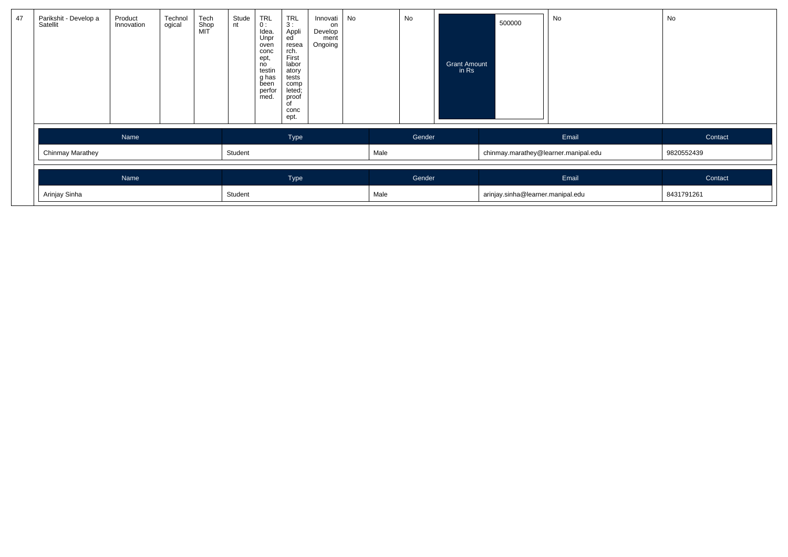| 47 | Parikshit - Develop a<br>Satellit | Product<br>Innovation | Technol<br>ogical | Tech<br>Shop<br>MIT | Stude<br>nt | <b>TRL</b><br>0:<br>Idea.<br>Unpr<br>oven<br>conc<br>ept,<br>no<br>testin<br>g has<br>been<br>perfor<br>med. | <b>TRL</b><br>3:<br>Appli<br>ed<br>resea<br>rch.<br>First<br>labor<br>atory<br>tests<br>comp<br>leted;<br>proof<br>of<br>conc<br>ept. | Innovati<br>on<br>Develop<br>ment<br>Ongoing | No |      | No     | <b>Grant Amount</b><br>in Rs | 500000                               | No    | No         |
|----|-----------------------------------|-----------------------|-------------------|---------------------|-------------|--------------------------------------------------------------------------------------------------------------|---------------------------------------------------------------------------------------------------------------------------------------|----------------------------------------------|----|------|--------|------------------------------|--------------------------------------|-------|------------|
|    |                                   | Name                  |                   |                     |             |                                                                                                              | Type                                                                                                                                  |                                              |    |      | Gender |                              |                                      | Email | Contact    |
|    | Chinmay Marathey                  |                       |                   |                     | Student     |                                                                                                              |                                                                                                                                       |                                              |    | Male |        |                              | chinmay.marathey@learner.manipal.edu |       | 9820552439 |
|    |                                   | Name                  |                   |                     |             |                                                                                                              | Type                                                                                                                                  |                                              |    |      | Gender |                              |                                      | Email | Contact    |
|    | Arinjay Sinha                     |                       |                   |                     | Student     |                                                                                                              |                                                                                                                                       |                                              |    | Male |        |                              | arinjay.sinha@learner.manipal.edu    |       | 8431791261 |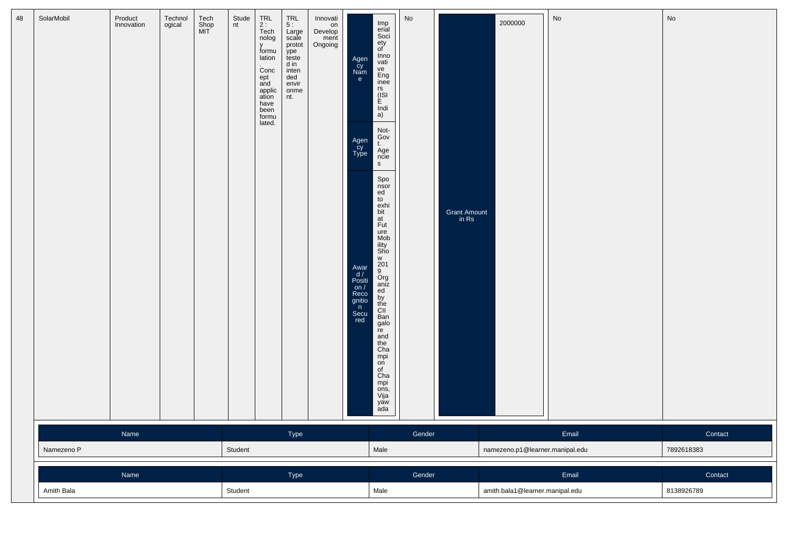| 48 | SolarMobil | Product<br>Innovation | Technol<br>ogical | Tech<br>Shop<br>MIT | Stude<br>nt | TRL<br>$2:$<br>Tech<br>nolog<br>v<br>formu<br>lation<br>Conc<br>ept<br>and<br>applic<br>ation<br>have<br>been<br>formu<br>lated. | TRL<br>5:<br>Large<br>scale<br>protot<br>ype<br>teste<br>d in<br>inten<br>ded<br>envir<br>onme<br>nt. | Innovati<br>on<br>Develop<br>ment<br>Ongoing | Agen<br>cy<br>Nam<br>e<br>Agen<br>Cy<br>Type<br>Awar<br>d /<br>Positi<br>on /<br>Reco<br>gnitio<br>n<br>Secu<br>red | Imp<br>erial<br>Soci<br>ety<br>of<br>Inno<br>vati<br>ve<br>Eng<br>inee<br>rs<br>(ISI<br>E<br>$\overline{\text{Indi}}$<br>a)<br>Not-<br>Gov<br>t.<br>Age<br>ncie<br>${\sf s}$<br>Spo<br>$\frac{1}{10}$<br>$\frac{1}{10}$<br>exhi<br>bit<br>at<br>Fut<br>ure<br>Mob<br>ility<br>Sho<br>w<br>$rac{201}{9}$<br>Org<br>aniz<br>$\frac{ed}{by}$<br>CII<br>Ban<br>galo<br>re<br>and<br>the<br>Cha<br>mpi<br>on<br>of Cha<br>mpi<br>ons,<br>Vija<br>yaw<br>ada | No     | Grant Amount<br>in Rs | 2000000                         | No    | No         |
|----|------------|-----------------------|-------------------|---------------------|-------------|----------------------------------------------------------------------------------------------------------------------------------|-------------------------------------------------------------------------------------------------------|----------------------------------------------|---------------------------------------------------------------------------------------------------------------------|--------------------------------------------------------------------------------------------------------------------------------------------------------------------------------------------------------------------------------------------------------------------------------------------------------------------------------------------------------------------------------------------------------------------------------------------------------|--------|-----------------------|---------------------------------|-------|------------|
|    |            | Name                  |                   |                     |             |                                                                                                                                  | Type                                                                                                  |                                              |                                                                                                                     |                                                                                                                                                                                                                                                                                                                                                                                                                                                        | Gender |                       |                                 | Email | Contact    |
|    | Namezeno P |                       |                   |                     | Student     |                                                                                                                                  |                                                                                                       |                                              |                                                                                                                     | Male                                                                                                                                                                                                                                                                                                                                                                                                                                                   |        |                       | namezeno.p1@learner.manipal.edu |       | 7892618383 |
|    |            | Name                  |                   |                     |             |                                                                                                                                  | Type                                                                                                  |                                              |                                                                                                                     |                                                                                                                                                                                                                                                                                                                                                                                                                                                        | Gender |                       |                                 | Email | Contact    |
|    | Amith Bala |                       |                   |                     | Student     |                                                                                                                                  |                                                                                                       |                                              |                                                                                                                     | Male                                                                                                                                                                                                                                                                                                                                                                                                                                                   |        |                       | amith.bala1@learner.manipal.edu |       | 8138926789 |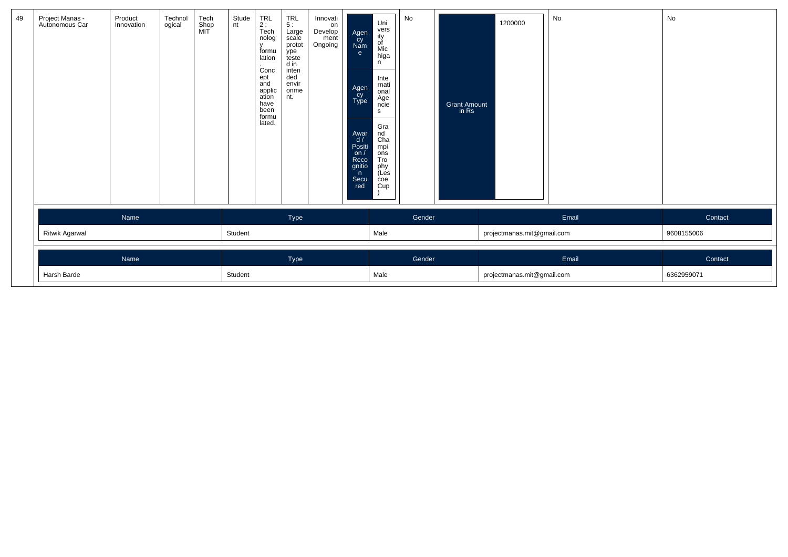| 49 | Project Manas -<br>Autonomous Car | Product<br>Innovation | Technol<br>ogical | Tech<br>Shop<br>MIT | Stude<br>nt | $TRL$<br>2:<br>Tech<br>nolog<br>$\mathbf{v}$<br>formu<br>lation<br>Conc<br>ept<br>and<br>applic<br>ation<br>have<br>been<br>formu<br>lated. | $TRL$<br>5 :<br>Large<br>scale<br>protot<br>ype<br>teste<br>d in<br>inten<br>ded<br>envir<br>onme<br>nt. | Innovati<br>on<br>Develop<br>ment<br>Ongoing | Agen<br>Cy<br>Nam<br>e<br>Agen<br>cy<br>Type<br>Awar<br>d/<br>Positi<br>on/<br>Reco<br>gnitio<br>n<br>Secu<br>red | Uni<br>vers<br>ity<br>of<br>Mic<br>higa<br>n.<br>Inte<br>rnati<br>onal<br>Age<br>ncie<br>s<br>Gra<br>nd<br>Cha<br>mpi<br>ons<br>Tro<br>phy<br>(Les<br>$\overline{c}$<br>Cup | No     | <b>Grant Amount</b><br>in Rs | 1200000                    | No    | No         |  |
|----|-----------------------------------|-----------------------|-------------------|---------------------|-------------|---------------------------------------------------------------------------------------------------------------------------------------------|----------------------------------------------------------------------------------------------------------|----------------------------------------------|-------------------------------------------------------------------------------------------------------------------|-----------------------------------------------------------------------------------------------------------------------------------------------------------------------------|--------|------------------------------|----------------------------|-------|------------|--|
|    |                                   | Name                  |                   |                     |             |                                                                                                                                             | Type                                                                                                     |                                              |                                                                                                                   |                                                                                                                                                                             | Gender |                              |                            | Email | Contact    |  |
|    | Ritwik Agarwal                    |                       |                   |                     | Student     |                                                                                                                                             |                                                                                                          |                                              |                                                                                                                   | Male                                                                                                                                                                        |        |                              | projectmanas.mit@gmail.com |       | 9608155006 |  |
|    |                                   | Name                  |                   |                     |             |                                                                                                                                             | Type                                                                                                     |                                              |                                                                                                                   |                                                                                                                                                                             | Gender |                              |                            | Email | Contact    |  |
|    | Harsh Barde                       |                       |                   |                     | Student     |                                                                                                                                             |                                                                                                          |                                              |                                                                                                                   | Male                                                                                                                                                                        |        |                              | projectmanas.mit@gmail.com |       | 6362959071 |  |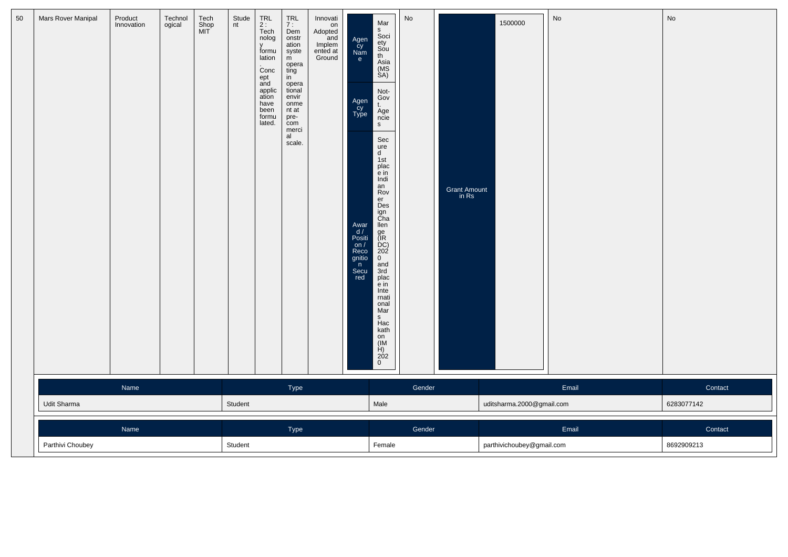| Mars Rover Manipal | Product    | Technol | Tech        | Stude   | TRL                                                                                                                                                           | TRL                                                                                                                                                   | Innovati                                             |                                                                                                                                  | Mar                                                                                                                                                                                                                                                                                                                                                                                                                                                               | No     |                       |                           | No    | No         |  |
|--------------------|------------|---------|-------------|---------|---------------------------------------------------------------------------------------------------------------------------------------------------------------|-------------------------------------------------------------------------------------------------------------------------------------------------------|------------------------------------------------------|----------------------------------------------------------------------------------------------------------------------------------|-------------------------------------------------------------------------------------------------------------------------------------------------------------------------------------------------------------------------------------------------------------------------------------------------------------------------------------------------------------------------------------------------------------------------------------------------------------------|--------|-----------------------|---------------------------|-------|------------|--|
|                    | Innovation | ogical  | Shop<br>MIT | nt      | $2:$ Tech<br>nolog<br>$\mathsf{V}$<br>formu<br>lation<br>$\overline{\text{Conc}}$<br>$e$ <sub>ept</sub><br>applic<br>ation<br>have<br>been<br>formu<br>lated. | 7:<br>Dem<br>onstr<br>ation<br>syste<br>m<br>opera<br>ting<br>in<br>opera<br>tional<br>envir<br>onme<br>nt at<br>pre-<br>com<br>merci<br>al<br>scale. | on<br>Adopted<br>and<br>Implem<br>ented at<br>Ground | Agen<br>Cy<br>Nam<br>$\mathbf{e}$<br>Agen<br>Cy<br>Type<br>Awar<br>d /<br>Positi<br>on $/$<br>Reco<br>gnitio<br>n<br>Secu<br>red | s<br>Soci<br>ety<br>Sou<br>th<br>Asia<br>(MS<br>SA)<br>Not-<br>Gov<br>t.<br>Age<br>ncie<br>$\mathbf{s}$<br>Sec<br>ure<br>$\mathsf{d}$<br>1st<br>plac<br>$\frac{1}{2}$ in<br>Indi<br>an<br>Rov<br>er<br>Des<br>ign<br>Cha<br>llen<br>ge<br>(IR<br>DC)<br>202<br>$\overline{0}$<br>and<br>3rd<br>plac<br>$\frac{1}{2}$ in<br>Inte<br>rnati<br>onal<br>Mar<br>s<br>Hac<br>kath<br>$\begin{array}{c} 1 \text{ m} \\ \text{on} \\ 1 \text{ m} \\ 202 \\ 0 \end{array}$ |        | Grant Amount<br>in Rs | 1500000                   |       |            |  |
|                    | Name       |         |             |         |                                                                                                                                                               | Type                                                                                                                                                  |                                                      |                                                                                                                                  |                                                                                                                                                                                                                                                                                                                                                                                                                                                                   | Gender |                       |                           | Email | Contact    |  |
| Udit Sharma        |            |         |             | Student |                                                                                                                                                               |                                                                                                                                                       |                                                      |                                                                                                                                  | Male                                                                                                                                                                                                                                                                                                                                                                                                                                                              |        |                       | uditsharma.2000@gmail.com |       | 6283077142 |  |
|                    | Name       |         |             |         |                                                                                                                                                               | Type                                                                                                                                                  |                                                      |                                                                                                                                  |                                                                                                                                                                                                                                                                                                                                                                                                                                                                   | Gender |                       |                           | Email | Contact    |  |
| Parthivi Choubey   |            |         |             | Student |                                                                                                                                                               |                                                                                                                                                       |                                                      |                                                                                                                                  | Female                                                                                                                                                                                                                                                                                                                                                                                                                                                            |        |                       | parthivichoubey@gmail.com |       | 8692909213 |  |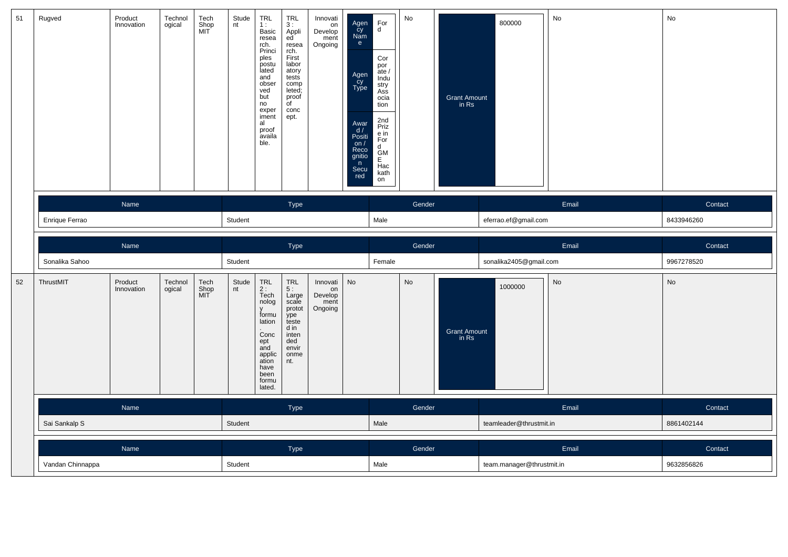| 51 | Rugved           | Product<br>Innovation | Technol<br>ogical | Tech<br>Shop<br>MIT | Stude<br>nt | TRL<br>1:<br>Basic<br>resea<br>rch.<br>Princi<br>ples<br>postu<br>lated<br>and<br>obser<br>ved<br>but<br>no<br>exper<br>iment<br>al<br>proof<br>availa<br>ble. | <b>TRL</b><br>3:<br>Appli<br>ed<br>resea<br>rch.<br>First<br>labor<br>atory<br>tests<br>comp<br>leted;<br>proof<br>$\overline{f}$<br>conc<br>ept. | Innovati<br>on<br>Develop<br>ment<br>Ongoing | Agen<br>cy<br>Nam<br>e<br>Agen<br>Cy<br>Type<br>Awar<br>d/<br>Positi<br>on $/$<br>Reco<br>gnitio<br>n<br>Secu<br>red | $_{\rm d}^{\rm For}$<br>Cor<br>por<br>ate /<br>Indu<br>stry<br>Ass<br>ocia<br>tion<br>2nd<br>Priz<br>e in<br>For<br>d<br>$rac{\tilde{G}}{E}$ M<br>Hac<br>kath<br>on | No     | Grant Amount<br>in Rs        | 800000                    | No        | No         |
|----|------------------|-----------------------|-------------------|---------------------|-------------|----------------------------------------------------------------------------------------------------------------------------------------------------------------|---------------------------------------------------------------------------------------------------------------------------------------------------|----------------------------------------------|----------------------------------------------------------------------------------------------------------------------|---------------------------------------------------------------------------------------------------------------------------------------------------------------------|--------|------------------------------|---------------------------|-----------|------------|
|    |                  | Name                  |                   |                     |             |                                                                                                                                                                | Type                                                                                                                                              |                                              |                                                                                                                      |                                                                                                                                                                     | Gender |                              |                           | Email     | Contact    |
|    | Enrique Ferrao   |                       |                   |                     | Student     |                                                                                                                                                                |                                                                                                                                                   |                                              |                                                                                                                      | Male                                                                                                                                                                |        |                              | eferrao.ef@gmail.com      |           | 8433946260 |
|    |                  | Name                  |                   |                     |             |                                                                                                                                                                | Type                                                                                                                                              |                                              |                                                                                                                      |                                                                                                                                                                     | Gender |                              |                           | Email     | Contact    |
|    | Sonalika Sahoo   |                       |                   |                     | Student     |                                                                                                                                                                |                                                                                                                                                   |                                              |                                                                                                                      | Female                                                                                                                                                              |        |                              | sonalika2405@gmail.com    |           | 9967278520 |
| 52 | ThrustMIT        | Product<br>Innovation | Technol<br>ogical | Tech<br>Shop<br>MIT | Stude<br>nt | TRL<br>2 :<br>Tech<br>nolog<br>y<br>formu<br>lation<br>Conc<br>ept<br>and<br>applic<br>ation<br>have<br>been<br>formu<br>lated.                                | <b>TRL</b><br>5 :<br>Large<br>scale<br>protot<br>ype<br>teste<br>d in<br>inten<br>ded<br>envir<br>onme<br>nt.                                     | Innovati<br>on<br>Develop<br>ment<br>Ongoing | No                                                                                                                   |                                                                                                                                                                     | No     | <b>Grant Amount</b><br>in Rs | 1000000                   | <b>No</b> | No         |
|    |                  | Name                  |                   |                     |             |                                                                                                                                                                | Type                                                                                                                                              |                                              |                                                                                                                      |                                                                                                                                                                     | Gender |                              |                           | Email     | Contact    |
|    | Sai Sankalp S    |                       |                   |                     | Student     |                                                                                                                                                                |                                                                                                                                                   |                                              |                                                                                                                      | Male                                                                                                                                                                |        |                              | teamleader@thrustmit.in   |           | 8861402144 |
|    |                  | Name                  |                   |                     |             |                                                                                                                                                                | Type                                                                                                                                              |                                              |                                                                                                                      |                                                                                                                                                                     | Gender |                              |                           | Email     | Contact    |
|    | Vandan Chinnappa |                       |                   |                     | Student     |                                                                                                                                                                |                                                                                                                                                   |                                              |                                                                                                                      | Male                                                                                                                                                                |        |                              | team.manager@thrustmit.in |           | 9632856826 |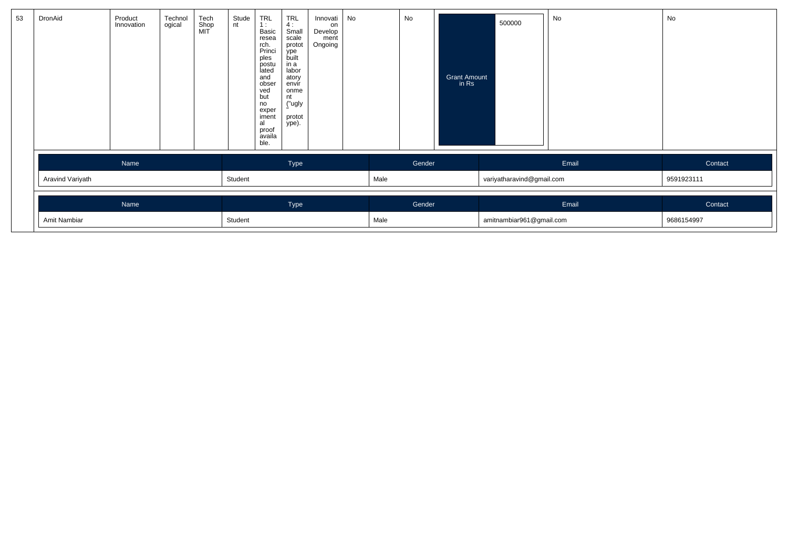| 53 | DronAid          | Product<br>Innovation | Technol<br>ogical | Tech<br>Shop<br>MIT | Stude<br>nt | <b>TRL</b><br>1:<br>Basic<br>resea<br>rch.<br>Princi<br>ples<br>postu<br>lated<br>and<br>obser<br>ved<br>but<br>no<br>exper<br>iment<br>al<br>proof<br>availa<br>ble. | $TRL$<br>4:<br>Small<br>scale<br>protot<br>ype<br>built<br>in a<br>labor<br>atory<br>envír<br>onme<br>nt<br>("ugly<br>protot<br>ype). | Innovati<br>on<br>Develop<br>ment<br>Ongoing | No |      | No     | Grant Amount<br>in Rs | 500000                    | No    | No         |
|----|------------------|-----------------------|-------------------|---------------------|-------------|-----------------------------------------------------------------------------------------------------------------------------------------------------------------------|---------------------------------------------------------------------------------------------------------------------------------------|----------------------------------------------|----|------|--------|-----------------------|---------------------------|-------|------------|
|    |                  | Name                  |                   |                     |             |                                                                                                                                                                       | Type                                                                                                                                  |                                              |    |      | Gender |                       |                           | Email | Contact    |
|    | Aravind Variyath |                       |                   |                     | Student     |                                                                                                                                                                       |                                                                                                                                       |                                              |    | Male |        |                       | variyatharavind@gmail.com |       | 9591923111 |
|    |                  | Name                  |                   |                     |             |                                                                                                                                                                       | Type                                                                                                                                  |                                              |    |      | Gender |                       |                           | Email | Contact    |
|    | Amit Nambiar     |                       |                   |                     |             |                                                                                                                                                                       |                                                                                                                                       |                                              |    | Male |        |                       | amitnambiar961@gmail.com  |       | 9686154997 |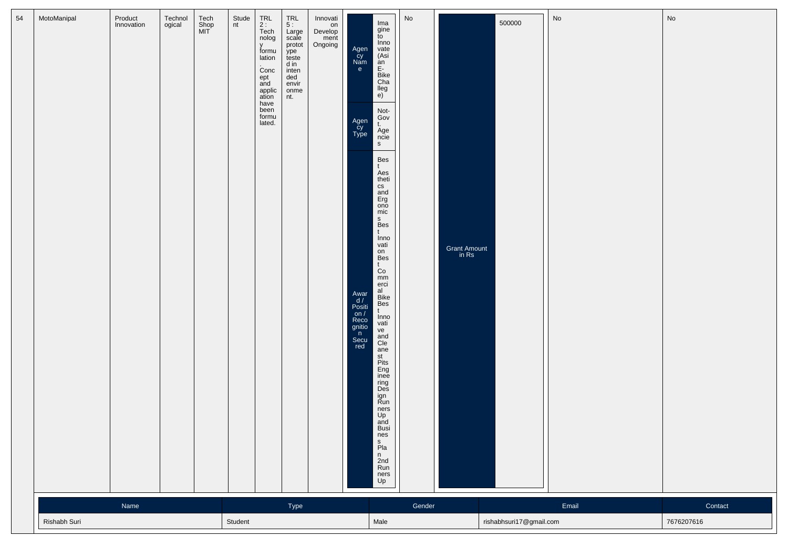|              |      |  |         | TRL<br>2 :<br>Tech<br>nolog<br>V<br>formu<br>lation<br>Conc<br>ept<br>and<br>applic<br>ation<br>have<br>been<br>formu<br>lated. | Large<br>scale<br>protot<br>ype<br>teste<br>d in<br>inten<br>ded<br>envir<br>onme<br>nt. | Develop<br>ment<br>Ongoing | Agen<br>cy<br>Nam<br>e<br>Agen<br>cy<br>Type<br>Awar<br>$\frac{d}{d}$<br>Positi<br>on /<br>Reco<br>gnitio<br>n<br>Secu<br>red | gine<br>to<br>Inno<br>vate<br>(Asi<br>an<br>E-<br>Bike<br>Cha<br>lleg<br>e)<br>Not-<br>Gov<br>t.<br>Age<br>ncie<br>${\sf S}$<br>Bes<br>$\mathsf{t}$<br>Aes<br>theti<br>cs<br>and<br>Erg<br>ono<br>mic<br>$\mathsf{s}$<br>Bes<br>t<br>Inno<br>vati<br>on<br>Bes<br>$t$<br>Co<br>mm<br>erci<br>al<br>Bike<br>Bes<br>t<br>Inno<br>vati<br>ve<br>and<br>Cle<br>ane<br>st<br>Pits<br>Eng<br>inee<br>ring<br>Des<br>ign<br>Run<br>ners<br>Up<br>and<br>Busi<br>nes<br>s<br>Pla<br>$\frac{n}{2}$ nd<br>Run<br>ners<br>Up |        | Grant Amount<br>in Rs |                         |       |                       |
|--------------|------|--|---------|---------------------------------------------------------------------------------------------------------------------------------|------------------------------------------------------------------------------------------|----------------------------|-------------------------------------------------------------------------------------------------------------------------------|-------------------------------------------------------------------------------------------------------------------------------------------------------------------------------------------------------------------------------------------------------------------------------------------------------------------------------------------------------------------------------------------------------------------------------------------------------------------------------------------------------------------|--------|-----------------------|-------------------------|-------|-----------------------|
| Rishabh Suri | Name |  | Student |                                                                                                                                 | Type                                                                                     |                            |                                                                                                                               | Male                                                                                                                                                                                                                                                                                                                                                                                                                                                                                                              | Gender |                       | rishabhsuri17@gmail.com | Email | Contact<br>7676207616 |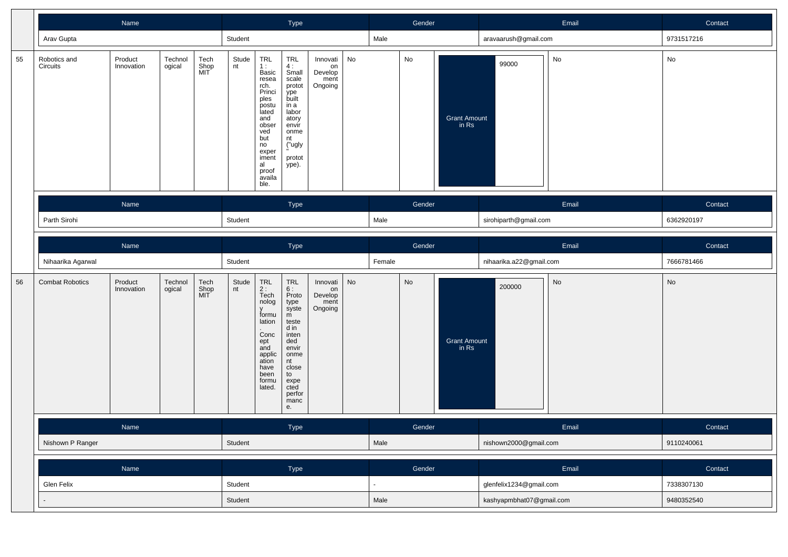|    |                          | Name                  |                   |                     |             |                                                                                                                                                                | Type                                                                                                                                                             |                                              |    |                | Gender                       |                              |                          | Email | Contact               |
|----|--------------------------|-----------------------|-------------------|---------------------|-------------|----------------------------------------------------------------------------------------------------------------------------------------------------------------|------------------------------------------------------------------------------------------------------------------------------------------------------------------|----------------------------------------------|----|----------------|------------------------------|------------------------------|--------------------------|-------|-----------------------|
|    | Arav Gupta               |                       |                   |                     | Student     |                                                                                                                                                                |                                                                                                                                                                  |                                              |    | Male           |                              |                              | aravaarush@gmail.com     |       | 9731517216            |
| 55 | Robotics and<br>Circuits | Product<br>Innovation | Technol<br>ogical | Tech<br>Shop<br>MIT | Stude<br>nt | TRL<br>1:<br>Basic<br>resea<br>rch.<br>Princi<br>ples<br>postu<br>lated<br>and<br>obser<br>ved<br>but<br>no<br>exper<br>iment<br>al<br>proof<br>availa<br>ble. | TRL<br>4 :<br>Small<br>scale<br>protot<br>ype<br>built<br>in a<br>labor<br>atory<br>envir<br>onme<br>nt<br>("ugly<br>protot<br>ype).                             | Innovati<br>on<br>Develop<br>ment<br>Ongoing | No |                | No                           | <b>Grant Amount</b><br>in Rs | 99000                    | No    | $\mathsf{No}$         |
|    | Parth Sirohi             | Name<br>Name          |                   |                     | Student     |                                                                                                                                                                | Type                                                                                                                                                             |                                              |    | Male           | Gender                       |                              | sirohiparth@gmail.com    | Email | Contact<br>6362920197 |
|    |                          |                       |                   |                     |             |                                                                                                                                                                |                                                                                                                                                                  |                                              |    |                |                              |                              |                          |       |                       |
|    | Nihaarika Agarwal        |                       |                   |                     | Student     |                                                                                                                                                                | Type                                                                                                                                                             |                                              |    | Female         | Gender                       |                              | nihaarika.a22@gmail.com  | Email | Contact<br>7666781466 |
| 56 | <b>Combat Robotics</b>   | Product<br>Innovation | Technol<br>ogical | Tech<br>Shop<br>MIT | Stude<br>nt | TRL<br>2 :<br>Tech<br>nolog<br>formu<br>lation<br>Conc<br>ept<br>and<br>applic<br>ation<br>have<br>been<br>formu<br>lated.                                     | <b>TRL</b><br>6:<br>Proto<br>type<br>syste<br>m<br>teste<br>$d$ in<br>inten<br>ded<br>envir<br>onme<br>nt<br>close<br>to<br>expe<br>cted<br>perfor<br>manc<br>е. | Innovati<br>on<br>Develop<br>ment<br>Ongoing | No |                | $\operatorname{\mathsf{No}}$ | <b>Grant Amount</b><br>in Rs | 200000                   | No    | No                    |
|    |                          | Name                  |                   |                     |             |                                                                                                                                                                | <b>Type</b>                                                                                                                                                      |                                              |    |                | Gender                       |                              |                          | Email | Contact               |
|    | Nishown P Ranger         |                       |                   |                     | Student     |                                                                                                                                                                |                                                                                                                                                                  |                                              |    | Male           |                              |                              | nishown2000@gmail.com    |       | 9110240061            |
|    |                          | Name                  |                   |                     |             |                                                                                                                                                                | Type                                                                                                                                                             |                                              |    |                | Gender                       |                              |                          | Email | Contact               |
|    | Glen Felix               |                       |                   |                     | Student     |                                                                                                                                                                |                                                                                                                                                                  |                                              |    | $\blacksquare$ |                              |                              | glenfelix1234@gmail.com  |       | 7338307130            |
|    |                          |                       |                   |                     | Student     |                                                                                                                                                                |                                                                                                                                                                  |                                              |    | Male           |                              |                              | kashyapmbhat07@gmail.com |       | 9480352540            |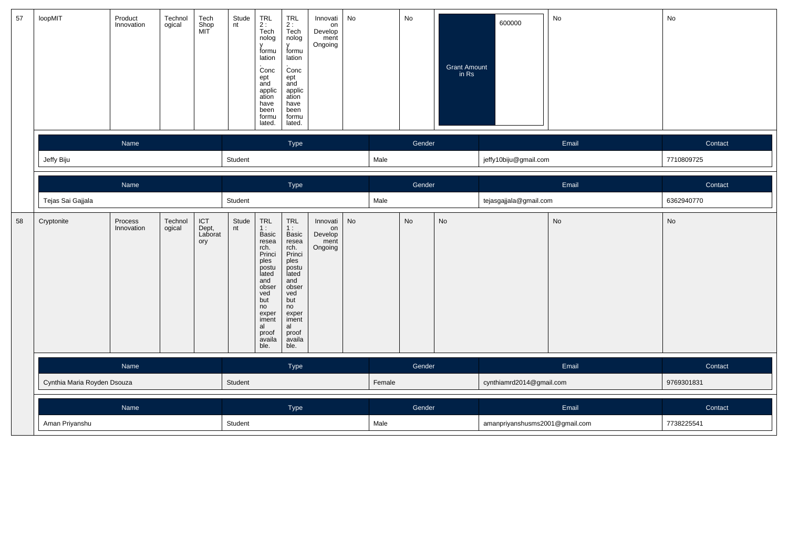| 57 | loopMIT                     | Product<br>Innovation | Technol<br>ogical | Tech<br>Shop<br>MIT            | Stude<br>nt | TRL<br>2 :<br>Tech<br>nolog<br>$\mathsf{v}$<br>formu<br>lation<br>Conc<br>ept<br>and<br>applic<br>ation<br>have<br>been<br>formu<br>lated.                                  | TRL<br>2 :<br>Tech<br>nolog<br>v<br>formu<br>lation<br>Conc<br>ept<br>and<br>applic<br>ation<br>have<br>been<br>formu<br>lated.                                       | Innovati<br>on<br>Develop<br>ment<br>Ongoing | No |        | No     | Grant Amount<br>in Rs | 600000                         | No        | No         |
|----|-----------------------------|-----------------------|-------------------|--------------------------------|-------------|-----------------------------------------------------------------------------------------------------------------------------------------------------------------------------|-----------------------------------------------------------------------------------------------------------------------------------------------------------------------|----------------------------------------------|----|--------|--------|-----------------------|--------------------------------|-----------|------------|
|    |                             | Name                  |                   |                                |             |                                                                                                                                                                             | Type                                                                                                                                                                  |                                              |    |        | Gender |                       |                                | Email     | Contact    |
|    | Jeffy Biju                  |                       |                   |                                | Student     |                                                                                                                                                                             |                                                                                                                                                                       |                                              |    | Male   |        |                       | jeffy10biju@gmail.com          |           | 7710809725 |
|    |                             | Name                  |                   |                                |             |                                                                                                                                                                             | Type                                                                                                                                                                  |                                              |    |        | Gender |                       |                                | Email     | Contact    |
|    | Tejas Sai Gajjala           |                       |                   |                                | Student     |                                                                                                                                                                             |                                                                                                                                                                       |                                              |    | Male   |        |                       | tejasgajjala@gmail.com         |           | 6362940770 |
| 58 | Cryptonite                  | Process<br>Innovation | Technol<br>ogical | ICT<br>Dept,<br>Laborat<br>ory | Stude<br>nt | TRL<br>1:<br>Basic<br>resea<br>rch.<br>Princi<br>ples <sup>1</sup><br>postu<br>lated<br>and<br>obser<br>ved<br>but<br>no<br>exper<br>iment<br>al<br>proof<br>availa<br>ble. | <b>TRL</b><br>1:<br>Basic<br>resea<br>rch.<br>Princi<br>ples<br>postu<br>lated<br>and<br>obser<br>ved<br>but<br>no<br>exper<br>iment<br>al<br>proof<br>availa<br>ble. | Innovati<br>on<br>Develop<br>ment<br>Ongoing | No |        | No     | No                    |                                | <b>No</b> | No         |
|    |                             | Name                  |                   |                                |             |                                                                                                                                                                             | Type                                                                                                                                                                  |                                              |    |        | Gender |                       |                                | Email     | Contact    |
|    | Cynthia Maria Royden Dsouza |                       |                   |                                | Student     |                                                                                                                                                                             |                                                                                                                                                                       |                                              |    | Female |        |                       | cynthiamrd2014@gmail.com       |           | 9769301831 |
|    |                             | Name                  |                   |                                |             |                                                                                                                                                                             | Type                                                                                                                                                                  |                                              |    |        | Gender |                       |                                | Email     | Contact    |
|    | Aman Priyanshu              |                       |                   |                                | Student     |                                                                                                                                                                             |                                                                                                                                                                       |                                              |    | Male   |        |                       | amanpriyanshusms2001@gmail.com |           | 7738225541 |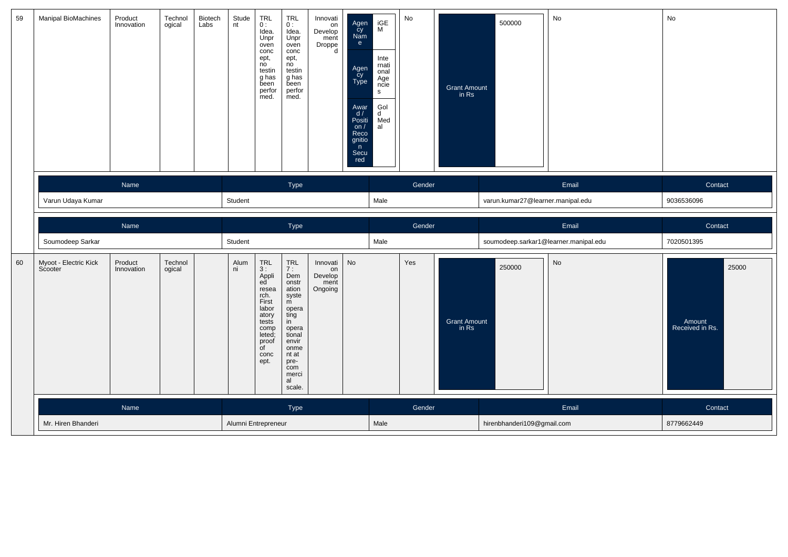| 59 | <b>Manipal BioMachines</b>       | Product<br>Innovation      | Technol<br>ogical | Biotech<br>Labs | Stude<br>nt | TRL<br>0:<br>Idea.<br>Unpr<br>oven<br>conc<br>ept,<br>no<br>testin<br>g has<br>been<br>perfor<br>med.                                                                       | <b>TRL</b><br>0:<br>Idea.<br>Unpr<br>oven<br>conc<br>ept,<br>no<br>testin<br>g has<br>been<br>perfor<br>med.                                                 | Innovati<br>nnovan<br>On<br>Develop<br>ment<br>Droppe<br>d | Agen<br>Cy<br>Nam<br>e<br>Agen<br>cy<br>Type<br>Awar<br>d/<br>Positi<br>on $/$<br>Reco<br>gnitio<br>n<br>Secu<br>red | iGE<br>M<br>Inte<br>rnati<br>onal<br>Age<br>ncie<br>s<br>Gol<br>d<br>Med<br>al | No     | <b>Grant Amount</b><br>in Rs | 500000                            | No                                    | No                                 |  |
|----|----------------------------------|----------------------------|-------------------|-----------------|-------------|-----------------------------------------------------------------------------------------------------------------------------------------------------------------------------|--------------------------------------------------------------------------------------------------------------------------------------------------------------|------------------------------------------------------------|----------------------------------------------------------------------------------------------------------------------|--------------------------------------------------------------------------------|--------|------------------------------|-----------------------------------|---------------------------------------|------------------------------------|--|
|    |                                  | Name                       |                   |                 |             |                                                                                                                                                                             | Type                                                                                                                                                         |                                                            |                                                                                                                      |                                                                                | Gender |                              |                                   | Email                                 | Contact                            |  |
|    | Varun Udaya Kumar                |                            |                   |                 | Student     |                                                                                                                                                                             |                                                                                                                                                              |                                                            |                                                                                                                      | Male                                                                           |        |                              | varun.kumar27@learner.manipal.edu |                                       | 9036536096                         |  |
|    |                                  | Name                       |                   |                 |             |                                                                                                                                                                             | Type                                                                                                                                                         |                                                            |                                                                                                                      |                                                                                | Gender |                              |                                   | Email                                 | Contact                            |  |
|    | Soumodeep Sarkar                 |                            |                   |                 | Student     |                                                                                                                                                                             |                                                                                                                                                              |                                                            |                                                                                                                      | Male                                                                           |        |                              |                                   | soumodeep.sarkar1@learner.manipal.edu | 7020501395                         |  |
| 60 | Myoot - Electric Kick<br>Scooter | Product<br>Innovation      | Technol<br>ogical |                 | Alum<br>ni  | $\begin{array}{c} \n \text{TRL} \\  3: \n \end{array}$<br>Appli<br>ed<br>resea<br>rch.<br>First<br>labor<br>atory<br>tests<br>comp<br>leted;<br>proof<br>of<br>conc<br>ept. | TRL<br>7:<br>Dem<br>onstr<br>ation<br>syste<br>m<br>opera<br>ting<br>in<br>opera<br>tional<br>envir<br>onme<br>nt at<br>pre-<br>com<br>merci<br>al<br>scale. | Innovati<br>on<br>Develop<br>ment<br>Ongoing               | No                                                                                                                   |                                                                                | Yes    | <b>Grant Amount</b><br>in Rs | 250000                            | $\mathsf{No}$                         | 25000<br>Amount<br>Received in Rs. |  |
|    |                                  | Name<br>Mr. Hiren Bhanderi |                   |                 |             |                                                                                                                                                                             | Type                                                                                                                                                         |                                                            |                                                                                                                      |                                                                                | Gender |                              |                                   | Email                                 | Contact                            |  |
|    |                                  |                            |                   |                 |             |                                                                                                                                                                             |                                                                                                                                                              |                                                            |                                                                                                                      | Male                                                                           |        |                              | hirenbhanderi109@gmail.com        |                                       | 8779662449                         |  |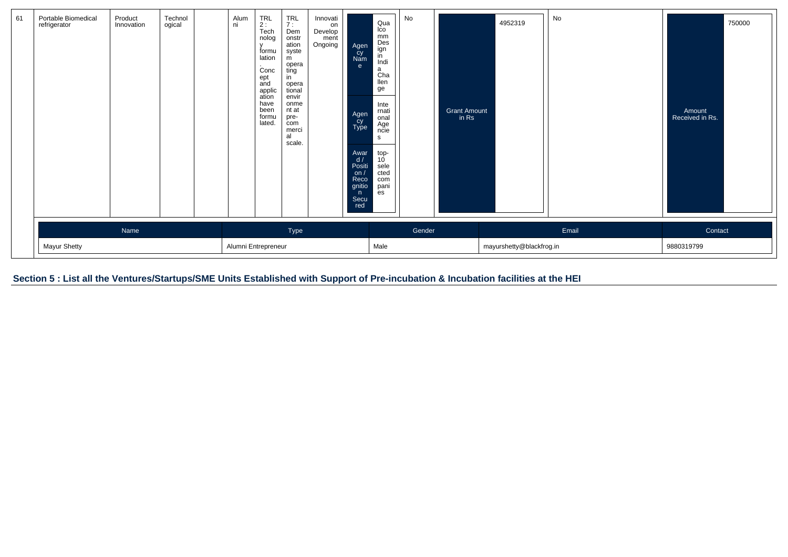| 61 | Portable Biomedical<br>refrigerator | Product<br>Innovation | Technol<br>ogical | Alum<br>ni | TRL<br>2 :<br>Tech<br>nolog<br>formu<br>lation<br>Conc<br>ept<br>and<br>applic<br>ation<br>have<br>been<br>formu<br>lated. | $T^{\text{RL}}$<br>Dem<br>onstr<br>ation<br>syste<br>m<br>opera<br>ting<br>in<br>opera<br>tional<br>envir<br>onme<br>nt at<br>pre-<br>com<br>merci<br>al<br>scale. | Innovati<br>on<br>Develop<br>ment<br>Ongoing | Agen<br>cy<br>Nam<br>$\mathbf{e}$<br>Agen<br>Cy<br>Type<br>Awar<br>d/<br>Positi<br>on <sub>l</sub><br>Reco<br>gnitio<br>n<br>Secu<br>red | Qua<br>Ico<br>mm<br>Des<br>ign<br>in<br>Indi<br>$\mathsf{a}$<br>Cha<br>llen<br>ge<br>Inte<br>rnati<br>onal<br>Age<br>ncie<br>s<br>top-<br>10<br>sele<br>cted<br>com<br>pani<br>es | No     | Grant Amount<br>in Rs | 4952319                  | No    | Amount<br>Received in Rs. | 750000 |
|----|-------------------------------------|-----------------------|-------------------|------------|----------------------------------------------------------------------------------------------------------------------------|--------------------------------------------------------------------------------------------------------------------------------------------------------------------|----------------------------------------------|------------------------------------------------------------------------------------------------------------------------------------------|-----------------------------------------------------------------------------------------------------------------------------------------------------------------------------------|--------|-----------------------|--------------------------|-------|---------------------------|--------|
|    |                                     | Name                  |                   |            |                                                                                                                            | Type                                                                                                                                                               |                                              |                                                                                                                                          |                                                                                                                                                                                   | Gender |                       |                          | Email | Contact                   |        |
|    | Mayur Shetty                        |                       |                   |            | Alumni Entrepreneur                                                                                                        |                                                                                                                                                                    |                                              |                                                                                                                                          | Male                                                                                                                                                                              |        |                       | mayurshetty@blackfrog.in |       | 9880319799                |        |

Section 5 : List all the Ventures/Startups/SME Units Established with Support of Pre-incubation & Incubation facilities at the HEI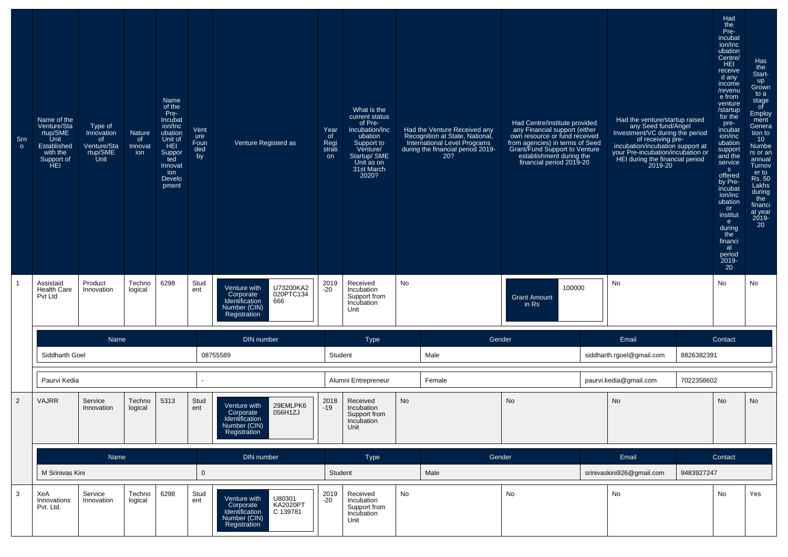| Sm<br>$\circ$ | Name of the<br>Venture/Sta<br>rtup/SME<br>Unit<br>Established<br>with the<br>Support of<br>HEL. | Type of<br>Innovation<br>of<br>Venture/Sta<br>rtup/SME<br>Unit | <b>Nature</b><br>of<br>Innovat<br>ion | Name<br>of the<br>Pre-<br>Incubat<br>ion/Inc<br>ubation<br>Unit of<br>HEI.<br>Suppor<br>ted<br>Innovat<br>ion<br>Develo<br>pment | Vent<br>ure<br>Foun<br>ded<br>by | Venture Registerd as                                                                                                 | Year<br>of<br>Regi<br>strati<br>on | What is the<br>current status<br>of Pre-<br>Incubation/Inc<br>ubation<br>Support to<br>Venture/<br>Startup/ SME<br>Unit as on<br>31st March<br>2020? |    | Had the Venture Received any<br>Recognition at State, National,<br>International Level Programs<br>during the financial period 2019-<br>20? | Had Centre/institute provided<br>rial Centriculus provided<br>any Financial support (either<br>own resource or fund received<br>from agencies) in terms of Seed<br>Grant/Fund Support to Venture<br>establishment during the<br>financial period 2019-20 | Had the venture/startup raised<br>any Seed fund/Angel<br>Investment/VC during the period<br>of receiving pre-<br>incubation/incubation support at<br>your Pre-incubation/incubation or<br>HEI during the financial period<br>2019-20 |            | Had<br>the<br>Pre-<br>incubat<br>ion/Inc<br>ubation<br>Centre/<br>HEI.<br>receive<br>d any<br>income<br>/revenu<br>e from<br>venture<br>/startup<br>for the<br>pre-<br>incubat<br>ion/inc<br>ubation<br>support<br>and the<br>service<br>S<br>offered<br>by Pre-<br>incubat<br>ion/inc<br>ubation<br>or<br>institut<br>e<br>during<br>the<br>financi<br>al<br>period<br>2019-<br>20 | Has<br>the<br>Start-<br>up<br>Grown<br>to a<br>stage<br>of<br>Employ<br>ment<br>Genera<br>tion to<br>10 <sup>°</sup><br><b>Numbe</b><br>rs or an<br>annual<br>Turnov<br>er to<br>Rs. 50<br>Lakhs<br>during<br>the<br>financi<br>al year<br>2019-<br>20 |
|---------------|-------------------------------------------------------------------------------------------------|----------------------------------------------------------------|---------------------------------------|----------------------------------------------------------------------------------------------------------------------------------|----------------------------------|----------------------------------------------------------------------------------------------------------------------|------------------------------------|------------------------------------------------------------------------------------------------------------------------------------------------------|----|---------------------------------------------------------------------------------------------------------------------------------------------|----------------------------------------------------------------------------------------------------------------------------------------------------------------------------------------------------------------------------------------------------------|--------------------------------------------------------------------------------------------------------------------------------------------------------------------------------------------------------------------------------------|------------|-------------------------------------------------------------------------------------------------------------------------------------------------------------------------------------------------------------------------------------------------------------------------------------------------------------------------------------------------------------------------------------|--------------------------------------------------------------------------------------------------------------------------------------------------------------------------------------------------------------------------------------------------------|
|               | Assistaid<br><b>Health Care</b><br>Pvt Ltd                                                      | Product<br>Innovation                                          | Techno<br>logical                     | 6298                                                                                                                             | Stud<br>ent                      | U73200KA2<br>Venture with<br>020PTC134<br>Corporate<br>Identification<br>666<br>Number (CIN)<br>Registration         | 2019<br>$-20$                      | Received<br>Incubation<br>Support from<br>Incubation<br>Unit                                                                                         | No |                                                                                                                                             | 100000<br><b>Grant Amount</b><br>$in$ Rs                                                                                                                                                                                                                 | No                                                                                                                                                                                                                                   |            | No                                                                                                                                                                                                                                                                                                                                                                                  | No                                                                                                                                                                                                                                                     |
|               |                                                                                                 | Name                                                           |                                       |                                                                                                                                  |                                  | DIN number                                                                                                           |                                    | Type                                                                                                                                                 |    | Gender                                                                                                                                      |                                                                                                                                                                                                                                                          | Email                                                                                                                                                                                                                                |            | Contact                                                                                                                                                                                                                                                                                                                                                                             |                                                                                                                                                                                                                                                        |
|               | Siddharth Goel                                                                                  |                                                                |                                       |                                                                                                                                  |                                  | 08755589                                                                                                             | Student                            |                                                                                                                                                      |    | Male                                                                                                                                        |                                                                                                                                                                                                                                                          | siddharth.rgoel@gmail.com                                                                                                                                                                                                            | 8826382391 |                                                                                                                                                                                                                                                                                                                                                                                     |                                                                                                                                                                                                                                                        |
|               | Paurvi Kedia                                                                                    |                                                                |                                       |                                                                                                                                  |                                  |                                                                                                                      |                                    | Alumni Entrepreneur                                                                                                                                  |    | Female                                                                                                                                      |                                                                                                                                                                                                                                                          | paurvi.kedia@gmail.com                                                                                                                                                                                                               | 7022358602 |                                                                                                                                                                                                                                                                                                                                                                                     |                                                                                                                                                                                                                                                        |
| 2             | <b>VAJRR</b>                                                                                    | Service<br>Innovation                                          | Techno<br>logical                     | 5313                                                                                                                             | Stud<br>ent                      | 29EMLPK6<br>Venture with<br>056H1ZJ<br>Corporate<br>Identification<br>Number (CIN)<br>Registration                   | 2018<br>$-19$                      | Received<br>Incubation<br>Support from<br>Incubation<br>Unit                                                                                         | No |                                                                                                                                             | <b>No</b>                                                                                                                                                                                                                                                | No                                                                                                                                                                                                                                   |            | No                                                                                                                                                                                                                                                                                                                                                                                  | No                                                                                                                                                                                                                                                     |
|               |                                                                                                 | Name                                                           |                                       |                                                                                                                                  |                                  | DIN number                                                                                                           |                                    | Type                                                                                                                                                 |    | Gender                                                                                                                                      |                                                                                                                                                                                                                                                          | Email                                                                                                                                                                                                                                |            | Contact                                                                                                                                                                                                                                                                                                                                                                             |                                                                                                                                                                                                                                                        |
|               | M Srinivas Kini                                                                                 |                                                                |                                       |                                                                                                                                  | $\overline{0}$                   |                                                                                                                      | Student                            |                                                                                                                                                      |    | Male                                                                                                                                        |                                                                                                                                                                                                                                                          | srinivaskini926@gmail.com                                                                                                                                                                                                            | 9483927247 |                                                                                                                                                                                                                                                                                                                                                                                     |                                                                                                                                                                                                                                                        |
| 3             | XeA<br>Innovations<br>Pvt. Ltd.                                                                 | Service<br>Innovation                                          | Techno<br>logical                     | 6298                                                                                                                             | Stud<br>ent                      | U80301<br>Venture with<br><b>KA2020PT</b><br>Corporate<br>Identification<br>C 139781<br>Number (CIN)<br>Registration | 2019<br>$-20$                      | Received<br>Incubation<br>Support from<br>Incubation<br>Unit                                                                                         | No |                                                                                                                                             | No                                                                                                                                                                                                                                                       | No                                                                                                                                                                                                                                   |            | No                                                                                                                                                                                                                                                                                                                                                                                  | Yes                                                                                                                                                                                                                                                    |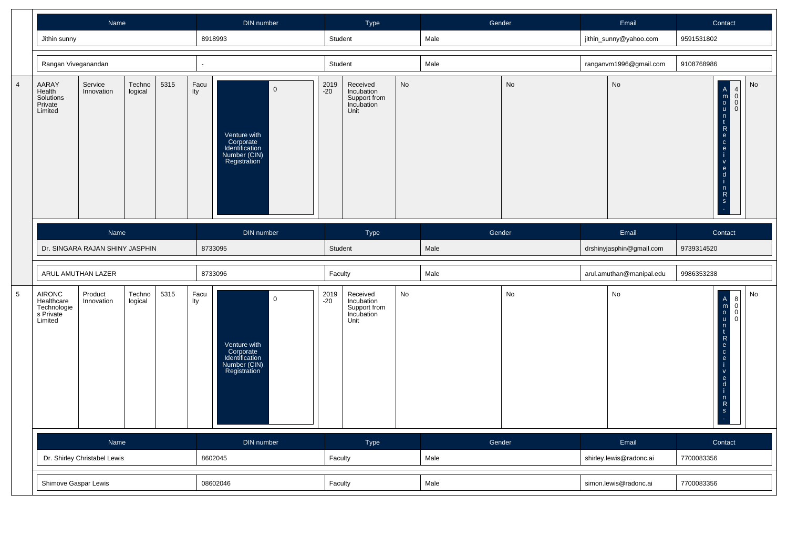|                |                                                             | <b>Name</b>                     |                   |      |             | DIN number                                                                                 |               | Type                                                         |    | Gender |    | Email                    |            | Contact                                                                                                                                                                                                                                                      |    |
|----------------|-------------------------------------------------------------|---------------------------------|-------------------|------|-------------|--------------------------------------------------------------------------------------------|---------------|--------------------------------------------------------------|----|--------|----|--------------------------|------------|--------------------------------------------------------------------------------------------------------------------------------------------------------------------------------------------------------------------------------------------------------------|----|
|                | Jithin sunny                                                |                                 |                   |      |             | 8918993                                                                                    | Student       |                                                              |    | Male   |    | jithin_sunny@yahoo.com   | 9591531802 |                                                                                                                                                                                                                                                              |    |
|                | Rangan Viveganandan                                         |                                 |                   |      |             |                                                                                            | Student       |                                                              |    | Male   |    | ranganvm1996@gmail.com   | 9108768986 |                                                                                                                                                                                                                                                              |    |
| $\overline{4}$ | AARAY<br>Health<br>Solutions<br>Private<br>Limited          | Service<br>Innovation           | Techno<br>logical | 5315 | Facu<br>lty | $\mathbf 0$<br>Venture with<br>Corporate<br>Identification<br>Number (CIN)<br>Registration | 2019<br>$-20$ | Received<br>Incubation<br>Support from<br>Incubation<br>Unit | No |        | No | No                       |            | $\begin{bmatrix} 4 \\ 0 \\ 0 \\ 0 \end{bmatrix}$<br>$\begin{array}{c}\nA \\ m \\ 0 \\ u\n\end{array}$<br>$\mathsf{n}$<br>$\mathbf{t}$<br>$\mathsf{R}$<br>$\mathbf{e}$<br>$\mathtt{c}$<br>$\mathsf{e}$<br>i.<br>$\mathsf{V}$<br>$\frac{e}{d}$<br>$n \nR$<br>s | No |
|                |                                                             | Name                            |                   |      |             | DIN number                                                                                 |               | Type                                                         |    | Gender |    | Email                    |            | Contact                                                                                                                                                                                                                                                      |    |
|                |                                                             | Dr. SINGARA RAJAN SHINY JASPHIN |                   |      |             | 8733095                                                                                    | Student       |                                                              |    | Male   |    | drshinyjasphin@gmail.com | 9739314520 |                                                                                                                                                                                                                                                              |    |
|                |                                                             | ARUL AMUTHAN LAZER              |                   |      |             | 8733096                                                                                    | Faculty       |                                                              |    | Male   |    | arul.amuthan@manipal.edu | 9986353238 |                                                                                                                                                                                                                                                              |    |
| $\overline{5}$ | AIRONC<br>Healthcare<br>Technologie<br>s Private<br>Limited | Product<br>Innovation           | Techno<br>logical | 5315 | Facu<br>Ity | $\mathsf 0$<br>Venture with<br>Corporate<br>Identification<br>Number (CIN)<br>Registration | 2019<br>-20   | Received<br>Incubation<br>Support from<br>Incubation<br>Unit | No |        | No | No                       |            | $\begin{matrix} 8 \\ 0 \\ 0 \\ 0 \end{matrix}$<br>$A \cap B$<br>$\mathsf{R}$<br>$\frac{e}{c}$<br>$\mathbf{e}$<br>$\mathsf{V}$<br>$\frac{e}{d}$<br>j.<br>$n \nR$<br>s                                                                                         | No |
|                |                                                             | Name                            |                   |      |             | DIN number                                                                                 |               | Type                                                         |    | Gender |    | Email                    |            | Contact                                                                                                                                                                                                                                                      |    |
|                |                                                             | Dr. Shirley Christabel Lewis    |                   |      |             | 8602045                                                                                    | Faculty       |                                                              |    | Male   |    | shirley.lewis@radonc.ai  | 7700083356 |                                                                                                                                                                                                                                                              |    |
|                | Shimove Gaspar Lewis                                        |                                 |                   |      |             | 08602046                                                                                   | Faculty       |                                                              |    | Male   |    | simon.lewis@radonc.ai    | 7700083356 |                                                                                                                                                                                                                                                              |    |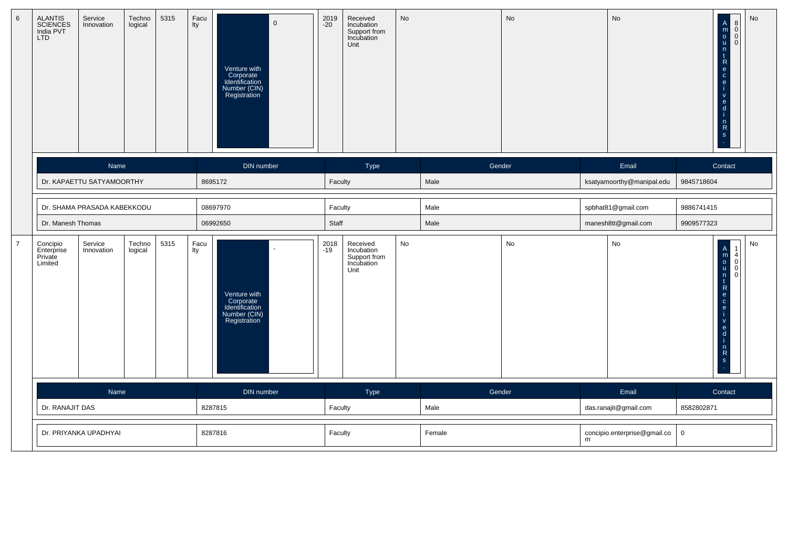| $\,6\,$        | ALANTIS<br>SCIENCES<br>India PVT<br><b>LTD</b> | Service<br>Innovation       | Techno<br>logical | 5315 | Facu<br>lty | $\mathbf 0$<br>Venture with<br>Corporate<br>Identification<br>Number (CIN)<br>Registration | 2019<br>-20   | Received<br>Incubation<br>Support from<br>Incubation<br>Unit | <b>No</b> |        | No            |   | No                           | $\begin{matrix} 8 \\ 0 \\ 0 \end{matrix}$<br>$\begin{array}{c}\nA \\ m \\ 0 \\ u\n\end{array}$<br>n<br>$\ddagger$<br>$\mathsf{R}$<br>e<br>$\mathbf{C}$<br>e<br>$\mathbf{e}$<br>$\mathbf d$<br>$n \nR$ | No |
|----------------|------------------------------------------------|-----------------------------|-------------------|------|-------------|--------------------------------------------------------------------------------------------|---------------|--------------------------------------------------------------|-----------|--------|---------------|---|------------------------------|-------------------------------------------------------------------------------------------------------------------------------------------------------------------------------------------------------|----|
|                |                                                | Name                        |                   |      |             | DIN number                                                                                 |               | Type                                                         |           | Gender |               |   | Email                        | Contact                                                                                                                                                                                               |    |
|                |                                                | Dr. KAPAETTU SATYAMOORTHY   |                   |      |             | 8695172                                                                                    | Faculty       |                                                              |           | Male   |               |   | ksatyamoorthy@manipal.edu    | 9845718604                                                                                                                                                                                            |    |
|                |                                                | Dr. SHAMA PRASADA KABEKKODU |                   |      |             | 08697970                                                                                   | Faculty       |                                                              |           | Male   |               |   | spbhat81@gmail.com           | 9886741415                                                                                                                                                                                            |    |
|                | Dr. Manesh Thomas                              |                             |                   |      |             | 06992650                                                                                   | Staff         |                                                              |           | Male   |               |   | manesh8tt@gmail.com          | 9909577323                                                                                                                                                                                            |    |
| $\overline{7}$ | Concipio<br>Enterprise<br>Private<br>Limited   | Service<br>Innovation       | Techno<br>logical | 5315 | Facu<br>Ity | Venture with<br>Corporate<br>Identification<br>Number (CIN)<br>Registration                | 2018<br>$-19$ | Received<br>Incubation<br>Support from<br>Incubation<br>Unit | No        |        | $\mathsf{No}$ |   | No                           | Amoun<br>$\begin{array}{c} 1 \\ 4 \\ 0 \end{array}$<br>$\overline{0}$<br>$\mathbf{t}$<br>$\mathsf{R}$<br>e<br>$\mathbf{C}^-$<br>e<br>$\mathsf{v}$<br>$\mathbf{e}$<br>d<br>$n \nR$                     | No |
|                |                                                | Name                        |                   |      |             | DIN number                                                                                 |               | Type                                                         |           | Gender |               |   | Email                        | Contact                                                                                                                                                                                               |    |
|                |                                                | Dr. RANAJIT DAS             |                   |      | 8287815     |                                                                                            | Faculty       |                                                              |           | Male   |               |   | das.ranajit@gmail.com        | 8582802871                                                                                                                                                                                            |    |
|                | Dr. PRIYANKA UPADHYAI                          |                             |                   |      | 8287816     |                                                                                            | Faculty       |                                                              |           | Female |               | m | concipio.enterprise@gmail.co | $\mathbf 0$                                                                                                                                                                                           |    |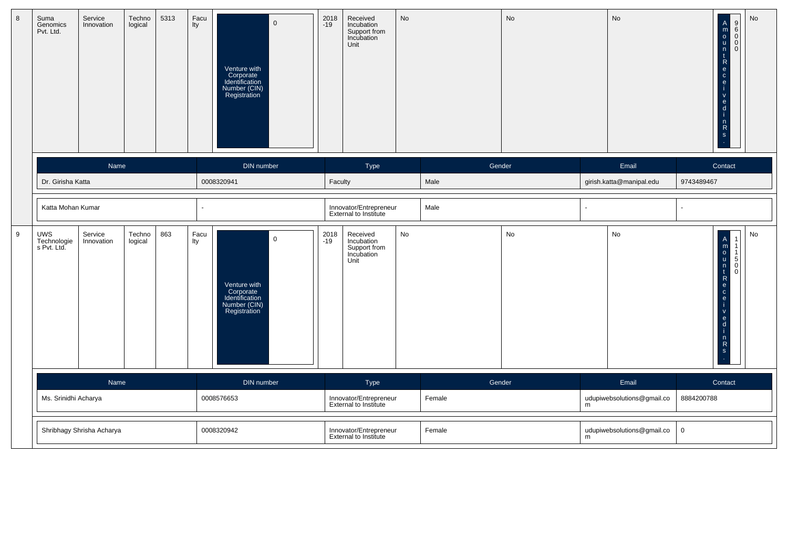| 8                | Suma<br>Genomics<br>Pvt. Ltd.     | Service<br>Innovation              | Techno<br>logical | 5313 | Facu<br>Ity | $\overline{0}$<br>Venture with<br>Corporate<br>Identification<br>Number (CIN)<br>Registration | 2018<br>-19                                     | Received<br>Incubation<br>Support from<br>Incubation<br>Unit | No     |        | <b>No</b> |                            | No                         |            | $\begin{array}{c}\n0 \\ 0 \\ 0\n\end{array}$<br>$\overline{0}$<br>$\mathsf{V}$<br>$\frac{e}{i}$<br>$\frac{n}{s}$                                      | No |
|------------------|-----------------------------------|------------------------------------|-------------------|------|-------------|-----------------------------------------------------------------------------------------------|-------------------------------------------------|--------------------------------------------------------------|--------|--------|-----------|----------------------------|----------------------------|------------|-------------------------------------------------------------------------------------------------------------------------------------------------------|----|
|                  |                                   | Name                               |                   |      |             | DIN number                                                                                    |                                                 | Type                                                         |        | Gender |           |                            | Email                      |            | Contact                                                                                                                                               |    |
|                  | Dr. Girisha Katta                 |                                    |                   |      |             | 0008320941                                                                                    | Faculty                                         |                                                              |        | Male   |           |                            | girish.katta@manipal.edu   | 9743489467 |                                                                                                                                                       |    |
|                  | Katta Mohan Kumar                 |                                    |                   |      |             |                                                                                               |                                                 | Innovator/Entrepreneur<br><b>External to Institute</b>       |        | Male   |           |                            |                            |            |                                                                                                                                                       |    |
| $\boldsymbol{9}$ | UWS<br>Technologie<br>s Pvt. Ltd. | Service<br>Innovation              | Techno<br>logical | 863  | Facu<br>lty | $\mathbf 0$<br>Venture with<br>Corporate<br>Identification<br>Number (CIN)<br>Registration    | 2018<br>-19                                     | Received<br>Incubation<br>Support from<br>Incubation<br>Unit | No     |        | No        |                            | No                         |            | A<br>m<br>o<br>u<br>n<br>c<br>e<br>c<br>e<br>$\begin{smallmatrix} 5 \\ 0 \end{smallmatrix}$<br>$\Omega$<br>j.<br>$\frac{6}{9}$<br>j.<br>$\frac{5}{3}$ | No |
|                  |                                   | Name                               |                   |      |             | DIN number                                                                                    |                                                 | Type                                                         |        | Gender |           |                            | Email                      |            | Contact                                                                                                                                               |    |
|                  |                                   | Ms. Srinidhi Acharya<br>0008576653 |                   |      |             |                                                                                               |                                                 | Innovator/Entrepreneur<br>External to Institute              |        | Female |           | ${\sf m}$                  | udupiwebsolutions@gmail.co | 8884200788 |                                                                                                                                                       |    |
|                  |                                   | Shribhagy Shrisha Acharya          |                   |      | 0008320942  |                                                                                               | Innovator/Entrepreneur<br>External to Institute |                                                              | Female |        | m         | udupiwebsolutions@gmail.co | $\mathbf 0$                |            |                                                                                                                                                       |    |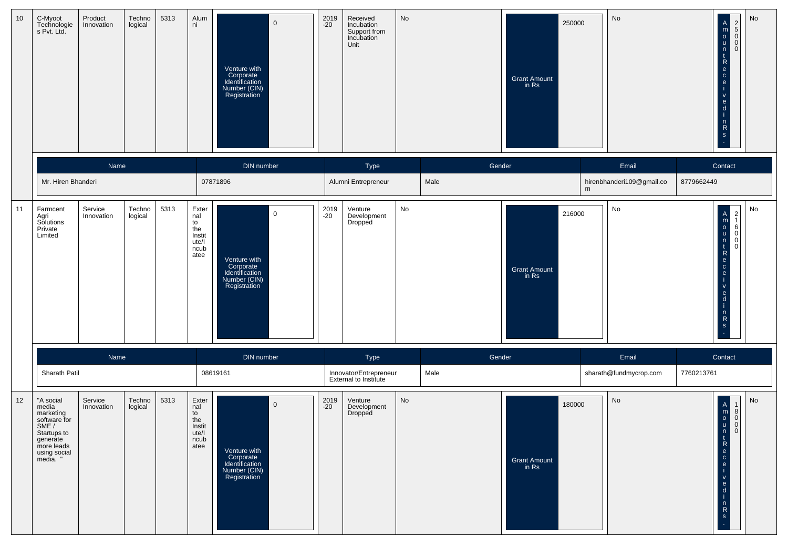| 10 | C-Myoot<br>Technologie<br>s Pvt. Ltd.                                                                                         | Product<br>Innovation | Techno<br>logical | 5313 | Alum<br>ni                                                   | $\mathbf 0$<br>Venture with<br>Corporate<br>Identification<br>Number (CIN)<br>Registration | 2019<br>$-20$ | Received<br>Incubation<br>Support from<br>Incubation<br>Unit | No   | Grant Amount<br>in Rs        | 250000 | No                                 | No<br>$\begin{bmatrix} A \\ m \\ o \\ u \end{bmatrix}$<br>OOON<br>$\mathsf{n}$<br>$\mathbf{t}$<br>$\overline{\mathsf{R}}$<br>$\frac{e}{c}$<br>$\mathbf{e}$<br>$\mathsf{v}$<br>$\mathbf{e}$<br>d<br>n<br>$\mathsf{R}$<br>$\mathbf{s}$ |
|----|-------------------------------------------------------------------------------------------------------------------------------|-----------------------|-------------------|------|--------------------------------------------------------------|--------------------------------------------------------------------------------------------|---------------|--------------------------------------------------------------|------|------------------------------|--------|------------------------------------|--------------------------------------------------------------------------------------------------------------------------------------------------------------------------------------------------------------------------------------|
|    | Mr. Hiren Bhanderi                                                                                                            | Name                  |                   |      |                                                              | DIN number<br>07871896                                                                     |               | Type<br>Alumni Entrepreneur                                  | Male | Gender                       | m      | Email<br>hirenbhanderi109@gmail.co | Contact<br>8779662449                                                                                                                                                                                                                |
| 11 | Farmcent<br>Agri<br>Solutions<br>Private<br>Limited                                                                           | Service<br>Innovation | Techno<br>logical | 5313 | Exter<br>nal<br>to<br>the<br>Instit<br>ute/l<br>ncub<br>atee | $\mathbf 0$<br>Venture with<br>Corporate<br>Identification<br>Number (CIN)<br>Registration | 2019<br>$-20$ | Venture<br>Development<br>Dropped                            | No   | Grant Amount<br>in Rs        | 216000 | No                                 | No<br>A<br>m<br>o<br>u<br>n<br>t<br>R<br>e<br>c<br>$\left  \begin{array}{c} 2 \\ 1 \end{array} \right $<br>$rac{6}{0}$<br>$\mathbf{e}$<br>$\mathsf{v}$<br>$\mathbf{e}$<br>d<br>n<br>$\mathsf{R}$<br>$\mathbf{s}$                     |
|    |                                                                                                                               | Name                  |                   |      |                                                              | DIN number                                                                                 |               | Type                                                         |      | Gender                       |        | Email                              | Contact                                                                                                                                                                                                                              |
|    | Sharath Patil                                                                                                                 |                       |                   |      |                                                              | 08619161                                                                                   |               | Innovator/Entrepreneur<br>External to Institute              | Male |                              |        | sharath@fundmycrop.com             | 7760213761                                                                                                                                                                                                                           |
| 12 | "A social<br>media<br>marketing<br>software for<br>SME /<br>Startups to<br>generate<br>more leads<br>using social<br>media. " | Service<br>Innovation | Techno<br>logical | 5313 | Exter<br>nal<br>to<br>the<br>Instit<br>ute/l<br>ncub<br>atee | $\mathbf 0$<br>Venture with<br>Corporate<br>Identification<br>Number (CIN)<br>Registration | 2019<br>$-20$ | Venture<br>Development<br>Dropped                            | No   | <b>Grant Amount</b><br>in Rs | 180000 | No                                 | No<br>$\begin{array}{c}\nA \\ m \\ o \\ u\n\end{array}$<br>$\vert$ 1<br>8<br> 0 <br> 0 <br> 0 <br>n<br>$\frac{t}{R}$<br>e<br>$\mathbf{c}$<br>$\mathbf{e}$<br>$\mathbf{v}$<br>e<br>d<br>n,<br>$\mathsf{R}$<br>$\mathsf{s}$            |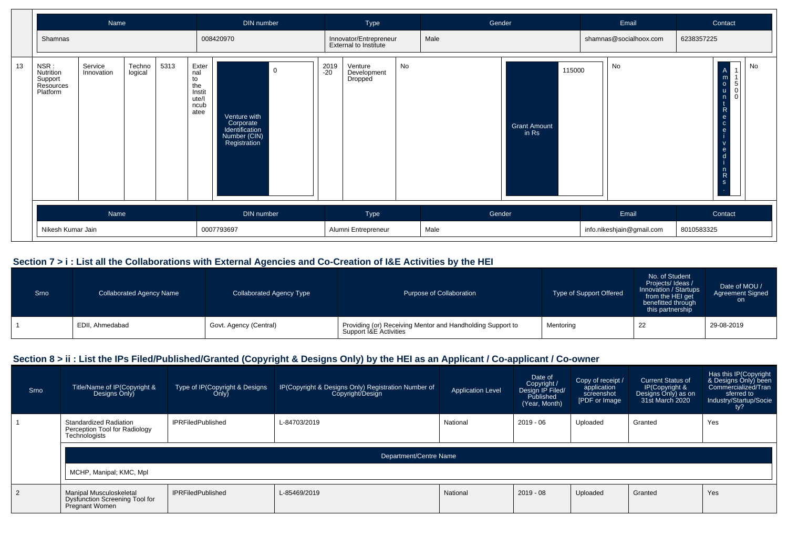|    |                                                       | Name                  |                   |      |                                                              | DIN number                                                                                 |             | Type                                            |    | Gender |                                        | Email                     | Contact                                                                                                                                                                                                                                    |
|----|-------------------------------------------------------|-----------------------|-------------------|------|--------------------------------------------------------------|--------------------------------------------------------------------------------------------|-------------|-------------------------------------------------|----|--------|----------------------------------------|---------------------------|--------------------------------------------------------------------------------------------------------------------------------------------------------------------------------------------------------------------------------------------|
|    | Shamnas                                               |                       |                   |      |                                                              | 008420970                                                                                  |             | Innovator/Entrepreneur<br>External to Institute |    | Male   |                                        | shamnas@socialhoox.com    | 6238357225                                                                                                                                                                                                                                 |
| 13 | NSR:<br>Nutrition<br>Support<br>Resources<br>Platform | Service<br>Innovation | Techno<br>logical | 5313 | Exter<br>nal<br>to<br>the<br>Instit<br>ute/l<br>ncub<br>atee | $\mathbf 0$<br>Venture with<br>Corporate<br>Identification<br>Number (CIN)<br>Registration | 2019<br>-20 | Venture<br>Development<br>Dropped               | No |        | 115000<br><b>Grant Amount</b><br>in Rs | No                        | No<br>A<br>m<br>$\frac{0}{u}$<br>$\begin{bmatrix} 5 \\ 0 \end{bmatrix}$<br>$\overline{0}$<br>n<br>$\mathsf{R}$<br>$\frac{e}{c}$<br>$\mathbf{e}$<br>$\mathsf{v}$<br>$\frac{e}{d}$<br>$\begin{bmatrix} n \\ R \end{bmatrix}$<br>$\mathbf{s}$ |
|    |                                                       | Name                  |                   |      |                                                              | DIN number                                                                                 |             | Type                                            |    | Gender |                                        | Email                     | Contact                                                                                                                                                                                                                                    |
|    |                                                       | Nikesh Kumar Jain     |                   |      |                                                              | 0007793697                                                                                 |             | Alumni Entrepreneur                             |    | Male   |                                        | info.nikeshjain@gmail.com | 8010583325                                                                                                                                                                                                                                 |

## **Section 7 > i : List all the Collaborations with External Agencies and Co-Creation of I&E Activities by the HEI**

| Srno | <b>Collaborated Agency Name</b> | <b>Collaborated Agency Type</b> | Purpose of Collaboration                                                             | Type of Support Offered | No. of Student<br>Projects/Ideas/<br>Innovation / Startups<br>from the HEI get<br>benefitted through<br>this partnership | Date of MOU /<br><b>Agreement Signed</b><br>on. |
|------|---------------------------------|---------------------------------|--------------------------------------------------------------------------------------|-------------------------|--------------------------------------------------------------------------------------------------------------------------|-------------------------------------------------|
|      | EDII, Ahmedabad                 | Govt. Agency (Central)          | Providing (or) Receiving Mentor and Handholding Support to<br>Support I&E Activities | Mentoring               | 22                                                                                                                       | 29-08-2019                                      |

## **Section 8 > ii : List the IPs Filed/Published/Granted (Copyright & Designs Only) by the HEI as an Applicant / Co-applicant / Co-owner**

| Srno           | Title/Name of IP(Copyright &<br>Designs Only)                                      | Type of IP(Copyright & Designs<br>Only) | IP(Copyright & Designs Only) Registration Number of  <br>Copyright/Design | <b>Application Level</b> | Date of<br>Copyright /<br>Design IP Filed/<br>Published<br>(Year, Month) | Copy of receipt /<br>application<br>screenshot<br>[PDF or Image | <b>Current Status of</b><br>IP(Copyright &<br>Designs Only) as on<br>31st March 2020 | Has this IP(Copyright<br>& Designs Only) been<br>Commercialized/Tran<br>sferred to<br>Industry/Startup/Socie<br>ty? |
|----------------|------------------------------------------------------------------------------------|-----------------------------------------|---------------------------------------------------------------------------|--------------------------|--------------------------------------------------------------------------|-----------------------------------------------------------------|--------------------------------------------------------------------------------------|---------------------------------------------------------------------------------------------------------------------|
|                | Standardized Radiation<br>Perception Tool for Radiology<br>Technologists           | <b>IPRFiledPublished</b>                | L-84703/2019                                                              | National                 | 2019 - 06                                                                | Uploaded                                                        | Granted                                                                              | Yes                                                                                                                 |
|                | Department/Centre Name                                                             |                                         |                                                                           |                          |                                                                          |                                                                 |                                                                                      |                                                                                                                     |
|                | MCHP, Manipal; KMC, Mpl                                                            |                                         |                                                                           |                          |                                                                          |                                                                 |                                                                                      |                                                                                                                     |
| $\overline{2}$ | Manipal Musculoskeletal<br><b>Dysfunction Screening Tool for</b><br>Pregnant Women | <b>IPRFiledPublished</b>                | L-85469/2019                                                              | National                 | 2019 - 08                                                                | Uploaded                                                        | Granted                                                                              | Yes                                                                                                                 |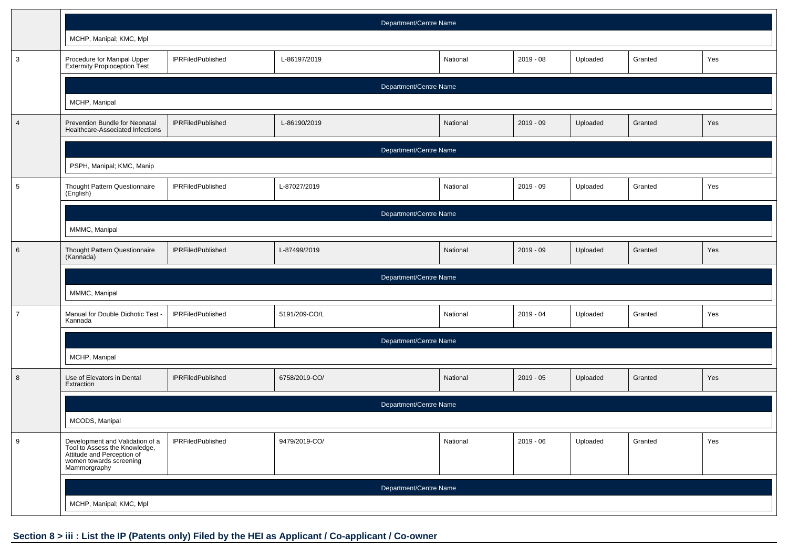|                 | Department/Centre Name                                                                                                                    |                          |                        |          |             |          |         |     |
|-----------------|-------------------------------------------------------------------------------------------------------------------------------------------|--------------------------|------------------------|----------|-------------|----------|---------|-----|
|                 | MCHP, Manipal; KMC, Mpl                                                                                                                   |                          |                        |          |             |          |         |     |
| $\mathbf{3}$    | Procedure for Manipal Upper<br>Extermity Propioception Test                                                                               | <b>IPRFiledPublished</b> | L-86197/2019           | National | $2019 - 08$ | Uploaded | Granted | Yes |
|                 |                                                                                                                                           |                          | Department/Centre Name |          |             |          |         |     |
|                 | MCHP, Manipal                                                                                                                             |                          |                        |          |             |          |         |     |
| $\overline{4}$  | Prevention Bundle for Neonatal<br>Healthcare-Associated Infections                                                                        | <b>IPRFiledPublished</b> | L-86190/2019           | National | $2019 - 09$ | Uploaded | Granted | Yes |
|                 |                                                                                                                                           |                          | Department/Centre Name |          |             |          |         |     |
|                 | PSPH, Manipal; KMC, Manip                                                                                                                 |                          |                        |          |             |          |         |     |
| $5\phantom{.0}$ | Thought Pattern Questionnaire<br>(English)                                                                                                | <b>IPRFiledPublished</b> | L-87027/2019           | National | $2019 - 09$ | Uploaded | Granted | Yes |
|                 | Department/Centre Name                                                                                                                    |                          |                        |          |             |          |         |     |
|                 | MMMC, Manipal                                                                                                                             |                          |                        |          |             |          |         |     |
| $6\phantom{.}6$ | Thought Pattern Questionnaire<br>(Kannada)                                                                                                | <b>IPRFiledPublished</b> | L-87499/2019           | National | $2019 - 09$ | Uploaded | Granted | Yes |
|                 | Department/Centre Name                                                                                                                    |                          |                        |          |             |          |         |     |
|                 | MMMC, Manipal                                                                                                                             |                          |                        |          |             |          |         |     |
| $\overline{7}$  | Manual for Double Dichotic Test<br>Kannada                                                                                                | <b>IPRFiledPublished</b> | 5191/209-CO/L          | National | $2019 - 04$ | Uploaded | Granted | Yes |
|                 | Department/Centre Name                                                                                                                    |                          |                        |          |             |          |         |     |
|                 | MCHP, Manipal                                                                                                                             |                          |                        |          |             |          |         |     |
| 8               | Use of Elevators in Dental<br>Extraction                                                                                                  | <b>IPRFiledPublished</b> | 6758/2019-CO/          | National | $2019 - 05$ | Uploaded | Granted | Yes |
|                 | Department/Centre Name                                                                                                                    |                          |                        |          |             |          |         |     |
|                 | MCODS, Manipal                                                                                                                            |                          |                        |          |             |          |         |     |
| 9               | Development and Validation of a<br>Tool to Assess the Knowledge,<br>Attitude and Perception of<br>women towards screening<br>Mammorgraphy | <b>IPRFiledPublished</b> | 9479/2019-CO/          | National | $2019 - 06$ | Uploaded | Granted | Yes |
|                 | Department/Centre Name                                                                                                                    |                          |                        |          |             |          |         |     |
|                 | MCHP, Manipal; KMC, Mpl                                                                                                                   |                          |                        |          |             |          |         |     |

## **Section 8 > iii : List the IP (Patents only) Filed by the HEI as Applicant / Co-applicant / Co-owner**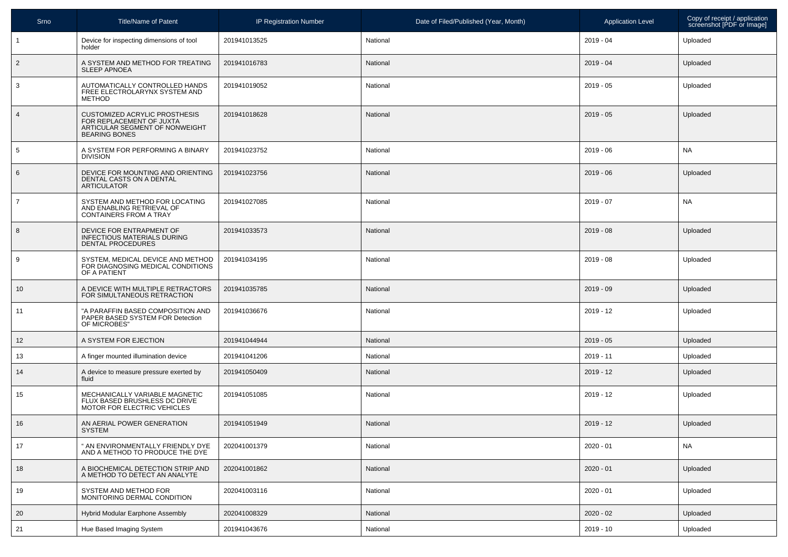| Srno           | <b>Title/Name of Patent</b>                                                                                         | <b>IP Registration Number</b> | Date of Filed/Published (Year, Month) | <b>Application Level</b> | Copy of receipt / application<br>screenshot [PDF or Image] |
|----------------|---------------------------------------------------------------------------------------------------------------------|-------------------------------|---------------------------------------|--------------------------|------------------------------------------------------------|
| $\overline{1}$ | Device for inspecting dimensions of tool<br>holder                                                                  | 201941013525                  | National                              | $2019 - 04$              | Uploaded                                                   |
| $\overline{2}$ | A SYSTEM AND METHOD FOR TREATING<br><b>SLEEP APNOEA</b>                                                             | 201941016783                  | National                              | $2019 - 04$              | Uploaded                                                   |
| 3              | AUTOMATICALLY CONTROLLED HANDS<br>FREE ELECTROLARYNX SYSTEM AND<br><b>METHOD</b>                                    | 201941019052                  | National                              | $2019 - 05$              | Uploaded                                                   |
| $\overline{4}$ | CUSTOMIZED ACRYLIC PROSTHESIS<br>FOR REPLACEMENT OF JUXTA<br>ARTICULAR SEGMENT OF NONWEIGHT<br><b>BEARING BONES</b> | 201941018628                  | National                              | $2019 - 05$              | Uploaded                                                   |
| 5              | A SYSTEM FOR PERFORMING A BINARY<br><b>DIVISION</b>                                                                 | 201941023752                  | National                              | $2019 - 06$              | <b>NA</b>                                                  |
| 6              | DEVICE FOR MOUNTING AND ORIENTING<br>DENTAL CASTS ON A DENTAL<br><b>ARTICULATOR</b>                                 | 201941023756                  | National                              | $2019 - 06$              | Uploaded                                                   |
| $\overline{7}$ | SYSTEM AND METHOD FOR LOCATING<br>AND ENABLING RETRIEVAL OF<br><b>CONTAINERS FROM A TRAY</b>                        | 201941027085                  | National                              | $2019 - 07$              | <b>NA</b>                                                  |
| 8              | DEVICE FOR ENTRAPMENT OF<br><b>INFECTIOUS MATERIALS DURING</b><br><b>DENTAL PROCEDURES</b>                          | 201941033573                  | National                              | $2019 - 08$              | Uploaded                                                   |
| 9              | SYSTEM. MEDICAL DEVICE AND METHOD<br>FOR DIAGNOSING MEDICAL CONDITIONS<br>OF A PATIENT                              | 201941034195                  | National                              | $2019 - 08$              | Uploaded                                                   |
| 10             | A DEVICE WITH MULTIPLE RETRACTORS<br>FOR SIMULTANEOUS RETRACTION                                                    | 201941035785                  | National                              | $2019 - 09$              | Uploaded                                                   |
| 11             | "A PARAFFIN BASED COMPOSITION AND<br>PAPER BASED SYSTEM FOR Detection<br>OF MICROBES'                               | 201941036676                  | National                              | $2019 - 12$              | Uploaded                                                   |
| 12             | A SYSTEM FOR EJECTION                                                                                               | 201941044944                  | National                              | $2019 - 05$              | Uploaded                                                   |
| 13             | A finger mounted illumination device                                                                                | 201941041206                  | National                              | $2019 - 11$              | Uploaded                                                   |
| 14             | A device to measure pressure exerted by<br>fluid                                                                    | 201941050409                  | National                              | $2019 - 12$              | Uploaded                                                   |
| 15             | MECHANICALLY VARIABLE MAGNETIC<br>FLUX BASED BRUSHLESS DC DRIVE<br>MOTOR FOR ELECTRIC VEHICLES                      | 201941051085                  | National                              | $2019 - 12$              | Uploaded                                                   |
| 16             | AN AERIAL POWER GENERATION<br><b>SYSTEM</b>                                                                         | 201941051949                  | National                              | $2019 - 12$              | Uploaded                                                   |
| 17             | " AN ENVIRONMENTALLY FRIENDLY DYE<br>AND A METHOD TO PRODUCE THE DYE                                                | 202041001379                  | National                              | $2020 - 01$              | <b>NA</b>                                                  |
| 18             | A BIOCHEMICAL DETECTION STRIP AND<br>A METHOD TO DETECT AN ANALYTE                                                  | 202041001862                  | National                              | $2020 - 01$              | Uploaded                                                   |
| 19             | SYSTEM AND METHOD FOR<br>MONITORING DERMAL CONDITION                                                                | 202041003116                  | National                              | $2020 - 01$              | Uploaded                                                   |
| 20             | Hybrid Modular Earphone Assembly                                                                                    | 202041008329                  | National                              | $2020 - 02$              | Uploaded                                                   |
| 21             | Hue Based Imaging System                                                                                            | 201941043676                  | National                              | $2019 - 10$              | Uploaded                                                   |